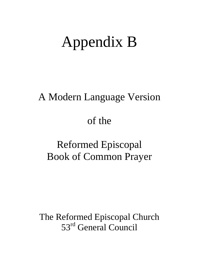# Appendix B

# A Modern Language Version

# of the

# Reformed Episcopal Book of Common Prayer

The Reformed Episcopal Church 53rd General Council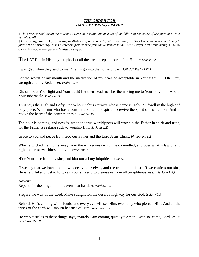# *THE ORDER FOR DAILY MORNING PRAYER*

*¶ The Minister shall begin the Morning Prayer by reading one or more of the following Sentences of Scripture in a voice audible to all.* 

*¶ On any day, save a Day of Fasting or Abstinence, or on any day when the Litany or Holy Communion is immediately to follow, the Minister may, at his discretion, pass at once from the Sentences to the Lord's Prayer, first pronouncing, The Lord be* with you. *Answer.* And with your spirit. *Minister.* Let us pray.

**T**he LORD is in His holy temple. Let all the earth keep silence before Him *Habakkuk 2:20* 

I was glad when they said to me, "Let us go into the house of the LORD." *Psalm 122:1* 

Let the words of my mouth and the meditation of my heart be acceptable in Your sight, O LORD, my strength and my Redeemer. *Psalm 19:14* 

Oh, send out Your light and Your truth! Let them lead me; Let them bring me to Your holy hill And to Your tabernacle. *Psalm 43:3* 

Thus says the High and Lofty One Who inhabits eternity, whose name is Holy: " I dwell in the high and holy place, With him who has a contrite and humble spirit, To revive the spirit of the humble, And to revive the heart of the contrite ones." *Isaiah 57:15* 

The hour is coming, and now is, when the true worshippers will worship the Father in spirit and truth; for the Father is seeking such to worship Him. *St. John 4:23* 

Grace to you and peace from God our Father and the Lord Jesus Christ. *Philippians 1:2* 

When a wicked man turns away from the wickedness which he committed, and does what is lawful and right, he preserves himself alive. *Ezekiel 18:27* 

Hide Your face from my sins, and blot out all my iniquities. *Psalm 51:9* 

If we say that we have no sin, we deceive ourselves, and the truth is not in us. If we confess our sins, He is faithful and just to forgive us our sins and to cleanse us from all unrighteousness. *1 St. John 1:8,9* 

# **Advent**

Repent, for the kingdom of heaven is at hand. *St. Matthew 3:2* 

Prepare the way of the Lord; Make straight ion the desert a highway for our God. *Isaiah 40:3* 

Behold, He is coming with clouds, and every eye will see Him, even they who pierced Him. And all the tribes of the earth will mourn because of Him. *Revelation 1:7* 

He who testifies to these things says, "Surely I am coming quickly." Amen. Even so, come, Lord Jesus! *Revelation 22:20*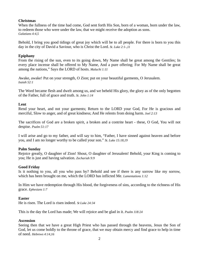# **Christmas**

When the fullness of the time had come, God sent forth His Son, born of a woman, born under the law, to redeem those who were under the law, that we might receive the adoption as sons. *Galatians 4:4,5* 

Behold, I bring you good tidings of great joy which will be to all people. For there is born to you this day in the city of David a Saviour, who is Christ the Lord. *St. Luke 2:1-,11* 

# **Epiphany**

From the rising of the sun, even to its going down, My Name shall be great among the Gentiles; In every place incense shall be offered to My Name, And a pure offering; For My Name shall be great among the nations," Says the LORD of hosts. *Malachi 1:11* 

Awake, awake! Put on your strength, O Zion; put on your beautiful garments, O Jerusalem. *Isaiah 52:1* 

The Word became flesh and dwelt among us, and we beheld His glory, the glory as of the only begotten of the Father, full of grace and truth. *St. John 1:14* 

# **Lent**

Rend your heart, and not your garments; Return to the LORD your God, For He is gracious and merciful, Slow to anger, and of great kindness; And He relents from doing harm. *Joel 2:13* 

The sacrifices of God are a broken spirit, a broken and a contrite heart - these, O God, You will not despise. *Psalm 51:17* 

I will arise and go to my father, and will say to him, "Father, I have sinned against heaven and before you, and I am no longer worthy to be called your son." *St. Luke 15:18,19* 

# **Palm Sunday**

Rejoice greatly, O daughter of Zion! Shout, O daughter of Jerusalem! Behold, your King is coming to you; He is just and having salvation. *Zechariah 9:9* 

# **Good Friday**

Is it nothing to you, all you who pass by? Behold and see if there is any sorrow like my sorrow, which has been brought on me, which the LORD has inflicted Me. *Lamentations 1:12* 

In Him we have redemption through His blood, the forgiveness of sins, according to the richness of His grace. *Ephesians 1:7* 

# **Easter**

He is risen. The Lord is risen indeed. *St Luke 24:34* 

This is the day the Lord has made; We will rejoice and be glad in it. *Psalm 118:24* 

# **Ascension**

Seeing then that we have a great High Priest who has passed through the heavens, Jesus the Son of God, let us come boldly to the throne of grace, that we may obtain mercy and find grace to help in time of need. *Hebrews 4:14,16*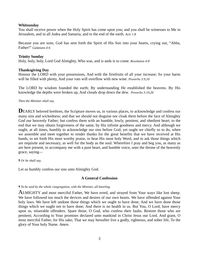# **Whitsunday**

You shall receive power when the Holy Spirit has come upon you; and you shall be witnesses to Me in Jerusalem, and in all Judea and Samaria, and to the end of the earth. *Acts 1:8* 

Because you are sons, God has sent forth the Spirit of His Son into your hearts, crying out, "Abba, Father!" *Galatians 4:6* 

# **Trinity Sunday**

Holy, holy, holy, Lord God Almighty, Who was, and is ands is to come. *Revelation 4:8* 

# **Thanksgiving Day**

Honour the LORD with your possessions, And with the firstfruits of all your increase; So your barns will be filled with plenty, And your vats will overflow with new wine. *Proverbs 3:9,10* 

The LORD by wisdom founded the earth; By understanding He established the heavens. By His knowledge the depths were broken up, And clouds drop down the dew. *Proverbs 3:19,20* 

# *Then the Minister shall say,*

**DEARLY** beloved brethren, the Scripture moves us, in various places, to acknowledge and confess our many sins and wickedness; and that we should not disguise nor cloak them before the face of Almighty God our heavenly Father; but confess them with an humble, lowly, penitent, and obedient heart; to the end that we may obtain forgiveness of the same, by His infinite goodness and mercy. And although we ought, at all times, humbly to acknowledge our sins before God; yet ought we chiefly so to do, when we assemble and meet together to render thanks for the great benefits that we have received at His hands, to set forth His most worthy praise, to hear His most holy Word, and to ask those things which are requisite and necessary, as well for the body as the soul. Wherefore I pray and beg you, as many as are here present, to accompany me with a pure heart, and humble voice, unto the throne of the heavenly grace, saying—

*¶ Or he shall say,* 

Let us humbly confess our sins unto Almighty God.

# **A General Confession**

#### *¶ To be said by the whole congregation, with the Minister, all kneeling.*

ALMIGHTY and most merciful Father, We have erred, and strayed from Your ways like lost sheep. We have followed too much the devices and desires of our own hearts. We have offended against Your holy laws. We have left undone those things which we ought to have done; And we have done those things which we ought not to have done; And there is no health in us. But You, O Lord, have mercy upon us, miserable offenders. Spare those, O God, who confess their faults. Restore those who are penitent; According to Your promises declared unto mankind in Christ Jesus our Lord. And grant, O most merciful Father, for His sake; That we may hereafter live a godly, righteous, and sober life, To the glory of Your holy Name. *Amen.*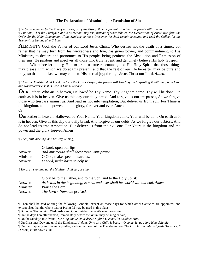#### **The Declaration of Absolution, or Remission of Sins**

*¶ To be pronounced by the Presbyter alone, or by the Bishop if he be present, standing; the people still kneeling. ¶ But note, That the Presbyter, at his discretion, may use, instead of what follows, the Declaration of Absolution from the Order for the Holy Communion. If the Minister be not a Presbyter, he shall remain kneeling, and read the Collect for the Twenty-first Sunday after Trinity.* 

**A**LMIGHTY God, the Father of our Lord Jesus Christ, Who desires not the death of a sinner, but rather that he may turn from his wickedness and live, has given power, and commandment, to His Ministers, to declare and pronounce to His people, being penitent, the Absolution and Remission of their sins. He pardons and absolves all those who truly repent, and genuinely believe His holy Gospel.

 Wherefore let us beg Him to grant us true repentance, and His Holy Spirit, that those things may please Him which we do at this present; and that the rest of our life hereafter may be pure and holy; so that at the last we may come to His eternal joy; through Jesus Christ our Lord. *Amen.* 

*¶ Then the Minister shall kneel, and say the Lord's Prayer; the people still kneeling, and repeating it with him, both here, and wheresoever else it is used in Divine Service.* 

**O**UR Father, Who art in heaven, Hallowed be Thy Name. Thy kingdom come. Thy will be done, On earth as it is in heaven. Give us this day our daily bread. And forgive us our trespasses, As we forgive those who trespass against us. And lead us not into temptation, But deliver us from evil. For Thine is the kingdom, and the power, and the glory, for ever and ever. Amen.

#### Or

**O**ur Father in heaven, Hallowed be Your Name. Your kingdom come. Your will be done On earth as it is in heaven. Give us this day our daily bread. And forgive us our debts, As we forgive our debtors. And do not lead us into temptation, But deliver us from the evil one. For Yours is the kingdom and the power and the glory forever. Amen

*¶ Then, still kneeling, he shall say, or sing,* 

|           | O Lord, open our lips.                      |
|-----------|---------------------------------------------|
| Answer.   | And our mouth shall show forth Your praise. |
| Minister. | O God, make speed to save us.               |
| Answer.   | O Lord, make haste to help us.              |

*¶ Here, all standing up, the Minister shall say, or sing,* 

|           | Glory be to the Father, and to the Son, and to the Holy Spirit;                 |
|-----------|---------------------------------------------------------------------------------|
| Answer.   | As it was in the beginning, is now, and ever shall be, world without end. Amen. |
| Minister. | Praise the Lord.                                                                |
| Answer.   | The Lord's Name be praised.                                                     |

¶ Then shall be said or sung the following Canticle; except on those days for which other Canticles are appointed; and except also, that the whole text of Psalm 95 may be used in this place.

¶ But note, That on Ash Wednesday and Good Friday the *Venite* may be omitted.

¶ On the days hereafter named, immediately before the *Venite* may be sung or said,

¶ On the Sundays in Advent. *Our King and Saviour draws nigh; \* O come, let us adore Him.* 

¶ On Christmas Day and until the Epiphany. *Alleluia. Unto us a Child is born; \* O come, let us adore Him. Alleluia.* 

¶ On the Epiphany and seven days after, and on the Feast of the Transfiguration. *The Lord has manifested forth His glory; \* O come, let us adore Him.*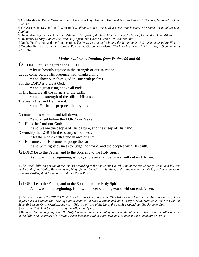¶ On Monday in Easter Week and until Ascension Day. *Alleluia. The Lord is risen indeed; \* O come, let us adore Him. Alleluia.* 

¶ On Ascension Day and until Whitsunday. *Alleluia. Christ the Lord ascends into heaven; \* O come, let us adore Him. Alleluia.* 

¶ On Whitsunday and six days after. *Alleluia. The Spirit of the Lord fills the world; \* O come, let us adore Him. Alleluia.* 

¶ On Trinity Sunday. *Father, Son, and Holy Spirit, one God; \* O come, let us adore Him.* 

¶ On the Purification, and the Annunciation. *The Word was made flesh, and dwelt among us; \* O come, let us adore Him.* 

¶ On other Festivals for which a proper Epistle and Gospel are ordered. *The Lord is glorious in His saints; \* O come, let us adore Him.* 

#### *Venite, exultemus Domino. from Psalms 95 and 96*

**O** COME, let us sing unto the LORD;

\* let us heartily rejoice in the strength of our salvation

Let us come before His presence with thanksgiving;

\* and show ourselves glad in Him with psalms.

For the LORD is a great God;

\* and a great King above all gods.

In His hand are all the corners of the earth;

\* and the strength of the hills is His also.

The sea is His, and He made it;

\* and His hands prepared the dry land.

O come, let us worship and fall down,

\* and kneel before the LORD our Maker.

For He is the Lord our God;

\* and we are the people of His pasture, and the sheep of His hand.

O worship the LORD in the beauty of holiness;

\* let the whole earth stand in awe of Him.

For He comes, for He comes to judge the earth;

\* and with righteousness to judge the world, and the peoples with His truth.

GLORY be to the Father, and to the Son, and to the Holy Spirit;

As it was in the beginning, is now, and ever shall be, world without end. Amen.

*¶ Then shall follow a portion of the Psalms according to the use of this Church. And at the end of every Psalm, and likewise at the end of the Venite, Benedictus es, Magnificate, Benedictus, Jubilate, and at the end of the whole portion or selection from the Psalter, shall be sung or said the Gloria Patri.*

GLORY be to the Father, and to the Son, and to the Holy Spirit; As it was in the beginning, is now, and ever shall be, world without end. Amen.

*¶ Then shall be read the FIRST LESSON, as it is appointed. And note, That before every Lesson, the Minister shall say, Here begins such a chapter (or verse of such a chapter) of such a Book; and after every Lesson, Here ends the First (or the Second) Lesson. Or the Minister may say, This is the Word of the Lord, the people responding, Thanks be to God. ¶ And after that shall be said or sung the following Hymn.* 

*¶ But note, That on any day when the Holy Communion is immediately to follow, the Minister at his discretion, after any one of the following Canticles of Morning Prayer has been said or sung, may pass at once to the Communion Service.*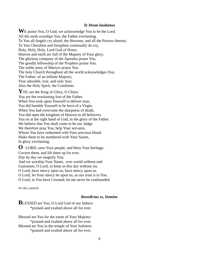#### *Te Deum laudamus*

**W**E praise You, O God; we acknowledge You to be the Lord. All the earth worships You, the Father everlasting. To You all Angels cry aloud; the Heavens, and all the Powers therein; To You Cherubim and Seraphim continually do cry, Holy, Holy, Holy, Lord God of Hosts; Heaven and earth are full of the Majesty of Your glory. The glorious company of the Apostles praise You. The goodly fellowship of the Prophets praise You. The noble army of Martyrs praise You. The holy Church throughout all the world acknowledges You; The Father: of an infinite Majesty; Your adorable, true, and only Son; Also the Holy Spirit, the Comforter.

YOU are the King of Glory, O Christ. You are the everlasting Son of the Father. When You took upon Yourself to deliver man, You did humble Yourself to be born of a Virgin. When You had overcome the sharpness of death, You did open the kingdom of Heaven to all believers. You sit at the right hand of God, in the glory of the Father. We believe that You shall come to be our Judge. We therefore pray You, help Your servants, Whom You have redeemed with Your precious blood. Make them to be numbered with Your Saints, In glory everlasting.

**O** LORD, save Your people, and bless Your heritage. Govern them, and lift them up for ever. Day by day we magnify You; And we worship Your Name, ever world without end. Guarantee, O Lord, to keep us this day without sin. O Lord, have mercy upon us, have mercy upon us. O Lord, let Your mercy be upon us, as our trust is in You. O Lord, in You have I trusted; let me never be confounded.

*Or this canticle* 

#### *Benedictus es, Domine*

# **BLESSED** are You, O Lord God of our fathers: \*praised and exalted above all for ever.

Blessed are You for the name of Your Majesty: \*praised and exalted above all for ever. Blessed are You in the temple of Your holiness: \*praised and exalted above all for ever.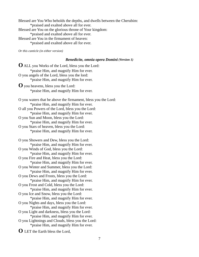Blessed are You Who beholds the depths, and dwells between the Cherubim: \*praised and exalted above all for ever. Blessed are You on the glorious throne of Your kingdom: \*praised and exalted above all for ever. Blessed are You in the firmament of heaven: \*praised and exalted above all for ever.

*Or this canticle (in either version)* 

#### *Benedicite, omnia opera Domini (Version 1)*

**O** ALL you Works of the Lord, bless you the Lord: \*praise Him, and magnify Him for ever. O you angels of the Lord, bless you the lord: \*praise Him, and magnify Him for ever. **O** you heavens, bless you the Lord: \*praise Him, and magnify Him for ever. O you waters that be above the firmament, bless you the Lord: \*praise Him, and magnify Him for ever. O all you Powers of the Lord, bless you the Lord: \*praise Him, and magnify Him for ever. O you Sun and Moon, bless you the Lord: \*praise Him, and magnify Him for ever. O you Stars of heaven, bless you the Lord: \*praise Him, and magnify Him for ever. O you Showers and Dew, bless you the Lord: \*praise Him, and magnify Him for ever. O you Winds of God, bless you the Lord: \*praise Him, and magnify Him for ever. O you Fire and Heat, bless you the Lord: \*praise Him, and magnify Him for ever. O you Winter and Summer, bless you the Lord: \*praise Him, and magnify Him for ever. O you Dews and Frosts, bless you the Lord: \*praise Him, and magnify Him for ever. O you Frost and Cold, bless you the Lord: \*praise Him, and magnify Him for ever. O you Ice and Snow, bless you the Lord: \*praise Him, and magnify Him for ever. O you Nights and days, bless you the Lord:

 \*praise Him, and magnify Him for ever. O you Light and darkness, bless you the Lord: \*praise Him, and magnify Him for ever.

O you Lightnings and Clouds, bless you the Lord: \*praise Him, and magnify Him for ever.

**O** LET the Earth bless the Lord,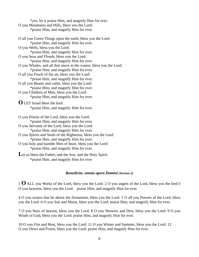\*yes, let it praise Him, and magnify Him for ever. O you Mountains and Hills, bless you the Lord: \*praise Him, and magnify Him for ever.

O all you Green Things upon the earth, bless you the Lord: \*praise Him, and magnify Him for ever. O you Wells, bless you the Lord: \*praise Him, and magnify Him for ever. O you Seas and Floods, bless you the Lord: \*praise Him, and magnify Him for ever. O you Whales, and all that move in the waters, bless you the Lord: \*praise Him, and magnify Him for ever. O all you Fowls of the air, bless you the Lord: \*praise Him, and magnify Him for ever. O all you Beasts and cattle, bless you the Lord: \*praise Him, and magnify Him for ever. O you Children of Men, bless you the Lord: \*praise Him, and magnify Him for ever. **O** LET Israel bless the lord: \*praise Him, and magnify Him for ever. O you Priests of the Lord, bless you the Lord: \*praise Him, and magnify Him for ever. O you Servants of the Lord, bless you the Lord: \*praise Him, and magnify Him for ever. O you Spirits and Souls of the Righteous, bless you the Lord: \*praise Him, and magnify Him for ever. O you holy and humble Men of heart, bless you the Lord: \*praise Him, and magnify Him for ever. Let us bless the Father, and the Son, and the Holy Spirit:

\*praise Him, and magnify Him for ever

# *Benedicite, omnia opera Domini (Version 2)*

<sup>1</sup>**O** ALL you Works of the Lord, bless you the Lord; 2 O you angels of the Lord, bless you the lord:3 O you heavens, bless you the Lord: praise Him, and magnify Him for ever.

4 O you waters that be above the firmament, bless you the Lord: 5 O all you Powers of the Lord, bless you the Lord: 6 O you Sun and Moon, bless you the Lord: praise Him, and magnify Him for ever.

7 O you Stars of heaven, bless you the Lord: 8 O you Showers and Dew, bless you the Lord: 9 O you Winds of God, bless you the Lord: praise Him, and magnify Him for ever.

10 O you Fire and Heat, bless you the Lord: 11 O you Winter and Summer, bless you the Lord: 12 O you Dews and Frosts, bless you the Lord: praise Him, and magnify Him for ever.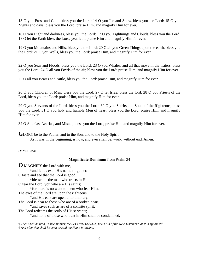13 O you Frost and Cold, bless you the Lord: 14 O you Ice and Snow, bless you the Lord: 15 O you Nights and days, bless you the Lord: praise Him, and magnify Him for ever.

16 O you Light and darkness, bless you the Lord: 17 O you Lightnings and Clouds, bless you the Lord: 18 O let the Earth bless the Lord; yea, let it praise Him and magnify Him for ever.

19 O you Mountains and Hills, bless you the Lord: 20 O all you Green Things upon the earth, bless you the Lord: 21 O you Wells, bless you the Lord: praise Him, and magnify Him for ever.

22 O you Seas and Floods, bless you the Lord: 23 O you Whales, and all that move in the waters, bless you the Lord: 24 O all you Fowls of the air, bless you the Lord: praise Him, and magnify Him for ever.

25 O all you Beasts and cattle, bless you the Lord: praise Him, and magnify Him for ever.

26 O you Children of Men, bless you the Lord: 27 O let Israel bless the lord: 28 O you Priests of the Lord, bless you the Lord: praise Him, and magnify Him for ever.

29 O you Servants of the Lord, bless you the Lord: 30 O you Spirits and Souls of the Righteous, bless you the Lord: 31 O you holy and humble Men of heart, bless you the Lord: praise Him, and magnify Him for ever.

32 O Ananias, Azarias, and Misael, bless you the Lord; praise Him and magnify Him for ever.

**G**LORY be to the Father, and to the Son, and to the Holy Spirit;

As it was in the beginning, is now, and ever shall be, world without end. Amen.

*Or this Psalm* 

# **Magnificate Dominum** from Psalm 34

**O** MAGNIFY the Lord with me, \*and let us exalt His name to-gether. O taste and see that the Lord is good: \*blessed is the man who trusts in Him. O fear the Lord, you who are His saints; \*for there is no want to them who fear Him. The eyes of the Lord are upon the righteous, \*and His ears are open unto their cry. The Lord is near to those who are of a broken heart, \*and saves such as are of a contrite spirit. The Lord redeems the souls of His servants; \*and none of those who trust in Him shall be condemned.

*¶ Then shall be read, in like manner, the SECOND LESSON, taken out of the New Testament, as it is appointed. ¶ And after that shall be sung or said the Hymn following.*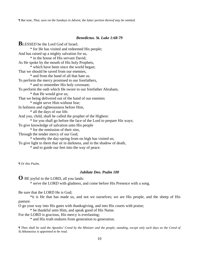*¶ But note, That, save on the Sundays in Advent, the latter portion thereof may be omitted.*

#### *Benedictus. St. Luke 1:68-79*

**BLESSED** be the Lord God of Israel; \* for He has visited and redeemed His people; And has raised up a mighty salvation for us, \* in the house of His servant David; As He spoke by the mouth of His holy Prophets, \* which have been since the world began; That we should be saved from our enemies, \* and from the hand of all that hate us. To perform the mercy promised to our forefathers, \* and to remember His holy covenant; To perform the oath which He swore to our forefather Abraham, \* that He would give us; That we being delivered out of the hand of our enemies \* might serve Him without fear; In holiness and righteousness before Him, \* all the days of our life. And you, child, shall be called the prophet of the Highest: \* for you shall go before the face of the Lord to prepare His ways; To give knowledge of salvation unto His people \* for the remission of their sins, Through the tender mercy of our God; \* whereby the day-spring from on high has visited us; To give light to them that sit in darkness, and in the shadow of death,

\* and to guide our feet into the way of peace.

*¶ Or this Psalm.* 

#### *Jubilate Deo. Psalm 100*

**O** BE joyful in the LORD, all you lands:

\* serve the LORD with gladness, and come before His Presence with a song.

Be sure that the LORD He is God;

 \*it is He that has made us, and not we ourselves; we are His people, and the sheep of His pasture.

O go your way into His gates with thanksgiving, and into His courts with praise;

\* be thankful unto Him, and speak good of His Name.

For the LORD is gracious, His mercy is everlasting;

\* and His truth endures from generation to generation.

*¶ Then shall be said the Apostles' Creed by the Minister and the people, standing, except only such days as the Creed of St.Athanasius is appointed to be read.*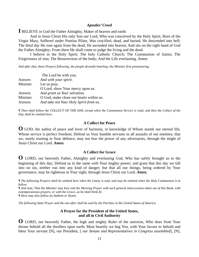#### *Apostles' Creed*

**I** BELIEVE in God the Father Almighty, Maker of heaven and earth:

 And in Jesus Christ His only Son our Lord, Who was conceived by the Holy Spirit, Born of the Virgin Mary, Suffered under Pontius Pilate, Was crucified, dead, and buried, He descended into hell; The third day He rose again from the dead, He ascended into heaven, And sits on the right hand of God the Father Almighty; From there He shall come to judge the living and the dead.

 I believe in the Holy Spirit; The holy Catholic Church; The Communion of Saints; The Forgiveness of sins; The Resurrection of the body; And the Life everlasting. Amen.

*And after that, these Prayers following, the people devoutly kneeling; the Minister first pronouncing,* 

|           | The Lord be with you.                   |
|-----------|-----------------------------------------|
| Answer.   | And with your spirit.                   |
| Minister. | Let us pray.                            |
|           | O Lord, show Your mercy upon us.        |
| Answer.   | And grant us Your salvation.            |
| Minister. | O God, make clean our hearts within us. |
| Answer.   | And take not Your Holy Spirit from us.  |

*¶ Then shall follow the COLLECT OF THE DAY, except when the Communion Service is read; and then the Collect of the Day shall be omitted here.*

#### **A Collect for Peace**

**O** GOD, the author of peace and lover of harmony, in knowledge of Whom stands our eternal life, Whose service is perfect freedom; Defend us Your humble servants in all assaults of our enemies; that we, surely trusting in Your defence, may not fear the power of any adversaries, through the might of Jesus Christ our Lord. *Amen.* 

#### **A Collect for Grace**

**O** LORD, our heavenly Father, Almighty and everlasting God, Who has safely brought us to the beginning of this day; Defend us in the same with Your mighty power; and grant that this day we fall into no sin, neither run into any kind of danger; but that all our doings, being ordered by Your governance, may be righteous in Your sight; through Jesus Christ our Lord. *Amen.* 

*¶ The following Prayers shall be omitted here when the Litany is said, and may be omitted when the Holy Communion is to follow.* 

*¶ And note, That the Minister may here end the Morning Prayer with such general intercessions taken out of this Book, with extemporaneous prayers, or with the Grace, as he shall think fit.* 

*¶ Here may also follow an Anthem or Hymn.* 

*The following State Prayer and the one after shall be said by the Parishes in the United States of America* 

# **A Prayer for the President of the United States, and all in Civil Authority**

**O** LORD, our heavenly Father, the high and mighty Ruler of the universe, Who does from Your throne behold all the dwellers upon earth; Most heartily we beg You, with Your favour to behold and bless Your servant [N], our President, [ *our Senate and Representatives in Congress assembled*], [N],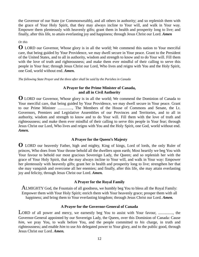the Governor of our State (or Commonwealth), and all others in authority; and so replenish them with the grace of Your Holy Spirit, that they may always incline to Your will, and walk in Your way. Empower them plenteously with heavenly gifts; grant them in health and prosperity long to live; and finally, after this life, to attain everlasting joy and happiness; through Jesus Christ our Lord. *Amen* 

# *Or this*

**O** LORD our Governor, Whose glory is in all the world; We commend this nation to Your merciful care, that being guided by Your Providence, we may dwell secure in Your peace. Grant to the President of the United States, and to all in authority, wisdom and strength to know and to do Your will. Fill them with the love of truth and righteousness; and make them ever mindful of their calling to serve this people in Your fear; through Jesus Christ our Lord, Who lives and reigns with You and the Holy Spirit, one God, world without end. *Amen.*

*The following State Prayer and the three after shall be said by the Parishes in Canada* 

# **A Prayer for the Prime Minister of Canada, and all in Civil Authority**

**O** LORD our Governor, Whose glory is in all the world; We commend the Dominion of Canada to Your merciful care, that being guided by Your Providence, we may dwell secure in Your peace. Grant to our Prime Minister ..............., The Members of the House of Commons and Senate, the Lt. Governors, Premiers and Legislative Assemblies of our Provinces and Territories, and to all in authority, wisdom and strength to know and to do Your will. Fill them with the love of truth and righteousness; and make them ever mindful of their calling to serve this people in Your fear; through Jesus Christ our Lord, Who lives and reigns with You and the Holy Spirit, one God, world without end. *Amen.*

# **A Prayer for the Queen's Majesty**

**O** LORD our heavenly Father, high and mighty, King of kings, Lord of lords, the only Ruler of princes, Who does from Your throne behold all the dwellers upon earth; Most heartily we beg You with Your favour to behold our most gracious Sovereign Lady, the Queen; and so replenish her with the grace of Your Holy Spirit, that she may always incline to Your will, and walk in Your way: Empower her plenteously with heavenly gifts; grant her in health and prosperity long to live; strengthen her that she may vanquish and overcome all her enemies; and finally, after this life, she may attain everlasting joy and felicity, through Jesus Christ our Lord. *Amen.* 

# **A Prayer for the Royal Family**

ALMIGHTY God, the Fountain of all goodness, we humbly beg You to bless all the Royal Family: Empower them with Your Holy Spirit; enrich them with Your heavenly grace; prosper them with all happiness; and bring them to Your everlasting kingdom; through Jesus Christ our Lord. *Amen.* 

# **A Prayer for the Governor-General of Canada**

LORD of all power and mercy, we earnestly beg You to assist with Your favour, ................, the Governor-General appointed by our Sovereign Lady, the Queen, over this Dominion of Canada: Cause *him*, we pray You, to walk before You, and the people committed to *his* charge, in truth and righteousness; and enable *him* to use *his* delegated power to Your glory, and to the public good, through Jesus Christ our Lord. *Amen.*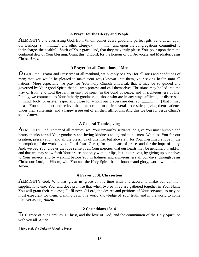#### **A Prayer for the Clergy and People**

**A**LMIGHTY and everlasting God, from Whom comes every good and perfect gift; Send down upon our Bishops, (.................), and other Clergy, (.................), and upon the congregations committed to their charge, the healthful Spirit of Your grace; and, that they may truly please You, pour upon them the continual dew of Your blessing. Grant this, O Lord, for the honour of our Advocate and Mediator, Jesus Christ. *Amen***.**

#### **A Prayer for all Conditions of Men**

**O** GOD, the Creator and Preserver of all mankind, we humbly beg You for all sorts and conditions of men; that You would be pleased to make Your ways known unto them, Your saving health unto all nations. More especially we pray for Your holy Church universal; that it may be so guided and governed by Your good Spirit, that all who profess and call themselves Christians may be led into the way of truth, and hold the faith in unity of spirit, in the bond of peace, and in righteousness of life. Finally, we commend to Your fatherly goodness all those who are in any ways afflicted, or distressed, in mind, body, or estate; [especially those for whom our prayers are desired [...................] that it may please You to comfort and relieve them, according to their several necessities; giving them patience under their sufferings, and a happy issue out of all their afflictions. And this we beg for Jesus Christ's sake. *Amen.*

#### **A General Thanksgiving**

**A**LMIGHTY God, Father of all mercies, we, Your unworthy servants, do give You most humble and hearty thanks for all Your goodness and loving-kindness to us, and to all men. We bless You for our creation, preservation, and all the blessings of this life; but above all, for Your inestimable love in the redemption of the world by our Lord Jesus Christ; for the means of grace, and for the hope of glory. And, we beg You, give us that due sense of all Your mercies, that our hearts may be genuinely thankful; and that we may show forth Your praise, not only with our lips, but in our lives, by giving up our selves to Your service, and by walking before You in holiness and righteousness all our days; through Jesus Christ our Lord, to Whom, with You and the Holy Spirit, be all honour and glory, world without end. Amen.

# **A Prayer of St. Chrysostom**

ALMIGHTY God, Who has given us grace at this time with one accord to make our common supplications unto You; and does promise that when two or three are gathered together in Your Name You will grant their requests; Fulfil now, O Lord, the desires and petitions of Your servants, as may be most expedient for them; granting us in this world knowledge of Your truth, and in the world to come life everlasting. *Amen.* 

# **2 Corinthians 13:14**

THE grace of our Lord Jesus Christ, and the love of God, and the communion of the Holy Spirit, be with you all. *Amen.* 

*¶ Here ends the Order of Morning Prayer.*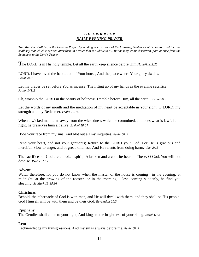# *THE ORDER FOR DAILY EVENING PRAYER*

*The Minister shall begin the Evening Prayer by reading one or more of the following Sentences of Scripture; and then he shall say that which is written after them in a voice that is audible to all. But he may, at his discretion, pass at once from the Sentences to the Lord's Prayer.* 

**T**he LORD is in His holy temple. Let all the earth keep silence before Him *Habakkuk 2:20* 

LORD, I have loved the habitation of Your house, And the place where Your glory dwells. *Psalm 26:8* 

Let my prayer be set before You as incense, The lifting up of my hands as the evening sacrifice. *Psalm 141:2* 

Oh, worship the LORD in the beauty of holiness! Tremble before Him, all the earth. *Psalm 96:9* 

Let the words of my mouth and the meditation of my heart be acceptable in Your sight, O LORD, my strength and my Redeemer. *Psalm 19:14* 

When a wicked man turns away from the wickedness which he committed, and does what is lawful and right, he preserves himself alive. *Ezekiel 18:27* 

Hide Your face from my sins, And blot out all my iniquities. *Psalm 51:9* 

Rend your heart, and not your garments; Return to the LORD your God, For He is gracious and merciful, Slow to anger, and of great kindness; And He relents from doing harm. *Joel 2:13* 

The sacrifices of God are a broken spirit, A broken and a contrite heart— These, O God, You will not despise. *Psalm 51:17* 

# **Advent**

Watch therefore, for you do not know when the master of the house is coming—in the evening, at midnight, at the crowing of the rooster, or in the morning— lest, coming suddenly, he find you sleeping. *St. Mark 13:35,36* 

# **Christmas**

Behold, the tabernacle of God is with men, and He will dwell with them, and they shall be His people. God Himself will be with them and be their God. *Revelation 21:3* 

#### **Epiphany**

The Gentiles shall come to your light, And kings to the brightness of your rising. *Isaiah 60:3* 

# **Lent**

I acknowledge my transgressions, And my sin is always before me. *Psalm 51:3*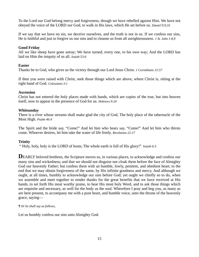To the Lord our God belong mercy and forgiveness, though we have rebelled against Him. We have not obeyed the voice of the LORD our God, to walk in His laws, which He set before us. *Daniel 9:9,10* 

If we say that we have no sin, we deceive ourselves, and the truth is not in us. If we confess our sins, He is faithful and just to forgive us our sins and to cleanse us from all unrighteousness. *1 St. John 1:8,9* 

# **Good Friday**

All we like sheep have gone astray; We have turned, every one, to his own way; And the LORD has laid on Him the iniquity of us all. *Isaiah 53:6* 

# **Easter**

Thanks be to God, who gives us the victory through our Lord Jesus Christ. *1 Corinthians 15:57* 

If then you were raised with Christ, seek those things which are above, where Christ is, sitting at the right hand of God. *Colossians 3:1* 

# **Ascension**

Christ has not entered the holy places made with hands, which are copies of the true, but into heaven itself, now to appear in the presence of God for us. *Hebrews 9:24* 

# **Whitsunday**

There is a river whose streams shall make glad the city of God, The holy place of the tabernacle of the Most High. *Psalm 46:4* 

The Spirit and the bride say, "Come!" And let him who hears say, "Come!" And let him who thirsts come. Whoever desires, let him take the water of life freely. *Revelation 22:17* 

# **Trinity**

" Holy, holy, holy is the LORD of hosts; The whole earth is full of His glory!" *Isaiah 6:3* 

**DEARLY** beloved brethren, the Scripture moves us, in various places, to acknowledge and confess our many sins and wickedness; and that we should not disguise nor cloak them before the face of Almighty God our heavenly Father; but confess them with an humble, lowly, penitent, and obedient heart; to the end that we may obtain forgiveness of the same, by His infinite goodness and mercy. And although we ought, at all times, humbly to acknowledge our sins before God; yet ought we chiefly so to do, when we assemble and meet together to render thanks for the great benefits that we have received at His hands, to set forth His most worthy praise, to hear His most holy Word, and to ask those things which are requisite and necessary, as well for the body as the soul. Wherefore I pray and beg you, as many as are here present, to accompany me with a pure heart, and humble voice, unto the throne of the heavenly grace, saying—

# *¶ Or he shall say as follows,*

Let us humbly confess our sins unto Almighty God.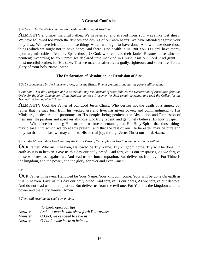# **A General Confession**

#### *¶ To be said by the whole congregation, with the Minister, all kneeling.*

**A**LMIGHTY and most merciful Father, We have erred, and strayed from Your ways like lost sheep. We have followed too much the devices and desires of our own hearts. We have offended against Your holy laws. We have left undone those things which we ought to have done; And we have done those things which we ought not to have done; And there is no health in us. But You, O Lord, have mercy upon us, miserable offenders. Spare those, O God, who confess their faults. Restore those who are penitent; According to Your promises declared unto mankind in Christ Jesus our Lord. And grant, O most merciful Father, for His sake; That we may hereafter live a godly, righteous, and sober life, To the glory of Your holy Name. *Amen.* 

# **The Declaration of Absolution, or Remission of Sins**

#### *¶ To be pronounced by the Presbyter alone, or by the Bishop if he be present, standing; the people still kneeling.*

*¶ But note, That the Presbyter, at his discretion, may use, instead of what follows, the Declaration of Absolution from the Order for the Holy Communion. If the Minister be not a Presbyter, he shall remain kneeling, and read the Collect for the Twenty-first Sunday after Trinity.* 

**A**LMIGHTY God, the Father of our Lord Jesus Christ, Who desires not the death of a sinner, but rather that he may turn from his wickedness and live, has given power, and commandment, to His Ministers, to declare and pronounce to His people, being penitent, the Absolution and Remission of their sins. He pardons and absolves all those who truly repent, and genuinely believe His holy Gospel.

 Wherefore let us beg Him to grant us true repentance, and His Holy Spirit, that those things may please Him which we do at this present; and that the rest of our life hereafter may be pure and holy; so that at the last we may come to His eternal joy; through Jesus Christ our Lord. *Amen.* 

# *¶ Then the Minister shall kneel, and say the Lord's Prayer; the people still kneeling, and repeating it with him.*

**O**UR Father, Who art in heaven, Hallowed be Thy Name. Thy kingdom come. Thy will be done, On earth as it is in heaven. Give us this day our daily bread. And forgive us our trespasses, As we forgive those who trespass against us. And lead us not into temptation, But deliver us from evil. For Thine is the kingdom, and the power, and the glory, for ever and ever. Amen.

# Or

**O**UR Father in heaven, Hallowed be Your Name. Your kingdom come. Your will be done On earth as it is in heaven. Give us this day our daily bread. And forgive us our debts, As we forgive our debtors. And do not lead us into temptation, But deliver us from the evil one. For Yours is the kingdom and the power and the glory forever. Amen

*¶ Then, still kneeling, he shall say, or sing,* 

|           | O Lord, open our lips.                      |
|-----------|---------------------------------------------|
| Answer.   | And our mouth shall show forth Your praise. |
| Minister. | O God, make speed to save us.               |
| Answer.   | O Lord, make haste to help us.              |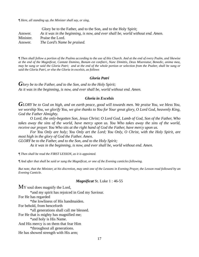*¶ Here, all standing up, the Minister shall say, or sing,* 

 Glory be to the Father, and to the Son, and to the Holy Spirit; Answer. *As it was in the beginning, is now, and ever shall be, world without end. Amen.* Minister. Praise the Lord. Answer. *The Lord's Name be praised.* 

*¶ Then shall follow a portion of the Psalms according to the use of this Church. And at the end of every Psalm, and likewise at the end of the Magnificat, Cantate Domino, Bonum est confiteri, Nunc Dimittis, Deus Misereatur, Benedic, anima mea, may be sung or said the Gloria Patri; and at the end of the whole portion or selection from the Psalter, shall be sung or said the Gloria Patri, or else the Gloria in excelsis, as follows* 

#### *Gloria Patri*

*Glory be to the Father, and to the Son, and to the Holy Spirit; As it was in the beginning, is now, and ever shall be, world without end. Amen.* 

#### *Gloria in Excelsis*

*GLORY be to God on high, and on earth peace, good will towards men. We praise You, we bless You, we worship You, we glorify You, we give thanks to You for Your great glory, O Lord God, heavenly King, God the Father Almighty.* 

 *O Lord, the only-begotten Son, Jesus Christ; O Lord God, Lamb of God, Son of the Father, Who takes away the sins of the world, have mercy upon us. You Who takes away the sins of the world, receive our prayer. You Who sits at the right hand of God the Father, have mercy upon us.* 

 *For You Only are holy; You Only art the Lord; You Only, O Christ, with the Holy Spirit, are most high in the glory of God the Father. Amen.* 

*GLORY be to the Father, and to the Son, and to the Holy Spirit;* 

 *As it was in the beginning, is now, and ever shall be, world without end. Amen.* 

*¶ Then shall be read the FIRST LESSON, as it is appointed.* 

*¶ And after that shall be said or sung the Magnificat, or one of the Evening canticles following.* 

*But note, that the Minister, at his discretion, may omit one of the Lessons in Evening Prayer, the Lesson read followed by an Evening Canticle.* 

#### *Magnificat* St. Luke 1 : 46-55

MY soul does magnify the Lord,

\*and my spirit has rejoiced in God my Saviour.

For He has regarded

\*the lowliness of His handmaiden.

For behold, from henceforth

\*all generations shall call me blessed.

For He that is mighty has magnified me;

\*and holy is His Name.

And His mercy is on them that fear Him

\*throughout all generations.

He has showed strength with His arm;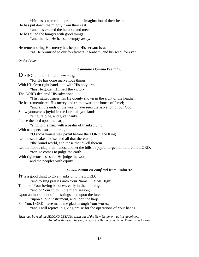\*He has scattered the proud in the imagination of their hearts.

He has put down the mighty from their seat,

\*and has exalted the humble and meek.

He has filled the hungry with good things;

\*and the rich He has sent empty away.

He remembering His mercy has helped His servant Israel;

\*as He promised to our forefathers, Abraham, and his seed, for ever.

*Or this Psalm*

#### *Canatate Domino* Psalm 98

**O** SING unto the Lord a new song; \*for He has done marvellous things. With His Own right hand, and with His holy arm \*has He gotten Himself the victory. The LORD declared His salvation; \*His righteousness has He openly shown in the sight of the heathen. He has remembered His mercy and truth toward the house of Israel; \*and all the ends of the world have seen the salvation of our God. Show yourselves joyful in the Lord, all you lands; \*sing, rejoice, and give thanks. Praise the lord upon the harp; \*sing to the harp with a psalm of thanksgiving. With trumpets also and horns, \*O show yourselves joyful before the LORD, the King. Let the sea make a noise, and all that therein is: \*the round world, and those that dwell therein. Let the floods clap their hands, and let the hills be joyful to-gether before the LORD; \*for He comes to judge the earth. With righteousness shall He judge the world, and the peoples with equity. *Or thisBonum est confiteri* from Psalm 92

IT is a good thing to give thanks unto the LORD, \*and to sing praises unto Your Name, O Most High; To tell of Your loving-kindness early in the morning, \*and of Your truth in the night season; Upon an instrument of ten strings, and upon the lute; \*upon a loud instrument, and upon the harp. For You, LORD, have made me glad through Your works; \*and I will rejoice in giving praise for the operations of Your hands.

*Then may be read the SECOND LESSON, taken out of the New Testament, as it is appointed. And after that shall be sung or said* the Hymn called Nunc Dimittis, as follows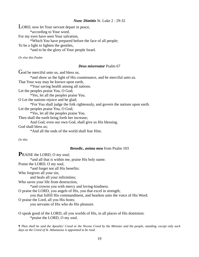#### *Nunc Dimittis* St. Luke 2 : 29-32

LORD, now let Your servant depart in peace,

\*according to Your word.

For my eyes have seen Your salvation,

\*Which You have prepared before the face of all people;

To be a light to lighten the gentiles,

\*and to be the glory of Your people Israel.

*Or else this Psalm* 

#### *Deus misereatur* Psalm 67

God be merciful unto us, and bless us,

\*and show us the light of His countenance, and be merciful unto us.

That Your way may be known upon earth,

\*Your saving health among all nations.

Let the peoples praise You, O God;

\*Yes, let all the peoples praise You.

O Let the nations rejoice and be glad;

\*For You shall judge the folk righteously, and govern the nations upon earth.

Let the peoples praise You, O God;

\*Yes, let all the peoples praise You.

Then shall the earth bring forth her increase;

And God, even our own God, shall give us His blessing.

God shall bless us;

\*And all the ends of the world shall fear Him.

*Or this* 

#### *Benedic, anima mea* from Psalm 103

**P**RAISE the LORD, O my soul; \*and all that is within me, praise His holy name. Praise the LORD, O my soul, \*and forget not all His benefits: Who forgives all your sin, and heals all your infirmities; Who saves your life from destruction, \*and crowns you with mercy and loving-kindness. O praise the LORD, you angels of His, you that excel in strength; you that fulfill His commandment, and hearken unto the voice of His Word. O praise the Lord, all you His hosts; you servants of His who do His pleasure.

O speak good of the LORD, all you worlds of His, in all places of His dominion: \*praise the LORD, O my soul.

*¶ Then shall be said the Apostles' Creed or the Nicene Creed by the Minister and the people, standing, except only such days as the Creed of St. Athanasius is appointed to be read.*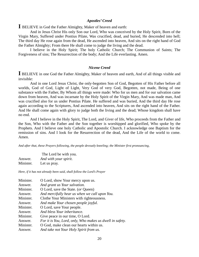#### *Apostles' Creed*

**I** BELIEVE in God the Father Almighty, Maker of heaven and earth:

 And in Jesus Christ His only Son our Lord, Who was conceived by the Holy Spirit, Born of the Virgin Mary, Suffered under Pontius Pilate, Was crucified, dead, and buried, He descended into hell; The third day He rose again from the dead, He ascended into heaven, And sits on the right hand of God the Father Almighty; From there He shall come to judge the living and the dead.

 I believe in the Holy Spirit; The holy Catholic Church; The Communion of Saints; The Forgiveness of sins; The Resurrection of the body; And the Life everlasting. Amen.

#### *Nicene Creed*

**I** BELIEVE in one God the Father Almighty, Maker of heaven and earth, And of all things visible and invisible:

 And in one Lord Jesus Christ, the only-begotten Son of God, Begotten of His Father before all worlds, God of God, Light of Light, Very God of very God, Begotten, not made, Being of one substance with the Father, By Whom all things were made: Who for us men and for our salvation came down from heaven, And was incarnate by the Holy Spirit of the Virgin Mary, And was made man, And was crucified also for us under Pontius Pilate. He suffered and was buried, And the third day He rose again according to the Scriptures, And ascended into heaven, And sits on the right hand of the Father. And He shall come again with glory to judge both the living and the dead; Whose kingdom shall have no end.

 And I believe in the Holy Spirit, The Lord, and Giver of life, Who proceeds from the Father and the Son, Who with the Father and the Son together is worshipped and glorified, Who spoke by the Prophets. And I believe one holy Catholic and Apostolic Church. I acknowledge one Baptism for the remission of sins. And I look for the Resurrection of the dead, And the Life of the world to come. Amen.

*And after that, these Prayers following, the people devoutly kneeling; the Minister first pronouncing,* 

|           | The Lord be with you. |
|-----------|-----------------------|
| Answer.   | And with your spirit. |
| Minister. | Let us pray.          |

*Here, if it has not already been said, shall follow the Lord's Prayer* 

| Minister. | O Lord, show Your mercy upon us.                         |
|-----------|----------------------------------------------------------|
| Answer.   | And grant us Your salvation.                             |
| Minister. | O Lord, save the State. (or Queen)                       |
| Answer.   | And mercifully hear us when we call upon You.            |
| Minister. | Clothe Your Ministers with righteousness.                |
| Answer.   | And make Your chosen people joyful.                      |
| Minister. | O Lord, save Your people.                                |
| Answer.   | And bless Your inheritance.                              |
| Minister. | Give peace in our time, O Lord.                          |
| Answer.   | For it is You, Lord, only, Who makes us dwell in safety. |
| Minister. | O God, make clean our hearts within us.                  |
| Answer.   | And take not Your Holy Spirit from us.                   |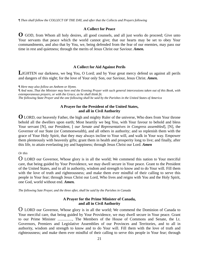*¶ Then shall follow the COLLECT OF THE DAY, and after that the Collects and Prayers following*

#### **A Collect for Peace**

**O** GOD, from Whom all holy desires, all good counsels, and all just works do proceed; Give unto Your servants that peace which the world cannot give; that our hearts may be set to obey Your commandments, and also that by You, we, being defended from the fear of our enemies, may pass our time in rest and quietness; through the merits of Jesus Christ our Saviour. *Amen.* 

# **A Collect for Aid Against Perils**

LIGHTEN our darkness, we beg You, O Lord; and by Your great mercy defend us against all perils and dangers of this night; for the love of Your only Son, our Saviour, Jesus Christ. *Amen.* 

*¶ Here may also follow an Anthem or Hymn.* 

*¶ And note, That the Minister may here end the Evening Prayer with such general intercessions taken out of this Book, with extemporaneous prayers, or with the Grace, as he shall think fit. The following State Prayer and the one following shall be said by the Parishes in the United States of America* 

# **A Prayer for the President of the United States, and all in Civil Authority**

**O** LORD, our heavenly Father, the high and mighty Ruler of the universe, Who does from Your throne behold all the dwellers upon earth; Most heartily we beg You, with Your favour to behold and bless Your servant [N], our President, [ *our Senate and Representatives in Congress assembled*], [N], the Governor of our State (or Commonwealth), and all others in authority; and so replenish them with the grace of Your Holy Spirit, that they may always incline to Your will, and walk in Your way. Empower them plenteously with heavenly gifts; grant them in health and prosperity long to live; and finally, after this life, to attain everlasting joy and happiness; through Jesus Christ our Lord. *Amen* 

# *Or this*

O LORD our Governor, Whose glory is in all the world; We commend this nation to Your merciful care, that being guided by Your Providence, we may dwell secure in Your peace. Grant to the President of the United States, and to all in authority, wisdom and strength to know and to do Your will. Fill them with the love of truth and righteousness; and make them ever mindful of their calling to serve this people in Your fear; through Jesus Christ our Lord, Who lives and reigns with You and the Holy Spirit, one God, world without end. *Amen.* 

*The following Sate Prayer, and the three after, shall be said by the Parishes in Canada* 

# **A Prayer for the Prime Minister of Canada, and all in Civil Authority**

O LORD our Governor, Whose glory is in all the world; We commend the Dominion of Canada to Your merciful care, that being guided by Your Providence, we may dwell secure in Your peace. Grant to our Prime Minister ..............., The Members of the House of Commons and Senate, the Lt. Governors, Premiers and Legislative Assemblies of our Provinces and Territories, and to all in authority, wisdom and strength to know and to do Your will. Fill them with the love of truth and righteousness; and make them ever mindful of their calling to serve this people in Your fear; through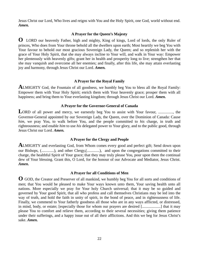Jesus Christ our Lord, Who lives and reigns with You and the Holy Spirit, one God, world without end. *Amen.*

#### **A Prayer for the Queen's Majesty**

**O** LORD our heavenly Father, high and mighty, King of kings, Lord of lords, the only Ruler of princes, Who does from Your throne behold all the dwellers upon earth; Most heartily we beg You with Your favour to behold our most gracious Sovereign Lady, the Queen; and so replenish her with the grace of Your Holy Spirit, that she may always incline to Your will, and walk in Your way: Empower her plenteously with heavenly gifts; grant her in health and prosperity long to live; strengthen her that she may vanquish and overcome all her enemies; and finally, after this life, she may attain everlasting joy and harmony, through Jesus Christ our Lord. *Amen.* 

# **A Prayer for the Royal Family**

**A**LMIGHTY God, the Fountain of all goodness, we humbly beg You to bless all the Royal Family: Empower them with Your Holy Spirit; enrich them with Your heavenly grace; prosper them with all happiness; and bring them to Your everlasting kingdom; through Jesus Christ our Lord. *Amen.* 

# **A Prayer for the Governor-General of Canada**

LORD of all power and mercy, we earnestly beg You to assist with Your favour, ..............., the Governor-General appointed by our Sovereign Lady, the Queen, over the Dominion of Canada: Cause *him*, we pray You, to walk before You, and the people committed to *his* charge, in truth and righteousness; and enable *him* to use *his* delegated power to Your glory, and to the public good, through Jesus Christ our Lord. *Amen.*

# **A Prayer for the Clergy and People**

**A**LMIGHTY and everlasting God, from Whom comes every good and perfect gift; Send down upon our Bishops, (.............), and other Clergy,(.............), and upon the congregations committed to their charge, the healthful Spirit of Your grace; that they may truly please You, pour upon them the continual dew of Your blessing. Grant this, O Lord, for the honour of our Advocate and Mediator, Jesus Christ. *Amen***.**

#### **A Prayer for all Conditions of Men**

**O** GOD, the Creator and Preserver of all mankind, we humbly beg You for all sorts and conditions of men; that You would be pleased to make Your ways known unto them, Your saving health unto all nations. More especially we pray for Your holy Church universal; that it may be so guided and governed by Your good Spirit, that all who profess and call themselves Christians may be led into the way of truth, and hold the faith in unity of spirit, in the bond of peace, and in righteousness of life. Finally, we commend to Your fatherly goodness all those who are in any ways afflicted, or distressed, in mind, body, or estate; [especially those for whom our prayers are desired [...................] that it may please You to comfort and relieve them, according to their several necessities; giving them patience under their sufferings, and a happy issue out of all their afflictions. And this we beg for Jesus Christ's sake. *Amen.*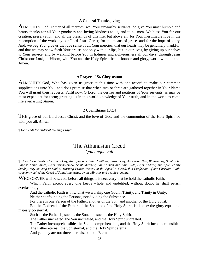#### **A General Thanksgiving**

**A**LMIGHTY God, Father of all mercies, we, Your unworthy servants, do give You most humble and hearty thanks for all Your goodness and loving-kindness to us, and to all men. We bless You for our creation, preservation, and all the blessings of this life; but above all, for Your inestimable love in the redemption of the world by our Lord Jesus Christ; for the means of grace, and for the hope of glory. And, we beg You, give us that due sense of all Your mercies, that our hearts may be genuinely thankful; and that we may show forth Your praise, not only with our lips, but in our lives, by giving up our selves to Your service, and by walking before You in holiness and righteousness all our days; through Jesus Christ our Lord, to Whom, with You and the Holy Spirit, be all honour and glory, world without end. Amen.

#### **A Prayer of St. Chrysostom**

ALMIGHTY God, Who has given us grace at this time with one accord to make our common supplications unto You; and does promise that when two or three are gathered together in Your Name You will grant their requests; Fulfil now, O Lord, the desires and petitions of Your servants, as may be most expedient for them; granting us in this world knowledge of Your truth, and in the world to come life everlasting. *Amen.* 

#### **2 Corinthians 13:14**

THE grace of our Lord Jesus Christ, and the love of God, and the communion of the Holy Spirit, be with you all. *Amen.* 

*¶ Here ends the Order of Evening Prayer.* 

# The Athanasian Creed *Quicunque vult*

*¶ Upon these feasts: Christmas Day, the Epiphany, Saint Matthias, Easter Day, Ascension Day, Whitsunday, Saint John Baptist, Saint James, Saint Bartholomew, Saint Matthew, Saint Simon and Sain Jude, Saint Andrew, and upon Trinity Sunday, may be sung or said at Morning Prayer, instead of the Apostles' Creed, this Confession of our Christian Faith, commonly called the Creed of Saint Athanasius, by the Minister and people standing.* 

WHOSOEVER will be saved, before all things it is necessary that he hold the catholic Faith.

 Which Faith except every one keeps whole and undefiled, without doubt he shall perish everlastingly.

And the catholic Faith is this: That we worship one God in Trinity, and Trinity in Unity;

Neither confounding the Persons, nor dividing the Substance.

For there is one Person of the Father, another of the Son, and another of the Holy Spirit.

 But the Godhead of the Father, of the Son, and of the Holy Spirit, is all one: the glory equal, the majesty co-eternal.

Such as the Father is, such is the Son, and such is the Holy Spirit.

The Father uncreated, the Son uncreated, and the Holy Spirit uncreated.

The Father incomprehensible, the Son incomprehensible, and the Holy Spirit incomprehensible.

The Father eternal, the Son eternal, and the Holy Spirit eternal;

And yet they are not three eternals, but one Eternal.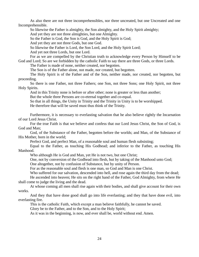As also there are not three incomprehensibles, nor three uncreated, but one Uncreated and one Incomprehensible.

So likewise the Father is almighty, the Son almighty, and the Holy Spirit almighty;

And yet they are not three almighties, but one Almighty.

So the Father is God, the Son is God, and the Holy Spirit is God;

And yet they are not three Gods, but one God.

So likewise the Father is Lord, the Son Lord, and the Holy Spirit Lord;

And yet not three Lords, but one Lord.

 For as we are compelled by the Christian truth to acknowledge every Person by Himself to be God and Lord; So are we forbidden by the catholic Faith to say there are three Gods, or three Lords.

The Father is made of none, neither created, nor begotten.

The Son is of the Father alone, not made, nor created, but begotten.

 The Holy Spirit is of the Father and of the Son, neither made, nor created, nor begotten, but proceeding.

 So there is one Father, not three Fathers; one Son, not three Sons; one Holy Spirit, not three Holy Spirits.

And in this Trinity none is before or after other; none is greater or less than another;

But the whole three Persons are co-eternal together and co-equal.

So that in all things, the Unity in Trinity and the Trinity in Unity is to be worshipped.

He therefore that will be saved must thus think of the Trinity.

 Furthermore, it is necessary to everlasting salvation that he also believe rightly the Incarnation of our Lord Jesus Christ.

 For the true Faith is that we believe and confess that our Lord Jesus Christ, the Son of God, is God and Man;

 God, of the Substance of the Father, begotten before the worlds; and Man, of the Substance of His Mother, born in the world:

Perfect God, and perfect Man, of a reasonable soul and human flesh subsisting;

 Equal to the Father, as touching His Godhead; and inferior to the Father, as touching His Manhood.

Who although He is God and Man, yet He is not two, but one Christ;

One, not by conversion of the Godhead into flesh, but by taking of the Manhood unto God;

One altogether, not by confusion of Substance, but by unity of Person.

For as the reasonable soul and flesh is one man, so God and Man is one Christ.

Who suffered for our salvation, descended into hell, and rose again the third day from the dead;

 He ascended into heaven; He sits on the right hand of the Father, God Almighty, from where He shall come to judge the living and the dead.

 At whose coming all men shall rise again with their bodies, and shall give account for their own works.

 And they that have done good shall go into life everlasting; and they that have done evil, into everlasting fire.

This is the catholic Faith, which except a man believe faithfully, he cannot be saved.

Glory be to the Father, and to the Son, and to the Holy Spirit;

As it was in the beginning, is now, and ever shall be, world without end. Amen.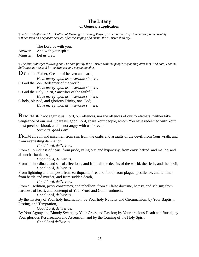# **The Litany or General Supplication**

*¶ To be used after the Third Collect at Morning or Evening Prayer; or before the Holy Communion; or separately. ¶ When used as a separate service, after the singing of a Hymn, the Minister shall say,* 

The Lord be with you.

Answer. And with your spirit.

Minister. Let us pray.

*¶ The four Suffrages following shall be said first by the Minister, with the people responding after him. And note, That the Suffrages may be said by the Minister and people together.* 

**O** God the Father, Creator of heaven and earth;

 *Have mercy upon us miserable sinners.* O God the Son, Redeemer of the world;  *Have mercy upon us miserable sinners.* O God the Holy Spirit, Sanctifier of the faithful;  *Have mercy upon us miserable sinners.* O holy, blessed, and glorious Trinity, one God;  *Have mercy upon us miserable sinners.* 

**R**EMEMBER not against us, Lord, our offences, nor the offences of our forefathers; neither take vengeance of our sins: Spare us, good Lord, spare Your people, whom You have redeemed with Your most precious blood, and be not angry with us for ever.

*Spare us, good Lord.*

**F**ROM all evil and mischief; from sin; from the crafts and assaults of the devil; from Your wrath, and from everlasting damnation,

*Good Lord, deliver us.*

From all blindness of heart; from pride, vainglory, and hypocrisy; from envy, hatred, and malice, and all uncharitableness,

*Good Lord, deliver us.*

From all inordinate and sinful affections; and from all the deceits of the world, the flesh, and the devil, *Good Lord, deliver us.*

From lightning and tempest; from earthquake, fire, and flood; from plague, pestilence, and famine; from battle and murder, and from sudden death,

*Good Lord, deliver us.*

From all sedition, privy conspiracy, and rebellion; from all false doctrine, heresy, and schism; from hardness of heart, and contempt of Your Word and Commandment,

*Good Lord, deliver us.*

By the mystery of Your holy Incarnation; by Your holy Nativity and Circumcision; by Your Baptism, Fasting, and Temptation,

*Good Lord, deliver us.*

By Your Agony and Bloody Sweat; by Your Cross and Passion; by Your precious Death and Burial; by Your glorious Resurrection and Ascension; and by the Coming of the Holy Spirit,

 *Good Lord deliver us*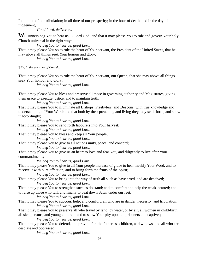In all time of our tribulation; in all time of our prosperity; in the hour of death, and in the day of judgement,

*Good Lord, deliver us.*

WE sinners beg You to hear us, O Lord God; and that it may please You to rule and govern Your holy Church universal in the right way;

*We beg You to hear us, good Lord.*

That it may please You so to rule the heart of Your servant, the President of the United States, that he may above all things seek Your honour and glory;

 *We beg You to hear us, good Lord.* 

*¶ Or, in the parishes of Canada,* 

That it may please You so to rule the heart of Your servant, our Queen, that she may above all things seek Your honour and glory;

*We beg You to hear us, good Lord.* 

That it may please You to bless and preserve all those in governing authority and Magistrates, giving them grace to execute justice, and to maintain truth;

*We beg You to hear us, good Lord.*

That it may please You to illuminate all Bishops, Presbyters, and Deacons, with true knowledge and understanding of Your Word; and that both by their preaching and living they may set it forth, and show it accordingly;

*We beg You to hear us, good Lord.*

That it may please You to send forth labourers into Your harvest;

*We beg You to hear us, good Lord.*

That it may please You to bless and keep all Your people;

*We beg You to hear us, good Lord.*

That it may please You to give to all nations unity, peace, and concord;

*We beg You to hear us, good Lord.*

That it may please You to give us an heart to love and fear You, and diligently to live after Your commandments;

*We beg You to hear us, good Lord.*

That it may please You to give to all Your people increase of grace to hear meekly Your Word, and to receive it with pure affection, and to bring forth the fruits of the Spirit;

*We beg You to hear us, good Lord.*

That it may please You to bring into the way of truth all such as have erred, and are deceived;

*We beg You to hear us, good Lord.*

That it may please You to strengthen such as do stand; and to comfort and help the weak-hearted; and to raise up those who fall; and finally to beat down Satan under our feet;

*We beg You to hear us, good Lord.*

That it may please You to succour, help, and comfort, all who are in danger, necessity, and tribulation; *We beg You to hear us, good Lord.*

That it may please You to preserve all who travel by land, by water, or by air, all women in child-birth, all sick persons, and young children; and to show Your pity upon all prisoners and captives;

*We beg You to hear us, good Lord.*

That it may please You to defend, and provide for, the fatherless children, and widows, and all who are desolate and oppressed;

*We beg You to hear us, good Lord.*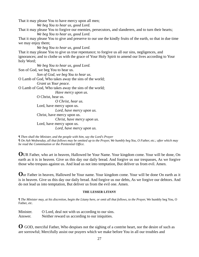That it may please You to have mercy upon all men; *We beg You to hear us, good Lord.* That it may please You to forgive our enemies, persecutors, and slanderers, and to turn their hearts; *We beg You to hear us, good Lord.* That it may please You to give and preserve to our use the kindly fruits of the earth, so that in due time we may enjoy them; *We beg You to hear us, good Lord.* That it may please You to give us true repentance; to forgive us all our sins, negligences, and ignorances; and to clothe us with the grace of Your Holy Spirit to amend our lives according to Your holy Word; *We beg You to hear us, good Lord.* Son of God, we beg You to hear us. *Son of God, we beg You to hear us.* O Lamb of God, Who takes away the sins of the world; *Grant us Your peace.* O Lamb of God, Who takes away the sins of the world; *Have mercy upon us.* O Christ, hear us. *O Christ, hear us.* Lord, have mercy upon us. *Lord, have mercy upon us.* Christ, have mercy upon us. *Christ, have mercy upon us.* Lord, have mercy upon us. *Lord, have mercy upon us. ¶ Then shall the Minister, and the people with him, say the Lord's Prayer* 

*¶ On Ash Wednesday, all that follows may be omitted up to the Prayer, We humbly beg You, O Father, etc.; after which may be read the Commination or the Penitential Office.* 

**O**UR Father, who art in heaven, Hallowed be Your Name. Your kingdom come. Your will be done, On earth as it is in heaven. Give us this day our daily bread. And forgive us our trespasses, As we forgive those who trespass against us. And lead us not into temptation, But deliver us from evil. Amen.

**O**ur Father in heaven, Hallowed be Your name. Your kingdom come. Your will be done On earth as it is in heaven. Give us this day our daily bread. And forgive us our debts, As we forgive our debtors. And do not lead us into temptation, But deliver us from the evil one. Amen.

#### **THE LESSER LITANY**

*¶ The Minister may, at his discretion, begin the Litany here, or omit all that follows, to the Prayer,* We humbly beg You, O Father, *etc.* 

Minister. O Lord, deal not with us according to our sins. Answer. Neither reward us according to our iniquities.

**O** GOD, merciful Father, Who despises not the sighing of a contrite heart, nor the desire of such as are sorrowful; Mercifully assist our prayers which we make before You in all our troubles and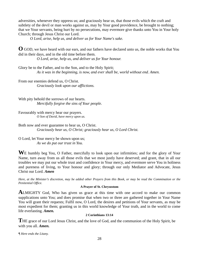adversities, whenever they oppress us; and graciously hear us, that those evils which the craft and subtlety of the devil or man works against us, may by Your good providence, be brought to nothing; that we Your servants, being hurt by no persecutions, may evermore give thanks unto You in Your holy Church; through Jesus Christ our Lord.

*O Lord, arise, help us, and deliver us for Your Name's sake.* 

**O** GOD, we have heard with our ears, and our fathers have declared unto us, the noble works that You did in their days, and in the old time before them.

*O Lord, arise, help us, and deliver us for Your honour.* 

Glory be to the Father, and to the Son, and to the Holy Spirit; *As it was in the beginning, is now, and ever shall be, world without end. Amen.* 

From our enemies defend us, O Christ. *Graciously look upon our afflictions.* 

With pity behold the sorrows of our hearts. *Mercifully forgive the sins of Your people.* 

Favourably with mercy hear our prayers. *O Son of David, have mercy upon us.* 

Both now and ever guarantee to hear us, O Christ. *Graciously hear us, O Christ; graciously hear us, O Lord Christ.* 

O Lord, let Your mercy be shown upon us; *As we do put our trust in You.* 

WE humbly beg You, O Father, mercifully to look upon our infirmities; and for the glory of Your Name, turn away from us all those evils that we most justly have deserved; and grant, that in all our troubles we may put our whole trust and confidence in Your mercy, and evermore serve You in holiness and pureness of living, to Your honour and glory; through our only Mediator and Advocate, Jesus Christ our Lord. *Amen* 

*Here, at the Minister's discretion, may be added other Prayers from this Book, or may be read the Commination or the Penitential Office.*

#### **A Prayer of St. Chrysostom**

**ALMIGHTY** God, Who has given us grace at this time with one accord to make our common supplications unto You; and does promise that when two or three are gathered together in Your Name You will grant their requests; Fulfil now, O Lord, the desires and petitions of Your servants, as may be most expedient for them; granting us in this world knowledge of Your truth, and in the world to come life everlasting. *Amen.* 

#### **2 Corinthians 13:14**

**T**HE grace of our Lord Jesus Christ, and the love of God, and the communion of the Holy Spirit, be with you all. *Amen.* 

*¶ Here ends the Litany.*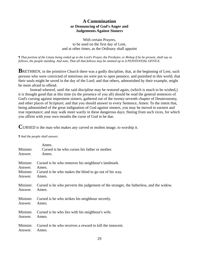# **A Commination or Denouncing of God's Anger and Judgements Against Sinners**

With certain Prayers, to be used on the first day of Lent, and at other times, as the Ordinary shall appoint

*¶ That portion of the Litany being ended up to the Lord's Prayer, the Presbyter, or Bishop if he be present, shall say as follows, the people standing. And note, That all that follows may be omitted up to A PENITENTIAL OFFICE.* 

**BRETHREN, in the primitive Church there was a godly discipline, that, at the beginning of Lent, such** persons who were convicted of notorious sin were put to open penance, and punished in this world, that their souls might be saved in the day of the Lord; and that others, admonished by their example, might be more afraid to offend.

 Instead whereof, until the said discipline may be restored again, (which is much to be wished,) it is thought good that at this time (in the presence of you all) should be read the general sentences of God's cursing against impenitent sinners, gathered out of the twenty-seventh chapter of Deuteronomy, and other places of Scripture; and that you should answer to every Sentence, Amen: To the intent that, being admonished of the great indignation of God against sinners, you may be moved to earnest and true repentance; and may walk more warily in these dangerous days; fleeing from such vices, for which you affirm with your own mouths the curse of God to be due.

**C**URSED is the man who makes any carved or molten image, to worship it.

#### *¶ And the people shall answer,*

| Minister.<br>Answer. | Amen.<br>Cursed is he who curses his father or mother.<br>Amen.                         |
|----------------------|-----------------------------------------------------------------------------------------|
| Minister.            | Cursed is he who removes his neighbour's landmark.                                      |
| Answer.              | Amen.                                                                                   |
| Minister.            | Cursed is he who makes the blind to go out of his way.                                  |
| Answer.              | Amen.                                                                                   |
| Minister.            | Cursed is he who perverts the judgement of the stranger, the fatherless, and the widow. |
| Answer.              | Amen.                                                                                   |
| Minister.            | Cursed is he who strikes his neighbour secretly.                                        |
| Answer.              | Amen.                                                                                   |
| Minister.            | Cursed is he who lies with his neighbour's wife.                                        |
| Answer.              | Amen.                                                                                   |
| Minister.            | Cursed is he who receives a reward to kill the innocent.                                |
| Answer.              | Amen.                                                                                   |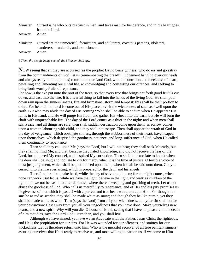|         | Minister. Cursed is he who puts his trust in man, and takes man for his defence, and in his heart goes<br>from the Lord.                   |
|---------|--------------------------------------------------------------------------------------------------------------------------------------------|
| Answer. | Amen.                                                                                                                                      |
|         | Minister. Cursed are the unmerciful, fornicators, and adulterers, covetous persons, idolaters,<br>slanderers, drunkards, and extortioners. |
| Answer. | Amen.                                                                                                                                      |

*¶ Then, the people being seated, the Minister shall say,* 

Now seeing that all they are accursed (as the prophet David bears witness) who do err and go astray from the commandments of God; let us (remembering the dreadful judgement hanging over our heads, and always ready to fall upon us) return unto our Lord God, with all contrition and meekness of heart; bewailing and lamenting our sinful life, acknowledging and confessing our offences, and seeking to bring forth worthy fruits of repentance.

For now is the axe put unto the root of the trees, so that every tree that brings not forth good fruit is cut down, and cast into the fire. It is a fearful thing to fall into the hands of the living God: He shall pour down rain upon the sinners' snares, fire and brimstone, storm and tempest; this shall be their portion to drink. For behold, the Lord is come out of His place to visit the wickedness of such as dwell upon the earth. But who may abide the day of His coming? Who shall be able to endure when He appears? His fan is in His hand, and He will purge His floor, and gather His wheat into the barn; but He will burn the chaff with unquenchable fire. The day of the Lord comes as a thief in the night: and when men shall say, Peace, and all things are safe, then shall sudden destruction come upon them, as sorrow comes upon a woman labouring with child, and they shall not escape. Then shall appear the wrath of God in the day of vengeance, which obstinate sinners, through the stubbornness of their heart, have heaped upon themselves; which despised the goodness, patience, and long-sufferance of God, when He called them continually to repentance.

 Then shall they call upon Me (says the Lord) but I will not hear; they shall seek Me early, but they shall not find Me; and that, because they hated knowledge, and did not receive the fear of the Lord, but abhorred My counsel, and despised My correction. Then shall it be too late to knock when the door shall be shut; and too late to cry for mercy when it is the time of justice. O terrible voice of most just judgement, which shall be pronounced upon them, when it shall be said unto them, Go, you cursed, into the fire everlasting, which is prepared for the devil and his angels.

 Therefore, brethren, take heed, while the day of salvation lingers; for the night comes, when none can work. But let us, while we have the light, believe in the light, and walk as children of the light; that we not be cast into utter darkness, where there is weeping and gnashing of teeth. Let us not abuse the goodness of God, Who calls us mercifully to repentance, and of His endless pity promises us forgiveness of that which is past, if with a perfect and true heart we return unto Him. For though our sins be as red as scarlet, they shall be made white as snow; and though they be like purple, yet they shall be made white as wool. Turn (says the Lord) from all your wickedness, and your sin shall not be your destruction: Cast away from you all your ungodliness that you have done: Make yourselves new hearts, and a new spirit: Why will you die, O house of Israel, seeing that I have no pleasure in the death of him that dies, says the Lord God? Turn then, and you shall live.

 Although we have sinned, yet have we an Advocate with the Father, Jesus Christ the righteous; and He is the propitiation for our sins. For He was wounded for our offences, and smitten for our wickedness. Let us therefore return unto him, Who is the merciful receiver of all true penitent sinners; assuring ourselves that He is ready to receive us, and most willing to pardon us, if we come to Him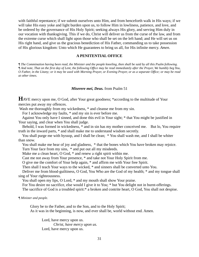with faithful repentance; if we submit ourselves unto Him, and from henceforth walk in His ways; if we will take His easy yoke and light burden upon us, to follow Him in lowliness, patience, and love, and be ordered by the governance of His Holy Spirit; seeking always His glory, and serving Him duly in our vocation with thanksgiving. This if we do, Christ will deliver us from the curse of the law, and from the extreme curse which shall light upon those who shall be set on the left hand; and He will set us on His right hand, and give us the gracious benediction of His Father, commanding us to take possession of His glorious kingdom: Unto which He guarantees to bring us all, for His infinite mercy. *Amen*.

#### **A PENITENTIAL OFFICE**

*¶ The Commination having been read, the Minister and the people kneeling, then shall be said by all this Psalm following. ¶ And note, That on the first day of Lent, the following Office may be read immediately after the Prayer, We humbly beg You, O Father, in the Litany; or it may be used with Morning Prayer, or Evening Prayer, or as a separate Office; or may be read at other times.* 

#### *Miserere mei, Deus.* from Psalm 51

**H**AVE mercy upon me, O God, after Your great goodness; \*according to the multitude of Your mercies put away my offences.

Wash me thoroughly from my wickedness,  $*$  and cleanse me from my sin.

For I acknowledge my faults, \* and my sin is ever before me.

 Against You only have I sinned, and done this evil in Your sight; \* that You might be justified in Your saying, and clear when You shall judge.

 Behold, I was formed in wickedness, \* and in sin has my mother conceived me. But lo, You require truth in the inward parts, \* and shall make me to understand wisdom secretly.

 You shall purge me with hyssop, and I shall be clean; \* You shall wash me, and I shall be whiter than snow.

You shall make me hear of joy and gladness,  $*$  that the bones which You have broken may rejoice. Turn Your face from my sins, \* and put out all my misdeeds.

Make me a clean heart, O God, \* and renew a right spirit within me.

Cast me not away from Your presence, \* and take not Your Holy Spirit from me.

O give me the comfort of Your help again, \* and affirm me with Your free Spirit.

Then shall I teach Your ways to the wicked, \* and sinners shall be converted unto You.

 Deliver me from blood-guiltiness, O God, You Who are the God of my health; \* and my tongue shall sing of Your righteousness.

You shall open my lips, O Lord,  $*$  and my mouth shall show Your praise.

For You desire no sacrifice, else would I give it to You; \* but You delight not in burnt-offerings.

The sacrifice of God is a troubled spirit:\* a broken and contrite heart, O God, You shall not despise.

*¶ Minister and people.* 

Glory be to the Father, and to the Son, and to the Holy Spirit;

As it was in the beginning, is now, and ever shall be, world without end. Amen.

 Lord, have mercy upon us. *Christ, have mercy upon us.* Lord, have mercy upon us.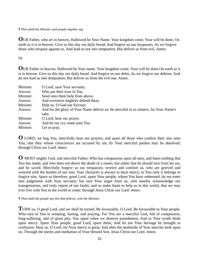*¶ Then shall the Minister and people together say,* 

**O**UR Father, who art in heaven, Hallowed be Your Name. Your kingdom come. Your will be done, On earth as it is in heaven. Give us this day our daily bread. And forgive us our trespasses, As we forgive those who trespass against us. And lead us not into temptation, But deliver us from evil. Amen.

# Or

**O**UR Father in heaven, Hallowed be Your name. Your kingdom come. Your will be done On earth as it is in heaven. Give us this day our daily bread. And forgive us our debts, As we forgive our debtors. And do not lead us into temptation, But deliver us from the evil one. Amen.

| Minister. | O Lord, save Your servants;                                                           |
|-----------|---------------------------------------------------------------------------------------|
| Answer.   | Who put their trust in You.                                                           |
| Minister. | Send unto them help from above.                                                       |
| Answer.   | And evermore mightily defend them.                                                    |
| Minister. | Help us, O God our Saviour.                                                           |
| Answer.   | And for the glory of Your Name deliver us; be merciful to us sinners, for Your Name's |
|           | sake.                                                                                 |
| Minister. | O Lord, hear our prayer.                                                              |
| Answer.   | And let our cry come unto You.                                                        |
| Minister. | Let us pray.                                                                          |

**O** LORD, we beg You, mercifully hear our prayers, and spare all those who confess their sins unto You; that they whose consciences are accused by sin, by Your merciful pardon may be absolved: through Christ our Lord. *Amen.* 

**O** MOST mighty God, and merciful Father, Who has compassion upon all men, and hates nothing that You has made; and who does not desire the death of a sinner, but rather that he should turn from his sin, and be saved; Mercifully forgive us our trespasses; receive and comfort us, who are grieved and wearied with the burden of our sins. Your character is always to have mercy; to You only it belongs to forgive sins. Spare us therefore, good Lord, spare Your people, whom You have redeemed; do not enter into judgement with Your servants; but turn Your anger from us, who meekly acknowledge our transgressions, and truly repent of our faults; and so make haste to help us in this world, that we may ever live with You in the world to come; through Jesus Christ our Lord. *Amen.*

*¶ Then shall the people say this that follows, with the Minister.* 

**T**URN us, O good Lord, and we shall be turned. Be favourable, O Lord, Be favourable to Your people, Who turn to You in weeping, fasting, and praying. For You are a merciful God, full of compassion, long-suffering, and of great pity. You spare when we deserve punishment, And in Your wrath think upon mercy. Spare Your people, good Lord, spare them, And let not Your heritage be brought to confusion. Hear us, O Lord, for Your mercy is great, And after the multitude of Your mercies look upon us; Through the merits and mediation of Your blessed Son, Jesus Christ our Lord. *Amen.*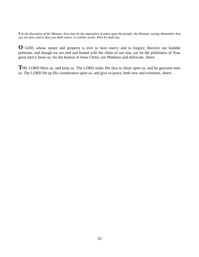*¶ At the discretion of the Minister, here may be the imposition of ashes upon the people; the Minister saying, Remember that you are dust, and to dust you shall return, or similar words. Then he shall say,* 

**O** GOD, whose nature and property is ever to have mercy and to forgive; Receive our humble petitions; and though we are tied and bound with the chain of our sins, yet let the pitifulness of Your great mercy loose us; for the honour of Jesus Christ, our Mediator and Advocate. *Amen.* 

THE LORD bless us, and keep us. The LORD make His face to shine upon us, and be gracious unto us. The LORD lift up His countenance upon us, and give us peace, both now and evermore. *Amen*.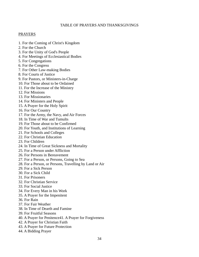# TABLE OF PRAYERS AND THANKSGIVINGS

# PRAYERS

- 1. For the Coming of Christ's Kingdom
- 2. For the Church
- 3. For the Unity of God's People
- 4. For Meetings of Ecclesiastical Bodies
- 5. For Congregations
- 6. For the Congress
- 7. For Other Law-making Bodies
- 8. For Courts of Justice
- 9. For Pastors, or Ministers-in-Charge
- 10. For Those about to be Ordained
- 11. For the Increase of the Ministry
- 12. For Missions
- 13. For Missionaries
- 14. For Ministers and People
- 15. A Prayer for the Holy Spirit
- 16. For Our Country
- 17. For the Army, the Navy, and Air Forces
- 18. In Time of War and Tumults
- 19. For Those about to be Confirmed
- 20. For Youth, and Institutions of Learning
- 21. For Schools and Colleges
- 22. For Christian Education
- 23. For Children
- 24. In Time of Great Sickness and Mortality
- 25. For a Person under Affliction
- 26. For Persons in Bereavement
- 27. For a Person, or Persons, Going to Sea
- 28. For a Person, or Persons, Travelling by Land or Air
- 29. For a Sick Person
- 30. For a Sick Child
- 31. For Prisoners
- 32. For Christian Service
- 33. For Social Justice
- 34. For Every Man in his Work
- 35. A Prayer for the Impenitent
- 36. For Rain
- 37. For Fair Weather
- 38. In Time of Dearth and Famine
- 39. For Fruitful Seasons
- 40. A Prayer for Penitence41. A Prayer for Forgiveness
- 42. A Prayer for Christian Faith
- 43. A Prayer for Future Protection
- 44. A Bidding Prayer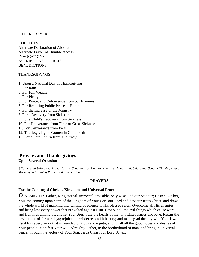#### OTHER PRAYERS

**COLLECTS** Alternate Declaration of Absolution Alternate Prayer of Humble Access INVOCATIONS ASCRIPTIONS OF PRAISE BENEDICTIONS

#### THANKSGIVINGS

- 1. Upon a National Day of Thanksgiving
- 2. For Rain
- 3. For Fair Weather
- 4. For Plenty
- 5. For Peace, and Deliverance from our Enemies
- 6. For Restoring Public Peace at Home
- 7. For the Increase of the Ministry
- 8. For a Recovery from Sickness
- 9. For a Child's Recovery from Sickness
- 10. For Deliverance from Time of Great Sickness
- 11. For Deliverance from Peril
- 12. Thanksgiving of Women in Child-birth
- 13. For a Safe Return from a Journey

# **Prayers and Thanksgivings Upon Several Occasions**

*¶ To be used before the Prayer for all Conditions of Men, or when that is not said, before the General Thanksgiving of Morning and Evening Prayer, and at other times.* 

#### **PRAYERS**

# **For the Coming of Christ's Kingdom and Universal Peace**

**O** ALMIGHTY Father, King eternal, immortal, invisible, only wise God our Saviour; Hasten, we beg You, the coming upon earth of the kingdom of Your Son, our Lord and Saviour Jesus Christ, and draw the whole world of mankind into willing obedience to His blessed reign. Overcome all His enemies, and bring low every power that is exalted against Him. Cast out all the evil things which cause wars and fightings among us, and let Your Spirit rule the hearts of men in righteousness and love. Repair the desolations of former days; rejoice the wilderness with beauty; and make glad the city with Your law. Establish every work that is founded on truth and equity, and fulfill all the good hopes and desires of Your people. Manifest Your will, Almighty Father, in the brotherhood of man, and bring in universal peace; through the victory of Your Son, Jesus Christ our Lord. *Amen.*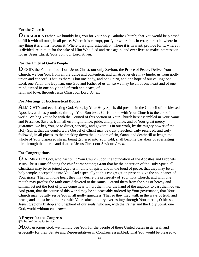# **For the Church**

**O** GRACIOUS Father, we humbly beg You for Your holy Catholic Church; that You would be pleased to fill it with all truth, in all peace. Where it is corrupt, purify it; where it is in error, direct it; where in any thing it is amiss, reform it. Where it is right, establish it; where it is in want, provide for it; where it is divided, reunite it; for the sake of Him Who died and rose again, and ever lives to make intercession for us, Jesus Christ, Your Son, our Lord. *Amen.* 

# **For the Unity of God's People**

**O** GOD, the Father of our Lord Jesus Christ, our only Saviour, the Prince of Peace; Deliver Your Church, we beg You, from all prejudice and contention, and whatsoever else may hinder us from godly union and concord; That, as there is but one body, and one Spirit, and one hope of our calling; one Lord, one Faith, one Baptism, one God and Father of us all, so we may be all of one heart and of one mind, united in one holy bond of truth and peace, of

faith and love; through Jesus Christ our Lord. *Amen.*

## **For Meetings of Ecclesiastical Bodies**

**A**LMIGHTY and everlasting God, Who, by Your Holy Spirit, did preside in the Council of the blessed Apostles, and has promised, through Your Son Jesus Christ, to be with Your Church to the end of the world; We beg You to be with the Council of this portion of Your Church here assembled in Your Name and Presence. Save us from all error, ignorance, pride, and prejudice; and of Your great mercy guarantee, we beg You, so to direct, sanctify, and govern us in our work, by the mighty power of the Holy Spirit, that the comfortable Gospel of Christ may be truly preached, truly received, and truly followed, in all places, to the breaking down the kingdom of sin, Satan, and death; till at length the whole of Your dispersed sheep, being gathered into Your fold, shall become partakers of everlasting life; through the merits and death of Jesus Christ our Saviour. *Amen.*

# **For Congregations**

**O** ALMIGHTY God, who hast built Your Church upon the foundation of the Apostles and Prophets, Jesus Christ Himself being the chief corner-stone; Grant that by the operation of the Holy Spirit, all Christians may be so joined together in unity of spirit, and in the bond of peace, that they may be an holy temple, acceptable unto You. And especially to this congregation present, give the abundance of Your grace; That with one heart they may desire the prosperity of Your holy Church, and with one mouth may profess the faith once delivered to the saints. Defend them from the sins of heresy and schism; let not the foot of pride come near to hurt them, nor the hand of the ungodly to cast them down. And grant, that the course of this world may be so peaceably ordered by Your governance, that Your Church may joyfully serve You in all godly quietness; That so they may walk in the ways of truth and peace, and at last be numbered with Your saints in glory everlasting; through Your merits, O blessed Jesus, gracious Bishop and Shepherd of our souls, who are, with the Father and the Holy Spirit, one God, world without end. *Amen.*

## **A Prayer for the Congress**

¶ To be used during its Sessions.

**MOST** gracious God, we humbly beg You, for the people of these United States in general, and especially for their Senate and Representatives in Congress assembled: That You would be pleased to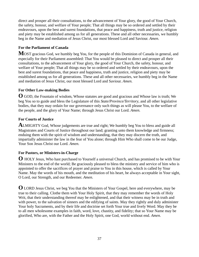direct and prosper all their consultations, to the advancement of Your glory, the good of Your Church, the safety, honour, and welfare of Your people; That all things may be so ordered and settled by their endeavours, upon the best and surest foundations, that peace and happiness, truth and justice, religion and piety may be established among us for all generations. These and all other necessaries, we humbly beg in the Name and mediation of Jesus Christ, our most blessed Lord and Saviour. *Amen.*

## **For the Parliament of Canada**

**M**OST gracious God, we humbly beg You, for the people of this Dominion of Canada in general, and especially for their Parliament assembled: That You would be pleased to direct and prosper all their consultations, to the advancement of Your glory, the good of Your Church, the safety, honour, and welfare of Your people; That all things may be so ordered and settled by their endeavours, upon the best and surest foundations, that peace and happiness, truth and justice, religion and piety may be established among us for all generations. These and all other necessaries, we humbly beg in the Name and mediation of Jesus Christ, our most blessed Lord and Saviour. *Amen.* 

# **For Other Law-making Bodies**

**O** GOD, the Fountain of wisdom, Whose statutes are good and gracious and Whose law is truth; We beg You so to guide and bless the Legislature of this *State/Province/Territory*, and all other legislative bodies, that they may ordain for our governance only such things as will please You, to the welfare of the people, and the glory of Your Name; through Jesus Christ our Lord. *Amen.* 

## **For Courts of Justice**

**A**LMIGHTY God, Whose judgements are true and right; We humbly beg You to bless and guide all Magistrates and Courts of Justice throughout our land; granting unto them knowledge and firmness; enduing them with the spirit of wisdom and understanding, that they may discern the truth, and impartially administer the law in the fear of You alone; through Him Who shall come to be our Judge, Your Son Jesus Christ our Lord. *Amen.*

## **For Pastors, or Ministers-in-Charge**

**O** HOLY Jesus, Who hast purchased to Yourself a universal Church, and has promised to be with Your Ministers to the end of the world; Be graciously pleased to bless the ministry and service of him who is appointed to offer the sacrifices of prayer and praise to You in this house, which is called by Your Name. May the words of his mouth, and the meditation of his heart, be always acceptable in Your sight, O Lord, our Strength, and our Redeemer. *Amen.* 

**O** LORD Jesus Christ, we beg You that the Ministers of Your Gospel, here and everywhere, may be true to their calling. Clothe them with Your Holy Spirit, that they may remember the words of Holy Writ, that their understanding thereof may be enlightened, and that their witness may be in truth and with power, to the salvation of sinners and the edifying of saints. May they rightly and duly administer Your holy Sacraments, and by their life and doctrine set forth Your true and lively Word. May they be to all men wholesome examples in faith, word, love, chastity, and fidelity; that so Your Name may be glorified, Who are, with the Father and the Holy Spirit, one God, world without end. *Amen.*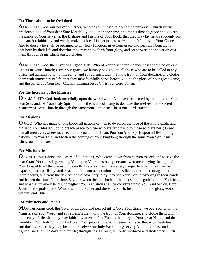## **For Those about to be Ordained**

**A**LMIGHTY God, our heavenly Father, Who has purchased to Yourself a universal Church by the precious blood of Your dear Son; Mercifully look upon the same, and at this time so guide and govern the minds of Your servants, the Bishops and Pastors of Your flock, that they may lay hands suddenly on no man, but faithfully and wisely make choice of fit persons, to serve in the Ministry of Your Church. And to those who shall be ordained to any holy function, give Your grace and heavenly benediction; that both by their life and doctrine they may show forth Your glory, and set forward the salvation of all men; through Jesus Christ our Lord. *Amen.* 

**A**LMIGHTY God, the Giver of all good gifts, Who of Your divine providence hast appointed diverse Orders in Your Church; Give Your grace, we humbly beg You, to all those who are to be called to any office and administration in the same; and so replenish them with the truth of Your doctrine, and clothe them with innocency of life, that they may faithfully serve before You, to the glory of Your great Name, and the benefit of Your holy Church; through Jesus Christ our Lord. *Amen.*

## **For the Increase of the Ministry**

**O** ALMIGHTY God, look mercifully upon the world which You have redeemed by the blood of Your dear Son; and, by Your Holy Spirit, incline the hearts of many to dedicate themselves to the sacred Ministry of Your Church; through the same Your Son Jesus Christ our Lord. *Amen*

## **For Missions**

**O** GOD, Who has made of one blood all nations of men to dwell on the face of the whole earth, and did send Your blessed Son to preach peace to those who are far off and to those who are near; Grant that all men everywhere may seek after You and find You. Pour out Your Spirit upon all flesh, bring the nations into Your fold, and hasten the coming of Your kingdom; through the same Your Son Jesus Christ our Lord. *Amen.* 

## **For Missionaries**

**O** LORD Jesus Christ, the Desire of all nations, Who came down from heaven to seek and to save the lost; Grant Your blessing, we beg You, upon Your missionary servants who are carrying the light of Your Gospel to all the places of the earth. Preserve them from every danger to which they may be exposed; from perils by land, sea, and air, from persecution and pestilence, from discouragement in their labours, and from the devices of the adversary. May they see Your work prospering in their hands; and hasten the time, O gracious Saviour, when the multitude of the lost shall be gathered into Your fold, and when all in every land who neglect Your salvation shall be converted unto You. And to You, Lord Jesus, be the praise; unto Whom, with the Father and the Holy Spirit, be all honour and glory, world without end. *Amen.* 

## **For Ministers and People**

**M**OST gracious God, the Giver of all good and perfect gifts; Give Your grace, we beg You, to all the Ministers of Your Word; and so replenish them with the truth of Your doctrine, and clothe them with innocency of life, that they may faithfully serve before You, to the glory of Your great Name, and the benefit of Your holy Church. And to all Your people give Your heavenly grace, that with meek heart and due reverence they may hear and receive Your holy Word, truly serving You in holiness and righteousness all the days of their life; through Jesus Christ, our only Mediator and Redeemer. *Amen.*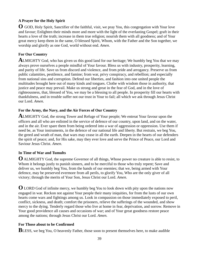# **A Prayer for the Holy Spirit**

**O** GOD, Holy Spirit, Sanctifier of the faithful, visit, we pray You, this congregation with Your love and favour; Enlighten their minds more and more with the light of the everlasting Gospel; graft in their hearts a love of the truth; increase in them true religion; nourish them with all goodness; and of Your great mercy keep them in the same, O blessed Spirit, Whom, with the Father and the Son together, we worship and glorify as one God, world without end. *Amen*.

# **For Our Country**

**A**LMIGHTY God, who has given us this good land for our heritage; We humbly beg You that we may always prove ourselves a people mindful of Your favour. Bless us with industry, prosperity, learning, and purity of life. Save us from discord and violence, and from pride and arrogancy. Preserve us from public calamities, pestilence, and famine; from war, privy conspiracy, and rebellion; and especially from national sins and corruption. Defend our liberties, and fashion into one united people the multitudes brought here out of many kinds and tongues. Clothe with wisdom those in authority, that justice and peace may prevail. Make us strong and great in the fear of God, and in the love of righteousness, that, blessed of You, we may be a blessing to all people. In prosperity fill our hearts with thankfulness, and in trouble suffer not our trust in Your to fail; all which we ask through Jesus Christ our Lord. *Amen*.

# **For the Army, the Navy, and the Air Forces of Our Country**

**A**LMIGHTY God, the strong Tower and Refuge of Your people; We entreat Your favour upon the officers and all who are enlisted in the service of defence of our country, upon land, and on the water, and in the air. Ever spare them from being ordered into a war of aggression or oppression. Use them if need be, as Your instruments, in the defence of our national life and liberty. But restrain, we beg You, the greed and wrath of man, that wars may cease in all the earth. Deepen in the hearts of our defenders the spirit of peace; and, for His sake, may they ever love and serve the Prince of Peace, our Lord and Saviour Jesus Christ. *Amen*.

# **In Time of War and Tumults**

**O** ALMIGHTY God, the supreme Governor of all things, Whose power no creature is able to resist, to Whom it belongs justly to punish sinners, and to be merciful to those who truly repent; Save and deliver us, we humbly beg You, from the hands of our enemies; that we, being armed with Your defence, may be preserved evermore from all perils, to glorify You, Who are the only giver of all victory; through the merits of Your Son, Jesus Christ our Lord. *Amen*.

**O** LORD God of infinite mercy, we humbly beg You to look down with pity upon the nations now engaged in war. Reckon not against Your people their many iniquities, for from the lusts of our own hearts come wars and fightings among us. Look in compassion on those immediately exposed to peril, conflict, sickness, and death; comfort the prisoners, relieve the sufferings of the wounded, and show mercy to the dying. Tenderly regard those who live at home in fear, deprivation, and sorrow. Remove in Your good providence all causes and occasions of war; and of Your great goodness restore peace among the nations; through Jesus Christ our Lord. *Amen.*

# **For Those about to be Confirmed**

**BLESS**, we beg You, O heavenly Father, those soon to present themselves here, to make audible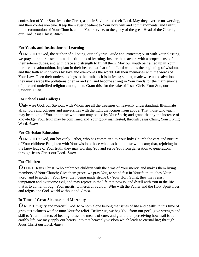confession of Your Son, Jesus the Christ, as their Saviour and their Lord. May they ever be unswerving, and their confession true. Keep them ever obedient to Your holy will and commandments, and faithful in the communion of Your Church, and in Your service, to the glory of the great Head of the Church, our Lord Jesus Christ. *Amen.* 

## **For Youth, and Institutions of Learning**

**A**LMIGHTY God, the Author of all being, our only true Guide and Protector; Visit with Your blessing, we pray, our church schools and institutions of learning. Inspire the teachers with a proper sense of their solemn duties, and with grace and strength to fulfill them. May our youth be trained up in Your nurture and admonition. Implant in their hearts that fear of the Lord which is the beginning of wisdom, and that faith which works by love and overcomes the world. Fill their memories with the words of Your Law. Open their understandings to the truth, as it is in Jesus; so that, made wise unto salvation, they may escape the pollutions of error and sin, and become strong in Your hands for the maintenance of pure and undefiled religion among men. Grant this, for the sake of Jesus Christ Your Son, our Saviour. *Amen.* 

## **For Schools and Colleges**

**O**nly wise God, our Saviour, with Whom are all the treasures of heavenly understanding; Illuminate all schools and colleges and universities with the light that comes from above; That those who teach may be taught of You, and those who learn may be led by Your Spirit; and grant, that by the increase of knowledge, Your truth may be confirmed and Your glory manifested; through Jesus Christ, Your Living Word. *Amen.*

## **For Christian Education**

**A**LMIGHTY God, our heavenly Father, who has committed to Your holy Church the care and nurture of Your children; Enlighten with Your wisdom those who teach and those who learn; that, rejoicing in the knowledge of Your truth, they may worship You and serve You from generation to generation; through Jesus Christ our Lord. *Amen.*

# **For Children**

**O** LORD Jesus Christ, Who embraces children with the arms of Your mercy, and makes them living members of Your Church; Give them grace, we pray You, to stand fast in Your faith, to obey Your word, and to abide in Your love; that, being made strong by Your Holy Spirit, they may resist temptation and overcome evil, and may rejoice in the life that now is, and dwell with You in the life that is to come; through Your merits, O merciful Saviour, Who with the Father and the Holy Spirit lives and reigns one God, world without end. *Amen.* 

## **In Time of Great Sickness and Mortality**

**O** MOST mighty and merciful God, to Whom alone belong the issues of life and death; In this time of grievous sickness we flee unto Your for relief. Deliver us, we beg You, from our peril; give strength and skill to Your ministers of healing; bless the means of cure; and grant, that, perceiving how frail is our earthly life, we may apply our hearts unto that heavenly wisdom which leads to eternal life; through Jesus Christ our Lord. *Amen.*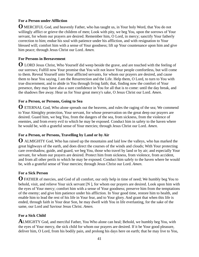# **For a Person under Affliction**

**O** MERCIFUL God, and heavenly Father, who has taught us, in Your holy Word, that You do not willingly afflict or grieve the children of men; Look with pity, we beg You, upon the sorrows of Your servant, for whom our prayers are desired. Remember him, O Lord, in mercy; sanctify Your fatherly correction to him; endue his soul with patience under his affliction, and with resignation to Your blessed will; comfort him with a sense of Your goodness; lift up Your countenance upon him and give him peace; through Jesus Christ our Lord. *Amen.*

# **For Persons in Bereavement**

**O** LORD Jesus Christ, Who Yourself did weep beside the grave, and are touched with the feeling of our sorrows; Fulfill now Your promise that You wilt not leave Your people comfortless, but will come to them. Reveal Yourself unto Your afflicted servants, for whom our prayers are desired, and cause them to hear You saying, I am the Resurrection and the Life. Help them, O Lord, to turn to You with true discernment, and to abide in You through living faith; that, finding now the comfort of Your presence, they may have also a sure confidence in You for all that is to come: until the day break, and the shadows flee away. Hear us for Your great mercy's sake, O Jesus Christ our Lord. *Amen.* 

# **For a Person, or Persons, Going to Sea**

**O** ETERNAL God, Who alone spreads out the heavens, and rules the raging of the sea; We commend to Your Almighty protection, Your servant, for whose preservation on the great deep our prayers are desired. Guard him, we beg You, from the dangers of the sea, from sickness, from the violence of enemies, and from every evil to which he may be exposed. Conduct him in safety to the haven where he would be, with a grateful sense of Your mercies; through Jesus Christ our Lord. *Amen.* 

# **For a Person, or Persons, Travelling by Land or by Air**

**O** ALMIGHTY God, Who has raised up the mountains and laid low the valleys, who has marked the great highways of the earth, and does direct the courses of the winds and clouds; With Your protecting care overshadow, guide, and guard, we beg You, those who travel by land or by air; and especially Your servant, for whom our prayers are desired. Protect him from sickness, from violence, from accident, and from all other perils to which he may be exposed. Conduct him safely to the haven where he would be, with a grateful sense of Your mercies; through Jesus Christ our Lord. *Amen*.

# **For a Sick Person**

**O** FATHER of mercies, and God of all comfort, our only help in time of need; We humbly beg You to behold, visit, and relieve Your sick servant [N ], for whom our prayers are desired. Look upon him with the eyes of Your mercy; comfort him with a sense of Your goodness; preserve him from the temptations of the enemy; and give him patience under his affliction. In Your good time, restore him to health, and enable him to lead the rest of his life in Your fear, and to Your glory. And grant that when this life is ended, through faith in Your dear Son, he may dwell with You in life everlasting, for the sake of the same, our Lord and Saviour Jesus Christ. *Amen.*

# **For a Sick Child**

**A**LMIGHTY God, and merciful Father, You Who alone can heal; Behold, we humbly beg You, with the eyes of Your mercy, the sick child for whom our prayers are desired. If it be Your good pleasure, deliver him, O Lord, from his bodily pain, and prolong his days here on earth; that he may live to You,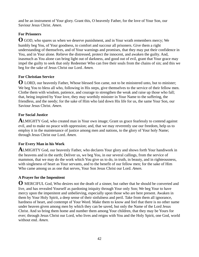and be an instrument of Your glory. Grant this, O heavenly Father, for the love of Your Son, our Saviour Jesus Christ. *Amen.* 

# **For Prisoners**

**O** GOD, who spares us when we deserve punishment, and in Your wrath remembers mercy; We humbly beg You, of Your goodness, to comfort and succour all prisoners. Give them a right understanding of themselves, and of Your warnings and promises, that they may put their confidence in You, and in Your alone. Relieve the distressed, protect the innocent, and awaken the guilty. And, inasmuch as You alone can bring light out of darkness, and good out of evil, grant that Your grace may impel the guilty to seek that only Redeemer Who can free their souls from the chains of sin; and this we beg for the sake of Jesus Christ our Lord. *Amen.* 

# **For Christian Service**

**O** LORD, our heavenly Father, Whose blessed Son came, not to be ministered unto, but to minister; We beg You to bless all who, following in His steps, give themselves to the service of their fellow men. Clothe them with wisdom, patience, and courage to strengthen the weak and raise up those who fall; that, being inspired by Your love, they may worthily minister in Your Name to the suffering, the friendless, and the needy; for the sake of Him who laid down His life for us, the same Your Son, our Saviour Jesus Christ. *Amen.*

# **For Social Justice**

**A**LMIGHTY God, who created man in Your own image; Grant us grace fearlessly to contend against evil, and to make no peace with oppression; and, that we may reverently use our freedom, help us to employ it in the maintenance of justice among men and nations, to the glory of Your holy Name; through Jesus Christ our Lord. *Amen.*

# **For Every Man in his Work**

**A**LMIGHTY God, our heavenly Father, who declares Your glory and shows forth Your handiwork in the heavens and in the earth; Deliver us, we beg You, in our several callings, from the service of mammon, that we may do the work which You give us to do, in truth, in beauty, and in righteousness, with singleness of heart as Your servants, and to the benefit of our fellow men; for the sake of Him Who came among us as one that serves, Your Son Jesus Christ our Lord. *Amen.*

# **A Prayer for the Impenitent**

**O** MERCIFUL God, Who desires not the death of a sinner, but rather that he should be converted and live, and has revealed Yourself as pardoning iniquity through Your only Son; We beg Your to have mercy upon the impenitent and unbelieving, especially upon those who are here present. Awaken in them by Your Holy Spirit, a deep sense of their sinfulness and peril. Take from them all ignorance, hardness of heart, and contempt of Your Word. Make them to know and feel that there is no other name under heaven given among men by which they can be saved, but only the Name of the Lord Jesus Christ. And so bring them home and number them among Your children, that they may be Yours for ever; through Jesus Christ our Lord, who lives and reigns with You and the Holy Spirit, one God, world without end. *Amen.*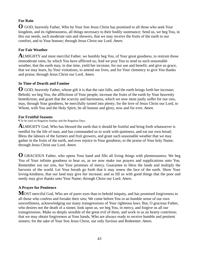# **For Rain**

**O** GOD, heavenly Father, Who by Your Son Jesus Christ has promised to all those who seek Your kingdom, and its righteousness, all things necessary to their bodily sustenance; Send us, we beg You, in this our needs, such moderate rain and showers, that we may receive the fruits of the earth to our comfort, and to Your honour; through Jesus Christ our Lord. *Amen.*

# **For Fair Weather**

**A**LMIGHTY and most merciful Father, we humbly beg You, of Your great goodness, to restrain those immoderate rains, by which You have afflicted us; And we pray You to send us such seasonable weather, that the earth may, in due time, yield her increase, for our use and benefit; and give us grace, that we may learn, by Your visitations, to amend our lives, and for Your clemency to give You thanks and praise; through Jesus Christ our Lord. *Amen.*

# **In Time of Dearth and Famine**

**O** GOD, heavenly Father, whose gift it is that the rain falls, and the earth brings forth her increase; Behold, we beg You, the afflictions of Your people; increase the fruits of the earth by Your heavenly benediction; and grant that the scarcity and barrenness, which we now most justly suffer for our sins, may, through Your goodness, be mercifully turned into plenty; for the love of Jesus Christ our Lord, to Whom, with You and the Holy Spirit, be all honour and glory, now and for ever. *Amen*.

## **For Fruitful Seasons**

¶ To be used on Rogation Sunday and the Rogation Days.

**A**LMIGHTY God, Who has blessed the earth that it should be fruitful and bring forth whatsoever is needful for the life of man, and has commanded us to work with quietness, and eat our own bread; Bless the labours of the farmers and fruit growers, and grant such seasonable weather that we may gather in the fruits of the earth, and ever rejoice in Your goodness, to the praise of Your holy Name; through Jesus Christ our Lord. *Amen.* 

**O** GRACIOUS Father, who opens Your hand and fills all living things with plenteousness; We beg You of Your infinite goodness to hear us, as we now make our prayers and supplications unto You. Remember not our sins, but Your promises of mercy. Guarantee to bless the lands and multiply the harvests of the world. Let Your breath go forth that it may renew the face of the earth. Show Your loving-kindness, that our land may give her increase; and so fill us with good things that the poor and needy may give thanks unto Your Name; through Christ our Lord. *Amen.* 

# **A Prayer for Penitence**

**M**OST merciful God, Who are of purer eyes than to behold iniquity, and has promised forgiveness to all those who confess and forsake their sins; We come before You in an humble sense of our own unworthiness, acknowledging our many transgressions of Your righteous laws. But, O gracious Father, who desires not the death of a sinner, look upon us, we beg You, in mercy, and forgive us all our transgressions. Make us deeply sensible of the great evil of them, and work in us an hearty contrition; that we may obtain forgiveness at Your hands, Who are always ready to receive humble and penitent sinners; for the sake of Your Son Jesus Christ, our only Saviour and Redeemer. *Amen.*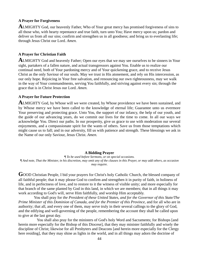### **A Prayer for Forgiveness**

**A**LMIGHTY God, our heavenly Father, Who of Your great mercy has promised forgiveness of sins to all those who, with hearty repentance and true faith, turn unto You; Have mercy upon us; pardon and deliver us from all our sins; confirm and strengthen us in all goodness; and bring us to everlasting life; through Jesus Christ our Lord. *Amen.*

### **A Prayer for Christian Faith**

**A**LMIGHTY God and heavenly Father; Open our eyes that we may see ourselves to be sinners in Your sight, partakers of a fallen nature, and actual transgressors against You. Enable us to realize our continual need, both of Your pardoning mercy and of Your quickening grace, and to receive Jesus Christ as the only Saviour of our souls. May we trust in His atonement, and rely on His intercession, as our only hope. Rejoicing in Your free salvation, and renouncing our own righteousness, may we walk in the way of Your commandments, serving You faithfully, and striving against every sin; through the grace that is in Christ Jesus our Lord. *Amen.* 

### **A Prayer for Future Protection**

**A**LMIGHTY God, by Whose will we were created, by Whose providence we have been sustained, and by Whose mercy we have been called to the knowledge of eternal life; Guarantee unto us evermore Your preserving and protecting grace. Unto You, the support of our infancy, the help of our youth, and the guide of our advancing years, do we commit our lives for the time to come. In all our ways we acknowledge You. Direct our paths. In our prosperity, give us grace to use with moderation our several enjoyments, and a compassionate spirit for the wants of others. Save us from those temptations which might cause us to fall; and in our adversity, fill us with patience and strength. These blessings we ask in the Name of our only Saviour, Jesus Christ. *Amen.* 

### **A Bidding Prayer**

*¶ To be used before Sermons, or on special occasions. ¶ And note, That the Minister, in his discretion, may omit any of the clauses in this Prayer, or may add others, as occasion may require.* 

GOOD Christian People, I bid your prayers for Christ's holy Catholic Church, the blessed company of all faithful people; that it may please God to confirm and strengthen it in purity of faith, in holiness of life, and in perfectness of love, and to restore to it the witness of visible unity; and more especially for that branch of the same planted by God in this land, in which we are members; that in all things it may work according to God's will, serve Him faithfully, and worship Him acceptably.

 You shall pray for t*he President of these United States, and for the Governor of this State/The Prime Minister of this Dominion of Canada, and for the Premier of this Province,* and for all who are in authority; that all, and every one of them, may serve truly in their several callings to the glory of God, and the edifying and well-governing of the people, remembering the account they shall be called upon to give at the last great day.

 You shall also pray for the ministers of God's holy Word and Sacraments; for Bishops [and herein more especially for the Bishop of this Diocese], that they may minister faithfully and wisely the discipline of Christ; likewise for all Presbyters and Deacons [and herein more especially for the Clergy here residing], that they may shine as lights in the world, and in all things may adorn the doctrine of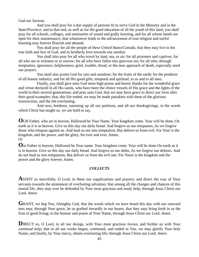God our Saviour.

 And you shall pray for a due supply of persons fit to serve God in the Ministry and in the *State/Province*; and to that end, as well as for the good education of all the youth of this land, you shall pray for all schools, colleges, and seminaries of sound and godly learning, and for all whose hands are open for their maintenance; that whatsoever lends to the advancement of true religion and useful learning may forever flourish and abound.

 You shall pray for all the people of *these United States/Canada*, that they may live in the true faith and fear of God, and in brotherly love towards one another.

 You shall also pray for all who travel by land, sea, or air; for all prisoners and captives; for all who are in sickness or in sorrow; for all who have fallen into grievous sin; for all who, through temptation, ignorance, helplessness, grief, trouble, dread, or the near approach of death, especially need our prayers.

 You shall also praise God for rain and sunshine; for the fruits of the earth; for the products of all honest industry; and for all His good gifts, temporal and spiritual, to us and to all men.

 Finally, you shall give unto God most high praise and hearty thanks for the wonderful grace and virtue declared in all His saints, who have been the choice vessels of His grace and the lights of the world in their several generations; and pray unto God, that we may have grace to direct our lives after their good examples; that, this life ended, we may be made partakers with them of the glorious resurrection, and the life everlasting.

 And now, brethren, summing up all our petitions, and all our thanksgivings, in the words which Christ has taught us, we are bold to say,

**O**UR Father, who art in heaven, Hallowed be Your Name. Your kingdom come. Your will be done, On earth as it is in heaven. Give us this day our daily bread. And forgive us our trespasses, As we forgive those who trespass against us. And lead us not into temptation, But deliver us from evil. For Your is the kingdom, and the power, and the glory, for ever and ever. Amen. *Or*

**O**ur Father in heaven, Hallowed be Your name. Your kingdom come. Your will be done On earth as it is in heaven. Give us this day our daily bread. And forgive us our debts, As we forgive our debtors. And do not lead us into temptation, But deliver us from the evil one. For Yours is the kingdom and the power and the glory forever. Amen.

# *COLLECTS*

**A**SSIST us mercifully, O Lord, in these our supplications and prayers; and direct the way of Your servants towards the attainment of everlasting salvation; that among all the changes and chances of this mortal life, they may ever be defended by Your most gracious and ready help; through Jesus Christ our Lord. *Amen.* 

**G**RANT, we beg You, Almighty God, that the words which we have heard this day with our outward ears may, through Your grace, be so grafted inwardly in our hearts, that they may bring forth in us the fruit of good living; to the honour and praise of Your Name, through Jesus Christ our Lord. *Amen.* 

**DIRECT** us, O Lord, in all our doings, with Your most gracious favour, and further us with Your continual help; that in all our works begun, continued, and ended in You, we may glorify Your holy Name; and finally, by Your mercy, obtain everlasting life; through Jesus Christ our Lord. *Amen*.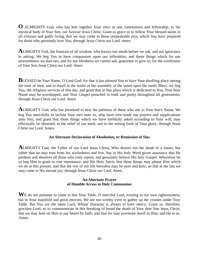**O** ALMIGHTY God, who has knit together Your elect in one communion and fellowship, in the mystical body of Your Son, our Saviour Jesus Christ; Grant us grace so to follow Your blessed saints in all virtuous and godly living, that we may come to those unspeakable joys, which You have prepared for those who genuinely love You; through Jesus Christ our Lord. *Amen.* 

**A**LMIGHTY God, the fountain of all wisdom, who knows our needs before we ask, and our ignorance in asking; We beg You to have compassion upon our infirmities; and those things which for our unworthiness we dare not, and for our blindness we cannot ask, guarantee to give us, for the worthiness of Your Son Jesus Christ our Lord. *Amen*.

**BLESSED** be Your Name, O Lord God, for that it has pleased You to have Your dwelling place among the sons of men, and to dwell in the midst of the assembly of the saints upon the earth; Bless, we beg You, the religious services of this day, and grant that in this place which is dedicated to You, Your holy Name may be worshipped, and Your Gospel preached in truth and purity throughout all generations; through Jesus Christ our Lord. *Amen.* 

**A**LMIGHTY God, who has promised to hear the petitions of those who ask in Your Son's Name; We beg You mercifully to incline Your ears unto us, who have now made our prayers and supplications unto You; and grant that those things which we have faithfully asked according to Your will, may effectually be obtained, to the relief of our need, and to the setting forth of Your glory; through Jesus Christ our Lord. Amen.

### **An Alternate Declaration of Absolution, or Remission of Sins**

**A**LMIGHTY God, the Father of our Lord Jesus Christ, Who desires not the death of a sinner, but rather that he may turn from his wickedness and live, has in His holy Word given assurance that He pardons and absolves all those who truly repent, and genuinely believe His holy Gospel. Wherefore let us beg Him to grant us true repentance, and His Holy Spirit, that those things may please Him which we do at this present, and that the rest of our life hereafter may be pure and holy; so that at the last we may come to His eternal joy; through Jesus Christ our Lord. *Amen.* 

### **An Alternate Prayer of Humble Access to Holy Communion**

WE do not presume to come to this Your Table, O merciful Lord, trusting in our own righteousness, but in Your manifold and great mercies. We are not worthy even to gather up the crumbs under Your Table. But You are the same Lord, Whose character is always to have mercy: Grant us, therefore, gracious Lord, so to commemorate in this breaking of bread the death of Your dear Son Jesus Christ, that we may feed on Him in our hearts by faith, and that we may evermore dwell in Him, and He in us. Amen.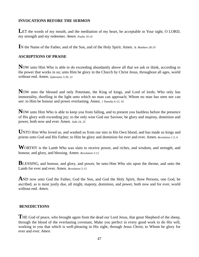## **INVOCATIONS BEFORE THE SERMON**

LET the words of my mouth, and the meditation of my heart, be acceptable in Your sight, O LORD, my strength and my redeemer. *Amen. Psalm 19:14* 

**I**N the Name of the Father, and of the Son, and of the Holy Spirit. Amen. *St. Matthew 28:19* 

## **ASCRIPTIONS OF PRAISE**

Now unto Him Who is able to do exceeding abundantly above all that we ask or think, according to the power that works in us; unto Him be glory in the Church by Christ Jesus, throughout all ages, world without end. Amen. *Ephesians 3:20, 21* 

**N**OW unto the blessed and only Potentate, the King of kings, and Lord of lords; Who only has immortality, dwelling in the light unto which no man can approach; Whom no man has seen nor can see: to Him be honour and power everlasting. Amen. *1 Timothy 6:15, 16* 

**N**OW unto Him Who is able to keep you from falling, and to present you faultless before the presence of His glory with exceeding joy; to the only wise God our Saviour, be glory and majesty, dominion and power, both now and ever. Amen. *Jude 24, 25* 

UNTO Him Who loved us, and washed us from our sins in His Own blood, and has made us kings and priests unto God and His Father; to Him be glory and dominion for ever and ever. Amen. *Revelation 1:5, 6* 

**W**ORTHY is the Lamb Who was slain to receive power, and riches, and wisdom, and strength, and honour, and glory, and blessing. Amen. *Revelation 5:12* 

**BLESSING, and honour, and glory, and power, be unto Him Who sits upon the throne, and unto the** Lamb for ever and ever. Amen. *Revelation 5:13* 

**A**ND now unto God the Father, God the Son, and God the Holy Spirit, three Persons, one God, be ascribed, as is most justly due, all might, majesty, dominion, and power, both now and for ever, world without end. *Amen.* 

## **BENEDICTIONS**

THE God of peace, who brought again from the dead our Lord Jesus, that great Shepherd of the sheep, through the blood of the everlasting covenant, Make you perfect in every good work to do His will, working in you that which is well-pleasing in His sight, through Jesus Christ; to Whom be glory for ever and ever. *Amen*.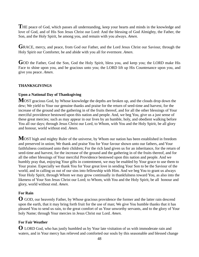**T**HE peace of God, which passes all understanding, keep your hearts and minds in the knowledge and love of God, and of His Son Jesus Christ our Lord: And the blessing of God Almighty, the Father, the Son, and the Holy Spirit, be among you, and remain with you always. *Amen.* 

GRACE, mercy, and peace, from God our Father, and the Lord Jesus Christ our Saviour, through the Holy Spirit our Comforter, be and abide with you all for evermore. *Amen*.

GOD the Father, God the Son, God the Holy Spirit, bless you, and keep you; the LORD make His Face to shine upon you, and be gracious unto you; the LORD lift up His Countenance upon you, and give you peace. *Amen*.

## **THANKSGIVINGS**

## **Upon a National Day of Thanksgiving**

**M**OST gracious God, by Whose knowledge the depths are broken up, and the clouds drop down the dew; We yield to Your our genuine thanks and praise for the return of seed-time and harvest, for the increase of the ground and the gathering in of the fruits thereof, and for all the other blessings of Your merciful providence bestowed upon this nation and people. And, we beg You, give us a just sense of these great mercies; such as may appear in our lives by an humble, holy, and obedient walking before You all our days; through Jesus Christ our Lord, to Whom, with You and the Holy Spirit, be all glory and honour, world without end. *Amen*.

**M**OST high and mighty Ruler of the universe, by Whom our nation has been established in freedom and preserved in union; We thank and praise You for Your favour shown unto our fathers, and Your faithfulness continued unto their children; For the rich land given us for an inheritance, for the return of seed-time and harvest, for the increase of the ground and the gathering in of the fruits thereof, and for all the other blessings of Your merciful Providence bestowed upon this nation and people. And we humbly pray that, enjoying Your gifts in contentment, we may be enabled by Your grace to use them to Your praise. Especially we thank You for Your great love in sending Your Son to be the Saviour of the world, and in calling us out of our sins into fellowship with Him. And we beg You to grant us always Your Holy Spirit, through Whom we may grow continually in thankfulness toward You, as also into the likeness of Your Son Jesus Christ our Lord; to Whom, with You and the Holy Spirit, be all honour and glory, world without end. *Amen.* 

## **For Rain**

**O** GOD, our heavenly Father, by Whose gracious providence the former and the latter rain descend upon the earth, that it may bring forth fruit for the use of man; We give You humble thanks that it has pleased You to send us rain, to the great comfort of us Your unworthy servants, and to the glory of Your holy Name; through Your mercies in Jesus Christ our Lord. *Amen.*

## **For Fair Weather**

**O** LORD God, who has justly humbled us by Your late visitation of us with immoderate rain and waters, and in Your mercy has relieved and comforted our souls by this seasonable and blessed change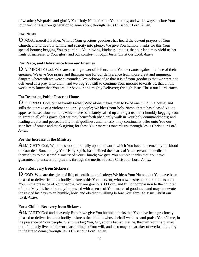of weather; We praise and glorify Your holy Name for this Your mercy, and will always declare Your loving-kindness from generation to generation; through Jesus Christ our Lord. *Amen.*

# **For Plenty**

**O** MOST merciful Father, Who of Your gracious goodness has heard the devout prayers of Your Church, and turned our famine and scarcity into plenty; We give You humble thanks for this Your special bounty; begging You to continue Your loving-kindness unto us, that our land may yield us her fruits of increase, to Your glory and our comfort; through Jesus Christ our Lord. *Amen.* 

# **For Peace, and Deliverance from our Enemies**

**O** ALMIGHTY God, Who are a strong tower of defence unto Your servants against the face of their enemies; We give You praise and thanksgiving for our deliverance from those great and imminent dangers wherewith we were surrounded. We acknowledge that it is of Your goodness that we were not delivered as a prey unto them; and we beg You still to continue Your mercies towards us, that all the world may know that You are our Saviour and mighty Deliverer; through Jesus Christ our Lord. *Amen*.

# **For Restoring Public Peace at Home**

**O** ETERNAL God, our heavenly Father, Who alone makes men to be of one mind in a house, and stills the outrage of a violent and unruly people; We bless Your holy Name, that it has pleased You to appease the seditious tumults which have been lately raised up amongst us; most humbly begging Your to grant to all of us grace, that we may henceforth obediently walk in Your holy commandments; and, leading a quiet and peaceable life in all godliness and honesty, may continually offer unto You our sacrifice of praise and thanksgiving for these Your mercies towards us; through Jesus Christ our Lord. *Amen.*

# **For the Increase of the Ministry**

**A**LMIGHTY God, Who does look mercifully upon the world which You have redeemed by the blood of Your dear Son; and, by Your Holy Spirit, has inclined the hearts of Your servants to dedicate themselves to the sacred Ministry of Your Church; We give You humble thanks that You have guaranteed to answer our prayers, through the merits of Jesus Christ our Lord. *Amen.* 

# **For a Recovery from Sickness**

**O** GOD, Who are the giver of life, of health, and of safety; We bless Your Name, that You have been pleased to deliver from his bodily sickness this Your servant, who now desires to return thanks unto You, in the presence of Your people. You are gracious, O Lord, and full of compassion to the children of men. May his heart be duly impressed with a sense of Your merciful goodness, and may he devote the rest of his days to an humble, holy, and obedient walking before You; through Jesus Christ our Lord. *Amen*.

# **For a Child's Recovery from Sickness**

**A**LMIGHTY God and heavenly Father, we give You humble thanks that You have been graciously pleased to deliver from his bodily sickness the child in whose behalf we bless and praise Your Name, in the presence of Your people. Grant, we beg You, O gracious Father, that he, through Your help, may both faithfully live in this world according to Your will, and also may be partaker of everlasting glory in the life to come; through Jesus Christ our Lord. *Amen.*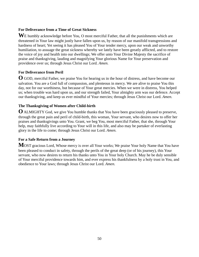## **For Deliverance from a Time of Great Sickness**

WE humbly acknowledge before You, O most merciful Father, that all the punishments which are threatened in Your law might justly have fallen upon us, by reason of our manifold transgressions and hardness of heart; Yet seeing it has pleased You of Your tender mercy, upon our weak and unworthy humiliation, to assuage the great sickness whereby we lately have been greatly afflicted, and to restore the voice of joy and health into our dwellings; We offer unto Your Divine Majesty the sacrifice of praise and thanksgiving, lauding and magnifying Your glorious Name for Your preservation and providence over us; through Jesus Christ our Lord. *Amen.*

## **For Deliverance from Peril**

**O** GOD, merciful Father, we praise You for hearing us in the hour of distress, and have become our salvation. You are a God full of compassion, and plenteous in mercy. We are alive to praise You this day, not for our worthiness, but because of Your great mercies. When we were in distress, You helped us; when trouble was hard upon us, and our strength failed, Your almighty arm was our defence. Accept our thanksgiving, and keep us ever mindful of Your mercies; through Jesus Christ our Lord. *Amen.*

## **The Thanksgiving of Women after Child-birth**

**O** ALMIGHTY God, we give You humble thanks that You have been graciously pleased to preserve, through the great pain and peril of child-birth, this woman, Your servant, who desires now to offer her praises and thanksgivings unto You. Grant, we beg You, most merciful Father, that she, through Your help, may faithfully live according to Your will in this life, and also may be partaker of everlasting glory in the life to come; through Jesus Christ our Lord. *Amen.* 

## **For a Safe Return from a Journey**

**M**OST gracious Lord, Whose mercy is over all Your works; We praise Your holy Name that You have been pleased to conduct in safety, through the perils of the great deep (or of his journey), this Your servant, who now desires to return his thanks unto You in Your holy Church. May he be duly sensible of Your merciful providence towards him, and ever express his thankfulness by a holy trust in You, and obedience to Your laws; through Jesus Christ our Lord. *Amen.*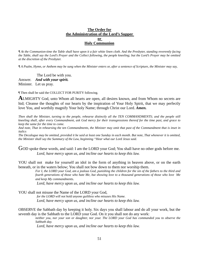### **The Order for the Administration of the Lord's Supper or Holy Communion**

*¶ At the Communion-time the Table shall have upon it a fair white linen cloth. And the Presbyter, standing reverently facing the Table, shall say the Lord's Prayer and the Collect following, the people kneeling; but the Lord's Prayer may be omitted at the discretion of the Presbyter.* 

*¶ A Psalm, Hymn, or Anthem may be sung when the Minister enters or, after a sentence of Scripture, the Minister may say,* 

 The Lord be with you. Answer. *And with your spirit.*  Minister. Let us pray.

¶ Then shall be said the COLLECT FOR PURITY following.

**A**LMIGHTY God, unto Whom all hearts are open, all desires known, and from Whom no secrets are hid; Cleanse the thoughts of our hearts by the inspiration of Your Holy Spirit, that we may perfectly love You, and worthily magnify Your holy Name; through Christ our Lord. *Amen.* 

*Then shall the Minister, turning to the people, rehearse distinctly all the TEN COMMANDMENTS; and the people still kneeling shall, after every Commandment, ask God mercy for their transgressions thereof for the time past, and grace to keep the same for the time to come.* 

*And note, That in rehearsing the ten Commandments, the Minister may omit that past of the Commandment that is inset in italics* 

*The Decalogue may be omitted, provided it be said at least one Sunday in each month. But note, That whenever it is omitted, the Minister shall say the Summary of the Law, beginning "Hear what our Lord Jesus said.* 

GOD spoke these words, and said: I am the LORD your God; You shall have no other gods before me.  *Lord, have mercy upon us, and incline our hearts to keep this law.* 

YOU shall not make for yourself an idol in the form of anything in heaven above, or on the earth beneath, or in the waters below; You shall not bow down to them nor worship them.

*For I, the LORD your God, am a jealous God, punishing the children for the sin of the fathers to the third and fourth generations of those who hate Me, but showing love to a thousand generations of those who love Me and keep My commandments.* 

 *Lord, have mercy upon us, and incline our hearts to keep this law.* 

YOU shall not misuse the Name of the LORD your God,

 *for the LORD will not hold anyone guiltless who misuses His Name. Lord, have mercy upon us, and incline our hearts to keep this law.* 

OBSERVE the Sabbath day by keeping it holy. Six days you shall labour and do all your work, but the seventh day is the Sabbath to the LORD your God. On it you shall not do any work:

*neither you, nor your son or daughter, nor your. The LORD your God has commanded you to observe the Sabbath day.* 

 *Lord, have mercy upon us, and incline our hearts to keep this law.*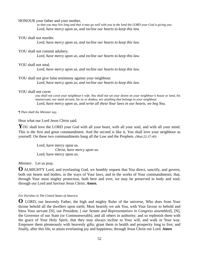#### HONOUR your father and your mother,

 *so that you may live long and that it may go well with you in the land the LORD your God is giving you. Lord, have mercy upon us, and incline our hearts to keep this law.* 

#### YOU shall not murder.

 *Lord, have mercy upon us, and incline our hearts to keep this law.* 

#### YOU shall not commit adultery.

 *Lord, have mercy upon us, and incline our hearts to keep this law.* 

#### YOU shall not steal.

 *Lord, have mercy upon us, and incline our hearts to keep this law.* 

### YOU shall not give false testimony against your neighbour.

 *Lord, have mercy upon us, and incline our hearts to keep this law.* 

#### YOU shall not covet

 *you shall not covet your neighbour's wife. You shall not set your desire on your neighbour's house or land, his manservant, nor maid servant, his ox or donkey, nor anything that belongs to your neighbour. Lord, have mercy upon us, and write all these Your laws in our hearts, we beg You.* 

#### *¶ Then shall the Minister say,*

Hear what our Lord Jesus Christ said.

YOU shall love the LORD your God with all your heart, with all your soul, and with all your mind. This is the first and great commandment. And the second is like it, You shall love your neighbour as yourself. On these two commandments hang all the Law and the Prophets. *(Matt.22:37-40)* 

> Lord, have mercy upon us.  *Christ, have mercy upon us.*  Lord, have mercy upon us.

## *Minister*. Let us pray.

**O** ALMIGHTY Lord, and everlasting God, we humbly request that You direct, sanctify, and govern, both our hearts and bodies, in the ways of Your laws, and in the works of Your commandments; that, through Your most mighty protection, both here and ever, we may be preserved in body and soul; through our Lord and Saviour Jesus Christ. *Amen.* 

#### *For Parishes in The United States of America*

**O** LORD, our heavenly Father, the high and mighty Ruler of the universe, Who does from Your throne behold all the dwellers upon earth; Most heartily we ask You, with Your favour to behold and bless Your servant [N], our President, [ *our Senate and Representatives in Congress assembled*], [N], the Governor of our State (or Commonwealth), and all others in authority; and so replenish them with the grace of Your Holy Spirit, that they may always incline to Your will, and walk in Your way. Empower them plenteously with heavenly gifts; grant them in health and prosperity long to live; and finally, after this life, to attain everlasting joy and happiness; through Jesus Christ our Lord. *Amen*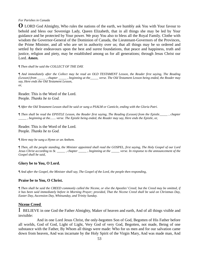### *For Parishes in Canada*

**O** LORD God Almighty, Who rules the nations of the earth, we humbly ask You with Your favour to behold and bless our Sovereign Lady, Queen Elizabeth, that in all things she may be led by Your guidance and be protected by Your power. We pray You also to bless all the Royal Family. Clothe with wisdom the Governor-General of the Dominion of Canada, the Lieutenant-Governors of the Provinces, the Prime Minister, and all who are set in authority over us; that all things may be so ordered and settled by their endeavours upon the best and surest foundations, that peace and happiness, truth and justice, religion and piety, may be established among us for all generations; through Jesus Christ our Lord. *Amen.*

### *¶ Then shall be said the COLLECT OF THE DAY.*

*¶ And immediately after the Collect may be read an OLD TESTAMENT Lesson, the Reader first saying, The Reading (Lesson) from \_\_\_\_\_ , chapter \_\_\_\_\_ , beginning at the\_\_\_\_\_ verse. The Old Testament Lesson being ended, the Reader may say, Here ends the Old Testament Lesson, or,* 

Reader. This is the Word of the Lord. People. *Thanks be to God.* 

*¶ After the Old Testament Lesson shall be said or sung a PSALM or Canticle, ending with the Gloria Patri.* 

*¶ Then shall be read the EPISTLE Lesson, the Reader first saying, The Reading (Lesson) from the Epistle\_\_\_\_\_ , chapter \_\_\_\_\_ , beginning at the....... verse. The Epistle being ended, the Reader may say, Here ends the Epistle, or,* 

Reader. This is the Word of the Lord. People. *Thanks be to God.* 

*¶ Here may be sung a Hymn or an Anthem.* 

*¶ Then, all the people standing, the Minister appointed shall read the GOSPEL, first saying, The Holy Gospel of our Lord Jesus Christ according to St. \_\_\_\_\_ , chapter \_\_\_\_\_ , beginning at the \_\_\_\_\_ verse. In response to the announcement of the Gospel shall be said,* 

### **Glory be to You, O Lord.**

*¶ And after the Gospel, the Minister shall say, The Gospel of the Lord, the people then responding,* 

### **Praise be to You, O Christ.**

*¶ Then shall be said the CREED commonly called the Nicene, or else the Apostles' Creed; but the Creed may be omitted, if it has been said immediately before in Morning Prayer; provided, That the Nicene Creed shall be said on Christmas Day, Easter Day, Ascension Day, Whitsunday, and Trinity Sunday.* 

### **Nicene Creed**

I BELIEVE in one God the Father Almighty, Maker of heaven and earth, And of all things visible and invisible:

 And in one Lord Jesus Christ, the only-begotten Son of God, Begotten of His Father before all worlds, God of God, Light of Light, Very God of very God, Begotten, not made, Being of one substance with the Father, By Whom all things were made: Who for us men and for our salvation came down from heaven, And was incarnate by the Holy Spirit of the Virgin Mary, And was made man, And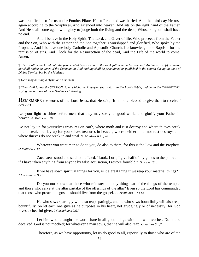was crucified also for us under Pontius Pilate. He suffered and was buried, And the third day He rose again according to the Scriptures, And ascended into heaven, And sits on the right hand of the Father. And He shall come again with glory to judge both the living and the dead; Whose kingdom shall have no end.

 And I believe in the Holy Spirit, The Lord, and Giver of life, Who proceeds from the Father and the Son, Who with the Father and the Son together is worshipped and glorified, Who spoke by the Prophets. And I believe one holy Catholic and Apostolic Church. I acknowledge one Baptism for the remission of sins. And I look for the Resurrection of the dead, And the Life of the world to come. Amen.

*¶ Then shall be declared unto the people what Services are in the week following to be observed. And here also (if occasion*  be) shall notice be given of the Communion. And nothing shall be proclaimed or published in the church during the time of *Divine Service, but by the Minister.* 

*¶ Here may be sung a Hymn or an Anthem.* 

*¶ Then shall follow the SERMON. After which, the Presbyter shall return to the Lord's Table, and begin the OFFERTORY, saying one or more of these Sentences following.* 

**REMEMBER** the words of the Lord Jesus, that He said, 'It is more blessed to give than to receive.' *Acts 20:35* 

Let your light so shine before men, that they may see your good works and glorify your Father in heaven *St. Matthew 5:16* 

Do not lay up for yourselves treasures on earth, where moth and rust destroy and where thieves break in and steal; but lay up for yourselves treasures in heaven, where neither moth nor rust destroys and where thieves do not break in and steal. *St. Matthew 6:19, 20* 

 Whatever you want men to do to you, do also to them, for this is the Law and the Prophets. *St Matthew 7:12* 

 Zacchaeus stood and said to the Lord, "Look, Lord, I give half of my goods to the poor; and if I have taken anything from anyone by false accusation, I restore fourfold." *St. Luke 19:8* 

 If we have sown spiritual things for you, is it a great thing if we reap your material things? *1 Corinthians 9:11* 

 Do you not know that those who minister the holy things eat of the things of the temple, and those who serve at the altar partake of the offerings of the altar? Even so the Lord has commanded that those who preach the gospel should live from the gospel. *1 Corinthians 9:13,14* 

 He who sows sparingly will also reap sparingly, and he who sows bountifully will also reap bountifully. So let each one give as he purposes in his heart, not grudgingly or of necessity; for God loves a cheerful giver. *2 Corinthians 9:6,7*

 Let him who is taught the word share in all good things with him who teaches. Do not be deceived, God is not mocked; for whatever a man sows, that he will also reap. *Galatians 6:6,7* 

Therefore, as we have opportunity, let us do good to all, especially to those who are of the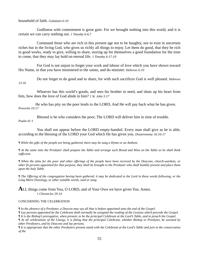household of faith. *Galatians 6:10* 

 Godliness with contentment is great gain. For we brought nothing into this world, and it is certain we can carry nothing out. *1 Timothy 6:6,7* 

 Command those who are rich in this present age not to be haughty, nor to trust in uncertain riches but in the living God, who gives us richly all things to enjoy. Let them do good, that they be rich in good works, ready to give, willing to share, storing up for themselves a good foundation for the time to come, that they may lay hold on eternal life. *1 Timothy 6:17-19* 

 For God is not unjust to forget your work and labour of love which you have shown toward His Name, in that you have ministered to the saints, and do minister. *Hebrews 6:10* 

 Do not forget to do good and to share, for with such sacrifices God is well pleased. *Hebrews 13:16* 

 Whoever has this world's goods, and sees his brother in need, and shuts up his heart from him, how does the love of God abide in him? *1 St. John 3:17* 

 He who has pity on the poor lends to the LORD, And He will pay back what he has given. *Proverbs 19:17* 

 Blessed is he who considers the poor; The LORD will deliver him in time of trouble. *Psalm 41:1* 

 You shall not appear before the LORD empty-handed. Every man shall give as he is able, according to the blessing of the LORD your God which He has given you. *Deuteronomy 16:16-17* 

*¶ While the gifts of the people are being gathered, there may be sung a Hymn or an Anthem.* 

*¶ At the same time the Presbyter shall prepare the Table and arrange such Bread and Wine on the Table as he shall think sufficient.* 

*¶ When the alms for the poor and other offerings of the people have been received by the Deacons, church-wardens, or other fit persons appointed for that purpose, they shall be brought to the Presbyter who shall humbly present and place them upon the holy Table.* 

*¶ The Offering of the congregation having been gathered, it may be dedicated to the Lord in these words following, or the Long Metre Doxology, or other suitable words, said or sung.* 

**ALL** things come from You, O LORD, and of Your Own we have given You. Amen.  *1 Chronicles 29:14* 

### CONCERNING THE CELEBRATION

*¶ In the absence of a Presbyter, a Deacon may say all that is before appointed unto the end of the Gospel.* 

*¶ Lay persons appointed by the Celebrant shall normally be assigned the reading of the Lessons which precede the Gospel.* 

*¶ It is the Bishop's prerogative, when present, to be the principal Celebrant at the Lord's Table, and to preach the Gospel.* 

*¶ At all celebrations of the Liturgy, it is fitting that the principal Celebrant, whether Bishop or Presbyter, be assisted by other Presbyters, and by Deacons and lay persons.* 

*¶ It is appropriate that the other Presbyters present stand with the Celebrant at the Lord's Table and join in the consecration of the*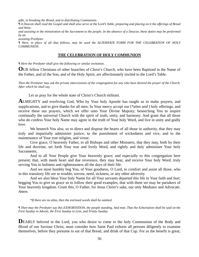*gifts, in breaking the Bread, and in distributing Communion.* 

*¶ A Deacon shall read the Gospel and shall also serve at the Lord's Table, preparing and placing on it the offerings of Bread and Wine,* 

*and assisting in the ministration of the Sacrament to the people. In the absence of a Deacon, these duties may be performed by an* 

*assisting Presbyter.* 

*¶ Here, in place of all that follows, may be used the ALTERNATE FORM FOR THE CELEBRATION OF HOLY COMMUNION.* 

## **THE CELEBRATION OF HOLY COMMUNION**

*¶ Here the Presbyter shall give the following or similar invitation.* 

**O**UR fellow Christians of other branches of Christ's Church, who have been Baptized in the Name of the Father, and of the Son, and of the Holy Spirit, are affectionately invited to the Lord's Table.

*Then the Presbyter may ask the private intercessions of the congregation for any who have desired the prayer of the Church. After which he shall say,* 

Let us pray for the whole state of Christ's Church militant.

**A**LMIGHTY and everliving God, Who by Your holy Apostle has taught us to make prayers, and supplications, and to give thanks for all men; In Your mercy accept our [*\*alms and* ] holy offerings, and receive these our prayers, which we offer unto Your Divine Majesty; beseeching You to inspire continually the universal Church with the spirit of truth, unity, and harmony: And grant that all those who do confess Your holy Name may agree in the truth of Your holy Word, and live in unity and godly love.

We beseech You also, so to direct and dispose the hearts of all those in authority, that they may truly and impartially administer justice, to the punishment of wickedness and vice, and to the maintenance of Your true religion, and virtue.

 Give grace, O heavenly Father, to all Bishops and other Ministers, that they may, both by their life and doctrine, set forth Your true and lively Word, and rightly and duly administer Your holy Sacraments.

 And to all Your People give Your heavenly grace; and especially to this congregation here present; that, with meek heart and due reverence, they may hear, and receive Your holy Word; truly serving You in holiness and righteousness all the days of their life.

 And we most humbly beg You, of Your goodness, O Lord, to comfort and assist all those, who in this transitory life are in trouble, sorrow, need, sickness, or any other adversity.

 And we also bless Your holy Name for all Your servants departed this life in Your faith and fear; begging You to give us grace so to follow their good examples, that with them we may be partakers of Your heavenly kingdom. Grant this, O Father, for Jesus Christ's sake, our only Mediator and Advocate. *Amen.* 

 *\*If there are no alms, then the enclosed words shall be omitted.* 

*¶ Then may the Presbyter say this EXHORTATION, the people standing. And note, That the Exhortation shall be said on the First Sunday in Advent, the First Sunday in Lent, and Trinity Sunday.* 

**D**EARLY beloved in the Lord, you who desire to come to the holy Communion of the Body and Blood of our Saviour Christ, must consider how Saint Paul exhorts all persons diligently to examine themselves, before they presume to eat of that Bread, and drink of that Cup. For as the benefit is great,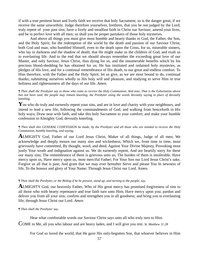if with a true penitent heart and lively faith we receive that holy Sacrament; so is the danger great, if we receive the same unworthily. Judge therefore yourselves, brethren, that you be not judged by the Lord; truly repent of your past sins; have a lively and steadfast faith in Christ our Saviour; amend your lives, and be in perfect love with all men; so shall you be proper partakers of those holy mysteries.

 And above all things you must give most humble and hearty thanks to God, the Father, the Son, and the Holy Spirit, for the redemption of the world by the death and passion of our Saviour Christ, both God and man; who humbled Himself, even to the death upon the Cross, for us, miserable sinners, who lay in darkness and the shadow of death; that He might make us the children of God, and exalt us to everlasting life. And to the end that we should always remember the exceeding great love of our Master, and only Saviour, Jesus Christ, thus dying for us, and the innumerable benefits which by his precious blood-shedding he has obtained for us; He has instituted and ordained holy mysteries, as pledges of His love, and for a continual remembrance of His death, to our great and endless comfort. To Him therefore, with the Father and the Holy Spirit, let us give, as we are most bound to do, continual thanks; submitting ourselves wholly to His holy will and pleasure, and studying to serve Him in true holiness and righteousness all the days of our life. *Amen.* 

*¶ Then shall the Presbyter say to those who come to receive the Holy Communion. And note, That is the Exhortation above*  has not been said, the people may remain kneeling, the Presbyter using the words devoutly saying in place of devoutly kneeling*.* 

You who do truly and earnestly repent your sins, and are in love and charity with your neighbours, and intend to lead a new life, following the commandments of God, and walking from henceforth in His holy ways; Draw near with faith, and take this holy Sacrament to your comfort; and make your humble confession to Almighty God, devoutly kneeling.

### *¶ Then shall this GENERAL CONFESSION be made, by the Presbyter and all those who are minded to receive the Holy Communion, humbly kneeling, and saying,*

**A**LMIGHTY God, Father of our Lord Jesus Christ, Maker of all things, Judge of all men; We acknowledge and deeply mourn our many sins and wickedness, Which we, from time to time, most grievously have committed, By thought, word, and deed, Against Your Divine Majesty, Provoking most justly Your wrath and indignation against us. We do earnestly repent, And are heartily sorry for these our many sins; The remembrance of them is grievous unto us; The burden of them is intolerable. Have mercy upon us, Have mercy upon us, most merciful Father; For Your Son our Lord Jesus Christ's sake, Forgive us all that is past; And grant that we may ever hereafter Serve and please You In newness of life, To the honour and glory of Your Name; Through Jesus Christ our Lord. Amen.

#### *¶ Then shall the Presbyter, or the Bishop if he be present, stand up, and turning to the people, say,*

**A**LMIGHTY God, our heavenly Father, Who of His great mercy has promised forgiveness of sins to all those who with hearty repentance and true faith turn unto Him; Have mercy upon you; pardon and deliver you from all your sins; confirm and strengthen you in all goodness; and bring you to everlasting life; through Jesus Christ our Lord. *Amen.* 

#### *¶ Then shall the Presbyter say,*

Hear what comfortable words our Saviour Christ says unto all who truly turn to Him.

COME to Me, all you who labour and are heavy laden, and I will give you rest. *St. Matthew 11:28* 

For God so loved the world, that He gave His only-begotten Son, that whoever believes in Him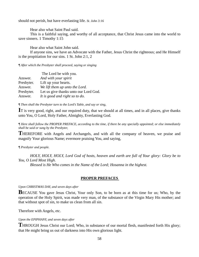should not perish, but have everlasting life. *St. John 3:16* 

Hear also what Saint Paul said.

 This is a faithful saying, and worthy of all acceptance, that Christ Jesus came into the world to save sinners. 1 Timothy 1:15

Hear also what Saint John said.

 If anyone sins, we have an Advocate with the Father, Jesus Christ the righteous; and He Himself is the propitiation for our sins. 1 St. John 2:1, 2

*¶ After which the Presbyter shall proceed, saying or singing* 

|            | The Lord be with you.                 |
|------------|---------------------------------------|
| Answer.    | And with your spirit                  |
| Presbyter. | Lift up your hearts.                  |
| Answer.    | We lift them up unto the Lord.        |
| Presbyter. | Let us give thanks unto our Lord God. |
| Answer.    | It is good and right so to do.        |

*¶ Then shall the Presbyter turn to the Lord's Table, and say or sing,* 

**I**T is very good, right, and our required duty, that we should at all times, and in all places, give thanks unto You, O Lord, Holy Father, Almighty, Everlasting God.

*¶ Here shall follow the PROPER PREFACE, according to the time, if there be any specially appointed; or else immediately shall be said or sung by the Presbyter,* 

**T**HEREFORE with Angels and Archangels, and with all the company of heaven, we praise and magnify Your glorious Name; evermore praising You, and saying,

*¶ Presbyter and people.* 

 *HOLY, HOLY, HOLY, Lord God of hosts, heaven and earth are full of Your glory: Glory be to You, O Lord Most High.* 

 *Blessed is He Who comes in the Name of the Lord; Hosanna in the highest.* 

### **PROPER PREFACES**

#### *Upon CHRISTMAS DAY, and seven days after*

**BECAUSE** You gave Jesus Christ, Your only Son, to be born as at this time for us; Who, by the operation of the Holy Spirit, was made very man, of the substance of the Virgin Mary His mother; and that without spot of sin, to make us clean from all sin.

Therefore with Angels, etc.

### *Upon the EPIPHANY, and seven days after*

**T**HROUGH Jesus Christ our Lord; Who, in substance of our mortal flesh, manifested forth His glory; that He might bring us out of darkness into His own glorious light.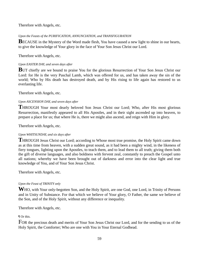Therefore with Angels, etc.

### *Upon the Feasts of the PURIFICATION, ANNUNCIATION, and TRANSFIGURATION*

**BECAUSE** in the Mystery of the Word made flesh, You have caused a new light to shine in our hearts, to give the knowledge of Your glory in the face of Your Son Jesus Christ our Lord.

Therefore with Angels, etc.

### *Upon EASTER DAY, and seven days after*

**BUT** chiefly are we bound to praise You for the glorious Resurrection of Your Son Jesus Christ our Lord: for He is the very Paschal Lamb, which was offered for us, and has taken away the sin of the world; Who by His death has destroyed death, and by His rising to life again has restored to us everlasting life.

Therefore with Angels, etc.

### *Upon ASCENSION DAY, and seven days after*

**T**HROUGH Your most dearly beloved Son Jesus Christ our Lord; Who, after His most glorious Resurrection, manifestly appeared to all His Apostles, and in their sight ascended up into heaven, to prepare a place for us; that where He is, there we might also ascend, and reign with Him in glory.

Therefore with Angels, etc.

### *Upon WHITSUNDAY, and six days after*

**T**HROUGH Jesus Christ our Lord; according to Whose most true promise, the Holy Spirit came down as at this time from heaven, with a sudden great sound, as it had been a mighty wind, in the likeness of fiery tongues, lighting upon the Apostles, to teach them, and to lead them to all truth; giving them both the gift of diverse languages, and also boldness with fervent zeal, constantly to preach the Gospel unto all nations; whereby we have been brought out of darkness and error into the clear light and true knowledge of You, and of Your Son Jesus Christ.

Therefore with Angels, etc.

## *Upon the Feast of TRINITY only*

**W**HO, with Your only-begotten Son, and the Holy Spirit, are one God, one Lord, in Trinity of Persons and in Unity of Substance. For that which we believe of Your glory, O Father, the same we believe of the Son, and of the Holy Spirit, without any difference or inequality.

Therefore with Angels, etc.

¶ Or this.

FOR the precious death and merits of Your Son Jesus Christ our Lord, and for the sending to us of the Holy Spirit, the Comforter; Who are one with You in Your Eternal Godhead.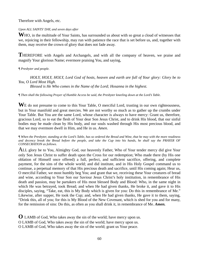Therefore with Angels, etc.

### *Upon ALL SAINTS' DAY, and seven days after*

WHO, in the multitude of Your Saints, has surrounded us about with so great a cloud of witnesses that we, rejoicing in their fellowship, may run with patience the race that is set before us, and, together with them, may receive the crown of glory that does not fade away.

**T**HEREFORE with Angels and Archangels, and with all the company of heaven, we praise and magnify Your glorious Name; evermore praising You, and saying,

### *¶ Presbyter and people.*

*HOLY, HOLY, HOLY, Lord God of hosts, heaven and earth are full of Your glory: Glory be to You, O Lord Most High.* 

*Blessed is He Who comes in the Name of the Lord; Hosanna in the highest.* 

*¶ Then shall the following Prayer of Humble Access be said, the Presbyter kneeling down at the Lord's Table.* 

WE do not presume to come to this Your Table, O merciful Lord, trusting in our own righteousness, but in Your manifold and great mercies. We are not worthy so much as to gather up the crumbs under Your Table. But You are the same Lord, whose character is always to have mercy: Grant us, therefore, gracious Lord, so to eat the flesh of Your dear Son Jesus Christ, and to drink His blood, that our sinful bodies may be made clean by His body, and our souls washed through His most precious blood, and that we may evermore dwell in Him, and He in us. *Amen.* 

*¶ When the Presbyter, standing at the Lord's Table, has so ordered the Bread and Wine, that he may with the more readiness and decency break the Bread before the people, and take the Cup into his hands, he shall say the PRAYER OF CONSECRATION as follows.* 

ALL glory be to You, Almighty God, our heavenly Father, Who of Your tender mercy did give Your only Son Jesus Christ to suffer death upon the Cross for our redemption; Who made there (by His one oblation of Himself once offered) a full, perfect, and sufficient sacrifice, offering, and complete payment, for the sins of the whole world; and did institute, and in His Holy Gospel command us to continue, a perpetual memory of that His precious death and sacrifice, until His coming again; Hear us, O merciful Father, we most humbly beg You; and grant that we, receiving these Your creatures of bread and wine, according to Your Son our Saviour Jesus Christ's holy institution, in remembrance of His death and passion, may be partakers of His most blessed Body and Blood: Who, in the same night in which He was betrayed, took Bread; and when He had given thanks, He broke it, and gave it to His disciples, saying, "Take, eat, this is My Body which is given for you: Do this in remembrance of Me." Likewise, after supper, He took the Cup; and, when He had given thanks, He gave it to them, saying, "Drink this, all of you; for this is My Blood of the New Covenant, which is shed for you and for many, for the remission of sins: Do this, as often as you shall drink it, in remembrance of Me. *Amen.*

**O** LAMB of God, Who takes away the sin of the world; have mercy upon us. O LAMB of God, Who takes away the sin of the world; have mercy upon us. O LAMB of God, Who takes away the sin of the world; grant us Your peace.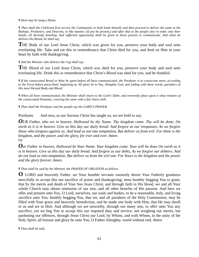*¶ Here may be sung a Hymn.* 

*¶ Then shall the Celebrant first receive the Communion in both kinds himself, and then proceed to deliver the same to the Bishops, Presbyters, and Deacons, in like manner, (if any be present,) and after that to the people also in order, into their hands, all devoutly kneeling. And sufficient opportunity shall be given to those present to communicate. And when he delivers the Bread, he shall say,* 

THE Body of our Lord Jesus Christ, which was given for you, preserve your body and soul unto everlasting life. Take and eat this in remembrance that Christ died for you, and feed on Him in your heart by faith with thanksgiving.

### *¶ And the Minister who delivers the Cup shall say,*

THE Blood of our Lord Jesus Christ, which was shed for you, preserve your body and soul unto everlasting life. Drink this in remembrance that Christ's Blood was shed for you, and be thankful.

*¶ If the consecrated Bread or Wine be spent before all have communicated, the Presbyter is to consecrate more, according to the Form before prescribed; beginning at, All glory be to You, Almighty God, and ending with these words, partakers of His most blessed Body and Blood.* 

*¶ When all have communicated, the Minister shall return to the Lord's Table, and reverently place upon it what remains of the consecrated Elements, covering the same with a fair linen cloth.*

*¶ Then shall the Presbyter and the people say the LORD'S PRAYER.* 

Presbyter. And now, as our Saviour Christ has taught us, we are bold to say,

*OUR Father, who art in heaven, Hallowed be thy Name. Thy kingdom come. Thy will be done, On earth as it is in heaven. Give us this day our daily bread. And forgive us our trespasses, As we forgive those who trespass against us. And lead us not into temptation, But deliver us from evil. For thine is the kingdom, and the power, and the glory, for ever and ever. Amen.*  Or

*Our Father in heaven, Hallowed be Your Name. Your kingdom come. Your will be done On earth as it is in heaven. Give us this day our daily bread. And forgive us our debts, As we forgive our debtors. And do not lead us into temptation, But deliver us from the evil one. For Yours is the kingdom and the power and the glory forever. Amen*.

*¶ Then shall be said by the Minister, the PRAYER OF OBLATION as follows.* 

**O** LORD and heavenly Father, we Your humble servants earnestly desire Your Fatherly goodness mercifully to accept this our sacrifice of praise and thanksgiving; most humbly begging You to grant, that by the merits and death of Your Son Jesus Christ, and through faith in His blood, we and all Your whole Church may obtain remission of our sins, and all other benefits of His passion. And here we offer and present unto You, O Lord, ourselves, our souls and bodies, to be a reasonable, holy, and living sacrifice unto You; humbly begging You, that we, and all partakers of the Holy Communion, may be filled with Your grace and heavenly benediction, and be made one body with Him, that He may dwell in us and we in Him. And although we are unworthy, through our many sins, to offer unto You any sacrifice, yet we beg You to accept this our required duty and service; not weighing our merits, but pardoning our offences, through Jesus Christ our Lord; by Whom, and with Whom, in the unity of the Holy Spirit, all honour and glory be unto You, O Father Almighty, world without end. *Amen.* 

¶ Then shall be said,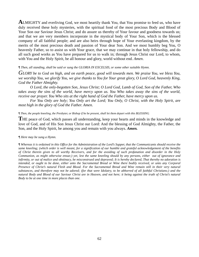**A**LMIGHTY and everliving God, we most heartily thank You, that You promise to feed us, who have duly received these holy mysteries, with the spiritual food of the most precious Body and Blood of Your Son our Saviour Jesus Christ; and do assure us thereby of Your favour and goodness towards us; and that we are very members incorporate in the mystical body of Your Son, which is the blessed company of all faithful people; and are also heirs through hope of Your everlasting kingdom, by the merits of the most precious death and passion of Your dear Son. And we most humbly beg You, O heavenly Father, so to assist us with Your grace, that we may continue in that holy fellowship, and do all such good works as You have prepared for us to walk in; through Jesus Christ our Lord, to whom, with You and the Holy Spirit, be all honour and glory, world without end. *Amen*.

### *¶ Then, all standing, shall be said or sung the GLORIA IN EXCELSIS, or some other suitable Hymn.*

*GLORY be to God on high, and on earth peace, good will towards men. We praise You, we bless You, we worship You, we glorify You, we give thanks to You for Your great glory, O Lord God, heavenly King, God the Father Almighty.* 

 *O Lord, the only-begotten Son, Jesus Christ; O Lord God, Lamb of God, Son of the Father, Who takes away the sins of the world, have mercy upon us. You Who takes away the sins of the world, receive our prayer. You Who sits at the right hand of God the Father, have mercy upon us.* 

 *For You Only are holy; You Only art the Lord; You Only, O Christ, with the Holy Spirit, are most high in the glory of God the Father. Amen.* 

#### *¶ Then, the people kneeling, the Presbyter, or Bishop if he be present, shall let them depart with this BLESSING.*

THE peace of God, which passes all understanding, keep your hearts and minds in the knowledge and love of God, and of His Son Jesus Christ our Lord: And the blessing of God Almighty, the Father, the Son, and the Holy Spirit, be among you and remain with you always. *Amen.* 

### *¶ Here may be sung a Hymn.*

*¶ Whereas it is ordained in this Office for the Administration of the Lord's Supper, that the Communicants should receive the same kneeling; (which order is well meant, for a signification of our humble and grateful acknowledgement of the benefits of Christ therein given to all worthy Receivers, and for the avoiding of such profanation and disorder in the Holy Communion, as might otherwise ensue;) yet, lest the same kneeling should by any persons, either out of ignorance and infirmity, or out of malice and obstinacy, be misconstrued and depraved; It is hereby declared, That thereby no adoration is intended, or ought to be done, either unto the Sacramental Bread or Wine there bodily received, or unto any Corporal Presence of Christ's natural Flesh and Blood. For the Sacramental Bread and Wine remain still in their very natural substances, and therefore may not be adored; (for that were Idolatry, to be abhorred of all faithful Christians;) and the natural Body and Blood of our Saviour Christ are in Heaven, and not here; it being against the truth of Christ's natural Body to be at one time in more places than one.*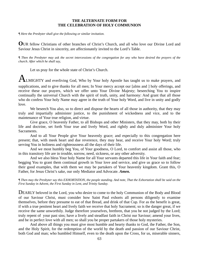### **THE ALTERNATE FORM FOR THE CELEBRATION OF HOLY COMMUNION**

*¶ Here the Presbyter shall give the following or similar invitation.* 

**O**UR fellow Christians of other branches of Christ's Church, and all who love our Divine Lord and Saviour Jesus Christ in sincerity, are affectionately invited to the Lord's Table.

*¶ Then the Presbyter may ask the secret intercessions of the congregation for any who have desired the prayers of the church. After which he shall say,* 

Let us pray for the whole state of Christ's Church.

ALMIGHTY and everliving God, Who by Your holy Apostle has taught us to make prayers, and supplications, and to give thanks for all men; In Your mercy accept our [alms and ] holy offerings, and receive these our prayers, which we offer unto Your Divine Majesty; beseeching You to inspire continually the universal Church with the spirit of truth, unity, and harmony: And grant that all those who do confess Your holy Name may agree in the truth of Your holy Word, and live in unity and godly love.

 We beseech You also, so to direct and dispose the hearts of all those in authority, that they may truly and impartially administer justice, to the punishment of wickedness and vice, and to the maintenance of Your true religion, and virtue.

 Give grace, O heavenly Father, to all Bishops and other Ministers, that they may, both by their life and doctrine, set forth Your true and lively Word, and rightly and duly administer Your holy Sacraments.

 And to all Your People give Your heavenly grace; and especially to this congregation here present; that, with meek heart and due reverence, they may hear, and receive Your holy Word; truly serving You in holiness and righteousness all the days of their life.

 And we most humbly beg You, of Your goodness, O Lord, to comfort and assist all those, who in this transitory life are in trouble, sorrow, need, sickness, or any other adversity.

 And we also bless Your holy Name for all Your servants departed this life in Your faith and fear; begging You to grant them continual growth in Your love and service, and give us grace so to follow their good examples, that with them we may be partakers of Your heavenly kingdom. Grant this, O Father, for Jesus Christ's sake, our only Mediator and Advocate. *Amen.* 

*¶ Then may the Presbyter say this EXHORTATION, the people standing. And note, That the Exhortation shall be said on the First Sunday in Advent, the First Sunday in Lent, and Trinity Sunday.* 

DEARLY beloved in the Lord, you who desire to come to the holy Communion of the Body and Blood of our Saviour Christ, must consider how Saint Paul exhorts all persons diligently to examine themselves, before they presume to eat of that Bread, and drink of that Cup. For as the benefit is great, if with a true penitent heart and lively faith we receive that holy Sacrament; so is the danger great, if we receive the same unworthily. Judge therefore yourselves, brethren, that you be not judged by the Lord; truly repent of your past sins; have a lively and steadfast faith in Christ our Saviour; amend your lives, and be in perfect love with all men; so shall you be proper partakers of those holy mysteries.

 And above all things you must give most humble and hearty thanks to God, the Father, the Son, and the Holy Spirit, for the redemption of the world by the death and passion of our Saviour Christ, both God and man; who humbled Himself, even to the death upon the Cross, for us, miserable sinners,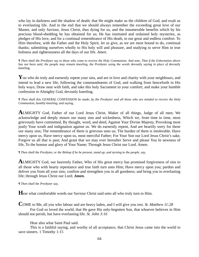who lay in darkness and the shadow of death; that He might make us the children of God, and exalt us to everlasting life. And to the end that we should always remember the exceeding great love of our Master, and only Saviour, Jesus Christ, thus dying for us, and the innumerable benefits which by his precious blood-shedding he has obtained for us; He has instituted and ordained holy mysteries, as pledges of His love, and for a continual remembrance of His death, to our great and endless comfort. To Him therefore, with the Father and the Holy Spirit, let us give, as we are most bound to do, continual thanks; submitting ourselves wholly to His holy will and pleasure, and studying to serve Him in true holiness and righteousness all the days of our life. *Amen.* 

*¶ Then shall the Presbyter say to those who come to receive the Holy Communion. And note, That if the Exhortation above has not been said, the people may remain kneeling*, *the Presbyter using the words* devoutly saying *in place of* devoutly kneeling.

You who do truly and earnestly repent your sins, and are in love and charity with your neighbours, and intend to lead a new life, following the commandments of God, and walking from henceforth in His holy ways; Draw near with faith, and take this holy Sacrament to your comfort; and make your humble confession to Almighty God, devoutly kneeling.

*¶ Then shall this GENERAL CONFESSION be made, by the Presbyter and all those who are minded to receive the Holy Communion, humbly kneeling, and saying,* 

**A**LMIGHTY God, Father of our Lord Jesus Christ, Maker of all things, Judge of all men; We acknowledge and deeply mourn our many sins and wickedness, Which we, from time to time, most grievously have committed, By thought, word, and deed, Against Your Divine Majesty, Provoking most justly Your wrath and indignation against us. We do earnestly repent, And are heartily sorry for these our many sins; The remembrance of them is grievous unto us; The burden of them is intolerable. Have mercy upon us, Have mercy upon us, most merciful Father; For Your Son our Lord Jesus Christ's sake, Forgive us all that is past; And grant that we may ever hereafter Serve and please You In newness of life, To the honour and glory of Your Name; Through Jesus Christ our Lord. Amen.

*¶ Then shall the Presbyter, or the Bishop if he be present, stand up, and turning to the people, say,* 

**A**LMIGHTY God, our heavenly Father, Who of His great mercy has promised forgiveness of sins to all those who with hearty repentance and true faith turn unto Him; Have mercy upon you; pardon and deliver you from all your sins; confirm and strengthen you in all goodness; and bring you to everlasting life; through Jesus Christ our Lord. *Amen.* 

*¶ Then shall the Presbyter say,* 

**H**ear what comfortable words our Saviour Christ said unto all who truly turn to Him.

**C**OME to Me, all you who labour and are heavy laden, and I will give you rest. *St. Matthew 11:28* 

 For God so loved the world, that He gave His only-begotten Son, that whoever believes in Him should not perish, but have everlasting life. *St. John 3:16* 

Hear also what Saint Paul said.

 This is a faithful saying, and worthy of all acceptance, that Christ Jesus came into the world to save sinners. 1 Timothy 1:15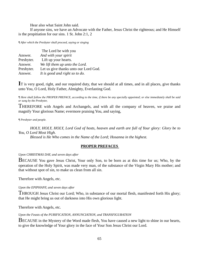Hear also what Saint John said.

 If anyone sins, we have an Advocate with the Father, Jesus Christ the righteous; and He Himself is the propitiation for our sins. 1 St. John 2:1, 2

*¶ After which the Presbyter shall proceed, saying or singing* 

|            | The Lord be with you                  |
|------------|---------------------------------------|
| Answer.    | And with your spirit                  |
| Presbyter. | Lift up your hearts.                  |
| Answer.    | We lift them up unto the Lord.        |
| Presbyter. | Let us give thanks unto our Lord God. |
| Answer.    | It is good and right so to do.        |

**I**T is very good, right, and our required duty, that we should at all times, and in all places, give thanks unto You, O Lord, Holy Father, Almighty, Everlasting God.

*¶ Here shall follow the PROPER PREFACE, according to the time, if there be any specially appointed; or else immediately shall be said or sung by the Presbyter,* 

THEREFORE with Angels and Archangels, and with all the company of heaven, we praise and magnify Your glorious Name; evermore praising You, and saying,

*¶ Presbyter and people.* 

*HOLY, HOLY, HOLY, Lord God of hosts, heaven and earth are full of Your glory: Glory be to You, O Lord Most High.* 

 *Blessed is He Who comes in the Name of the Lord; Hosanna in the highest.* 

### **PROPER PREFACES**

### *Upon CHRISTMAS DAY, and seven days after*

BECAUSE You gave Jesus Christ, Your only Son, to be born as at this time for us; Who, by the operation of the Holy Spirit, was made very man, of the substance of the Virgin Mary His mother; and that without spot of sin, to make us clean from all sin.

Therefore with Angels, etc.

### *Upon the EPIPHANY, and seven days after*

THROUGH Jesus Christ our Lord; Who, in substance of our mortal flesh, manifested forth His glory; that He might bring us out of darkness into His own glorious light.

Therefore with Angels, etc.

### *Upon the Feasts of the PURIFICATION, ANNUNCIATION, and TRANSFIGURATION*

BECAUSE in the Mystery of the Word made flesh, You have caused a new light to shine in our hearts, to give the knowledge of Your glory in the face of Your Son Jesus Christ our Lord.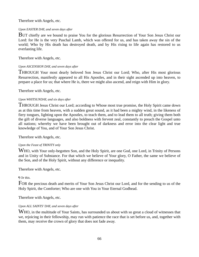Therefore with Angels, etc.

### *Upon EASTER DAY, and seven days after*

BUT chiefly are we bound to praise You for the glorious Resurrection of Your Son Jesus Christ our Lord: for He is the very Paschal Lamb, which was offered for us, and has taken away the sin of the world; Who by His death has destroyed death, and by His rising to life again has restored to us everlasting life.

Therefore with Angels, etc.

### *Upon ASCENSION DAY, and seven days after*

THROUGH Your most dearly beloved Son Jesus Christ our Lord; Who, after His most glorious Resurrection, manifestly appeared to all His Apostles, and in their sight ascended up into heaven, to prepare a place for us; that where He is, there we might also ascend, and reign with Him in glory.

Therefore with Angels, etc.

### *Upon WHITSUNDAY, and six days after*

THROUGH Jesus Christ our Lord; according to Whose most true promise, the Holy Spirit came down as at this time from heaven, with a sudden great sound, as it had been a mighty wind, in the likeness of fiery tongues, lighting upon the Apostles, to teach them, and to lead them to all truth; giving them both the gift of diverse languages, and also boldness with fervent zeal, constantly to preach the Gospel unto all nations; whereby we have been brought out of darkness and error into the clear light and true knowledge of You, and of Your Son Jesus Christ.

Therefore with Angels, etc.

## *Upon the Feast of TRINITY only*

WHO, with Your only-begotten Son, and the Holy Spirit, are one God, one Lord, in Trinity of Persons and in Unity of Substance. For that which we believe of Your glory, O Father, the same we believe of the Son, and of the Holy Spirit, without any difference or inequality.

Therefore with Angels, etc.

## ¶ Or this.

FOR the precious death and merits of Your Son Jesus Christ our Lord, and for the sending to us of the Holy Spirit, the Comforter; Who are one with You in Your Eternal Godhead.

Therefore with Angels, etc.

### *Upon ALL SAINTS' DAY, and seven days after*

WHO, in the multitude of Your Saints, has surrounded us about with so great a cloud of witnesses that we, rejoicing in their fellowship, may run with patience the race that is set before us, and, together with them, may receive the crown of glory that does not fade away.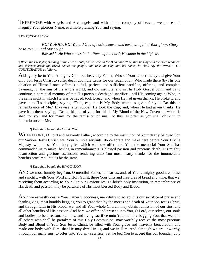THEREFORE with Angels and Archangels, and with all the company of heaven, we praise and magnify Your glorious Name; evermore praising You, and saying,

### *¶ Presbyter and people.*

### *HOLY, HOLY, HOLY, Lord God of hosts, heaven and earth are full of Your glory: Glory be to You, O Lord Most High. Blessed is He Who comes in the Name of the Lord; Hosanna in the highest.*

*¶ When the Presbyter, standing at the Lord's Table, has so ordered the Bread and Wine, that he may with the more readiness and decency break the Bread before the people, and take the Cup into his hands, he shall say the PRAYER OF CONSECRATION as follows.* 

ALL glory be to You, Almighty God, our heavenly Father, Who of Your tender mercy did give Your only Son Jesus Christ to suffer death upon the Cross for our redemption; Who made there (by His one oblation of Himself once offered) a full, perfect, and sufficient sacrifice, offering, and complete payment, for the sins of the whole world; and did institute, and in His Holy Gospel command us to continue, a perpetual memory of that His precious death and sacrifice, until His coming again; Who, in the same night in which He was betrayed, took Bread; and when He had given thanks, He broke it, and gave it to His disciples, saying, "Take, eat, this is My Body which is given for you: Do this in remembrance of Me." Likewise, after supper, He took the Cup; and, when He had given thanks, He gave it to them, saying, "Drink this, all of you; for this is My Blood of the New Covenant, which is shed for you and for many, for the remission of sins: Do this, as often as you shall drink it, in remembrance of Me.

### *¶ Then shall be said the OBLATION.*

WHEREFORE, O Lord and heavenly Father, according to the institution of Your dearly beloved Son our Saviour Jesus Christ, we, Your humble servants, do celebrate and make here before Your Divine Majesty, with these Your holy gifts, which we now offer unto You, the memorial Your Son has commanded us to make; having in remembrance His blessed passion and precious death, His mighty resurrection and glorious ascension; rendering unto You most hearty thanks for the innumerable benefits procured unto us by the same.

### *¶ Then shall be said the INVOCATION.*

AND we most humbly beg You, O merciful Father, to hear us; and, of Your almighty goodness, bless and sanctify, with Your Word and Holy Spirit, these Your gifts and creatures of bread and wine; that we, receiving them according to Your Son our Saviour Jesus Christ's holy institution, in remembrance of His death and passion, may be partakers of His most blessed Body and Blood.

AND we earnestly desire Your Fatherly goodness, mercifully to accept this our sacrifice of praise and thanksgiving; most humbly begging You to grant that, by the merits and death of Your Son Jesus Christ, and through faith in His blood, we, and all Your whole Church, may obtain remission of our sins, and all other benefits of His passion. And here we offer and present unto You, O Lord, our selves, our souls and bodies, to be a reasonable, holy, and living sacrifice unto You; humbly begging You, that we, and all others who shall be partakers of this Holy Communion, may worthily receive the most precious Body and Blood of Your Son Jesus Christ, be filled with Your grace and heavenly benediction, and made one body with Him, that He may dwell in us, and we in Him. And although we are unworthy, through our many sins, to offer unto You any sacrifice; yet we beg You to accept this our bounden duty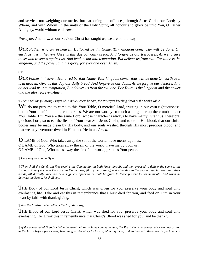and service; not weighing our merits, but pardoning our offences, through Jesus Christ our Lord; by Whom, and with Whom, in the unity of the Holy Spirit, all honour and glory be unto You, O Father Almighty, world without end. *Amen.*

*Presbyter.* And now, as our Saviour Christ has taught us, we are bold to say,

*OUR Father, who art in heaven, Hallowed be thy Name. Thy kingdom come. Thy will be done, On earth as it is in heaven. Give us this day our daily bread. And forgive us our trespasses, As we forgive those who trespass against us. And lead us not into temptation, But deliver us from evil. For thine is the kingdom, and the power, and the glory, for ever and ever. Amen.* 

# Or

*OUR Father in heaven, Hallowed be Your Name. Your kingdom come. Your will be done On earth as it is in heaven. Give us this day our daily bread. And forgive us our debts, As we forgive our debtors. And do not lead us into temptation, But deliver us from the evil one. For Yours is the kingdom and the power and the glory forever. Amen* 

*¶ Then shall the following Prayer of Humble Access be said, the Presbyter kneeling down at the Lord's Table.*

W<sub>E</sub> do not presume to come to this Your Table, O merciful Lord, trusting in our own righteousness, but in Your manifold and great mercies. We are not worthy so much as to gather up the crumbs under Your Table. But You are the same Lord, whose character is always to have mercy: Grant us, therefore, gracious Lord, so to eat the flesh of Your dear Son Jesus Christ, and to drink His blood, that our sinful bodies may be made clean by His body, and our souls washed through His most precious blood, and that we may evermore dwell in Him, and He in us. *Amen.*

**O** LAMB of God, Who takes away the sin of the world; have mercy upon us. O LAMB of God, Who takes away the sin of the world; have mercy upon us. O LAMB of God, Who takes away the sin of the world; grant us Your peace.

*¶ Here may be sung a Hymn.* 

*¶ Then shall the Celebrant first receive the Communion in both kinds himself, and then proceed to deliver the same to the Bishops, Presbyters, and Deacons, in like manner, (if any be present,) and after that to the people also in order, into their hands, all devoutly kneeling. And sufficient opportunity shall be given to those present to communicate. And when he delivers the Bread, he shall say,* 

THE Body of our Lord Jesus Christ, which was given for you, preserve your body and soul unto everlasting life. Take and eat this in remembrance that Christ died for you, and feed on Him in your heart by faith with thanksgiving.

*¶ And the Minister who delivers the Cup shall say,* 

THE Blood of our Lord Jesus Christ, which was shed for you, preserve your body and soul unto everlasting life. Drink this in remembrance that Christ's Blood was shed for you, and be thankful.

*¶ If the consecrated Bread or Wine be spent before all have communicated, the Presbyter is to consecrate more, according to the Form before prescribed; beginning at, All glory be to You, Almighty God, and ending with these words, partakers of*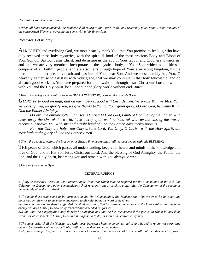#### *His most blessed Body and Blood.*

*¶ When all have communicated, the Minister shall return to the Lord's Table, and reverently place upon it what remains of the consecrated Elements, covering the same with a fair linen cloth.* 

*Presbyter.* Let us pray.

ALMIGHTY and everliving God, we most heartily thank You, that You promise to feed us, who have duly received these holy mysteries, with the spiritual food of the most precious Body and Blood of Your Son our Saviour Jesus Christ; and do assure us thereby of Your favour and goodness towards us; and that we are very members incorporate in the mystical body of Your Son, which is the blessed company of all faithful people; and are also heirs through hope of Your everlasting kingdom, by the merits of the most precious death and passion of Your dear Son. And we most humbly beg You, O heavenly Father, so to assist us with Your grace, that we may continue in that holy fellowship, and do all such good works as You have prepared for us to walk in; through Jesus Christ our Lord, to whom, with You and the Holy Spirit, be all honour and glory, world without end. *Amen*.

*¶ Then, all standing, shall be said or sung the GLORIA IN EXCELSIS, or some other suitable Hymn.* 

*GLORY be to God on high, and on earth peace, good will towards men. We praise You, we bless You, we worship You, we glorify You, we give thanks to You for Your great glory, O Lord God, heavenly King, God the Father Almighty.* 

 *O Lord, the only-begotten Son, Jesus Christ; O Lord God, Lamb of God, Son of the Father, Who takes away the sins of the world, have mercy upon us. You Who takes away the sins of the world, receive our prayer. You Who sits at the right hand of God the Father, have mercy upon us.* 

 *For You Only are holy; You Only art the Lord; You Only, O Christ, with the Holy Spirit, are most high in the glory of God the Father. Amen.* 

#### *¶ Then, the people kneeling, the Presbyter, or Bishop if he be present, shall let them depart with this BLESSING.*

THE peace of God, which passes all understanding, keep your hearts and minds in the knowledge and love of God, and of His Son Jesus Christ our Lord: And the blessing of God Almighty, the Father, the Son, and the Holy Spirit, be among you and remain with you always. *Amen.* 

. *¶ Here may be sung a Hymn.* 

.

#### GENERAL RUBRICS

*¶ If any consecrated Bread or Wine remain, apart from that which may be required for the Communion of the sick, the Celebrant or Deacon and other communicants shall reverently eat or drink it, either after the Communion of the people or immediately after the dismissal.* 

*¶ If among those who come to be partakers of the Holy Communion, the Minister shall know any to be an open and notorious evil liver, or to have done any wrong to his neighbours by word or deed, so* 

*that the congregation be thereby offended; he shall warn him, that he presume not to come to the Lord's Table, until he have openly declared himself to have truly repented and amended his former* 

*evil life, that the congregation may thereby be satisfied; and that he has recompensed the parties to whom he has done wrong; or at least declare himself to be in full purpose so to do, as soon as he conveniently may*.

*¶ The same order shall the Minister use with those, between whom he perceives malice and hatred to reign; not permitting them to be partakers of the Lord's Table, until he know them to be reconciled.* 

*And if one of the parties, so at variance, be content to forgive from the bottom of his heart all that the other has trespassed*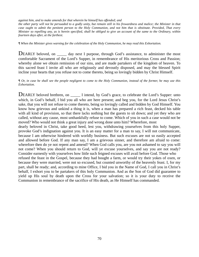*against him, and to make amends for that wherein he himself has offended; and* 

*the other party will not be persuaded to a godly unity, but remain still in his frowardness and malice; the Minister in that case ought to admit the penitent person to the Holy Communion, and not him that is obstinate. Provided, That every Minister so repelling any, as is herein specified, shall be obliged to give an account of the same to the Ordinary, within fourteen days after, at the farthest.* 

*¶ When the Minister gives warning for the celebration of the Holy Communion, he may read this Exhortation.* 

DEARLY beloved, on \_\_\_\_\_\_ day next I purpose, through God's assistance, to administer the most comfortable Sacrament of the Lord's Supper, in remembrance of His meritorious Cross and Passion; whereby alone we obtain remission of our sins, and are made partakers of the kingdom of heaven. To this sacred feast I invite all who are religiously and devoutly disposed, and may the blessed Spirit incline your hearts that you refuse not to come thereto, being so lovingly bidden by Christ Himself.

*¶ Or, in case he shall see the people negligent to come to the Holy Communion, instead of the former, he may use this Exhortation.* 

DEARLY beloved brethren, on I intend, by God's grace, to celebrate the Lord's Supper: unto which, in God's behalf, I bid you all who are here present; and beg you, for the Lord Jesus Christ's sake, that you will not refuse to come thereto, being so lovingly called and bidden by God Himself. You know how grievous and unkind a thing it is, when a man has prepared a rich feast, decked his table with all kind of provision, so that there lacks nothing but the guests to sit down; and yet they who are called, without any cause, most unthankfully refuse to come. Which of you in such a case would not be moved? Who would not think a great injury and wrong done unto him? Wherefore, most

dearly beloved in Christ, take good heed, lest you, withdrawing yourselves from this holy Supper, provoke God's indignation against you. It is an easy matter for a man to say, I will not communicate, because I am otherwise hindered with worldly business. But such excuses are not so easily accepted and allowed before God. If any man say, I am a grievous sinner, and therefore am afraid to come: wherefore then do ye not repent and amend? When God calls you, are you not ashamed to say you will not come? When you should return to God, will ye excuse yourselves, and say you are not ready? Consider earnestly with yourselves how little such feigned excuses will avail before God. Those who refused the feast in the Gospel, because they had bought a farm, or would try their yokes of oxen, or because they were married, were not so excused, but counted unworthy of the heavenly feast. I, for my part, shall be ready; and, according to mine Office, I bid you in the Name of God, I call you in Christ's behalf, I exhort you to be partakers of this holy Communion. And as the Son of God did guarantee to yield up His soul by death upon the Cross for your salvation; so it is your duty to receive the Communion in remembrance of the sacrifice of His death, as He Himself has commanded.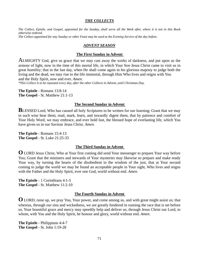#### *THE COLLECTS*

*The Collect, Epistle, and Gospel, appointed for the Sunday, shall serve all the Week after, where it is not in this Book otherwise ordered. The Collect appointed for any Sunday or other Feast may be used at the Evening Service of the day before.* 

### *ADVENT SEASON*

### **The First Sunday in Advent**

ALMIGHTY God, give us grace that we may cast away the works of darkness, and put upon us the armour of light, now in the time of this mortal life, in which Your Son Jesus Christ came to visit us in great humility; that in the last day, when He shall come again in his glorious majesty to judge both the living and the dead, we may rise to the life immortal, through Him Who lives and reigns with You and the Holy Spirit, now and ever. *Amen.*

*\*This Collect is to be repeated every day, after the other Collects in Advent, until Christmas Day.* 

**The Epistle** - Romans 13:8-14 **The Gospel** - St. Matthew 21:1-13

#### **The Second Sunday in Advent**

**BLESSED** Lord, Who has caused all holy Scriptures to be written for our learning; Grant that we may in such wise hear them, read, mark, learn, and inwardly digest them, that by patience and comfort of Your Holy Word, we may embrace, and ever hold fast, the blessed hope of everlasting life, which You have given us in our Saviour Jesus Christ. *Amen.*

**The Epistle** - Romans 15:4-13 **The Gospel** - St. Luke 21:25-33

#### **The Third Sunday in Advent**

**O** LORD Jesus Christ, Who at Your first coming did send Your messenger to prepare Your way before You; Grant that the ministers and stewards of Your mysteries may likewise so prepare and make ready Your way, by turning the hearts of the disobedient to the wisdom of the just, that at Your second coming to judge the world we may be found an acceptable people in Your sight, Who lives and reigns with the Father and the Holy Spirit, ever one God, world without end. *Amen*.

**The Epistle** - 1 Corinthians 4:1-5 **The Gospel** - St. Matthew 11:2-10

#### **The Fourth Sunday in Advent**

**O** LORD, raise up, we pray You, Your power, and come among us, and with great might assist us; that whereas, through our sins and wickedness, we are greatly hindered in running the race that is set before us, Your bountiful grace and mercy may speedily help and deliver us; through Jesus Christ our Lord, to whom, with You and the Holy Spirit, be honour and glory, world without end. *Amen.* 

**The Epistle** - Philippians 4:4-7 **The Gospel** - St. John 1:19-28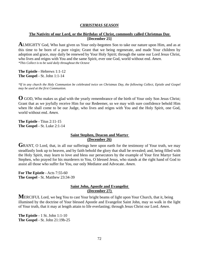### *CHRISTMAS SEASON*

### **The Nativity of our Lord, or the Birthday of Christ, commonly called Christmas Day [December 25]**

**A**LMIGHTY God, Who hast given us Your only-begotten Son to take our nature upon Him, and as at this time to be born of a pure virgin; Grant that we being regenerate, and made Your children by adoption and grace, may daily be renewed by Your Holy Spirit; through the same our Lord Jesus Christ, who lives and reigns with You and the same Spirit, ever one God, world without end. *Amen. \*This Collect is to be said daily throughout the Octave* 

**The Epistle** - Hebrews 1:1-12 **The Gospel** - St. John 1:1-14

*\*If in any church the Holy Communion be celebrated twice on Christmas Day, the following Collect, Epistle and Gospel may be used at the first Communion.* 

**O** GOD, Who makes us glad with the yearly remembrance of the birth of Your only Son Jesus Christ; Grant that as we joyfully receive Him for our Redeemer, so we may with sure confidence behold Him when He shall come to be our Judge, who lives and reigns with You and the Holy Spirit, one God, world without end. *Amen.* 

**The Epistle** - Titus 2:11-15 **The Gospel** - St. Luke 2:1-14

### **Saint Stephen, Deacon and Martyr (December 26)**

GRANT, O Lord, that, in all our sufferings here upon earth for the testimony of Your truth, we may steadfastly look up to heaven, and by faith behold the glory that shall be revealed; and, being filled with the Holy Spirit, may learn to love and bless our persecutors by the example of Your first Martyr Saint Stephen, who prayed for his murderers to You, O blessed Jesus, who stands at the right hand of God to assist all those who suffer for You, our only Mediator and Advocate. *Amen*.

**For The Epistle** - Acts 7:55-60 **The Gospel** - St. Matthew 23:34-39

### **Saint John, Apostle and Evangelist (December 27)**

**M**ERCIFUL Lord, we beg You to cast Your bright beams of light upon Your Church, that it, being illumined by the doctrine of Your blessed Apostle and Evangelist Saint John, may so walk in the light of Your truth, that it may at length attain to life everlasting; through Jesus Christ our Lord. *Amen*.

**The Epistle** - 1 St. John 1:1-10 **The Gospel** - St. John 21:19b-25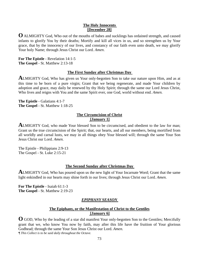### **The Holy Innocents [December 28]**

**O** ALMIGHTY God, Who out of the mouths of babes and sucklings has ordained strength, and caused infants to glorify You by their deaths; Mortify and kill all vices in us, and so strengthen us by Your grace, that by the innocency of our lives, and constancy of our faith even unto death, we may glorify Your holy Name; through Jesus Christ our Lord. *Amen*.

**For The Epistle** - Revelation 14:1-5 **The Gospel** - St. Matthew 2:13-18

### **The First Sunday after Christmas Day**

**A**LMIGHTY God, Who has given us Your only-begotten Son to take our nature upon Him, and as at this time to be born of a pure virgin; Grant that we being regenerate, and made Your children by adoption and grace, may daily be renewed by thy Holy Spirit; through the same our Lord Jesus Christ, Who lives and reigns with You and the same Spirit ever, one God, world without end. *Amen.* 

**The Epistle** - Galatians 4:1-7 **The Gospel** - St. Matthew 1:18-25

### **The Circumcision of Christ [January 1]**

**ALMIGHTY** God, who made Your blessed Son to be circumcised, and obedient to the law for man; Grant us the true circumcision of the Spirit; that, our hearts, and all our members, being mortified from all worldly and carnal lusts, we may in all things obey Your blessed will; through the same Your Son Jesus Christ our Lord. *Amen.* 

The Epistle - Philippians 2:9-13 The Gospel - St. Luke 2:15-21

### **The Second Sunday after Christmas Day**

**A**LMIGHTY God, Who has poured upon us the new light of Your Incarnate Word; Grant that the same light enkindled in our hearts may shine forth in our lives; through Jesus Christ our Lord. *Amen.* 

**For The Epistle** - Isaiah 61:1-3 **The Gospel** - St. Matthew 2:19-23

# *EPIPHANY SEASON*

## **The Epiphany, or the Manifestation of Christ to the Gentiles [January 6]**

**O** GOD, Who by the leading of a star did manifest Your only-begotten Son to the Gentiles; Mercifully grant that we, who know You now by faith, may after this life have the fruition of Your glorious Godhead; through the same Your Son Jesus Christ our Lord. *Amen.* 

*¶ This Collect is to be said daily throughout the Octave.*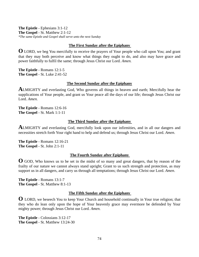**The Epistle** - Ephesians 3:1-12 **The Gospel** - St. Matthew 2:1-12 *\*The same Epistle and Gospel shall serve unto the next Sunday* 

#### **The First Sunday after the Epiphany**

**O** LORD, we beg You mercifully to receive the prayers of Your people who call upon You; and grant that they may both perceive and know what things they ought to do, and also may have grace and power faithfully to fulfil the same; through Jesus Christ our Lord. *Amen.* 

**The Epistle** - Romans 12:1-5 **The Gospel** - St. Luke 2:41-52

#### **The Second Sunday after the Epiphany**

**A**LMIGHTY and everlasting God, Who governs all things in heaven and earth; Mercifully hear the supplications of Your people, and grant us Your peace all the days of our life; through Jesus Christ our Lord. *Amen.*

**The Epistle** - Romans 12:6-16 **The Gospel** - St. Mark 1:1-11

#### **The Third Sunday after the Epiphany**

**A**LMIGHTY and everlasting God, mercifully look upon our infirmities, and in all our dangers and necessities stretch forth Your right hand to help and defend us; through Jesus Christ our Lord. *Amen*.

**The Epistle** - Romans 12:16-21 **The Gospel** - St. John 2:1-11

#### **The Fourth Sunday after Epiphany**

**O** GOD, Who knows us to be set in the midst of so many and great dangers, that by reason of the frailty of our nature we cannot always stand upright; Grant to us such strength and protection, as may support us in all dangers, and carry us through all temptations; through Jesus Christ our Lord. *Amen*.

**The Epistle** - Romans 13:1-7 **The Gospel** - St. Matthew 8:1-13

#### **The Fifth Sunday after the Epiphany**

**O** LORD, we beseech You to keep Your Church and household continually in Your true religion; that they who do lean only upon the hope of Your heavenly grace may evermore be defended by Your mighty power; through Jesus Christ our Lord. *Amen.*

**The Epistle** - Colossians 3:12-17 **The Gospel** - St. Matthew 13:24-30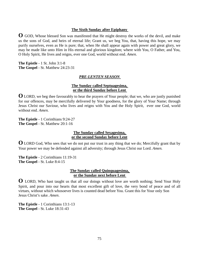### **The Sixth Sunday after Epiphany**

**O** GOD, Whose blessed Son was manifested that He might destroy the works of the devil, and make us the sons of God, and heirs of eternal life; Grant us, we beg You, that, having this hope, we may purify ourselves, even as He is pure; that, when He shall appear again with power and great glory, we may be made like unto Him in His eternal and glorious kingdom; where with You, O Father, and You, O Holy Spirit, He lives and reigns, ever one God, world without end. *Amen.* 

**The Epistle** - 1 St. John 3:1-8 **The Gospel** - St. Matthew 24:23-31

### *PRE-LENTEN SEASON*

### **The Sunday called Septuagesima, or the third Sunday before Lent**

**O** LORD, we beg thee favourably to hear the prayers of Your people; that we, who are justly punished for our offences, may be mercifully delivered by Your goodness, for the glory of Your Name; through Jesus Christ our Saviour, who lives and reigns with You and the Holy Spirit, ever one God, world without end. *Amen.* 

**The Epistle** - 1 Corinthians 9:24-27 **The Gospel** - St. Matthew 20:1-16

### **The Sunday called Sexagesima, or the second Sunday before Lent**

**O** LORD God, Who sees that we do not put our trust in any thing that we do; Mercifully grant that by Your power we may be defended against all adversity; through Jesus Christ our Lord. *Amen.* 

**The Epistle** - 2 Corinthians 11:19-31 **The Gospel** - St. Luke 8:4-15

#### **The Sunday called Quinquagesima, or the Sunday next before Lent**

**O** LORD, Who hast taught us that all our doings without love are worth nothing; Send Your Holy Spirit, and pour into our hearts that most excellent gift of love, the very bond of peace and of all virtues, without which whosoever lives is counted dead before You. Grant this for Your only Son Jesus Christ's sake. *Amen*.

**The Epistle** - 1 Corinthians 13:1-13 **The Gospel** - St. Luke 18:31-43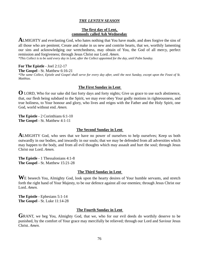### *THE LENTEN SEASON*

### **The first day of Lent, commonly called Ash Wednesday**

**A**LMIGHTY and everlasting God, who hates nothing that You have made, and does forgive the sins of all those who are penitent; Create and make in us new and contrite hearts, that we, worthily lamenting our sins and acknowledging our wretchedness, may obtain of You, the God of all mercy, perfect remission and forgiveness; through Jesus Christ our Lord. *Amen*.

*\*This Collect is to be said every day in Lent, after the Collect appointed for the day, until Palm Sunday.* 

# **For The Epistle** - Joel 2:12-17

**The Gospel** - St. Matthew 6:16-21

*\*The same Collect, Epistle and Gospel shall serve for every day after, until the next Sunday, except upon the Feast of St. Matthias.* 

## **The First Sunday in Lent**

**O** LORD, Who for our sake did fast forty days and forty nights; Give us grace to use such abstinence, that, our flesh being subdued to the Spirit, we may ever obey Your godly motions in righteousness, and true holiness, to Your honour and glory, who lives and reigns with the Father and the Holy Spirit, one God, world without end. *Amen.* 

**The Epistle** - 2 Corinthians 6:1-10 **The Gospel** - St. Matthew 4:1-11

### **The Second Sunday in Lent**

**ALMIGHTY** God, who sees that we have no power of ourselves to help ourselves; Keep us both outwardly in our bodies, and inwardly in our souls; that we may be defended from all adversities which may happen to the body, and from all evil thoughts which may assault and hurt the soul; through Jesus Christ our Lord. *Amen.* 

**The Epistle** - 1 Thessalonians 4:1-8 **The Gospel** - St. Matthew 15:21-28

### **The Third Sunday in Lent**

W<sub>E</sub> beseech You, Almighty God, look upon the hearty desires of Your humble servants, and stretch forth the right hand of Your Majesty, to be our defence against all our enemies; through Jesus Christ our Lord. *Amen.*

**The Epistle** - Ephesians 5:1-14 **The Gospel** - St. Luke 11:14-28

## **The Fourth Sunday in Lent**

GRANT, we beg You, Almighty God, that we, who for our evil deeds do worthily deserve to be punished, by the comfort of Your grace may mercifully be relieved; through our Lord and Saviour Jesus Christ. *Amen.*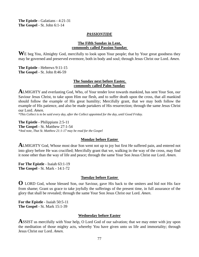**The Epistle** - Galatians - 4:21-31 **The Gospel** - St. John 6:1-14

#### *PASSIONTIDE*

### **The Fifth Sunday in Lent, commonly called Passion Sunday**

WE beg You, Almighty God, mercifully to look upon Your people; that by Your great goodness they may be governed and preserved evermore, both in body and soul; through Jesus Christ our Lord. *Amen.* 

**The Epistle** - Hebrews 9:11-15 **The Gospel** - St. John 8:46-59

#### **The Sunday next before Easter, commonly called Palm Sunday**

**A**LMIGHTY and everlasting God, Who, of Your tender love towards mankind, has sent Your Son, our Saviour Jesus Christ, to take upon Him our flesh, and to suffer death upon the cross, that all mankind should follow the example of His great humility; Mercifully grant, that we may both follow the example of His patience, and also be made partakers of His resurrection; through the same Jesus Christ our Lord. *Amen.* 

*\*This Collect is to be said every day, after the Collect appointed for the day, until Good Friday.* 

**The Epistle** - Philippians 2:5-11 **The Gospel** - St. Matthew 27:1-54 *\*And note, That St. Matthew 21:1-17 may be read for the Gospel* 

#### **Monday before Easter**

**A**LMIGHTY God, Whose most dear Son went not up to joy but first He suffered pain, and entered not into glory before He was crucified; Mercifully grant that we, walking in the way of the cross, may find it none other than the way of life and peace; through the same Your Son Jesus Christ our Lord. *Amen.* 

**For The Epistle** - Isaiah 63:1-19 **The Gospel** - St. Mark - 14:1-72

#### **Tuesday before Easter**

**O** LORD God, whose blessed Son, our Saviour, gave His back to the smiters and hid not His face from shame; Grant us grace to take joyfully the sufferings of the present time, in full assurance of the glory that shall be revealed; through the same Your Son Jesus Christ our Lord. *Amen*.

**For the Epistle** - Isaiah 50:5-11 **The Gospel** - St. Mark 15:1-39

#### **Wednesday before Easter**

**ASSIST** us mercifully with Your help, O Lord God of our salvation; that we may enter with joy upon the meditation of those mighty acts, whereby You have given unto us life and immortality; through Jesus Christ our Lord. *Amen.*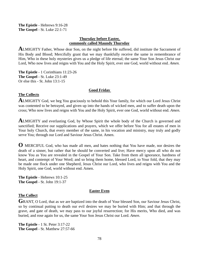**The Epistle** - Hebrews 9:16-28 **The Gospel** - St. Luke 22:1-71

### **Thursday before Easter, commonly called Maundy Thursday**

**A**LMIGHTY Father, Whose dear Son, on the night before He suffered, did institute the Sacrament of His Body and Blood; Mercifully grant that we may thankfully receive the same in remembrance of Him, Who in these holy mysteries gives us a pledge of life eternal; the same Your Son Jesus Christ our Lord, Who now lives and reigns with You and the Holy Spirit, ever one God, world without end. *Amen.* 

**The Epistle** - 1 Corinthians 11:23-26 **The Gospel** - St. Luke 23:1-49 Or else this - St. John 13:1-15

### **Good Friday**

### **The Collects**

**A**LMIGHTY God, we beg You graciously to behold this Your family, for which our Lord Jesus Christ was contented to be betrayed, and given up into the hands of wicked men, and to suffer death upon the cross; Who now lives and reigns with You and the Holy Spirit, ever one God, world without end. *Amen.* 

**A**LMIGHTY and everlasting God, by Whose Spirit the whole body of the Church is governed and sanctified; Receive our supplications and prayers, which we offer before You for all estates of men in Your holy Church, that every member of the same, in his vocation and ministry, may truly and godly serve You; through our Lord and Saviour Jesus Christ. Amen.

**O** MERCIFUL God, who has made all men, and hates nothing that You have made, nor desires the death of a sinner, but rather that he should be converted and live; Have mercy upon all who do not know You as You are revealed in the Gospel of Your Son. Take from them all ignorance, hardness of heart, and contempt of Your Word; and so bring them home, blessed Lord, to Your fold, that they may be made one flock under one Shepherd, Jesus Christ our Lord, who lives and reigns with You and the Holy Spirit, one God, world without end. Amen.

**The Epistle** - Hebrews 10:1-25 **The Gospel** - St. John 19:1-37

#### **Easter Even**

### **The Collect**

GRANT, O Lord, that as we are baptized into the death of Your blessed Son, our Saviour Jesus Christ, so by continual putting to death our evil desires we may be buried with Him; and that through the grave, and gate of death, we may pass to our joyful resurrection; for His merits, Who died, and was buried, and rose again for us, the same Your Son Jesus Christ our Lord. *Amen*.

**The Epistle** - 1 St. Peter 3:17-22 **The Gospel** - St. Matthew 27:57-66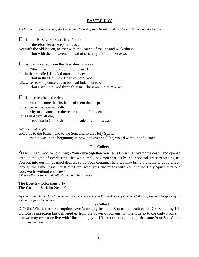#### **EASTER DAY**

*At Morning Prayer, instead of the Venite, then following shall be said, and may be said throughout the Octave.* 

**C**hrist our Passover is sacrificed for us: \*therefore let us keep the feast, Not with the old leaven, neither with the leaven of malice and wickedness; \*but with the unleavened bread of sincerity and truth. *1 Cor. 5:7.*

**Christ being raised from the dead dies no more;**  \*death has no more dominion over Him. For in that He died, He died unto sin once: \*but in that He lives, He lives unto God**.**  Likewise reckon yourselves to be dead indeed unto sin, \*but alive unto God through Jesus Christ our Lord. *Rom. 6:9* 

**C**hrist is risen from the dead, \*and become the firstfruits of them that slept. For since by man came death, \*by man came also the resurrection of the dead. For as in Adam all die, \*even so in Christ shall all be made alive. *1 Cor. 15:20* 

*\*Minister and people.* 

Glory be to the Father, and to the Son, and to the Holy Spirit;

\*As it was in the beginning, is now, and ever shall be, would without end. Amen.

#### **The Collect**

**A**LMIGHTY God, Who through Your only-begotten Son Jesus Christ has overcome death, and opened unto us the gate of everlasting life; We humbly beg You that, as by Your special grace preceding us, You put into our minds good desires, so by Your continual help we may bring the same to good effect; through the same Jesus Christ our Lord, who lives and reigns with You and the Holy Spirit, ever one God, world without end. *Amen*.<br>¶ *This Collect is to be said daily throughout Easter Week.* 

**The Epistle** - Colossians 3:1-4 **The Gospel** - St. John 20:1-10

*\*If in any church the Holy Communion be celebrated twice on Easter day, the following Collect, Epistle and Gospel may be used at the first Communion.* 

#### **The Collect**

O GOD, Who for our redemption gave Your only begotten Son to the death of the Cross, and by His glorious resurrection has delivered us from the power of our enemy; Grant us so to die daily from sin, that we may evermore live with Him in the joy of His resurrection; through the same Your Son Christ our Lord. *Amen*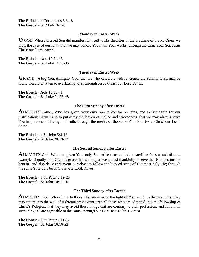**The Epistle** - 1 Corinthians 5:6b-8 **The Gospel** - St. Mark 16:1-8

#### **Monday in Easter Week**

**O** GOD, Whose blessed Son did manifest Himself to His disciples in the breaking of bread; Open, we pray, the eyes of our faith, that we may behold You in all Your works; through the same Your Son Jesus Christ our Lord. *Amen.* 

**The Epistle** - Acts 10:34-43 **The Gospel** - St. Luke 24:13-35

#### **Tuesday in Easter Week**

GRANT, we beg You, Almighty God, that we who celebrate with reverence the Paschal feast, may be found worthy to attain to everlasting joys; through Jesus Christ our Lord. *Amen.* 

**The Epistle** - Acts 13:26-41 **The Gospel** - St. Luke 24:36-48

#### **The First Sunday after Easter**

**A**LMIGHTY Father, Who has given Your only Son to die for our sins, and to rise again for our justification; Grant us so to put away the leaven of malice and wickedness, that we may always serve You in pureness of living and truth; through the merits of the same Your Son Jesus Christ our Lord. *Amen.*

**The Epistle** - 1 St. John 5:4-12 **The Gospel** - St. John 20:19-23

#### **The Second Sunday after Easter**

**A**LMIGHTY God, Who has given Your only Son to be unto us both a sacrifice for sin, and also an example of godly life; Give us grace that we may always most thankfully receive that His inestimable benefit, and also daily endeavour ourselves to follow the blessed steps of His most holy life; through the same Your Son Jesus Christ our Lord. *Amen.* 

**The Epistle** - 1 St. Peter 2:19-25 **The Gospel** - St. John 10:11-16

#### **The Third Sunday after Easter**

**ALMIGHTY** God, Who shows to those who are in error the light of Your truth, to the intent that they may return into the way of righteousness; Grant unto all those who are admitted into the fellowship of Christ's Religion, that they may avoid those things that are contrary to their profession, and follow all such things as are agreeable to the same; through our Lord Jesus Christ. *Amen.* 

**The Epistle** - 1 St. Peter 2:11-17 **The Gospel** - St. John 16:16-22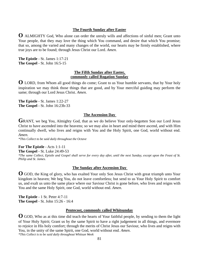### **The Fourth Sunday after Easter**

**O** ALMIGHTY God, Who alone can order the unruly wills and affections of sinful men; Grant unto Your people, that they may love the thing which You command, and desire that which You promise; that so, among the varied and many changes of the world, our hearts may be firmly established, where true joys are to be found; through Jesus Christ our Lord. *Amen.*

**The Epistle** - St. James 1:17-21 **The Gospel** - St. John 16:5-15

#### **The Fifth Sunday after Easter, commonly called Rogation Sunday**

**O** LORD, from Whom all good things do come; Grant to us Your humble servants, that by Your holy inspiration we may think those things that are good, and by Your merciful guiding may perform the same; through our Lord Jesus Christ. *Amen.* 

**The Epistle** - St. James 1:22-27 **The Gospel** - St. John 16:23b-33

#### **The Ascension Day**

GRANT, we beg You, Almighty God, that as we do believe Your only-begotten Son our Lord Jesus Christ to have ascended into the heavens; so we may also in heart and mind there ascend, and with Him continually dwell, who lives and reigns with You and the Holy Spirit, one God, world without end. *Amen.* 

*\*This Collect to be said daily throughout the Octave* 

### **For The Epistle** - Acts 1:1-11

**The Gospel** - St. Luke 24:49-53

*\*The same Collect, Epistle and Gospel shall serve for every day after, until the next Sunday, except upon the Feast of St. Philip and St. James.* 

### **The Sunday after Ascension Day**

**O** GOD, the King of glory, who has exalted Your only Son Jesus Christ with great triumph unto Your kingdom in heaven; We beg You, do not leave comfortless; but send to us Your Holy Spirit to comfort us, and exalt us unto the same place where our Saviour Christ is gone before, who lives and reigns with You and the same Holy Spirit, one God, world without end. *Amen.* 

**The Epistle** - 1 St. Peter 4:7-11 **The Gospel** - St. John 15:26 - 16:4

#### **Pentecost, commonly called Whitsunday**

**O** GOD, Who as at this time did teach the hearts of Your faithful people, by sending to them the light of Your Holy Spirit; Grant us by the same Spirit to have a right judgement in all things, and evermore to rejoice in His holy comfort; through the merits of Christ Jesus our Saviour, who lives and reigns with You, in the unity of the same Spirit, one God, world without end. *Amen*. *\*This Collect is to be said daily throughout Whitsun Week*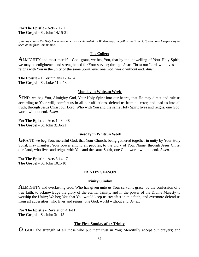**For The Epistle -** Acts 2:1-11 **The Gospel -** St. John 14:15-31

*If in any church the Holy Communion be twice celebrated on Whitsunday, the following Collect, Epistle, and Gospel may be used at the first Communion.* 

### **The Collect**

**ALMIGHTY** and most merciful God, grant, we beg You, that by the indwelling of Your Holy Spirit, we may be enlightened and strengthened for Your service; through Jesus Christ our Lord, who lives and reigns with You in the unity of the same Spirit, ever one God, world without end. *Amen.*

**The Epistle -** 1 Corinthians 12:4-14 **The Gospel -** St. Luke 11:9-13

#### **Monday in Whitsun Week**

SEND, we beg You, Almighty God, Your Holy Spirit into our hearts, that He may direct and rule us according to Your will, comfort us in all our afflictions, defend us from all error, and lead us into all truth; through Jesus Christ our Lord, Who with You and the same Holy Spirit lives and reigns, one God, world without end. *Amen.*

**For The Epistle -** Acts 10:34-48 **The Gospel -** St. John 3:16-21

#### **Tuesday in Whitsun Week**

GRANT, we beg You, merciful God, that Your Church, being gathered together in unity by Your Holy Spirit, may manifest Your power among all peoples, to the glory of Your Name; through Jesus Christ our Lord, who lives and reigns with You and the same Spirit, one God, world without end. *Amen.* 

**For The Epistle -** Acts 8:14-17 **The Gospel -** St. John 10:1-10

### **TRINITY SEASON**

#### **Trinity Sunday**

**A**LMIGHTY and everlasting God, Who has given unto us Your servants grace, by the confession of a true faith, to acknowledge the glory of the eternal Trinity, and in the power of the Divine Majesty to worship the Unity; We beg You that You would keep us steadfast in this faith, and evermore defend us from all adversities, who lives and reigns, one God, world without end. *Amen.* 

**For The Epistle -** Revelation 4:1-11 **The Gospel -** St. John 3:1-15

### **The First Sunday after Trinity**

**O** GOD, the strength of all those who put their trust in You; Mercifully accept our prayers; and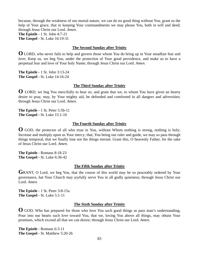because, through the weakness of our mortal nature, we can do no good thing without You, grant us the help of Your grace, that in keeping Your commandments we may please You, both in will and deed; through Jesus Christ our Lord. *Amen*.

**The Epistle -** 1 St. John 4:7-21 **The Gospel -** St. Luke 16:19-31

#### **The Second Sunday after Trinity**

**O** LORD, who never fails to help and govern those whom You do bring up in Your steadfast fear and love; Keep us, we beg You, under the protection of Your good providence, and make us to have a perpetual fear and love of Your holy Name; through Jesus Christ our Lord. *Amen*.

**The Epistle -** 1 St. John 3:13-24 **The Gospel -** St. Luke 14:16-24

### **The Third Sunday after Trinity**

**O** LORD, we beg You mercifully to hear us; and grant that we, to whom You have given an hearty desire to pray, may, by Your mighty aid, be defended and comforted in all dangers and adversities; through Jesus Christ our Lord. *Amen*.

**The Epistle -** 1 St. Peter 5:5b-11 **The Gospel -** St. Luke 15:1-10

### **The Fourth Sunday after Trinity**

**O** GOD, the protector of all who trust in You, without Whom nothing is strong, nothing is holy; Increase and multiply upon us Your mercy; that, You being our ruler and guide, we may so pass through things temporal, that we finally lose not the things eternal. Grant this, O heavenly Father, for the sake of Jesus Christ our Lord. *Amen*.

**The Epistle -** Romans 8:18-23 **The Gospel -** St. Luke 6:36-42

#### **The Fifth Sunday after Trinity**

GRANT, O Lord, we beg You, that the course of this world may be so peaceably ordered by Your governance, hat Your Church may joyfully serve You in all godly quietness; through Jesus Christ our Lord. *Amen*.

**The Epistle -** 1 St. Peter 3:8-15a **The Gospel -** St. Luke 5:1-11

#### **The Sixth Sunday after Trinity**

**O** GOD, Who has prepared for those who love You such good things as pass man's understanding; Pour into our hearts such love toward You, that we, loving You above all things, may obtain Your promises, which exceed all that we can desire; through Jesus Christ our Lord. *Amen*.

**The Epistle -** Romans 6:3-11 **The Gospel -** St. Matthew 5:20-26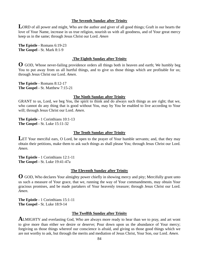#### **The Seventh Sunday after Trinity**

LORD of all power and might, Who are the author and giver of all good things; Graft in our hearts the love of Your Name, increase in us true religion, nourish us with all goodness, and of Your great mercy keep us in the same; through Jesus Christ our Lord. *Amen* 

**The Epistle -** Romans 6:19-23 **The Gospel -** St. Mark 8:1-9

### **.The Eighth Sunday after Trinity**

**O** GOD, Whose never-failing providence orders all things both in heaven and earth; We humbly beg You to put away from us all hurtful things, and to give us those things which are profitable for us; through Jesus Christ our Lord. *Amen*.

**The Epistle -** Romans 8:12-17 **The Gospel -** St. Matthew 7:15-21

#### **The Ninth Sunday after Trinity**

GRANT to us, Lord, we beg You, the spirit to think and do always such things as are right; that we, who cannot do any thing that is good without You, may by You be enabled to live according to Your will; through Jesus Christ our Lord. *Amen*.

**The Epistle -** 1 Corinthians 10:1-13 **The Gospel -** St. Luke 15:11-32

#### **The Tenth Sunday after Trinity**

LET Your merciful ears, O Lord, be open to the prayer of Your humble servants; and, that they may obtain their petitions, make them to ask such things as shall please You; through Jesus Christ our Lord. *Amen*.

**The Epistle -** 1 Corinthians 12:1-11 **The Gospel -** St. Luke 19:41-47a

#### **The Eleventh Sunday after Trinity**

**O** GOD, Who declares Your almighty power chiefly in showing mercy and pity; Mercifully grant unto us such a measure of Your grace, that we, running the way of Your commandments, may obtain Your gracious promises, and be made partakers of Your heavenly treasure; through Jesus Christ our Lord. *Amen*.

**The Epistle -** 1 Corinthians 15:1-11 **The Gospel -** St. Luke 18:9-14

#### **The Twelfth Sunday after Trinity**

**ALMIGHTY** and everlasting God, Who are always more ready to hear than we to pray, and art wont to give more than either we desire or deserve; Pour down upon us the abundance of Your mercy; forgiving us those things whereof our conscience is afraid, and giving us those good things which we are not worthy to ask, but through the merits and mediation of Jesus Christ, Your Son, our Lord. *Amen*.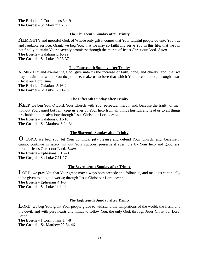**The Epistle -** 2 Corinthians 3:4-9 **The Gospel -** St. Mark 7:31-37

### **The Thirteenth Sunday after Trinity**

**A**LMIGHTY and merciful God, of Whose only gift it comes that Your faithful people do unto You true and laudable service; Grant, we beg You, that we may so faithfully serve You in this life, that we fail not finally to attain Your heavenly promises; through the merits of Jesus Christ our Lord. *Amen*. **The Epistle -** Galatians 3:16-22 **The Gospel -** St. Luke 10:23-37

### **The Fourteenth Sunday after Trinity**

ALMIGHTY and everlasting God, give unto us the increase of faith, hope, and charity; and, that we may obtain that which You do promise, make us to love that which You do command; through Jesus Christ our Lord. *Amen*  **The Epistle -** Galatians 5:16-24 **The Gospel -** St. Luke 17:11-19

### **The Fifteenth Sunday after Trinity**

**KEEP**, we beg You, O Lord, Your Church with Your perpetual mercy; and, because the frailty of man without You cannot but fall, keep us ever by Your help from all things hurtful, and lead us to all things profitable to our salvation; through Jesus Christ our Lord. *Amen*.

**The Epistle -** Galatians 6:11-18

**The Gospel -** St. Matthew 6:24-34

### **The Sixteenth Sunday after Trinity**

**O** LORD, we beg You, let Your continual pity cleanse and defend Your Church; and, because it cannot continue in safety without Your succour, preserve it evermore by Your help and goodness; through Jesus Christ our Lord. *Amen*.

**The Epistle -** Ephesians 3:13-21 **The Gospel -** St. Luke 7:11-17

### **The Seventeenth Sunday after Trinity**

LORD, we pray You that Your grace may always both precede and follow us, and make us continually to be given to all good works; through Jesus Christ our Lord. *Amen*. **The Epistle - Ephesians 4:1-6 The Gospel -** St. Luke 14:1-11

### **The Eighteenth Sunday after Trinity**

LORD, we beg You, grant Your people grace to withstand the temptations of the world, the flesh, and the devil; and with pure hearts and minds to follow You, the only God; through Jesus Christ our Lord. *Amen*.

**The Epistle -** 1 Corinthians 1:4-8 **The Gospel -** St. Matthew 22:34-46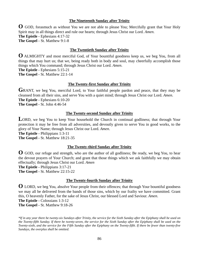#### **The Nineteenth Sunday after Trinity**

**O** GOD, forasmuch as without You we are not able to please You; Mercifully grant that Your Holy Spirit may in all things direct and rule our hearts; through Jesus Christ our Lord. *Amen*.

**The Epistle -** Ephesians 4:17-32

**The Gospel -** St. Matthew 9:1-8

### **The Twentieth Sunday after Trinity**

**O** ALMIGHTY and most merciful God, of Your bountiful goodness keep us, we beg You, from all things that may hurt us; that we, being ready both in body and soul, may cheerfully accomplish those things which You command; through Jesus Christ our Lord. *Amen*.

**The Epistle -** Ephesians 5:15-21

**The Gospel -** St. Matthew 22:1-14

### **The Twenty-first Sunday after Trinity**

**G**RANT, we beg You, merciful Lord, to Your faithful people pardon and peace, that they may be cleansed from all their sins, and serve You with a quiet mind; through Jesus Christ our Lord. *Amen*. **The Epistle -** Ephesians 6:10-20

**The Gospel -** St. John 4:46-54

#### **The Twenty-second Sunday after Trinity**

LORD, we beg You to keep Your household the Church in continual godliness; that through Your protection it may be free from all adversities, and devoutly given to serve You in good works, to the glory of Your Name; through Jesus Christ our Lord. *Amen*.

**The Epistle -** Philippians 1:3-11

**The Gospel -** St. Matthew 18:21-35

### **The Twenty-third Sunday after Trinity**

**O** GOD, our refuge and strength, who are the author of all godliness; Be ready, we beg You, to hear the devout prayers of Your Church; and grant that those things which we ask faithfully we may obtain effectually; through Jesus Christ our Lord. *Amen* 

**The Epistle -** Philippians 3:17-21

**The Gospel -** St. Matthew 22:15-22

### **The Twenty-fourth Sunday after Trinity**

**O** LORD, we beg You, absolve Your people from their offences; that through Your bountiful goodness we may all be delivered from the bands of those sins, which by our frailty we have committed. Grant this, O heavenly Father, for the sake of Jesus Christ, our blessed Lord and Saviour. *Amen*.

**The Epistle -** Colossians 1:3-12

**The Gospel -** St. Matthew 9:18-26

*\*If in any year there be twenty-six Sundays after Trinity, the service for the Sixth Sunday after the Epiphany shall be used on the Twenty-fifth Sunday. If there be twenty-seven, the service for the Sixth Sunday after the Epiphany shall be used on the Twenty-sixth, and the service for the Fifth Sunday after the Epiphany on the Twenty-fifth. If there be fewer than twenty-five Sundays, the overplus shall be omitted.*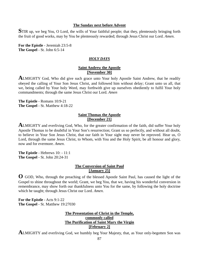#### **The Sunday next before Advent**

**S**TIR up, we beg You, O Lord, the wills of Your faithful people; that they, plenteously bringing forth the fruit of good works, may by You be plenteously rewarded; through Jesus Christ our Lord. *Amen*.

**For the Epistle** - Jeremiah 23:5-8 **The Gospel** - St. John 6:5-14

### *HOLY DAYS*

### **Saint Andrew the Apostle [November 30]**

**A**LMIGHTY God, Who did give such grace unto Your holy Apostle Saint Andrew, that he readily obeyed the calling of Your Son Jesus Christ, and followed him without delay; Grant unto us all, that we, being called by Your holy Word, may forthwith give up ourselves obediently to fulfil Your holy commandments; through the same Jesus Christ our Lord. *Amen* 

**The Epistle** - Romans 10:9-21 **The Gospel** - St. Matthew 4:18-22

#### **Saint Thomas the Apostle [December 21]**

**ALMIGHTY** and everliving God, Who, for the greater confirmation of the faith, did suffer Your holy Apostle Thomas to be doubtful in Your Son's resurrection; Grant us so perfectly, and without all doubt, to believe in Your Son Jesus Christ, that our faith in Your sight may never be reproved. Hear us, O Lord, through the same Jesus Christ, to Whom, with You and the Holy Spirit, be all honour and glory, now and for evermore. *Amen*.

**The Epistle** - Hebrews 10: - 11:1 **The Gospel** - St. John 20:24-31

### **The Conversion of Saint Paul [January 25]**

**O** GOD, Who, through the preaching of the blessed Apostle Saint Paul, has caused the light of the Gospel to shine throughout the world; Grant, we beg You, that we, having his wonderful conversion in remembrance, may show forth our thankfulness unto You for the same, by following the holy doctrine which he taught; through Jesus Christ our Lord. *Amen*.

**For the Epistle** - Acts 9:1-22 **The Gospel** - St. Matthew 19:27030

### **The Presentation of Christ in the Temple, commonly called The Purification of Saint Mary the Virgin [February 2]**

**A**LMIGHTY and everliving God, we humbly beg Your Majesty, that, as Your only-begotten Son was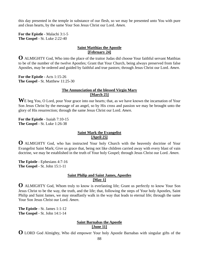this day presented in the temple in substance of our flesh, so we may be presented unto You with pure and clean hearts, by the same Your Son Jesus Christ our Lord. *Amen.* 

**For the Epistle** - Malachi 3:1-5 **The Gospel** - St. Luke 2:22-40

### **Saint Matthias the Apostle [February 24]**

**O** ALMIGHTY God, Who into the place of the traitor Judas did choose Your faithful servant Matthias to be of the number of the twelve Apostles; Grant that Your Church, being always preserved from false Apostles, may be ordered and guided by faithful and true pastors; through Jesus Christ our Lord. *Amen*.

**For the Epistle** - Acts 1:15-26 **The Gospel** - St. Matthew 11:25-30

### **The Annunciation of the blessed Virgin Mary [March 25]**

W<sub>E</sub> beg You, O Lord, pour Your grace into our hearts; that, as we have known the incarnation of Your Son Jesus Christ by the message of an angel, so by His cross and passion we may be brought unto the glory of His resurrection; through the same Jesus Christ our Lord. *Amen*.

**For the Epistle** - Isaiah 7:10-15 **The Gospel** - St. Luke 1:26-38

### **Saint Mark the Evangelist [April 25]**

**O** ALMIGHTY God, who has instructed Your holy Church with the heavenly doctrine of Your Evangelist Saint Mark; Give us grace that, being not like children carried away with every blast of vain doctrine, we may be established in the truth of Your holy Gospel; through Jesus Christ our Lord. *Amen*.

**The Epistle** - Ephesians 4:7-16 **The Gospel** - St. John 15:1-11

# **Saint Philip and Saint James, Apostles [May 1]**

**O** ALMIGHTY God, Whom truly to know is everlasting life; Grant us perfectly to know Your Son Jesus Christ to be the way, the truth, and the life; that, following the steps of Your holy Apostles, Saint Philip and Saint James, we may steadfastly walk in the way that leads to eternal life; through the same Your Son Jesus Christ our Lord. *Amen*.

**The Epistle** - St. James 1:1-12 **The Gospel** - St. John 14:1-14

# **Saint Barnabas the Apostle [June 11]**

**O** LORD God Almighty, Who did empower Your holy Apostle Barnabas with singular gifts of the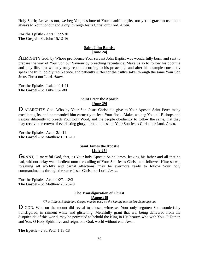Holy Spirit; Leave us not, we beg You, destitute of Your manifold gifts, nor yet of grace to use them always to Your honour and glory; through Jesus Christ our Lord. *Amen*.

**For the Epistle** - Acts 11:22-30 **The Gospel** - St. John 15:12-16

# **Saint John Baptist [June 24]**

**A**LMIGHTY God, by Whose providence Your servant John Baptist was wonderfully born, and sent to prepare the way of Your Son our Saviour by preaching repentance; Make us so to follow his doctrine and holy life, that we may truly repent according to his preaching; and after his example constantly speak the truth, boldly rebuke vice, and patiently suffer for the truth's sake; through the same Your Son Jesus Christ our Lord. *Amen*.

**For the Epistle** - Isaiah 40:1-11 **The Gospel** - St. Luke 1:57-80

### **Saint Peter the Apostle [June 29]**

**O** ALMIGHTY God, Who by Your Son Jesus Christ did give to Your Apostle Saint Peter many excellent gifts, and commanded him earnestly to feed Your flock; Make, we beg You, all Bishops and Pastors diligently to preach Your holy Word, and the people obediently to follow the same, that they may receive the crown of everlasting glory; through the same Your Son Jesus Christ our Lord. *Amen*.

**For the Epistle** - Acts 12:1-11 **The Gospel** - St. Matthew 16:13-19

### **Saint James the Apostle [July 25]**

**G**RANT, O merciful God, that, as Your holy Apostle Saint James, leaving his father and all that he had, without delay was obedient unto the calling of Your Son Jesus Christ, and followed Him; so we, forsaking all worldly and carnal affections, may be evermore ready to follow Your holy commandments; through the same Jesus Christ our Lord. *Amen*.

**For the Epistle** - Acts 11:27 - 12:3 **The Gospel** - St. Matthew 20:20-28

### **The Transfiguration of Christ**

**[August 6]** 

*\*This Collect, Epistle and Gospel may be used on the Sunday next before Septuagesima* 

**O** GOD, Who on the mount did reveal to chosen witnesses Your only-begotten Son wonderfully transfigured, in raiment white and glistening; Mercifully grant that we, being delivered from the disquietude of this world, may be permitted to behold the King in His beauty, who with You, O Father, and You, O Holy Spirit, live and reign, one God, world without end. *Amen*.

**The Epistle** - 2 St. Peter 1:13-18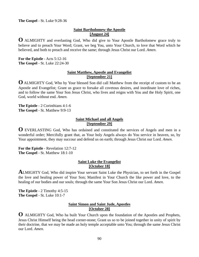**The Gospel** - St. Luke 9:28-36

### **Saint Bartholomew the Apostle [August 24]**

**O** ALMIGHTY and everlasting God, Who did give to Your Apostle Bartholomew grace truly to believe and to preach Your Word; Grant, we beg You, unto Your Church, to love that Word which he believed, and both to preach and receive the same; through Jesus Christ our Lord. *Amen*.

**For the Epistle** - Acts 5:12-16 **The Gospel** - St. Luke 22:24-30

### **Saint Matthew, Apostle and Evangelist [September 21]**

**O** ALMIGHTY God, Who by Your blessed Son did call Matthew from the receipt of custom to be an Apostle and Evangelist; Grant us grace to forsake all covetous desires, and inordinate love of riches, and to follow the same Your Son Jesus Christ, who lives and reigns with You and the Holy Spirit, one God, world without end. *Amen*.

**The Epistle** - 2 Corinthians 4:1-6 **The Gospel** - St. Matthew 9:9-13

### **Saint Michael and all Angels [September 29]**

**O** EVERLASTING God, Who has ordained and constituted the services of Angels and men in a wonderful order; Mercifully grant that, as Your holy Angels always do You service in heaven, so, by Your appointment, they may succour and defend us on earth; through Jesus Christ our Lord. *Amen*.

**For the Epistle** - Revelation 12:7-12 **The Gospel** - St. Matthew 18:1-10

### **Saint Luke the Evangelist [October 18]**

**A**LMIGHTY God, Who did inspire Your servant Saint Luke the Physician, to set forth in the Gospel the love and healing power of Your Son; Manifest in Your Church the like power and love, to the healing of our bodies and our souls; through the same Your Son Jesus Christ our Lord. *Amen*.

**The Epistle** - 2 Timothy 4:5-15 **The Gospel** - St. Luke 10:1-7

## **Saint Simon and Saint Jude, Apostles [October 28]**

**O** ALMIGHTY God, Who ha built Your Church upon the foundation of the Apostles and Prophets, Jesus Christ Himself being the head corner-stone; Grant us so to be joined together in unity of spirit by their doctrine, that we may be made an holy temple acceptable unto You; through the same Jesus Christ our Lord. *Amen*.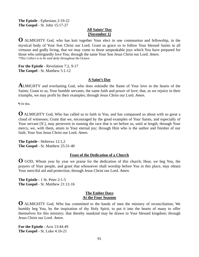**The Epistle** - Ephesians 2:19-22 **The Gospel** - St. John 15:17-27

## **All Saints' Day [November 1]**

**O** ALMIGHTY God, who has knit together Your elect in one communion and fellowship, in the mystical body of Your Son Christ our Lord; Grant us grace so to follow Your blessed Saints in all virtuous and godly living, that we may come to those unspeakable joys which You have prepared for those who unfeignedly love You; through the same Your Son Jesus Christ our Lord. *Amen*. *\*This Collect is to be said daily throughout the Octave* 

**For the Epistle** - Revelation 7:2, 9-17 **The Gospel** - St. Matthew 5:1-12

### **A Saint's Day**

**A**LMIGHTY and everlasting God, who does enkindle the flame of Your love in the hearts of the Saints; Grant to us, Your humble servants, the same faith and power of love; that, as we rejoice in their triumphs, we may profit by their examples; through Jesus Christ our Lord. *Amen*.

¶ Or this.

**O** ALMIGHTY God, Who has called us to faith in You, and has compassed us about with so great a cloud of witnesses; Grant that we, encouraged by the good examples of Your Saints, and especially of Your servant [*N*.], may persevere in running the race that is set before us, until at length, through Your mercy, we, with them, attain to Your eternal joy; through Him who is the author and finisher of our faith, Your Son Jesus Christ our Lord. *Amen*.

**The Epistle** - Hebrews 12:1,2 **The Gospel** - St. Matthew 25:31-40

### **Feast of the Dedication of a Church**

**O** GOD, Whom year by year we praise for the dedication of this church; Hear, we beg You, the prayers of Your people, and grant that whosoever shall worship before You in this place, may obtain Your merciful aid and protection; through Jesus Christ our Lord. *Amen*.

**The Epistle** - 1 St. Peter 2:1-5 **The Gospel** - St. Matthew 21:12-16

### **The Ember Days At the Four Seasons**

**O** ALMIGHTY God, Who has committed to the hands of men the ministry of reconciliation; We humbly beg You, by the inspiration of thy Holy Spirit, to put it into the hearts of many to offer themselves for this ministry; that thereby mankind may be drawn to Your blessed kingdom; through Jesus Christ our Lord. *Amen*.

**For the Epistle** - Acts 13:44-49 **The Gospel** - St. Luke 4:16-21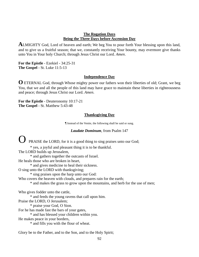#### **The Rogation Days Being the Three Days before Ascension Day**

**A**LMIGHTY God, Lord of heaven and earth; We beg You to pour forth Your blessing upon this land, and to give us a fruitful season; that we, constantly receiving Your bounty, may evermore give thanks unto You in Your holy Church; through Jesus Christ our Lord. *Amen*.

**For the Epistle** - Ezekiel - 34:25-31 **The Gospel** - St. Luke 11:5-13

#### **Independence Day**

**O** ETERNAL God, through Whose mighty power our fathers won their liberties of old; Grant, we beg You, that we and all the people of this land may have grace to maintain these liberties in righteousness and peace; through Jesus Christ our Lord. *Amen*.

**For the Epistle** - Deuteronomy 10:17-21 **The Gospel** - St. Matthew 5:43-48

#### **Thanksgiving Day**

¶ Instead of the Venite, the following shall be said or sung.

#### *Laudate Dominum*, from Psalm 147

O PRAISE the LORD, for it is a good thing to sing praises unto our God;

\* yes, a joyful and pleasant thing it is to be thankful.

The LORD builds up Jerusalem,

\* and gathers together the outcasts of Israel.

He heals those who are broken in heart,

\* and gives medicine to heal their sickness.

O sing unto the LORD with thanksgiving;

\* sing praises upon the harp unto our God:

Who covers the heaven with clouds, and prepares rain for the earth;

\* and makes the grass to grow upon the mountains, and herb for the use of men;

Who gives fodder unto the cattle,

\* and feeds the young ravens that call upon him.

Praise the LORD, O Jerusalem;

\* praise your God, O Sion.

For he has made fast the bars of your gates,

\* and has blessed your children within you.

He makes peace in your borders,

\* and fills you with the flour of wheat.

Glory be to the Father, and to the Son, and to the Holy Spirit;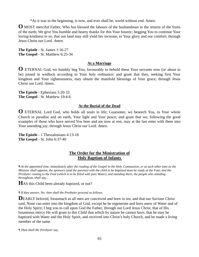\*As it was in the beginning, is now, and ever shall be, world without end. Amen.

**O** MOST merciful Father, Who has blessed the labours of the husbandman in the returns of the fruits of the earth; We give You humble and hearty thanks for this Your bounty; begging You to continue Your loving-kindness to us, that our land may still yield her increase, to Your glory and our comfort; through Jesus Christ our Lord. *Amen*.

**The Epistle** - St. James 1:16-27 **The Gospel** - St. Matthew 6:25-34

#### **At a Marriage**

**O** ETERNAL God, we humbly beg You, favourably to behold these Your servants now (*or* about to be) joined in wedlock according to Your holy ordinance; and grant that they, seeking first Your kingdom and Your righteousness, may obtain the manifold blessings of Your grace; through Jesus Christ our Lord. *Amen*.

**The Epistle** - Ephesians 5:20-33 **The Gospel** - St. Matthew 19:4-6

#### **At the Burial of the Dead**

**O** ETERNAL Lord God, who holds all souls in life; Guarantee, we beseech You, to Your whole Church in paradise and on earth, Your light and Your peace; and grant that we, following the good examples of those who have served You here and are now at rest, may at the last enter with them into Your unending joy; through Jesus Christ our Lord. *Amen*.

**The Epistle** - 1 Thessalonians 4:13-18 **The Gospel** - St. John 6:37-40

## **The Order for the Ministration of Holy Baptism of Infants**

*¶ At the appointed time, immediately after the reading of the Gospel in the Holy Communion, or at such other time as the Minister shall appoint, the sponsors (and the parents) with the child to be baptized must be ready at the Font, and the Presbyter coming to the Font (which is to be filled with pure Water), and standing there, the people also standing throughout, shall say,* 

**H**AS this Child been already baptized, or not?

*¶ If they answer, No: then shall the Presbyter proceed as follows.* 

DEARLY beloved, forasmuch as all men are conceived and born in sin; and that our Saviour Christ said, None can enter into the kingdom of God, except he be regenerate and born anew of Water and of the Holy Spirit; I beg you to call upon God the Father, through our Lord Jesus Christ, that of His bounteous mercy He will grant to this Child that which by nature he cannot have; that he may be baptized with Water and the Holy Spirit, and received into Christ's holy Church, and be made a living member of the same.

*¶ Then shall the Presbyter say,*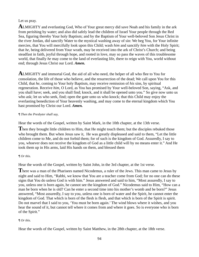# Let us pray.

**A**LMIGHTY and everlasting God, Who of Your great mercy did save Noah and his family in the ark from perishing by water; and also did safely lead the children of Israel Your people through the Red Sea, figuring thereby Your holy Baptism; and by the Baptism of Your well-beloved Son Jesus Christ in the river Jordan, did sanctify Water to the mystical washing away of sin: We beg You, for Your infinite mercies, that You will mercifully look upon this Child; wash *him* and sanctify *him* with the Holy Spirit; that *he*, being delivered from Your wrath, may be received into the ark of Christ's Church; and being steadfast in faith, joyful through hope, and rooted in love, may so pass the waves of this troublesome world, that finally *he* may come to the land of everlasting life, there to reign with You, world without end; through Jesus Christ our Lord. *Amen.* 

**A**LMIGHTY and immortal God, the aid of all who need, the helper of all who flee to You for consolation, the life of those who believe, and the resurrection of the dead; We call upon You for this Child, that *he*, coming to Your holy Baptism, may receive remission of *his* sins, by spiritual regeneration. Receive *him*, O Lord, as You has promised by Your well-beloved Son, saying, "Ask, and you shall have; seek, and you shall find; knock, and it shall be opened unto you." So give now unto us who ask; let us who seek, find; open the gate unto us who knock; that this Child may enjoy the everlasting benediction of Your heavenly washing, and may come to the eternal kingdom which You hast promised by Christ our Lord. *Amen.*

### *¶ Then the Presbyter shall say,*

Hear the words of the Gospel, written by Saint Mark, in the 10th chapter, at the 13th verse.

**T**hen they brought little children to Him, that He might touch them; but the disciples rebuked those who brought them. But when Jesus saw it, He was greatly displeased and said to them, "Let the little children come to Me, and do not forbid them; for of such is the kingdom of God. Assuredly, I say to you, whoever does not receive the kingdom of God as a little child will by no means enter it." And He took them up in His arms, laid His hands on them, and blessed them

## *¶ Or this.*

Hear the words of the Gospel, written by Saint John, in the 3rd chapter, at the 1st verse.

**T**here was a man of the Pharisees named Nicodemus, a ruler of the Jews. This man came to Jesus by night and said to Him, "Rabbi, we know that You are a teacher come from God; for no one can do these signs that You do unless God is with him." Jesus answered and said to him, "Most assuredly, I say to you, unless one is born again, he cannot see the kingdom of God." Nicodemus said to Him, "How can a man be born when he is old? Can he enter a second time into his mother's womb and be born?" Jesus answered, "Most assuredly, I say to you, unless one is born of water and the Spirit, he cannot enter the kingdom of God. That which is born of the flesh is flesh, and that which is born of the Spirit is spirit. Do not marvel that I said to you, 'You must be born again.' The wind blows where it wishes, and you hear the sound of it, but cannot tell where it comes from and where it goes. So is everyone who is born of the Spirit."

## *¶ Or this.*

Hear the words of the Gospel, written by Saint Matthew, in the 28th chapter, at the 18th verse.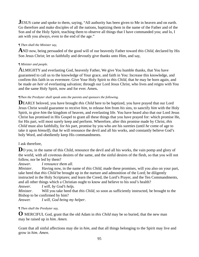**JESUS** came and spoke to them, saying, "All authority has been given to Me in heaven and on earth. Go therefore and make disciples of all the nations, baptizing them in the name of the Father and of the Son and of the Holy Spirit, teaching them to observe all things that I have commanded you; and lo, I am with you always, even to the end of the age."

# *¶ Then shall the Minister say,*

**A**ND now, being persuaded of the good will of our heavenly Father toward *this Child*, declared by His Son Jesus Christ; let us faithfully and devoutly give thanks unto Him, and say,

# *¶ Minister and people.*

ALMIGHTY and everlasting God, heavenly Father, We give You humble thanks, that You have guaranteed to call us to the knowledge of Your grace, and faith in You: Increase this knowledge, and confirm this faith in us evermore. Give Your Holy Spirit to *this Child*, that *he* may be born again, and be made *an heir* of everlasting salvation; through our Lord Jesus Christ, who lives and reigns with You and the same Holy Spirit, now and for ever. Amen**.** 

# *¶Then the Presbyter shall speak unto the parents and sponsors the following.*

**D**EARLY beloved, you have brought *this Child* here to be baptized, you have prayed that our Lord Jesus Christ would guarantee to receive *him*, to release *him* from *his* sins, to sanctify *him* with the Holy Spirit, to give *him* the kingdom of heaven, and everlasting life. You have heard also that our Lord Jesus Christ has promised in His Gospel to grant all these things that you have prayed for: which promise He, for His part, will most surely keep and perform. Wherefore, after this promise made by Christ, *this Child* must also faithfully, for *his* part, promise by you who are his sureties (until *he* come of age to take it upon *himself*), that *he* will renounce the devil and all his works, and constantly believe God's holy Word, and obediently keep His commandments.

# I ask therefore,

**D**O you, in the name of this Child, renounce the devil and all his works, the vain pomp and glory of the world, with all covetous desires of the same, and the sinful desires of the flesh, so that you will not follow, nor be led by them?

*Answer*. *I renounce them all*.

*Minister*. Having now, in the name of *this Child*, made these promises, will you also on your part, take heed that *this Child* be brought up in the nurture and admonition of the Lord; be diligently instructed in the Holy Scriptures; and learn the Creed, the Lord's Prayer, and the Ten Commandments, and all other things which a Christian ought to know and believe to his soul's health?

*Answer*. *I will, by God's help***.**

*Minister*. Will you take heed that *this Child*, so soon as sufficiently instructed, be brought to the Bishop to be confirmed by him?

*Answer. I will, God being my helper*.

# *¶ Then shall the Presbyter say,*

**O** MERCIFUL God, grant that the old Adam in *this Child* may be so buried, that the new man may be raised up in *him*. *Amen.* 

Grant that all sinful affections may die in *him*, and that all things belonging to the Spirit may live and grow in *him*. *Amen.*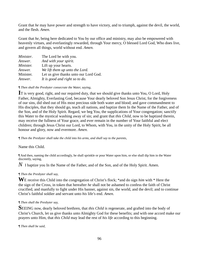Grant that *he* may have power and strength to have victory, and to triumph, against the devil, the world, and the flesh. *Amen.*

Grant that *he*, being here dedicated to You by our office and ministry, may also be empowered with heavenly virtues, and everlastingly rewarded, through Your mercy, O blessed Lord God, Who does live, and govern all things, world without end. *Amen.* 

| Minister. | The Lord be with you.                 |
|-----------|---------------------------------------|
| Answer.   | And with your spirit.                 |
| Minister. | Lift up your hearts.                  |
| Answer.   | We lift them up unto the Lord.        |
| Minister. | Let us give thanks unto our Lord God. |
| Answer.   | It is good and right so to do.        |

### *¶ Then shall the Presbyter consecrate the Water, saying,*

**I**T is very good, right, and our required duty, that we should give thanks unto You, O Lord, Holy Father, Almighty, Everlasting God, because Your dearly beloved Son Jesus Christ, for the forgiveness of our sins, did shed out of His most precious side both water and blood; and gave commandment to His disciples, that they should go, teach all nations, and baptize them In the Name of the Father, and of the Son, and of the Holy Spirit. Regard, we beg You, the supplications of Your congregation; sanctify this Water to the mystical washing away of sin; and grant that *this Child*, now to be baptized therein, may receive the fullness of Your grace, and ever remain in the number of Your faithful and elect children; through Jesus Christ our Lord, to Whom, with You, in the unity of the Holy Spirit, be all honour and glory, now and evermore. *Amen.* 

*¶ Then the Presbyter shall take the child into his arms, and shall say to the parents,* 

## Name this Child.

¶ And then, naming the child accordingly, he shall sprinkle or pour Water upon him, or else shall dip him in the Water discreetly, saying,

*N* I baptize you In the Name of the Father, and of the Son, and of the Holy Spirit. Amen.

### *¶ Then the Presbyter shall say,*

**W**E receive this Child into the congregation of Christ's flock; \*and do sign *him* with \* Here the the sign of the Cross, in token that hereafter *he* shall not be ashamed to confess the faith of Christ crucified, and manfully to fight under His banner, against sin, the world, and the devil; and to continue Christ's faithful soldier and servant unto *his* life's end. *Amen.* 

### *¶ Then shall the Presbyter say,*

**S**EEING now, dearly beloved brethren, that *this Child is* regenerate, and grafted into the body of Christ's Church, let us give thanks unto Almighty God for these benefits; and with one accord make our prayers unto Him, that *this Child* may lead the rest of *his life* according to this beginning.

### *¶ Then shall be said,*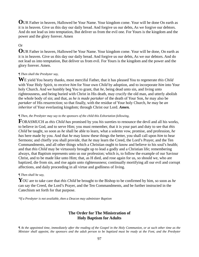**O**UR Father in heaven, Hallowed be Your Name. Your kingdom come. Your will be done On earth as it is in heaven. Give us this day our daily bread. And forgive us our debts, As we forgive our debtors. And do not lead us into temptation, But deliver us from the evil one. For Yours is the kingdom and the power and the glory forever. Amen

# Or

**O**UR Father in heaven, Hallowed be Your Name. Your kingdom come. Your will be done, On earth as it is in heaven. Give us this day our daily bread. And forgive us our debts, As we our debtors. And do not lead us into temptation, But deliver us from evil. For Yours is the kingdom and the power and the glory forever. Amen.

### *¶ Then shall the Presbyter say,*

**W**E yield You hearty thanks, most merciful Father, that it has pleased You to regenerate *this Child* with Your Holy Spirit, to receive *him* for Your own *Child* by adoption, and to incorporate *him* into Your holy Church. And we humbly beg You to grant, that *he*, being dead unto sin, and living unto righteousness, and being buried with Christ in His death, may crucify the old man, and utterly abolish the whole body of sin; and that, as *he is made partaker* of the death of Your Son, *he* may also be *partaker* of His resurrection; so that finally, with the residue of Your holy Church, *he* may be *an inheritor* of Your everlasting kingdom; through Christ our Lord. *Amen.* 

### *¶ Then, the Presbyter may say to the sponsors of the child this Exhortation following,*

**F**ORASMUCH as *this Child has* promised by you *his* sureties to renounce the devil and all his works, to believe in God, and to serve Him; you must remember, that it is your part and duty to see that *this Child* be taught, so soon as *he* shall be able to learn, what a solemn vow, promise, and profession, *he has* here made by you. And that *he* may know these things the better, you shall call upon *him* to hear Sermons; and chiefly you shall provide, that *he* may learn the Creed, the Lord's Prayer, and the Ten Commandments, and all other things which a Christian ought to know and believe to his soul's health; and that *this Child* may be virtuously brought up to lead a godly and a Christian life; remembering always, that Baptism represents unto us our profession; which is, to follow the example of our Saviour Christ, and to be made like unto Him; that, as H died, and rose again for us, so should we, who are baptized, die from sin, and rise again unto righteousness; continually mortifying all our evil and corrupt affections, and daily proceeding in all virtue and godliness of living.

### *¶ Then shall he say,*

**Y**OU are to take care that *this Child* be brought to the Bishop to be confirmed by him, so soon as *he* can say the Creed, the Lord's Prayer, and the Ten Commandments, and be further instructed in the Catechism set forth for that purpose.

*\*If a Presbyter is not available, then a Deacon may administer Baptism* 

# **The Order for The Ministration of Holy Baptism for Adults**

*¶ At the appointed time, immediately after the reading of the Gospel in the Holy Communion, or at such other time as the Minister shall appoint, the sponsors and the adult person to be baptized must be ready at the Font, and the Presbyter*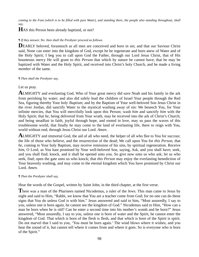*coming to the Font (which is to be filled with pure Water), and standing there, the people also standing throughout, shall say,* 

# **H**AS this Person been already baptized, or not?

### *¶ If they answer, No: then shall the Presbyter proceed as follows.*

DEARLY beloved, forasmuch as all men are conceived and born in sin; and that our Saviour Christ said, None can enter into the kingdom of God, except he be regenerate and born anew of Water and of the Holy Spirit; I beg you to call upon God the Father, through our Lord Jesus Christ, that of His bounteous mercy He will grant to *this Person* that which by nature he cannot have; that he may be baptized with Water and the Holy Spirit, and received into Christ's holy Church, and be made a living *member* of the same.

### *¶ Then shall the Presbyter say,*

Let us pray.

**A**LMIGHTY and everlasting God, Who of Your great mercy did save Noah and his family in the ark from perishing by water; and also did safely lead the children of Israel Your people through the Red Sea, figuring thereby Your holy Baptism; and by the Baptism of Your well-beloved Son Jesus Christ in the river Jordan, did sanctify Water to the mystical washing away of sin: We beseech You, for Your infinite mercies, that You will mercifully look upon this Person; wash *him* and sanctify *him* with the Holy Spirit; that *he*, being delivered from Your wrath, may be received into the ark of Christ's Church; and being steadfast in faith, joyful through hope, and rooted in love, may so pass the waves of this troublesome world, that finally *he* may come to the land of everlasting life, there to reign with You, world without end; through Jesus Christ our Lord. *Amen*.

**A**LMIGHTY and immortal God, the aid of all who need, the helper of all who flee to You for succour, the life of those who believe, and the resurrection of the dead; We call upon You for *this Person*, that *he*, coming to Your holy Baptism, may receive remission of his sins, by spiritual regeneration. Receive *him*, O Lord, as You hast promised by Your well-beloved Son, saying, Ask, and you shall have; seek, and you shall find; knock, and it shall be opened unto you. So give now unto us who ask; let us who seek, find; open the gate unto us who knock; that *this Person* may enjoy the everlasting benediction of Your heavenly washing, and may come to the eternal kingdom which You have promised by Christ our Lord. *Amen.*

### *¶ Then the Presbyter shall say,*

Hear the words of the Gospel, written by Saint John, in the third chapter, at the first verse.

**T**here was a man of the Pharisees named Nicodemus, a ruler of the Jews. This man came to Jesus by night and said to Him, "Rabbi, we know that You are a teacher come from God; for no one can do these signs that You do unless God is with him." Jesus answered and said to him, "Most assuredly, I say to you, unless one is born again, he cannot see the kingdom of God." Nicodemus said to Him, "How can a man be born when he is old? Can he enter a second time into his mother's womb and be born?" Jesus answered, "Most assuredly, I say to you, unless one is born of water and the Spirit, he cannot enter the kingdom of God. That which is born of the flesh is flesh, and that which is born of the Spirit is spirit. Do not marvel that I said to you, 'You must be born again.' The wind blows where it wishes, and you hear the sound of it, but cannot tell where it comes from and where it goes. So is everyone who is born of the Spirit."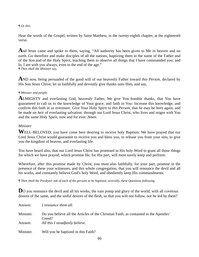### *¶ Or this.*

Hear the words of the Gospel, written by Saint Matthew, in the twenty-eighth chapter, at the eighteenth verse.

And Jesus came and spoke to them, saying, "All authority has been given to Me in heaven and on earth. Go therefore and make disciples of all the nations, baptizing them in the name of the Father and of the Son and of the Holy Spirit, teaching them to observe all things that I have commanded you; and lo, I am with you always, even to the end of the age." *¶ Then shall the Minister say,* 

**A**ND now, being persuaded of the good will of our heavenly Father toward *this Person*, declared by His Son Jesus Christ; let us faithfully and devoutly give thanks unto Him, and say,

### *¶ Minister and people.*

**A**LMIGHTY and everlasting God, heavenly Father, We give You humble thanks, that You have guaranteed to call us to the knowledge of Your grace, and faith in You: Increase this knowledge, and confirm this faith in us evermore. Give Your Holy Spirit to *this Person*, that *he* may be born again, and be made *an heir* of everlasting salvation; through our Lord Jesus Christ, who lives and reigns with You and the same Holy Spirit, now and for ever. *Amen*.

### *Minister*

WELL-BELOVED, you have come here desiring to receive holy Baptism. We have prayed that our Lord Jesus Christ would guarantee to receive you and bless you, to release you from your sins, to give you the kingdom of heaven, and everlasting life.

You have heard also, that our Lord Jesus Christ has promised in His holy Word to grant all those things for which we have prayed; which promise He, for His part, will most surely keep and perform.

Wherefore, after this promise made by Christ, you must also faithfully, for your part, promise in the presence of these your witnesses, and this whole congregation, that you will renounce the devil and all his works, and constantly believe God's holy Word, and obediently keep His commandments.

*¶ Then shall the Presbyter ask of each of the persons to be baptized, severally, these Questions following.* 

**D**O you renounce the devil and all his works, the vain pomp and glory of the world, with all covetous desires of the same, and the sinful desires of the flesh, so that you wilt not follow, nor be led by them?

| Answer.   | I renounce them all.                                                                            |
|-----------|-------------------------------------------------------------------------------------------------|
| Minister. | Do you believe all the Articles of the Christian Faith, as contained in the Apostles'<br>Creed? |
| Answer.   | All this I steadfastly believe.                                                                 |
| Minister. | Will you be baptized in this Faith?                                                             |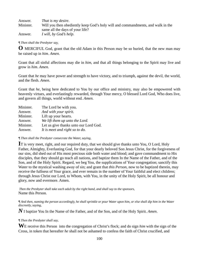Answer. *That is my desire*. Minister. Will you then obediently keep God's holy will and commandments, and walk in the same all the days of your life? Answer. *I will, by God's help*.

#### *¶ Then shall the Presbyter say,*

**O** MERCIFUL God, grant that the old Adam in this Person may be so buried, that the new man may be raised up in *him*. *Amen.*

Grant that all sinful affections may die in *him*, and that all things belonging to the Spirit may live and grow in *him*. *Amen.*

Grant that *he* may have power and strength to have victory, and to triumph, against the devil, the world, and the flesh. *Amen.*

Grant that *he*, being here dedicated to You by our office and ministry, may also be empowered with heavenly virtues, and everlastingly rewarded, through Your mercy, O blessed Lord God, Who does live, and govern all things, world without end. *Amen*.

| Minister. | The Lord be with you.                 |
|-----------|---------------------------------------|
| Answer.   | And with your spirit.                 |
| Minister. | Lift up your hearts.                  |
| Answer.   | We lift them up unto the Lord.        |
| Minister. | Let us give thanks unto our Lord God. |
| Answer.   | It is meet and right so to do.        |

#### *¶ Then shall the Presbyter consecrate the Water, saying,*

**I**T is very meet, right, and our required duty, that we should give thanks unto You, O Lord, Holy Father, Almighty, Everlasting God, for that your dearly beloved Son Jesus Christ, for the forgiveness of our sins, did shed out of His most precious side both water and blood; and gave commandment to His disciples, that they should go teach all nations, and baptize them In the Name of the Father, and of the Son, and of the Holy Spirit. Regard, we beg You, the supplications of Your congregation; sanctify this Water to the mystical washing away of sin; and grant that *this Person*, now to be baptized therein, may receive the fullness of Your grace, and ever remain in the number of Your faithful and elect children; through Jesus Christ our Lord, to Whom, with You, in the unity of the Holy Spirit, be all honour and glory, now and evermore. Amen.

 *Then the Presbyter shall take each adult by the right hand, and shall say to the sponsors,*  Name this Person.

*¶ And then, naming the person accordingly, he shall sprinkle or pour Water upon him, or else shall dip him in the Water discreetly, saying,* 

*N* I baptize You In the Name of the Father, and of the Son, and of the Holy Spirit. *Amen*.

### *¶ Then the Presbyter shall say,*

**W**E receive this Person into the congregation of Christ's flock; and do sign *him* with the sign of the Cross, in token that hereafter *he* shall not be ashamed to confess the faith of Christ crucified, and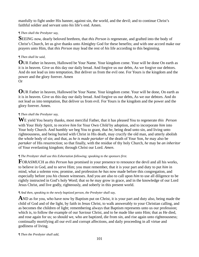manfully to fight under His banner, against sin, the world, and the devil; and to continue Christ's faithful soldier and servant unto *his* life's end. Amen.

# *¶ Then shall the Presbyter say,*

**S**EEING now, dearly beloved brethren, that *this Person is* regenerate, and grafted into the body of Christ's Church, let us give thanks unto Almighty God for these benefits; and with one accord make our prayers unto Him, that *this Person* may lead the rest of *his* life according to this beginning.

# *¶ Then shall be said,*

**O**UR Father in heaven, Hallowed be Your Name. Your kingdom come. Your will be done On earth as it is in heaven. Give us this day our daily bread. And forgive us our debts, As we forgive our debtors. And do not lead us into temptation, But deliver us from the evil one. For Yours is the kingdom and the power and the glory forever. Amen Or

**O**UR Father in heaven, Hallowed be Your Name. Your kingdom come. Your will be done, On earth as it is in heaven. Give us this day our daily bread. And forgive us our debts, As we our debtors. And do not lead us into temptation, But deliver us from evil. For Yours is the kingdom and the power and the glory forever. Amen.

# *¶ Then shall the Presbyter say,*

**W**E yield You hearty thanks, most merciful Father, that it has pleased You to regenerate *this Person* with Your Holy Spirit, to receive *him* for Your Own *Child* by adoption, and to incorporate *him* into Your holy Church. And humbly we beg You to grant, that *he*, being dead unto sin, and living unto righteousness, and being buried with Christ in His death, may crucify the old man, and utterly abolish the whole body of sin; and that, as *he is made partaker* of the death of Your Son, *he* may also be *partaker* of His resurrection; so that finally, with the residue of thy holy Church, *he* may be *an inheritor* of Your everlasting kingdom; through Christ our Lord. *Amen*.

# *¶ The Presbyter shall use this Exhortation following; speaking to the sponsors first.*

**F**ORASMUCH as *this Person has* promised in your presence to renounce the devil and all his works, to believe in God, and to serve Him; you must remember, that it is your part and duty to put *him* in mind, what a solemn vow, promise, and profession *he has* now made before this congregation, and especially before you *his* chosen witnesses. And you are also to call upon *him* to use all diligence to be rightly instructed in God's holy Word; that so *he* may grow in grace, and in the knowledge of our Lord Jesus Christ, and live godly, righteously, and soberly in this present world.

## *¶ And then, speaking to the newly baptized person, the Presbyter shall say,*

**A**ND as for you, who have now by Baptism put on Christ, it is your part and duty also, being made the child of God and of the light, by faith in Jesus Christ, to walk answerably to your Christian calling, and as becomes the children of light; remembering always that Baptism represents unto us our profession; which is, to follow the example of our Saviour Christ, and to be made like unto Him; that as He died, and rose again for us; so should we, who are baptized, die from sin, and rise again unto righteousness; continually mortifying all our evil and corrupt affections, and daily proceeding in all virtue and godliness of living.

*¶ Then the Presbyter shall add,*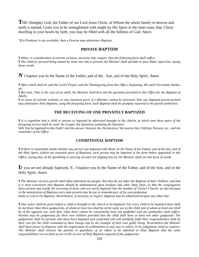**T**HE Almighty God, the Father of our Lord Jesus Christ, of Whom the whole family in heaven and earth is named; Grant you to be strengthened with might by His Spirit in the inner man; that, Christ dwelling in your hearts by faith, you may be filled with all the fullness of God. *Amen*.

*\*If a Presbyter is not available, then a Deacon may administer Baptism* 

### **PRIVATE BAPTISM**

*¶ When, in consideration of extreme sickness, necessity may require, then the following form shall suffice. ¶ The child (or person) being named by some one who is present, the Minister shall sprinkle or pour Water upon him, saying these words,* 

*N* I baptize you In the Name of the Father, and of the . Son, and of the Holy Spirit*. Amen.* 

*¶ After which shall be said the Lord's Prayer, and the Thanksgiving from this Office, beginning,* We yield You hearty thanks, *etc.* 

*¶ But note, That in the case of an adult, the Minister shall first ask the questions provided in this Office for the Baptism of Adults.* 

*¶ In cases of extreme sickness, or any imminent peril, if a Minister cannot be procured, then any baptized person present may administer Holy Baptism, using the foregoing form. Such Baptism shall be promptly reported to the parish authorities.* 

### **THE RECEIVING OF ONE PRIVATELY BAPTIZED**

*¶ It is expedient that a child or person so baptized be afterward brought to the church, at which time these parts of the foregoing service shall be used: the Gospel, the Questions (omitting the Question*  Wilt You be baptized in this Faith*? and the answer thereto), the Declaration,* We receive this Child **(**or Person*), etc., and the remainder of the Office.* 

### **CONDITIONAL BAPTISM**

*¶ If there is reasonable doubt whether any person was baptized with Water, In the Name of the Father, and of the Son, and of the Holy Spirit, (which are essential parts of Baptism), such person may be baptized in the form before appointed in this Office; saving that, at the sprinkling or pouring of water (or dipping into it), the Minister shall use this form of words*.

# **I**F you art not already baptized, *N.,* I baptize you In the Name of the Father, and of the Son, and of the Holy Spirit*. Amen*.

*¶ The Minister of every parish shall often admonish the people, that they do not defer the Baptism of their children, and that it is most convenient that Baptism should be administered upon Sundays and other Holy Days, so that the congregation there present may testify the receiving of those who are newly baptized into the number of Christ's Church; as also because in the ministration of Baptism every man present may be put in remembrance of his own profession made to God in his Baptism. Nevertheless, if necessity so require, Baptism may be administered upon any other day.* 

*¶ Due notice shall be given before a child is brought to the church to be baptized. For every child to be baptized there shall be not fewer than three godparents, of whom at least two shall be of the same sex as the child and of whom at least one shall be of the opposite sex; save that, when three cannot be conveniently had, one godfather and one godmother shall suffice. Parents may be godparents for their own children provided that the child shall have at least one other godparent. The godparents shall be persons who have been baptized and confirmed and will faithfully fulfil their responsibilities both by their care for the child committed to their charge and by the example of their own godly living. Nevertheless the Minister shall have power to dispense with the requirement of confirmation in any case in which, in his judgement, need so requires. The Minister shall instruct the parents or guardians of an infant to be admitted to Holy Baptism that the same responsibilities rest on them as are in the service of Holy Baptism required of the godparents.*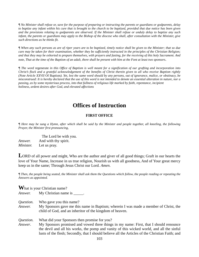*¶ No Minister shall refuse or, save for the purpose of preparing or instructing the parents or guardians or godparents, delay to baptize any infant within his cure that is brought to the church to be baptized, provided that due notice has been given and the provisions relating to godparents are observed. If the Minister shall refuse or unduly delay to baptize any such infant, the parents or guardians may apply to the Bishop of the diocese who shall, after consultation with the Minister, give such directions as he thinks fit.* 

*¶ When any such persons as are of riper years are to be baptized, timely notice shall be given to the Minister; that so due care may be taken for their examination, whether they be sufficiently instructed in the principles of the Christian Religion; and that they may be exhorted to prepare themselves, with prayers and fasting, for the receiving of this holy Sacrament. And note, That at the time of the Baptism of an adult, there shall be present with him at the Font at least two sponsors*.

*¶ The word* regenerate *in this Office of Baptism is well meant for a signification of our grafting and incorporation into Christ's flock and a grateful acknowledgement of the benefits of Christ therein given to all who receive Baptism rightly (Note Article XXVII* Of Baptism*). Yet, lest the same word should by any persons, out of ignorance, malice, or obstinacy, be misconstrued: It is hereby declared that the use of this word is not intended to denote an essential alteration in nature, nor a passing, as by some mysterious process, into that fullness of religious life marked by faith, repentance, incipient holiness, ardent desires after God, and elevated affections* 

# **Offices of Instruction**

### **FIRST OFFICE**

*¶ Here may be sung a Hymn, after which shall be said by the Minister and people together, all kneeling, the following Prayer, the Minister first pronouncing,* 

|                  | The Lord be with you. |
|------------------|-----------------------|
| <i>Answer.</i>   | And with thy spirit.  |
| <i>Minister.</i> | Let us pray.          |

LORD of all power and might, Who are the author and giver of all good things; Graft in our hearts the love of Your Name, Increase in us true religion, Nourish us with all goodness, And of Your great mercy keep us in the same; Through Jesus Christ our Lord. *Amen*.

*¶ Then, the people being seated, the Minister shall ask them the Questions which follow, the people reading or repeating the Answers as appointed.* 

**W** hat is your Christian name?

*Answer.* My Christian name is \_\_\_\_\_.

*Question.* Who gave you this name?

*Answer.* My Sponsors gave me this name in Baptism; wherein I was made a member of Christ, the child of God, and an inheritor of the kingdom of heaven.

*Question.* What did your Sponsors then promise for you?

*Answer*. My Sponsors promised and vowed three things in my name: First, that I should renounce the devil and all his works, the pomp and vanity of this wicked world, and all the sinful lusts of the flesh; Secondly, that I should believe all the Articles of the Christian Faith; and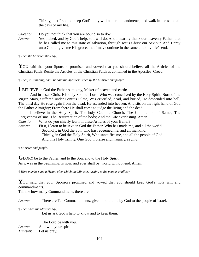Thirdly, that I should keep God's holy will and commandments, and walk in the same all the days of my life.

*Question.* Do you not think that you are bound so to do? *Answer.* Yes indeed; and by God's help, so I will do. And I heartily thank our heavenly Father, that he has called me to this state of salvation, through Jesus Christ our Saviour. And I pray unto God to give me His grace, that I may continue in the same unto my life's end.

*¶ Then the Minister shall say,* 

YOU said that your Sponsors promised and vowed that you should believe all the Articles of the Christian Faith. Recite the Articles of the Christian Faith as contained in the Apostles' Creed.

*¶ Then, all standing, shall be said the Apostles' Creed by the Minister and people.* 

**I** BELIEVE in God the Father Almighty, Maker of heaven and earth:

 And in Jesus Christ His only Son our Lord, Who was conceived by the Holy Spirit, Born of the Virgin Mary, Suffered under Pontius Pilate, Was crucified, dead, and buried, He descended into hell; The third day He rose again from the dead, He ascended into heaven, And sits on the right hand of God the Father Almighty; From there He shall come to judge the living and the dead.

 I believe in the Holy Spirit; The holy Catholic Church; The Communion of Saints; The Forgiveness of sins; The Resurrection of the body; And the Life everlasting. Amen

*Question.* What do you chiefly learn in these Articles of your Belief?

*Answer.* First, I learn to believe in God the Father, Who has made me, and all the world. Secondly, in God the Son, who has redeemed me, and all mankind. Thirdly, in God the Holy Spirit, Who sanctifies me, and all the people of God. And this Holy Trinity, One God, I praise and magnify, saying,

*¶ Minister and people.* 

**GLORY** be to the Father, and to the Son, and to the Holy Spirit; As it was in the beginning, is now, and ever shall be, world without end. Amen.

*¶ Here may be sung a Hymn, after which the Minister, turning to the people, shall say,* 

YOU said that your Sponsors promised and vowed that you should keep God's holy will and commandments.

Tell me how many Commandments there are.

*Answer.* There are Ten Commandments, given in old time by God to the people of Israel.

*¶ Then shall the Minister say,* 

Let us ask God's help to know and to keep them.

|                  | The Lord be with you. |
|------------------|-----------------------|
| <i>Answer.</i>   | And with your spirit. |
| <i>Minister.</i> | Let us pray.          |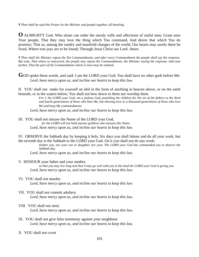*¶ Then shall be said this Prayer by the Minister and people together, all kneeling.* 

**O** ALMIGHTY God, Who alone can order the unruly wills and affections of sinful men; Grant unto Your people, That they may love the thing which You command, And desire that which You do promise; That so, among the sundry and manifold changes of the world, Our hearts may surely there be fixed, Where true joys are to be found; Through Jesus Christ our Lord. *Amen*.

*¶ Then shall the Minister repeat the Ten Commandments, and after every Commandment the people shall say the response. But note, That where so instructed, the people may repeat the Commandments, the Minister saying the response. And note further, That the part of the Commandment which is inset may be omitted.* 

GOD spoke these words, and said: I am the LORD your God; You shall have no other gods before Me.  *Lord, have mercy upon us, and incline our hearts to keep this law.* 

II. YOU shall not make for yourself an idol in the form of anything in heaven above, or on the earth beneath, or in the waters below; You shall not bow down to them nor worship them.

> *For I, the LORD your God, am a jealous God, punishing the children for the sin of the fathers to the third and fourth generations of those who hate Me, but showing love to a thousand generations of those who love Me and keep My commandments.*

 *Lord, have mercy upon us, and incline our hearts to keep this law.* 

III. YOU shall not misuse the Name of the LORD your God,

 *for the LORD will not hold anyone guiltless who misuses His Name. Lord, have mercy upon us, and incline our hearts to keep this law.* 

IV. OBSERVE the Sabbath day by keeping it holy. Six days you shall labour and do all your work, but the seventh day is the Sabbath to the LORD your God. On it you shall not do any work:

> *neither you, nor your son or daughter, nor your. The LORD your God has commanded you to observe the Sabbath day.*

 *Lord, have mercy upon us, and incline our hearts to keep this law.* 

V. HONOUR your father and your mother,

 *so that you may live long and that it may go well with you in the land the LORD your God is giving you. Lord, have mercy upon us, and incline our hearts to keep this law.* 

VI. YOU shall not murder.

 *Lord, have mercy upon us, and incline our hearts to keep this law.* 

VII. YOU shall not commit adultery.

 *Lord, have mercy upon us, and incline our hearts to keep this law.* 

VIII. YOU shall not steal.

 *Lord, have mercy upon us, and incline our hearts to keep this law.* 

- IX. YOU shall not give false testimony against your neighbour.  *Lord, have mercy upon us, and incline our hearts to keep this law.*
- X. YOU shall not covet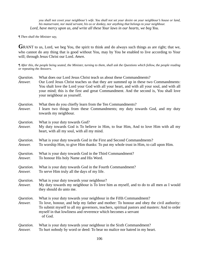*you shall not covet your neighbour's wife. You shall not set your desire on your neighbour's house or land, his manservant, nor maid servant, his ox or donkey, nor anything that belongs to your neighbour. Lord, have mercy upon us, and write all these Your laws in our hearts, we beg You.* 

#### *¶ Then shall the Minister say,*

GRANT to us, Lord, we beg You, the spirit to think and do always such things as are right; that we, who cannot do any thing that is good without You, may by You be enabled to live according to Your will; through Jesus Christ our Lord. *Amen*.

*¶ After this, the people being seated, the Minister, turning to them, shall ask the Questions which follow, the people reading or repeating the Answers.* 

| Question.<br>Answer. | What does our Lord Jesus Christ teach us about these Commandments?<br>Our Lord Jesus Christ teaches us that they are summed up in these two Commandments:<br>You shalt love the Lord your God with all your heart, and with all your soul, and with all<br>your mind; this is the first and great Commandment. And the second is, You shall love<br>your neighbour as yourself. |
|----------------------|---------------------------------------------------------------------------------------------------------------------------------------------------------------------------------------------------------------------------------------------------------------------------------------------------------------------------------------------------------------------------------|
| Question.<br>Answer. | What then do you chiefly learn from the Ten Commandments?<br>I learn two things from these Commandments; my duty towards God, and my duty<br>towards my neighbour.                                                                                                                                                                                                              |
| Question.<br>Answer. | What is your duty towards God?<br>My duty towards God is To believe in Him, to fear Him, And to love Him with all my<br>heart, with all my soul, with all my mind.                                                                                                                                                                                                              |
| Question.<br>Answer. | What is your duty towards God in the First and Second Commandments?<br>To worship Him, to give Him thanks: To put my whole trust in Him, to call upon Him.                                                                                                                                                                                                                      |
| Question.<br>Answer. | What is your duty towards God in the Third Commandment?<br>To honour His holy Name and His Word.                                                                                                                                                                                                                                                                                |
| Question.<br>Answer. | What is your duty towards God in the Fourth Commandment?<br>To serve Him truly all the days of my life.                                                                                                                                                                                                                                                                         |
| Question.<br>Answer. | What is your duty towards your neighbour?<br>My duty towards my neighbour is To love him as myself, and to do to all men as I would<br>they should do unto me.                                                                                                                                                                                                                  |
| Question.<br>Answer. | What is your duty towards your neighbour in the Fifth Commandment?<br>To love, honour, and help my father and mother: To honour and obey the civil authority:<br>To submit myself to all my governors, teachers, spiritual pastors and masters: And to order<br>myself in that lowliness and reverence which becomes a servant<br>of God.                                       |
| Question.<br>Answer. | What is your duty towards your neighbour in the Sixth Commandment?<br>To hurt nobody by word or deed: To bear no malice nor hatred in my heart.                                                                                                                                                                                                                                 |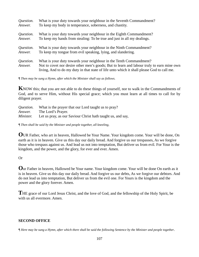| Question.            | What is your duty towards your neighbour in the Seventh Commandment?                                                                                                                                                                                          |
|----------------------|---------------------------------------------------------------------------------------------------------------------------------------------------------------------------------------------------------------------------------------------------------------|
| Answer.              | To keep my body in temperance, soberness, and chastity.                                                                                                                                                                                                       |
| Question.            | What is your duty towards your neighbour in the Eighth Commandment?                                                                                                                                                                                           |
| Answer.              | To keep my hands from stealing: To be true and just in all my dealings.                                                                                                                                                                                       |
| Question.            | What is your duty towards your neighbour in the Ninth Commandment?                                                                                                                                                                                            |
| Answer.              | To keep my tongue from evil speaking, lying, and slandering.                                                                                                                                                                                                  |
| Question.<br>Answer. | What is your duty towards your neighbour in the Tenth Commandment?<br>Not to covet nor desire other men's goods; But to learn and labour truly to earn mine own<br>living, And to do my duty in that state of life unto which it shall please God to call me. |

*¶ Then may be sung a Hymn, after which the Minister shall say as follows.* 

**K**NOW this; that you are not able to do these things of yourself, nor to walk in the Commandments of God, and to serve Him, without His special grace; which you must learn at all times to call for by diligent prayer.

| Question.        | What is the prayer that our Lord taught us to pray?         |
|------------------|-------------------------------------------------------------|
| Answer.          | The Lord's Prayer.                                          |
| <i>Minister.</i> | Let us pray, as our Saviour Christ hath taught us, and say, |

*¶ Then shall be said by the Minister and people together, all kneeling,* 

**O**UR Father, who art in heaven, Hallowed be Your Name. Your kingdom come. Your will be done, On earth as it is in heaven. Give us this day our daily bread. And forgive us our trespasses, As we forgive those who trespass against us. And lead us not into temptation, But deliver us from evil. For Your is the kingdom, and the power, and the glory, for ever and ever. Amen.

Or

**O**ur Father in heaven, Hallowed be Your name. Your kingdom come. Your will be done On earth as it is in heaven. Give us this day our daily bread. And forgive us our debts, As we forgive our debtors. And do not lead us into temptation, But deliver us from the evil one. For Yours is the kingdom and the power and the glory forever. Amen.

**T**HE grace of our Lord Jesus Christ, and the love of God, and the fellowship of the Holy Spirit, be with us all evermore. Amen.

### **SECOND OFFICE**

*¶ Here may be sung a Hymn, after which there shall be said the following Sentence by the Minister and people together*.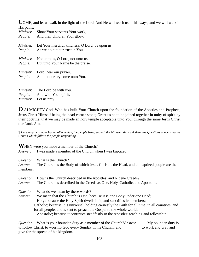**C**OME, and let us walk in the light of the Lord. And He will teach us of his ways, and we will walk in His paths.

| $\cdots$ putter.<br>Minister. | Show Your servants Your work;<br><i>People.</i> And their children Your glory.                                                                                                                                                                                                                                                             |
|-------------------------------|--------------------------------------------------------------------------------------------------------------------------------------------------------------------------------------------------------------------------------------------------------------------------------------------------------------------------------------------|
| <i>Minister.</i>              | Let Your merciful kindness, O Lord, be upon us;<br><i>People.</i> As we do put our trust in You.                                                                                                                                                                                                                                           |
| <i>Minister.</i>              | Not unto us, O Lord, not unto us,<br><i>People.</i> But unto Your Name be the praise.                                                                                                                                                                                                                                                      |
|                               | <i>Minister.</i> Lord, hear our prayer.<br><i>People.</i> And let our cry come unto You.                                                                                                                                                                                                                                                   |
| $\mathbf{M}$                  | $\mathbf{T1}$ , $\mathbf{I}$ , $\mathbf{I}$ , $\mathbf{I}$ , $\mathbf{I}$ , $\mathbf{I}$ , $\mathbf{I}$ , $\mathbf{I}$ , $\mathbf{I}$ , $\mathbf{I}$ , $\mathbf{I}$ , $\mathbf{I}$ , $\mathbf{I}$ , $\mathbf{I}$ , $\mathbf{I}$ , $\mathbf{I}$ , $\mathbf{I}$ , $\mathbf{I}$ , $\mathbf{I}$ , $\mathbf{I}$ , $\mathbf{I}$ , $\mathbf{I}$ , |

*Minister.* The Lord be with you. *People*. And with Your spirit. *Minister.* Let us pray.

**O** ALMIGHTY God, Who has built Your Church upon the foundation of the Apostles and Prophets, Jesus Christ Himself being the head corner-stone; Grant us so to be joined together in unity of spirit by their doctrine, that we may be made an holy temple acceptable unto You; through the same Jesus Christ our Lord. Amen.

*¶ Here may be sung a Hymn, after which, the people being seated, the Minister shall ask them the Questions concerning the Church which follow, the people responding.* 

**WHEN** were you made a member of the Church?

*Answer*. I was made a member of the Church when I was baptized.

*Question*. What is the Church?

*Answer.* The Church is the Body of which Jesus Christ is the Head, and all baptized people are the members.

| Question. | How is the Church described in the Apostles' and Nicene Creeds?                                    |
|-----------|----------------------------------------------------------------------------------------------------|
| Answer.   | The Church is described in the Creeds as One, Holy, Catholic, and Apostolic.                       |
| Question. | What do we mean by these words?                                                                    |
| Answer.   | We mean that the Church is One; because it is one Body under one Head;                             |
|           | Holy; because the Holy Spirit dwells in it, and sanctifies its members;                            |
|           | Catholic; because it is universal, holding earnestly the Faith for all time, in all countries, and |
|           | for all people; and is sent to preach the Gospel to the whole world;                               |
|           | Apostolic; because it continues steadfastly in the Apostles' teaching and fellowship.              |

*Question.* What is your bounden duty as a member of the Church?*Answer.* My bounden duty is to follow Christ, to worship God every Sunday in his Church; and to work and pray and give for the spread of his kingdom.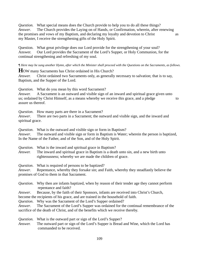*Question.* What special means does the Church provide to help you to do all these things? *Answer*. The Church provides the Laying on of Hands, or Confirmation, wherein, after renewing the promises and vows of my Baptism, and declaring my loyalty and devotion to Christ as my Master, I receive the strengthening gifts of the Holy Spirit.

Question. What great privilege does our Lord provide for the strengthening of your soul? Answer. Our Lord provides the Sacrament of the Lord's Supper, or Holy Communion, for the continual strengthening and refreshing of my soul.

*¶ Here may be sung another Hymn, after which the Minister shall proceed with the Questions on the Sacraments, as follows.*

**H**OW many Sacraments has Christ ordained in His Church?

*Answer.* Christ ordained two Sacraments only, as generally necessary to salvation; that is to say, Baptism, and the Supper of the Lord.

*Question.* What do you mean by this word Sacrament?

*Answer.* A Sacrament is an outward and visible sign of an inward and spiritual grace given unto us; ordained by Christ Himself, as a means whereby we receive this grace, and a pledge to to assure us thereof.

*Question*. How many parts are there in a Sacrament?

*Answer*. There are two parts in a Sacrament; the outward and visible sign, and the inward and spiritual grace.

*Question*. What is the outward and visible sign or form in Baptism?

*Answer*. The outward and visible sign or form in Baptism is Water; wherein the person is baptized, In the Name of the Father, and of the Son, and of the Holy Spirit.

*Question.* What is the inward and spiritual grace in Baptism?

*Answer.* The inward and spiritual grace in Baptism is a death unto sin, and a new birth unto righteousness; whereby we are made the children of grace.

*Question*. What is required of persons to be baptized?

*Answer*. Repentance, whereby they forsake sin; and Faith, whereby they steadfastly believe the promises of God to them in that Sacrament.

*Question*. Why then are infants baptized, when by reason of their tender age they cannot perform repentance and faith?

*Answer*. Because, by the faith of their Sponsors, infants are received into Christ's Church,

become the recipients of his grace, and are trained in the household of faith.

*Question*. Why was the Sacrament of the Lord's Supper ordained?

*Answer*. The Sacrament of the Lord's Supper was ordained for the continual remembrance of the sacrifice of the death of Christ, and of the benefits which we receive thereby.

*Question.* What is the outward part or sign of the Lord's Supper?

*Answer.* The outward part or sign of the Lord's Supper is Bread and Wine, which the Lord has commanded to be received.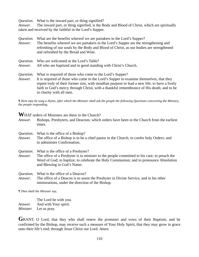*Question*. What is the inward part, or thing signified?

*Answer*. The inward part, or thing signified, is the Body and Blood of Christ, which are spiritually taken and received by the faithful in the Lord's Supper.

| Question.<br>Answer. | What are the benefits where of we are partakers in the Lord's Supper?<br>The benefits whereof we are partakers in the Lord's Supper are the strengthening and<br>refreshing of our souls by the Body and Blood of Christ, as our bodies are strengthened<br>and refreshed by the Bread and Wine.                                                 |
|----------------------|--------------------------------------------------------------------------------------------------------------------------------------------------------------------------------------------------------------------------------------------------------------------------------------------------------------------------------------------------|
| Question.<br>Answer. | Who are welcomed at the Lord's Table?<br>All who are baptized and in good standing with Christ's Church.                                                                                                                                                                                                                                         |
| Question.<br>Answer. | What is required of those who come to the Lord's Supper?<br>It is required of those who come to the Lord's Supper to examine themselves, that they<br>repent truly of their former sins, with steadfast purpose to lead a new life; to have a lively<br>faith in God's mercy through Christ, with a thankful remembrance of His death; and to be |

*¶ Here may be sung a Hymn, after which the Minister shall ask the people the following Questions concerning the Ministry, the people responding.* 

**W**HAT orders of Ministers are there in the Church?

in charity with all men.

*Answer*. Bishops, Presbyters, and Deacons; which orders have been in the Church from the earliest times.

*Question*. What is the office of a Bishop?

*Answer.* The office of a Bishop is to be a chief pastor in the Church; to confer holy Orders; and to administer Confirmation.

*Question*. What is the office of a Presbyter?

*Answer*. The office of a Presbyter is to minister to the people committed to his care; to preach the Word of God; to baptize; to celebrate the Holy Communion; and to pronounce Absolution and Blessing in God's Name.

*Question.* What is the office of a Deacon?

*Answer*. The office of a Deacon is to assist the Presbyter in Divine Service, and in his other ministrations, under the direction of the Bishop.

*¶ Then shall the Minister say,* 

 The Lord be with you. *Answer.* And with Your spirit. *Minister.* Let us pray.

**G**RANT, O Lord, that they who shall renew the promises and vows of their Baptism, and be confirmed by the Bishop, may receive such a measure of Your Holy Spirit, that they may grow in grace unto their life's end; through Jesus Christ our Lord. *Amen.*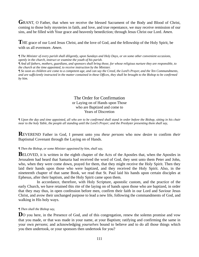**G**RANT, O Father, that when we receive the blessed Sacrament of the Body and Blood of Christ, coming to those holy mysteries in faith, and love, and true repentance, we may receive remission of our sins, and be filled with Your grace and heavenly benediction; through Jesus Christ our Lord. *Amen.* 

**T**HE grace of our Lord Jesus Christ, and the love of God, and the fellowship of the Holy Spirit, be with us all evermore. *Amen*.

*¶ The Minister of every parish shall diligently, upon Sundays and Holy Days, or on some other convenient occasions, openly in the church, instruct or examine the youth of his parish.* 

*¶ And all fathers, mothers, guardians, and sponsors shall bring those, for whose religious nurture they are responsible, to the church at the time appointed, to receive instruction by the Minister.* 

*¶ So soon as children are come to a competent age, and can say the Creed, the Lord's Prayer, and the Ten Commandments, and are sufficiently instructed in the matter contained in these Offices, they shall be brought to the Bishop to be confirmed by him.* 

#### The Order for Confirmation or Laying on of Hands upon Those who are Baptized and come to Years of Discretion

*¶ Upon the day and time appointed, all who are to be confirmed shall stand in order before the Bishop, sitting in his chair near to the holy Table, the people all standing until the Lord's Prayer; and the Presbyter presenting them shall say,* 

**R**EVEREND Father in God, I present unto you *these persons* who now desire to confirm *their* Baptismal Covenant through the Laying on of Hands.

#### *¶ Then the Bishop, or some Minister appointed by him, shall say,*

**BELOVED**, it is written in the eighth chapter of the Acts of the Apostles that, when the Apostles in Jerusalem had heard that Samaria had received the word of God, they sent unto them Peter and John, who, when they were come down, prayed for them, that they might receive the Holy Spirit. Then they laid their hands upon those who were baptized, and they received the Holy Spirit. Also, in the nineteenth chapter of that same Book, we read that St. Paul laid his hands upon certain disciples at Ephesus, after their baptism, and the Holy Spirit came upon them.

 In accordance, therefore, with Holy Scripture, apostolic custom, and the practice of the early Church, we have retained this rite of the laying on of hands upon those who are baptized, in order that they may thus, in open confession before men, confirm their faith in our Lord and Saviour Jesus Christ, and avow their unchanged purpose to lead a new life, following the commandments of God, and walking in His holy ways.

#### *¶ Then shall the Bishop say,*

**D**O you here, in the Presence of God, and of this congregation, renew the solemn promise and vow that you made, or that was made in your name, at your Baptism; ratifying and confirming the same in your own *persons*; and acknowledging *yourselves* bound to believe and to do all those things which you then undertook, or your sponsors then undertook for you?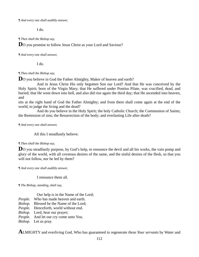*¶ And every one shall audibly answer,* 

I do.

*¶ Then shall the Bishop say,* 

**D**O you promise to follow Jesus Christ as your Lord and Saviour?

#### *¶ And every one shall answer,*

I do.

#### *¶ Then shall the Bishop say,*

**D**O you believe in God the Father Almighty, Maker of heaven and earth?

 And in Jesus Christ His only begotten Son our Lord? And that He was conceived by the Holy Spirit; born of the Virgin Mary; that He suffered under Pontius Pilate, was crucified, dead, and buried; that He went down into hell, and also did rise again the third day; that He ascended into heaven, and

sits at the right hand of God the Father Almighty; and from there shall come again at the end of the world, to judge the living and the dead?

 And do you believe in the Holy Spirit; the holy Catholic Church; the Communion of Saints; the Remission of sins; the Resurrection of the body; and everlasting Life after death?

*¶ And every one shall answer,* 

All this I steadfastly believe.

#### *¶ Then shall the Bishop say,*

**D**O you steadfastly purpose, by God's help, to renounce the devil and all his works, the vain pomp and glory of the world, with all covetous desires of the same, and the sinful desires of the flesh, so that you will not follow, nor be led by them?

*¶ And every one shall audibly answer,* 

I renounce them all.

*¶ The Bishop, standing, shall say,* 

Our help is in the Name of the Lord;

- *People.* Who has made heaven and earth.
- *Bishop.* Blessed be the Name of the Lord;
- *People.* Henceforth, world without end.
- *Bishop.* Lord, hear our prayer;
- *People.* And let our cry come unto You.
- *Bishop.* Let us pray.

**A**LMIGHTY and everliving God, Who has guaranteed to regenerate *these Your servants* by Water and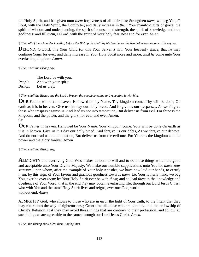the Holy Spirit, and has given unto *them* forgiveness of all their sins; Strengthen *them*, we beg You, O Lord, with the Holy Spirit, the Comforter, and daily increase in *them* Your manifold gifts of grace: the spirit of wisdom and understanding, the spirit of counsel and strength, the spirit of knowledge and true godliness; and fill *them*, O Lord, with the spirit of Your holy fear, now and for ever. *Amen.* 

#### *¶ Then all of them in order kneeling before the Bishop, he shall lay his hand upon the head of every one severally, saying,*

**DEFEND**, O Lord, this Your Child (or this Your Servant) with Your heavenly grace; that *he* may continue Yours for ever; and daily increase in Your Holy Spirit more and more, until *he* come unto Your everlasting kingdom. *Amen.* 

#### *¶ Then shall the Bishop say,*

The Lord be with you. *People*. And with your spirit. *Bishop.* Let us pray.

#### *¶ Then shall the Bishop say the Lord's Prayer, the people kneeling and repeating it with him.*

**O**UR Father, who art in heaven, Hallowed be thy Name. Thy kingdom come. Thy will be done, On earth as it is in heaven. Give us this day our daily bread. And forgive us our trespasses, As we forgive those who trespass against us. And lead us not into temptation, But deliver us from evil. For thine is the kingdom, and the power, and the glory, for ever and ever. Amen. Or

**O**UR Father in heaven, Hallowed be Your Name. Your kingdom come. Your will be done On earth as it is in heaven. Give us this day our daily bread. And forgive us our debts, As we forgive our debtors. And do not lead us into temptation, But deliver us from the evil one. For Yours is the kingdom and the power and the glory forever. Amen

#### *¶ Then shall the Bishop say,*

**A**LMIGHTY and everliving God, Who makes us both to will and to do those things which are good and acceptable unto Your Divine Majesty; We make our humble supplications unto You for *these Your servants,* upon whom, after the example of Your holy Apostles, we have now laid our hands, to certify *them*, by this sign, of Your favour and gracious goodness towards *them*. Let Your fatherly hand, we beg You, ever be over *them*; let Your Holy Spirit ever be with *them*; and so lead *them* in the knowledge and obedience of Your Word, that in the end *they* may obtain everlasting life; through our Lord Jesus Christ, who with You and the same Holy Spirit lives and reigns, ever one God, world without end. *Amen.* 

ALMIGHTY God, who shows to those who are in error the light of Your truth, to the intent that they may return into the way of righteousness; Grant unto all those who are admitted into the fellowship of Christ's Religion, that they may avoid those things that are contrary to their profession, and follow all such things as are agreeable to the same; through our Lord Jesus Christ. *Amen.*

*¶ Then the Bishop shall bless them, saying thus,*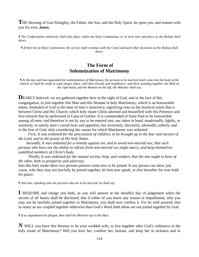**T**HE blessing of God Almighty, the Father, the Son, and the Holy Spirit, be upon you, and remain with you for ever. *Amen*.

*¶ The Confirmation ordinarily shall take place within the Holy Communion, or at such time and place as the Bishop shall direct.* 

*¶ If there be no Holy Communion, the service shall continue with the Creed and such other devotions as the Bishop shall direct.* 

## **The Form of Solemnization of Matrimony**

*¶ At the day and time appointed for solemnization of Matrimony, the persons to be married shall come into the body of the church, or shall be ready in some proper place, with their friends and neighbours; and there standing together, the Man on the right hand, and the Woman on the left, the Minister shall say,* 

**DEARLY** beloved, we are gathered together here in the sight of God, and in the face of this congregation, to join together this Man and this Woman in holy Matrimony; which is an honourable estate, instituted of God in the time of man's innocency, signifying unto us the mystical union that is between Christ and His Church; which holy estate Christ adorned and beautified with His Presence and first miracle that he performed in Cana of Galilee. It is commended of Saint Paul to be honourable among all men: and therefore is not by any to be entered into, nor taken in hand, unadvisedly, lightly, or wantonly, to satisfy men's carnal lusts and appetites; but reverently, discreetly, advisedly, soberly, and in the fear of God; duly considering the causes for which Matrimony was ordained.

 *First, It was ordained for the procreation of children, to be brought up in the fear and nurture of the Lord, and to the praise of His holy Name.* 

 *Secondly, It was ordained for a remedy against sin, and to avoid non-marital sex; that such persons who have not the ability to refrain from non-marital sex might marry, and keep themselves undefiled members of Christ's body.* 

 *Thirdly, It was ordained for the mutual society, help, and comfort, that the one ought to have of the other, both in prosperity and adversity.*

Into this holy estate these two persons present come now to be joined. If any person can show just cause, why they may not lawfully be joined together, let him now speak, or else hereafter for ever hold his peace.

*¶ And also, speaking unto the persons who are to be married, he shall say,* 

**I** REQUIRE and charge you both, as you will answer at the dreadful day of judgement when the secrets of all hearts shall be disclosed, that if either of you know any reason or impediment, why you may not be lawfully joined together in Matrimony, you shall now confess it. For be well assured, that so many as are coupled together otherwise than God's Word doth allow are not joined together by God.

*¶ If no impediment be alleged, then shall the Minister say to the Man,* 

*N* WILL you have this Woman to be your wedded wife, to live together after God's ordinance in the holy estate of Matrimony? Will you love her, comfort her, honour, and keep her in sickness and in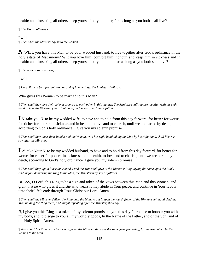health; and, forsaking all others, keep yourself only unto her, for as long as you both shall live?

*¶ The Man shall answer,* 

I will. *¶ Then shall the Minister say unto the Woman,* 

*N* WILL you have this Man to be your wedded husband, to live together after God's ordinance in the holy estate of Matrimony? Wilt you love him, comfort him, honour, and keep him in sickness and in health; and, forsaking all others, keep yourself only unto him, for as long as you both shall live?

*¶ The Woman shall answer,* 

I will.

*¶ Here, if there be a presentation or giving in marriage, the Minister shall say,* 

#### Who gives this Woman to be married to this Man?

*¶ Then shall they give their solemn promise to each other in this manner. The Minister shall require the Man with his right hand to take the Woman by her right hand, and to say after him as follows.* 

**I** *N.* take you *N.* to be my wedded wife, to have and to hold from this day forward, for better for worse, for richer for poorer, in sickness and in health, to love and to cherish, until we are parted by death, according to God's holy ordinance. I give you my solemn promise.

*¶ Then shall they loose their hands; and the Woman, with her right hand taking the Man by his right hand, shall likewise say after the Minister,* 

**I** *N.* take Your *N*. to be my wedded husband, to have and to hold from this day forward, for better for worse, for richer for poorer, in sickness and in health, to love and to cherish, until we are parted by death, according to God's holy ordinance. I give you my solemn promise.

*¶ Then shall they again loose their hands; and the Man shall give to the Woman a Ring, laying the same upon the Book. And, before delivering the Ring to the Man, the Minister may say as follows*.

BLESS, O Lord, this Ring to be a sign and token of the vows between this Man and this Woman, and grant that *he* who gives it and *she* who wears it may abide in Your peace, and continue in Your favour, unto their life's end; through Jesus Christ our Lord. Amen.

*¶ Then shall the Minister deliver the Ring unto the Man, to put it upon the fourth finger of the Woman's left hand. And the Man holding the Ring there, and taught repeating after the Minister, shall say,* 

*N*, I give you this Ring as a token of my solemn promise to you this day. I promise to honour you with my body, and to pledge to you all my worldly goods, In the Name of the Father, and of the Son, and of the Holy Spirit. Amen.

*¶ And note, That if there are two Rings given, the Minister shall use the same form preceding, for the Ring given by the Woman to the Man.*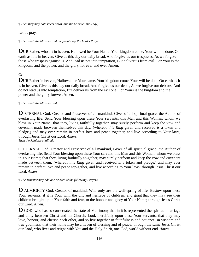*¶ Then they may both kneel down, and the Minister shall say,* 

Let us pray.

*¶ Then shall the Minister and the people say the Lord's Prayer.* 

**O**UR Father, who art in heaven, Hallowed be Your Name. Your kingdom come. Your will be done, On earth as it is in heaven. Give us this day our daily bread. And forgive us our trespasses, As we forgive those who trespass against us. And lead us not into temptation, But deliver us from evil. For Your is the kingdom, and the power, and the glory, for ever and ever. Amen.

## *Or*

**O**UR Father in heaven, Hallowed be Your name. Your kingdom come. Your will be done On earth as it is in heaven. Give us this day our daily bread. And forgive us our debts, As we forgive our debtors. And do not lead us into temptation, But deliver us from the evil one. For Yours is the kingdom and the power and the glory forever. Amen.

*¶ Then shall the Minister add,* 

**O** ETERNAL God, Creator and Preserver of all mankind, Giver of all spiritual grace, the Author of everlasting life: Send Your blessing upon these Your servants, this Man and this Woman, whom we bless in Your Name; that they, living faithfully together, may surely perform and keep the vow and covenant made between themselves this day, (whereof *this Ring* given and received *is* a token and pledge,) and may ever remain in perfect love and peace together, and live according to Your laws; through Jesus Christ our Lord. *Amen.* 

*Then the Minister shall add* 

O ETERNAL God, Creator and Preserver of all mankind, Giver of all spiritual grace, the Author of everlasting life; Send Your blessing upon these Your servant, this Man and this Woman, whom we bless in Your Name; that they, living faithfully to-gether, may surely perform and keep the vow and covenant made between them, (whereof *this Ring* given and received *is* a token and pledge,) and may ever remain in perfect love and peace top-gether, and live according to Your laws; through Jesus Christ our Lord. *Amen* 

*¶ The Minister may add one or both of the following Prayers.* 

**O** ALMIGHTY God, Creator of mankind, Who only are the well-spring of life; Bestow upon these Your servants, if it is Your will, the gift and heritage of children; and grant that they may see their children brought up in Your faith and fear, to the honour and glory of Your Name; through Jesus Christ our Lord. *Amen.* 

**O** GOD, who has so consecrated the state of Matrimony that in it is represented the spiritual marriage and unity between Christ and his Church; Look mercifully upon these Your servants, that they may love, honour, and cherish each other, and so live together in faithfulness and patience, in wisdom and true godliness, that their home may be a haven of blessing and of peace; through the same Jesus Christ our Lord, who lives and reigns with You and the Holy Spirit, one God, world without end. *Amen*.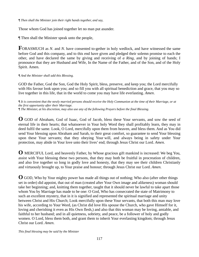#### *¶ Then shall the Minister join their right hands together, and say,*

Those whom God has joined together let no man put asunder.

¶ Then shall the Minister speak unto the people,

**F**ORASMUCH as *N*. and *N*. have consented to-gether in holy wedlock, and have witnessed the same before God and this company, and to this end have given and pledged their solemn promise to each the other, and have declared the same by giving and receiving of *a Ring*, and by joining of hands; I pronounce that they are Husband and Wife, In the Name of the Father, and of the Son, and of the Holy Spirit. Amen.

*¶ And the Minister shall add this Blessing.* 

GOD the Father, God the Son, God the Holy Spirit, bless, preserve, and keep you; the Lord mercifully with His favour look upon you; and so fill you with all spiritual benediction and grace, that you may so live together in this life, that in the world to come you may have life everlasting. *Amen*.

*¶ It is convenient that the newly married persons should receive the Holy Communion at the time of their Marriage, or at the first opportunity after their Marriage.*

*¶ The Minister, at his discretion, may also use any of the following Prayers before the final Blessing.* 

**O** GOD of Abraham, God of Isaac, God of Jacob, bless these Your servants, and sow the seed of eternal life in their hearts; that whatsoever in Your holy Word they shall profitably learn, they may in deed fulfil the same. Look, O Lord, mercifully upon them from heaven, and bless them. And as You did send Your blessing upon Abraham and Sarah, to their great comfort, so guarantee to send Your blessing upon these Your servants; that they obeying Your will, and always being in safety under Your protection, may abide in Your love unto their lives' end; through Jesus Christ our Lord. *Amen.* 

**O** MERCIFUL Lord, and heavenly Father, by Whose gracious gift mankind is increased: We beg You, assist with Your blessing these two persons, that they may both be fruitful in procreation of children, and also live together so long in godly love and honesty, that they may see their children Christianly and virtuously brought up, to Your praise and honour; through Jesus Christ our Lord. *Amen.* 

**O** GOD, Who by Your mighty power has made all things out of nothing; Who also (after other things set in order) did appoint, that out of man (created after Your Own image and alikeness) woman should take her beginning; and, knitting them together, taught that it should never be lawful to take apart those whom You by Marriage has made to be one: O God, Who has consecrated the state of Matrimony to such an excellent mystery, that in it is signified and represented the spiritual marriage and unity between Christ and His Church; Look mercifully upon these Your servants, that both this man may love his wife, according to Your Word, (as Christ did love His spouse the Church, who gave Himself for it, loving and cherishing it even as His Own flesh,) and also that this woman may be loving, amiable, and faithful to her husband; and in all quietness, sobriety, and peace, be a follower of holy and godly women. O Lord, bless them both, and grant them to inherit Your everlasting kingdom; through Jesus Christ our Lord. *Amen*.

*This final blessing may be said by the Minister*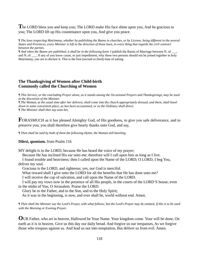**T**he LORD bless you and keep you; The LORD make His face shine upon you, And be gracious to you; The LORD lift up His countenance upon you, And give you peace.

*¶ The laws respecting Matrimony, whether by publishing the Banns in churches, or by License, being different in the several States and Provinces, every Minister is left to the direction of those laws, in every thing that regards the civil contract between the parties.* 

*¶ And when the Banns are published, it shall be in the following form*: I publish the Banns of Marriage between N. of \_\_\_, and N. of \_\_\_. If any of you know cause, or just impediment, why these two persons should not be joined together in holy Matrimony, you are to declare it. This is the first (second or third) time of asking.

#### **The Thanksgiving of Women after Child-birth Commonly called the Churching of Women**

*¶ This Service, or the concluding Prayer alone, as it stands among the Occasional Prayers and Thanksgivings, may be used at the discretion of the Minister.* 

*¶ The Woman, at the usual time after her delivery, shall come into the church appropriately dressed, and there, shall kneel down in some convenient place, as has been accustomed, or as the Ordinary shall direct.* 

*¶ The Minister shall then say unto her,* 

**F**ORASMUCH as it has pleased Almighty God, of His goodness, to give you safe deliverance, and to preserve you; you shall therefore give hearty thanks unto God, and say,

*¶ Then shall be said by both of them the following Hymn, the Woman still kneeling.*

#### **Dilexi, quoniam.** from Psalm 116

MY delight is in the LORD; because He has heard the voice of my prayer;

Because He has inclined His ear unto me; therefore will I call upon him as long as I live.

 I found trouble and heaviness; then I called upon the Name of the LORD; O LORD, I beg You, deliver my soul.

Gracious is the LORD, and righteous; yes, our God is merciful.

What reward shall I give unto the LORD for all the benefits that He has done unto me?

I will receive the cup of salvation, and call upon the Name of the LORD.

 I will pay my vows now in the presence of all His people, in the courts of the LORD'S house; even in the midst of You, O Jerusalem. Praise the LORD.

Glory be to the Father, and to the Son, and to the Holy Spirit;

As it was in the beginning, is now, and ever shall be, world without end. Amen.

*¶ Then shall the Minister say the Lord's Prayer, with what follows; but the Lord's Prayer may be omitted, if this is to be used with the Morning or Evening Prayer*.

**O**UR Father, who art in heaven, Hallowed be Your Name. Your kingdom come. Your will be done, On earth as it is in heaven. Give us this day our daily bread. And forgive us our trespasses, As we forgive those who trespass against us. And lead us not into temptation, But deliver us from evil. Amen.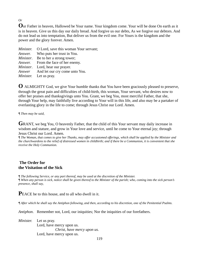## *Or*

**O**ur Father in heaven, Hallowed be Your name. Your kingdom come. Your will be done On earth as it is in heaven. Give us this day our daily bread. And forgive us our debts, As we forgive our debtors. And do not lead us into temptation, But deliver us from the evil one. For Yours is the kingdom and the power and the glory forever. Amen.

| <i>Minister.</i> O Lord, save this woman Your servant; |
|--------------------------------------------------------|
| <i>Answer.</i> Who puts her trust in You.              |
| <i>Minister.</i> Be to her a strong tower;             |
| <i>Answer.</i> From the face of her enemy.             |
| <i>Minister.</i> Lord, hear our prayer.                |
| <i>Answer</i> And let our cry come unto You.           |
| <i>Minister.</i> Let us pray.                          |

**O** ALMIGHTY God, we give Your humble thanks that You have been graciously pleased to preserve, through the great pain and difficulties of child-birth, this woman, Your servant, who desires now to offer her praises and thanksgivings unto You. Grant, we beg You, most merciful Father, that she, through Your help, may faithfully live according to Your will in this life, and also may be a partaker of everlasting glory in the life to come; through Jesus Christ our Lord. Amen.

*¶ Then may be said,* 

GRANT, we beg You, O heavenly Father, that the child of this Your servant may daily increase in wisdom and stature, and grow in Your love and service, until he come to Your eternal joy; through Jesus Christ our Lord. Amen.

*¶ The Woman, that comes to give her Thanks, may offer accustomed offerings, which shall be applied by the Minister and the churchwardens to the relief of distressed women in childbirth; and if there be a Communion, it is convenient that she receive the Holy Communion.* 

## **The Order for the Visitation of the Sick**

*¶ The following Service, or any part thereof, may be used at the discretion of the Minister. ¶ When any person is sick, notice shall be given thereof to the Minister of the parish; who, coming into the sick person's presence, shall say,* 

**P**EACE be to this house, and to all who dwell in it.

*¶ After which he shall say the Antiphon following, and then, according to his discretion, one of the Penitential Psalms.* 

*Antiphon*. Remember not, Lord, our iniquities; Nor the iniquities of our forefathers.

*Minister.* Let us pray. Lord, have mercy upon us. *Christ, have mercy upon us.* Lord, have mercy upon us.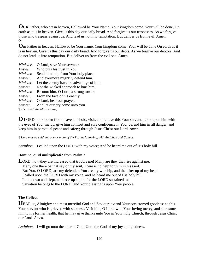**O**UR Father, who art in heaven, Hallowed be Your Name. Your kingdom come. Your will be done, On earth as it is in heaven. Give us this day our daily bread. And forgive us our trespasses, As we forgive those who trespass against us. And lead us not into temptation, But deliver us from evil. Amen. *Or*

**O**ur Father in heaven, Hallowed be Your name. Your kingdom come. Your will be done On earth as it is in heaven. Give us this day our daily bread. And forgive us our debts, As we forgive our debtors. And do not lead us into temptation, But deliver us from the evil one. Amen.

| Minister.                             | O Lord, save Your servant;              |  |
|---------------------------------------|-----------------------------------------|--|
| Answer.                               | Who puts his trust in You.              |  |
| Minister.                             | Send him help from Your holy place;     |  |
| Answer.                               | And evermore mightily defend him.       |  |
| Minister.                             | Let the enemy have no advantage of him; |  |
| Answer.                               | Nor the wicked approach to hurt him.    |  |
| Minister.                             | Be unto him, O Lord, a strong tower;    |  |
| Answer.                               | From the face of his enemy.             |  |
| Minister.                             | O Lord, hear our prayer.                |  |
| Answer.                               | And let our cry come unto You.          |  |
| <i>¶ Then shall the Minister say,</i> |                                         |  |

**O** LORD, look down from heaven, behold, visit, and relieve this Your servant. Look upon him with the eyes of Your mercy, give him comfort and sure confidence in You, defend him in all danger, and keep him in perpetual peace and safety; through Jesus Christ our Lord. *Amen*.

*¶ Here may be said any one or more of the Psalms following, with Antiphon and Collect.*

*Antiphon*. I called upon the LORD with my voice; And he heard me out of His holy hill.

#### **Domine, quid multiplicati?** from Psalm 3

LORD, how they are increased that trouble me! Many are they that rise against me. Many one there be that say of my soul, There is no help for him in his God. But You, O LORD, are my defender; You are my worship, and the lifter up of my head. I called upon the LORD with my voice, and he heard me out of His holy hill. I laid down and slept, and rose up again; for the LORD sustained me. Salvation belongs to the LORD; and Your blessing is upon Your people.

## **The Collect**

**HEAR** us, Almighty and most merciful God and Saviour; extend Your accustomed goodness to this Your servant who is grieved with sickness. Visit him, O Lord, with Your loving mercy, and so restore him to his former health, that he may give thanks unto You in Your holy Church; through Jesus Christ our Lord. *Amen.*

*Antiphon*. I will go unto the altar of God; Unto the God of my joy and gladness.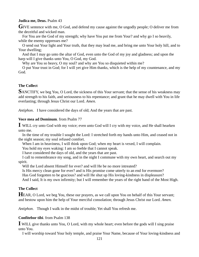### **Judica me, Deus.** Psalm 43

**G**IVE sentence with me, O God, and defend my cause against the ungodly people; O deliver me from the deceitful and wicked man.

 For You are the God of my strength; why have You put me from Your? and why go I so heavily, while the enemy oppresses me?

 O send out Your light and Your truth, that they may lead me, and bring me unto Your holy hill, and to Your dwelling:

 And that I may go unto the altar of God, even unto the God of my joy and gladness; and upon the harp will I give thanks unto You, O God, my God.

Why are You so heavy, O my soul? and why are You so disquieted within me?

 O put Your trust in God; for I will yet give Him thanks, which is the help of my countenance, and my God.

## **The Collect**

SANCTIFY, we beg You, O Lord, the sickness of this Your servant; that the sense of his weakness may add strength to his faith, and seriousness to his repentance; and grant that he may dwell with You in life everlasting; through Jesus Christ our Lord. *Amen.*

*Antiphon*. I have considered the days of old; And the years that are past.

### **Voce mea ad Dominum**. from Psalm 77

**I** WILL cry unto God with my voice; even unto God will I cry with my voice, and He shall hearken unto me.

 In the time of my trouble I sought the Lord: I stretched forth my hands unto Him, and ceased not in the night season; my soul refused comfort.

When I am in heaviness, I will think upon God; when my heart is vexed, I will complain.

You hold my eyes waking: I am so feeble that I cannot speak.

I have considered the days of old, and the years that are past.

 I call to remembrance my song, and in the night I commune with my own heart, and search out my spirit.

Will the Lord absent Himself for ever? and will He be no more intreated?

Is His mercy clean gone for ever? and is His promise come utterly to an end for evermore?

Has God forgotten to be gracious? and will He shut up His loving-kindness in displeasure?

And I said, It is my own infirmity; but I will remember the years of the right hand of the Most High.

## **The Collect**

**HEAR, O Lord, we beg You, these our prayers, as we call upon You on behalf of this Your servant;** and bestow upon him the help of Your merciful consolation; through Jesus Christ our Lord. *Amen.*

*Antiphon*. Though I walk in the midst of trouble; Yet shall You refresh me.

## **Confitebor tibi**. from Psalm 138

**I** WILL give thanks unto You, O Lord, with my whole heart; even before the gods will I sing praise unto You.

I will worship toward Your holy temple, and praise Your Name, because of Your loving-kindness and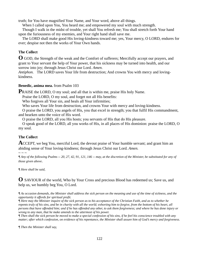truth; for You have magnified Your Name, and Your word, above all things.

When I called upon You, You heard me; and empowered my soul with much strength.

 Though I walk in the midst of trouble, yet shall You refresh me; You shall stretch forth Your hand upon the furiousness of my enemies, and Your right hand shall save me.

 The LORD shall make good His loving-kindness toward me; yes, Your mercy, O LORD, endures for ever; despise not then the works of Your Own hands.

## **The Collect**

**O** GOD, the Strength of the weak and the Comfort of sufferers; Mercifully accept our prayers, and grant to Your servant the help of Your power, that his sickness may be turned into health, and our sorrow into joy; through Jesus Christ our Lord. *Amen.*

*Antiphon.* The LORD saves Your life from destruction; And crowns You with mercy and lovingkindness.

#### **Benedic, anima mea.** from Psalm 103

**P**RAISE the LORD, O my soul; and all that is within me, praise His holy Name.

Praise the LORD, O my soul, and forget not all His benefits:

Who forgives all Your sin, and heals all Your infirmities;

Who saves Your life from destruction, and crowns Your with mercy and loving-kindness.

 O praise the LORD, you angels of His, you that excel in strength; you that fulfil His commandment, and hearken unto the voice of His word.

O praise the LORD, all you His hosts; you servants of His that do His pleasure.

 O speak good of the LORD, all you works of His, in all places of His dominion: praise the LORD, O my soul.

## **The Collect**

**A**CCEPT, we beg You, merciful Lord, the devout praise of Your humble servant; and grant him an abiding sense of Your loving-kindness; through Jesus Christ our Lord. *Amen.*

 $\sim$   $\sim$   $\sim$ 

*¶ Any of the following Psalms -- 20, 27, 42, 91, 121, 146 -- may, at the discretion of the Minister, be substituted for any of those given above*.

*¶ Here shall be said,* 

**O** SAVIOUR of the world, Who by Your Cross and precious Blood has redeemed us; Save us, and help us, we humbly beg You, O Lord.

*¶ As occasion demands, the Minister shall address the sick person on the meaning and use of the time of sickness, and the opportunity it affords for spiritual profit.* 

*¶ Here may the Minister inquire of the sick person as to his acceptance of the Christian Faith, and as to whether he repents truly of his sins, and be in charity with all the world; exhorting him to forgive, from the bottom of his heart, all persons that have offended him; and if he has offended any other, to ask them forgiveness; and where he has done injury or wrong to any man, that he make amends to the uttermost of his power.* 

*¶ Then shall the sick person be moved to make a special confession of his sins, if he feel his conscience troubled with any matter; after which confession, on evidence of his repentance, the Minister shall assure him of God's mercy and forgiveness.* 

*¶ Then the Minister shall say,*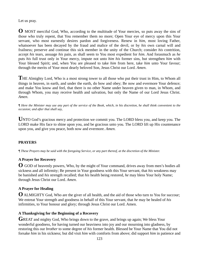Let us pray.

**O** MOST merciful God, Who, according to the multitude of Your mercies, so puts away the sins of those who truly repent, that You remember them no more; Open Your eye of mercy upon this Your servant, who most earnestly desires pardon and forgiveness. Renew in *him*, most loving Father, whatsoever has been decayed by the fraud and malice of the devil, or by *his* own carnal will and frailness; preserve and continue this sick member in the unity of the Church; consider *his* contrition, accept *his* tears, assuage *his* pain, as shall seem to You most expedient for *him*. And forasmuch as *he* puts *his* full trust only in Your mercy, impute not unto *him his* former sins, but strengthen *him* with Your blessed Spirit; and, when You are pleased to take *him* from here, take *him* unto Your favour; through the merits of Your most dearly beloved Son, Jesus Christ our Lord. *Amen*.

**T**HE Almighty Lord, Who is a most strong tower to all those who put their trust in Him, to Whom all things in heaven, in earth, and under the earth, do bow and obey; Be now and evermore Your defence; and make You know and feel, that there is no other Name under heaven given to man, in Whom, and through Whom, you may receive health and salvation, but only the Name of our Lord Jesus Christ. *Amen*.

*¶ Here the Minister may use any part of the service of the Book, which, in his discretion, he shall think convenient to the occasion; and after that shall say,* 

**U**NTO God's gracious mercy and protection we commit you. The LORD bless you, and keep you. The LORD make His face to shine upon you, and be gracious unto you. The LORD lift up His countenance upon you, and give you peace, both now and evermore. *Amen.*

## **PRAYERS**

*¶ These Prayers may be said with the foregoing Service, or any part thereof, at the discretion of the Minister.*

## **A Prayer for Recovery**

**O** GOD of heavenly powers, Who, by the might of Your command, drives away from men's bodies all sickness and all infirmity; Be present in Your goodness with this Your servant, that *his* weakness may be banished and *his* strength recalled; that *his* health being restored, *he* may bless Your holy Name; through Jesus Christ our Lord. *Amen*.

#### **A Prayer for Healing**

**O** ALMIGHTY God, Who are the giver of all health, and the aid of those who turn to You for succour; We entreat Your strength and goodness in behalf of this Your servant, that *he* may be healed of *his* infirmities, to Your honour and glory; through Jesus Christ our Lord. Amen.

#### **A Thanksgiving for the Beginning of a Recovery**

GREAT and mighty God, Who brings down to the grave, and brings up again; We bless Your wonderful goodness, for having turned our heaviness into joy and our mourning into gladness, by restoring this our *brother* to some degree of *his* former health. Blessed be Your Name that You did not forsake *him* in his sickness; but did visit *him* with comforts from above; did support *him* in patience and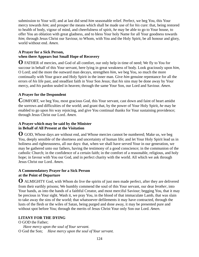submission to Your will; and at last did send *him* seasonable relief. Perfect, we beg You, this Your mercy towards *him*; and prosper the means which shall be made use of for *his* cure: that, being restored to health of body, vigour of mind, and cheerfulness of spirit, *he* may be able to go to Your house, to offer You an oblation with great gladness, and to bless Your holy Name for all Your goodness towards *him*; through Jesus Christ our Saviour, to Whom, with You and the Holy Spirit, be all honour and glory, world without end. *Amen.*

## **A Prayer for a Sick Person, when there Appears but Small Hope of Recovery**

**O** FATHER of mercies, and God of all comfort, our only help in time of need; We fly to You for succour in behalf of this Your servant, here lying in great weakness of body. Look graciously upon *him*, O Lord; and the more the outward man decays, strengthen *him*, we beg You, so much the more continually with Your grace and Holy Spirit in the inner man. Give *him* genuine repentance for all the errors of *his* life past, and steadfast faith in Your Son Jesus; that *his* sins may be done away by Your mercy, and *his* pardon sealed in heaven; through the same Your Son, our Lord and Saviour. *Amen*.

## **A Prayer for the Despondent**

**C**OMFORT, we beg You, most gracious God, this Your servant, cast down and faint of heart amidst the sorrows and difficulties of the world; and grant that, by the power of Your Holy Spirit, *he* may be enabled to go upon *his* way rejoicing, and give You continual thanks for Your sustaining providence; through Jesus Christ our Lord. *Amen.*

### **A Prayer which may be said by the Minister in Behalf of All Present at the Visitation**

**O** GOD, Whose days are without end, and Whose mercies cannot be numbered; Make us, we beg You, deeply sensible of the shortness and uncertainty of human life; and let Your Holy Spirit lead us in holiness and righteousness, all our days: that, when we shall have served Your in our generation, we may be gathered unto our fathers, having the testimony of a good conscience; in the communion of the catholic Church; in the confidence of a certain faith; in the comfort of a reasonable, religious, and holy hope; in favour with You our God, and in perfect charity with the world. All which we ask through Jesus Christ our Lord. *Amen*.

### **A Commendatory Prayer for a Sick Person at the Point of Departure**

**O** ALMIGHTY God, with Whom do live the spirits of just men made perfect, after they are delivered from their earthly prisons; We humbly commend the soul of this Your servant, our dear *brother*, into Your hands, as into the hands of a faithful Creator, and most merciful Saviour; begging You, that it may be precious in Your sight. Wash it, we pray You, in the blood of that immaculate Lamb, that was slain to take away the sins of the world; that whatsoever defilements it may have contracted, through the lusts of the flesh or the wiles of Satan, being purged and done away, it may be presented pure and without spot before You; through the merits of Jesus Christ Your only Son our Lord. *Amen.*

## **LITANY FOR THE DYING**

O GOD the Father; *Have mercy upon the soul of Your servant.* O God the Son; *Have mercy upon the soul of Your servant.*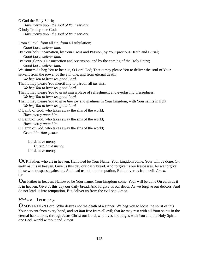O God the Holy Spirit; *Have mercy upon the soul of Your servant.* O holy Trinity, one God; *Have mercy upon the soul of Your servant.*  From all evil, from all sin, from all tribulation; *Good Lord, deliver him.* By Your holy Incarnation, by Your Cross and Passion, by Your precious Death and Burial; *Good Lord, deliver him*. By Your glorious Resurrection and Ascension, and by the coming of the Holy Spirit; *Good Lord, deliver him.* We sinners do beg You to hear us, O Lord God; That it may please You to deliver the soul of Your servant from the power of the evil one, and from eternal death; *We beg You to hear us, good Lord.* That it may please You mercifully to pardon all *his* sins. *We beg You to hear us, good Lord.* That it may please You to grant *him* a place of refreshment and everlasting blessedness; *We beg You to hear us, good Lord.* That it may please You to give *him* joy and gladness in Your kingdom, with Your saints in light; *We beg You to hear us, good Lord.* O Lamb of God, who takes away the sins of the world; *Have mercy upon him.* O Lamb of God, who takes away the sins of the world; *Have mercy upon him.* O Lamb of God, who takes away the sins of the world; *Grant him Your peace.* 

 Lord, have mercy. *Christ, have mercy.* Lord, have mercy.

**O**UR Father, who art in heaven, Hallowed be Your Name. Your kingdom come. Your will be done, On earth as it is in heaven. Give us this day our daily bread. And forgive us our trespasses, As we forgive those who trespass against us. And lead us not into temptation, But deliver us from evil. *Amen*. Or

**O**ur Father in heaven, Hallowed be Your name. Your kingdom come. Your will be done On earth as it is in heaven. Give us this day our daily bread. And forgive us our debts, As we forgive our debtors. And do not lead us into temptation, But deliver us from the evil one. *Amen*.

#### *Minister.* Let us pray.

**O** SOVEREIGN Lord, Who desires not the death of a sinner; We beg You to loose the spirit of this Your servant from every bond, and set *him* free from all evil; that *he* may rest with all Your saints in the eternal habitations; through Jesus Christ our Lord, who lives and reigns with You and the Holy Spirit, one God, world without end. *Amen.*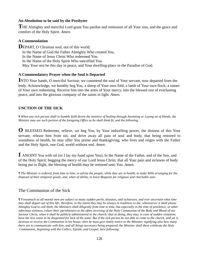#### **An Absolution to be said by the Presbyter**

THE Almighty and merciful Lord grant You pardon and remission of all Your sins, and the grace and comfort of the Holy Spirit. *Amen*.

### **A Commendation**

**DEPART, O Christian soul, out of this world,**  In the Name of God the Father Almighty Who created You. In the Name of Jesus Christ Who redeemed You. In the Name of the Holy Spirit Who sanctified You. May Your rest be this day in peace, and Your dwelling-place in the Paradise of God.

### **A Commendatory Prayer when the Soul is Departed**

**I**NTO Your hands, O merciful Saviour, we commend the soul of Your servant, now departed from the body. Acknowledge, we humbly beg You, a sheep of Your own fold, a lamb of Your own flock, a sinner of Your own redeeming. Receive *him* into the arms of Your mercy, into the blessed rest of everlasting peace, and into the glorious company of the saints in light. *Amen.*

## **UNCTION OF THE SICK**

*¶ When any sick person shall in humble faith desire the ministry of healing through Anointing or Laying on of Hands, the Minister may use such portion of the foregoing Office as he shall think fit, and the following.* 

**O** BLESSED Redeemer, relieve, we beg You, by Your indwelling power, the distress of this Your servant; release him from sin, and drive away all pain of soul and body, that being restored to soundness of health, he may offer You praise and thanksgiving; who lives and reigns with the Father and the Holy Spirit, one God, world without end. *Amen*.

**I** ANOINT You with oil (or I lay my hand upon You), In the Name of the Father, and of the Son, and of the Holy Spirit; begging the mercy of our Lord Jesus Christ, that all Your pain and sickness of body being put to flight, the blessing of health may be restored unto You. *Amen.*

*¶ The Minister is ordered, from time to time, to advise the people, while they are in health, to make Wills arranging for the disposal of their temporal goods, and, when of ability, to leave Bequests for religious and charitable uses.*

## The Communion of the Sick

*¶ Forasmuch as all mortal men are subject to many sudden perils, diseases, and sicknesses, and ever uncertain what time they shall depart out of this life; therefore, to the intent they may be always in readiness to die, whensoever it shall please Almighty God to call them, the Ministers shall diligently from time to time, but especially in the time of pestilence, or other infectious sickness, exhort their parishioners to the often receiving of the Holy Communion of the Body and Blood of our Saviour Christ, when it shall be publicly administered in the church; that so doing, they may, in case of sudden visitation, have the less cause to be disquieted for lack of the same. But if the sick person be not able to come to the church, and yet is desirous to receive the Communion in his house; then he must give timely notice to the Minister, signifying also how many there are to communicate with him; and all things necessary being prepared, the Minister shall there celebrate the Holy Communion, beginning with the Collect, Epistle, and Gospel, here following.*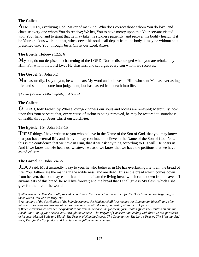## **The Collect**

**A**LMIGHTY, everliving God, Maker of mankind, Who does correct those whom You do love, and chastise every one whom You do receive; We beg You to have mercy upon this Your servant visited with Your hand, and to grant that he may take his sickness patiently, and recover his bodily health, if it be Your gracious will; and that, whensoever his soul shall depart from the body, it may be without spot presented unto You; through Jesus Christ our Lord. *Amen.*

## **The Epistle**. Hebrews 12:5, 6

M<sub>y</sub> son, do not despise the chastening of the LORD, Nor be discouraged when you are rebuked by Him; For whom the Lord loves He chastens, and scourges every son whom He receives.

### **The Gospel.** St. John 5:24

Most assuredly, I say to you, he who hears My word and believes in Him who sent Me has everlasting life, and shall not come into judgement, but has passed from death into life.

#### *¶ Or the following Collect, Epistle, and Gospel.*

### **The Collect**

**O** LORD, holy Father, by Whose loving-kindness our souls and bodies are renewed; Mercifully look upon this Your servant, that, every cause of sickness being removed, he may be restored to soundness of health; through Jesus Christ our Lord. *Amen.*

#### **The Epistle**. 1 St. John 5:13-15

**THESE** things I have written to you who believe in the Name of the Son of God, that you may know that you have eternal life, and that you may continue to believe in the Name of the Son of God. Now this is the confidence that we have in Him, that if we ask anything according to His will, He hears us. And if we know that He hears us, whatever we ask, we know that we have the petitions that we have asked of Him.

#### **The Gospel.** St. John 6:47-51

**JESUS** said, Most assuredly, I say to you, he who believes in Me has everlasting life. I am the bread of life. Your fathers ate the manna in the wilderness, and are dead. This is the bread which comes down from heaven, that one may eat of it and not die. I am the living bread which came down from heaven. If anyone eats of this bread, he will live forever; and the bread that I shall give is My flesh, which I shall give for the life of the world.

*¶ After which the Minister shall proceed according to the form before prescribed for the Holy Communion, beginning at these words, You who do truly, etc.* 

*¶ At the time of the distribution of the holy Sacrament, the Minister shall first receive the Communion himself, and after minister unto those who are appointed to communicate with the sick, and last of all to the sick person.* 

*¶ When circumstances render it expedient to shorten the Service, the following form shall suffice: The Confession and the Absolution; Lift up your hearts, etc., through the Sanctus; The Prayer of Consecration, ending with these words, partakers of his most blessed Body and Blood; The Prayer of Humble Access; The Communion; The Lord's Prayer; The Blessing. And note, That for the Confession and Absolution the following may be used.*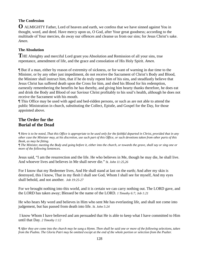## **The Confession**

**O** ALMIGHTY Father, Lord of heaven and earth, we confess that we have sinned against You in thought, word, and deed. Have mercy upon us, O God, after Your great goodness; according to the multitude of Your mercies, do away our offences and cleanse us from our sins; for Jesus Christ's sake. *Amen.*

## **The Absolution**

**T**HE Almighty and merciful Lord grant you Absolution and Remission of all your sins, true repentance, amendment of life, and the grace and consolation of His Holy Spirit. *Amen.*

¶ But if a man, either by reason of extremity of sickness, or for want of warning in due time to the Minister, or by any other just impediment, do not receive the Sacrament of Christ's Body and Blood, the Minister shall instruct him, that if he do truly repent him of his sins, and steadfastly believe that Jesus Christ has suffered death upon the Cross for him, and shed his Blood for his redemption, earnestly remembering the benefits he has thereby, and giving him hearty thanks therefore, he does eat and drink the Body and Blood of our Saviour Christ profitably to his soul's health, although he does not receive the Sacrament with his mouth.

¶ This Office may be used with aged and bed-ridden persons, or such as are not able to attend the public Ministration in church, substituting the Collect, Epistle, and Gospel for the Day, for those appointed above.

## **The Order for the Burial of the Dead**

*¶ Here is to be noted, That this Office is appropriate to be used only for the faithful departed in Christ, provided that in any other case the Minister may, at his discretion, use such part of this Office, or such devotions taken from other parts of this Book, as may be fitting.* 

*¶ The Minister, meeting the Body and going before it, either into the church, or towards the grave, shall say or sing one or more of the following Sentences.*

Jesus said, "I am the resurrection and the life. He who believes in Me, though he may die, he shall live. And whoever lives and believes in Me shall never die." *St. John 11:25,26*

For I know that my Redeemer lives, And He shall stand at last on the earth; And after my skin is destroyed, this I know, That in my flesh I shall see God, Whom I shall see for myself, And my eyes shall behold, and not another. *Job 19:25-27*

For we brought nothing into this world, and it is certain we can carry nothing out. The LORD gave, and the LORD has taken away; Blessed be the name of the LORD. *1 Timothy 6:7; Job 1:21*

He who hears My word and believes in Him who sent Me has everlasting life, and shall not come into judgement, but has passed from death into life. *St. John 5:24*

 I know Whom I have believed and am persuaded that He is able to keep what I have committed to Him until that Day. *2 Timothy 1:12*

*¶ After they are come into the church may be sung a Hymn. Then shall be said one or more of the following selections, taken from the Psalms. The Gloria Patri may be omitted except at the end of the whole portion or selection from the Psalter.*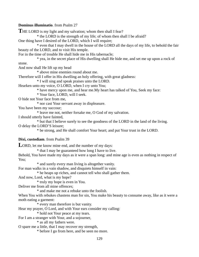#### **Dominus illuminatio**. from Psalm 27

THE LORD is my light and my salvation; whom then shall I fear? \* the LORD is the strength of my life; of whom then shall I be afraid? One thing have I desired of the LORD, which I will require; \* even that I may dwell in the house of the LORD all the days of my life, to behold the fair beauty of the LORD, and to visit His temple. For in the time of trouble He shall hide me in His tabernacle; \* yea, in the secret place of His dwelling shall He hide me, and set me up upon a rock of stone. And now shall He lift up my head \* above mine enemies round about me. Therefore will I offer in His dwelling an holy offering, with great gladness: \* I will sing and speak praises unto the LORD. Hearken unto my voice, O LORD, when I cry unto You; \* have mercy upon me, and hear me.My heart has talked of You, Seek my face: \* Your face, LORD, will I seek. O hide not Your face from me, \* nor cast Your servant away in displeasure. You have been my succour; \* leave me not, neither forsake me, O God of my salvation. I should utterly have fainted, \* but that I believe surely to see the goodness of the LORD in the land of the living. O delay the LORD'S leisure; \* be strong, and He shall comfort Your heart; and put Your trust in the LORD. **Dixi, custodiam**. from Psalm 39 LORD, let me know mine end, and the number of my days: \* that I may be guaranteed how long I have to live. Behold, You have made my days as it were a span long: and mine age is even as nothing in respect of You; \* and surely every man living is altogether vanity. For man walks in a vain shadow, and disquiets himself in vain: \* he heaps up riches, and cannot tell who shall gather them. And now, Lord, what is my hope? \* truly my hope is even in You. Deliver me from all mine offences; \* and make me not a rebuke unto the foolish. When You with rebukes chastens man for sin, You make his beauty to consume away, like as it were a moth eating a garment: \* every man therefore is but vanity. Hear my prayer, O Lord, and with Your ears consider my calling: \* hold not Your peace at my tears. For I am a stranger with Your, and a sojourner, \* as all my fathers were. O spare me a little, that I may recover my strength, \* before I go from here, and be seen no more.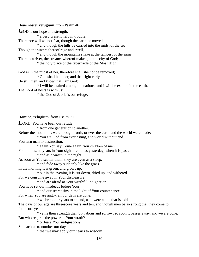#### **Deus noster refugium**. from Psalm 46

GOD is our hope and strength,

\* a very present help in trouble.

Therefore will we not fear, though the earth be moved,

\* and though the hills be carried into the midst of the sea;

Though the waters thereof rage and swell,

\* and though the mountains shake at the tempest of the same.

There is a river, the streams whereof make glad the city of God;

\* the holy place of the tabernacle of the Most High.

God is in the midst of her, therefore shall she not be removed;

\* God shall help her, and that right early.

Be still then, and know that I am God:

\* I will be exalted among the nations, and I will be exalted in the earth.

The Lord of hosts is with us;

\* the God of Jacob is our refuge.

#### **Domine, refugium**. from Psalm 90

**L**ORD, You have been our refuge:

\* from one generation to another.

Before the mountains were brought forth, or ever the earth and the world were made:

\* You are God from everlasting, and world without end.

You turn man to destruction:

\* again You say Come again, you children of men.

For a thousand years in Your sight are but as yesterday, when it is past;

\* and as a watch in the night.

As soon as You scatter them, they are even as a sleep:

\* and fade away suddenly like the grass.

In the morning it is green, and grows up:

\* but in the evening it is cut down, dried up, and withered.

For we consume away in Your displeasure,

\* and are afraid at Your wrathful indignation.

You have set our misdeeds before Your:

\* and our secret sins in the light of Your countenance.

For when You are angry, all our days are gone:

\* we bring our years to an end, as it were a tale that is told.

The days of our age are threescore years and ten; and though men be so strong that they come to fourscore years:

 \* yet is their strength then but labour and sorrow; so soon it passes away, and we are gone. But who regards the power of Your wrath?

\* or fears Your indignation?

So teach us to number our days:

\* that we may apply our hearts to wisdom.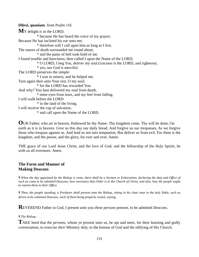**Dilexi, quoniam**. from Psalm 116 **M**Y delight is in the LORD; \* because He has heard the voice of my prayer; Because He has inclined his ear unto me; \* therefore will I call upon him as long as I live. The snares of death surrounded me round about, \* and the pains of hell took hold of me. I found trouble and heaviness; then called I upon the Name of the LORD; \* O LORD, I beg You, deliver my soul.Gracious is the LORD, and righteous; \* yes, our God is merciful. The LORD preserves the simple: \* I was in misery, and he helped me. Turn again then unto Your rest, O my soul; \* for the LORD has rewarded You. And why? You hast delivered my soul from death, \* mine eyes from tears, and my feet from falling. I will walk before the LORD \* in the land of the living. I will receive the cup of salvation, \* and call upon the Name of the LORD.

**O**UR Father, who art in heaven, Hallowed be thy Name. Thy kingdom come. Thy will be done, On earth as it is in heaven. Give us this day our daily bread. And forgive us our trespasses, As we forgive those who trespass against us. And lead us not into temptation, But deliver us from evil. For thine is the kingdom, and the power, and the glory, for ever and ever. Amen.

THE grace of our Lord Jesus Christ, and the love of God, and the fellowship of the Holy Spiritt, be with us all evermore. *Amen*.

### **The Form and Manner of Making Deacons**

*¶ When the day appointed by the Bishop is come, there shall be a Sermon or Exhortation, declaring the duty and Office of such as come to be admitted Deacons; how necessary that Order is in the Church of Christ, and also, how the people ought to esteem them in their Office.* 

*¶ Then, the people standing, a Presbyter shall present unto the Bishop, sitting in his chair near to the holy Table, such as desire to be ordained Deacons, each of them being properly vested, saying,* 

**R**EVEREND Father in God, I present unto you *these persons* present, to be admitted *Deacons.*

#### *¶ The Bishop.*

**T**AKE heed that the *persons*, whom ye present unto us, be apt and meet, for their learning and godly conversation, to exercise *their* Ministry duly, to the honour of God and the edifying of His Church.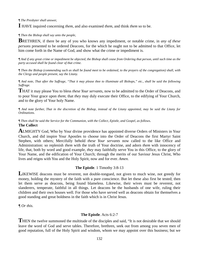*¶ The Presbyter shall answer,* 

**I** HAVE inquired concerning *them*, and also examined *them*, and think *them* so to be.

*¶ Then the Bishop shall say unto the people,* 

**B**RETHREN, if there be any of you who knows any impediment, or notable crime, in *any of these persons* presented to be ordered *Deacons*, for the which he ought not to be admitted to that Office, let him come forth in the Name of God, and show what the crime or impediment is.

*¶ And if any great crime or impediment be objected, the Bishop shall cease from Ordering that person, until such time as the party accused shall be found clear of that crime.* 

*¶ Then the Bishop (commending such as shall be found meet to be ordained, to the prayers of the congregation) shall, with the Clergy and people present, say the Litany.* 

*¶ And note, That after the Suffrage, "That it may please thee to illuminate all Bishops," etc., shall be said the following Suffrage.* 

**T**HAT it may please You to bless *these Your servants*, now to be admitted to the Order of Deacons, and to pour Your grace upon *them*; that *they* may duly execute their Office, to the edifying of Your Church, and to the glory of Your holy Name.

*¶ And note further, That in the discretion of the Bishop, instead of the Litany appointed, may be said the Litany for Ordinations.* 

*¶ Then shall be said the Service for the Communion, with the Collect, Epistle, and Gospel, as follows*. **The Collect** 

**A**LMIGHTY God, Who by Your divine providence has appointed diverse Orders of Ministers in Your Church, and did inspire Your Apostles to choose into the Order of Deacons the first Martyr Saint Stephen, with others; Mercifully behold *these Your servants* now called to the like Office and Administration: so replenish *them* with the truth of Your doctrine, and adorn *them* with innocency of life, that, both by word and good example, *they* may faithfully serve You in this Office, to the glory of Your Name, and the edification of Your Church; through the merits of our Saviour Jesus Christ, Who lives and reigns with You and the Holy Spirit, now and for ever. *Amen.*

#### **The Epistle**. 1 Timothy 3:8-13

**L**IKEWISE deacons must be reverent, not double-tongued, not given to much wine, not greedy for money, holding the mystery of the faith with a pure conscience. But let these also first be tested; then let them serve as deacons, being found blameless. Likewise, their wives must be reverent, not slanderers, temperate, faithful in all things. Let deacons be the husbands of one wife, ruling their children and their own houses well. For those who have served well as deacons obtain for themselves a good standing and great boldness in the faith which is in Christ Jesus.

*¶ Or this.* 

#### **The Epistle**. Acts 6:2-7

**T**HEN the twelve summoned the multitude of the disciples and said, "It is not desirable that we should leave the word of God and serve tables. Therefore, brethren, seek out from among you seven men of good reputation, full of the Holy Spirit and wisdom, whom we may appoint over this business; but we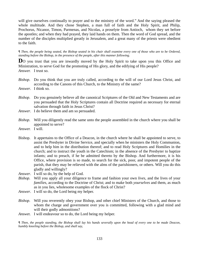will give ourselves continually to prayer and to the ministry of the word." And the saying pleased the whole multitude. And they chose Stephen, a man full of faith and the Holy Spirit, and Philip, Prochorus, Nicanor, Timon, Parmenas, and Nicolas, a proselyte from Antioch, whom they set before the apostles; and when they had prayed, they laid hands on them. Then the word of God spread, and the number of the disciples multiplied greatly in Jerusalem, and a great many of the priests were obedient to the faith.

*¶ Then, the people being seated, the Bishop seated in his chair shall examine every one of those who are to be Ordered, standing before the Bishop, in the presence of the people, after this manner following.* 

**D**O you trust that you are inwardly moved by the Holy Spirit to take upon you this Office and Ministration, to serve God for the promoting of His glory, and the edifying of His people? *Answer.* I trust so.

- *Bishop*. Do you think that you are truly called, according to the will of our Lord Jesus Christ, and according to the Canons of this Church, to the Ministry of the same?
- *Answer*. I think so.
- *Bishop*. Do you genuinely believe all the canonical Scriptures of the Old and New Testaments and are you persuaded that the Holy Scriptures contain all Doctrine required as necessary for eternal salvation through faith in Jesus Christ?
- *Answer*. I do believe them and am so persuaded.
- *Bishop*. Will you diligently read the same unto the people assembled in the church where you shall be appointed to serve?
- *Answer.* I will.
- Bishop. It appertains to the Office of a Deacon, in the church where he shall be appointed to serve, to assist the Presbyter in Divine Service, and specially when he ministers the Holy Communion, and to help him in the distribution thereof; and to read Holy Scriptures and Homilies in the church; and to instruct the youth in the Catechism; in the absence of the Presbyter to baptize infants; and to preach, if he be admitted thereto by the Bishop. And furthermore, it is his Office, where provision is so made, to search for the sick, poor, and impotent people of the parish, that they may be relieved with the alms of the parishioners, or others. Will you do this gladly and willingly?
- *Answer*. I will so do, by the help of God.
- *Bishop*. Will you apply all your diligence to frame and fashion your own *lives,* and the lives of your *families*, according to the Doctrine of Christ; and to make both *yourselves* and them, as much as in you lies, wholesome examples of the flock of Christ?
- *Answer*. I will so do, the Lord being my helper.
- *Bishop*. Will you reverently obey your Bishop, and other chief Ministers of the Church, and those to whom the charge and government over you is committed, following with a glad mind and will their godly admonitions?
- *Answe*r. I will endeavour so to do, the Lord being my helper.

*¶ Then, the people standing, the Bishop shall lay his hands severally upon the head of every one to be made Deacon, humbly kneeling before the Bishop, and shall say,*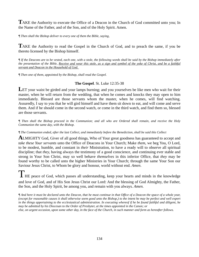TAKE the Authority to execute the Office of a Deacon in the Church of God committed unto you; In the Name of the Father, and of the Son, and of the Holy Spirit. Amen.

*¶ Then shall the Bishop deliver to every one of them the Bible, saying,* 

**T**AKE the Authority to read the Gospel in the Church of God, and to preach the same, if you be thereto licensed by the Bishop himself.

*¶ If the Deacons are to be vested, each one, with a stole, the following words shall be said by the Bishop immediately after the presentation of the Bible, Receive and wear this stole, as a sign and symbol of the yoke of Christ, and be a faithful servant and Deacon in the Household of God.* 

*¶ Then one of them, appointed by the Bishop, shall read the Gospel.* 

#### **The Gospel**. St. Luke 12:35-38

LET your waist be girded and your lamps burning; and you yourselves be like men who wait for their master, when he will return from the wedding, that when he comes and knocks they may open to him immediately. Blessed are those servants whom the master, when he comes, will find watching. Assuredly, I say to you that he will gird himself and have them sit down to eat, and will come and serve them. And if he should come in the second watch, or come in the third watch, and find them so, blessed are those servants.

*¶ Then shall the Bishop proceed in the Communion; and all who are Ordered shall remain, and receive the Holy Communion the same day, with the Bishop.*

#### *¶ The Communion ended, after the last Collect, and immediately before the Benediction, shall be said this Collect*

**A**LMIGHTY God, Giver of all good things, Who of Your great goodness has guaranteed to accept and *take these Your servants* unto the Office of Deacons in Your Church; Make *them*, we beg You, O Lord, to be modest, humble, and constant in *their* Ministration, to have a ready will to observe all spiritual discipline; that *they,* having always the testimony of a good conscience, and continuing ever stable and strong in Your Son Christ, may so well behave *themselves* in this inferior Office, that *they* may be found worthy to be called unto the higher Ministries in Your Church; through the same Your Son our Saviour Jesus Christ, to Whom be glory and honour, world without end. *Amen*.

I HE peace of God, which passes all understanding, keep your hearts and minds in the knowledge and love of God, and of His Son Jesus Christ our Lord: And the blessing of God Almighty, the Father, the Son, and the Holy Spirit, be among you, and remain with you always. *Amen.* 

*¶ And here it must be declared unto the Deacon, that he must continue in that Office of a Deacon the space of a whole year, (except for reasonable causes it shall otherwise seem good unto the Bishop,) to the intent he may be perfect and well expert in the things appertaining to the ecclesiastical administration. In executing whereof if he be found faithful and diligent, he may be admitted by his Diocesan to the Order of Presbyter, at the times appointed in the Canon; or else, on urgent occasion, upon some other day, in the face of the Church, in such manner and form as hereafter follows.*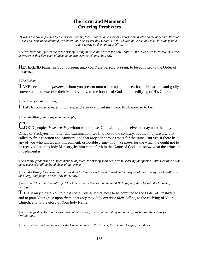## **The Form and Manner of Ordering Presbyters**

*¶ When the day appointed by the Bishop is come, there shall be a Sermon or Exhortation, declaring the duty and Office of such as come to be admitted Presbyters; how necessary that Order is in the Church of Christ, and also, how the people ought to esteem them in their Office.* 

*¶ A Presbyter shall present unto the Bishop, sitting in his chair near to the holy Table, all those who are to receive the Order of Presbyter that day, each of them being properly vested, and shall say,*

**R**EVEREND Father in God, I present unto you *these persons present*, to be admitted to the Order of Presbyter.

#### *¶ The Bishop.*

**T**AKE heed that the *persons,* whom you present unto us, be apt and meet, for their learning and godly conversation, to exercise their Ministry duly, to the honour of God and the edifying of His Church.

### *¶ The Presbyter shall answer,*

I HAVE inquired concerning *them*, and also examined *them*, and think *them* so to be.

*¶ Then the Bishop shall say unto the people,* 

**J**OOD people, *these are they* whom we purpose, God willing, to receive this day unto the holy

Office of Presbyter; for, after due examination, we find not to the contrary, but that *they* are lawfully called to *their* function and Ministry, and that *they are persons* meet for the same. But yet, if there be any of you who knows any impediment, or notable crime, in *any of them*, for the which he ought not to be received into this holy Ministry, let him come forth in the Name of God, and show what the crime or impediment is.

*¶ And if any great crime or impediment be objected, the Bishop shall cease from Ordering that person, until such time as the party accused shall be found clear of that crime.* 

*¶ Then the Bishop (commending such as shall be found meet to be ordained, to the prayers of the congregation) shall, with the Clergy and people present, say the Litany.* 

*¶ And note, That after the Suffrage, That it may please thee to illuminate all Bishops, etc., shall be said the following Suffrage.*

**T**HAT it may please You to bless *these Your servants*, now to be admitted to the Order of Presbyters, and to pour Your grace upon *them*; that *they* may duly exercise *their* Office, to the edifying of Your Church, and to the glory of Your holy Name.

*¶ And note further, That in the discretion of the Bishop, instead of the Litany appointed, may be said the Litany for Ordinations.* 

*¶ Then shall be said the Service for the Communion, with the Collect, Epistle, and Gospel, as follows.*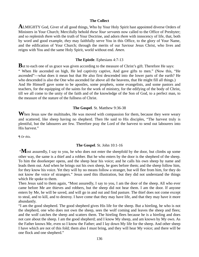#### **The Collect**

**A**LMIGHTY God, Giver of all good things, Who by Your Holy Spirit hast appointed diverse Orders of Ministers in Your Church; Mercifully behold *these Your servants* now called to the Office of Presbyter; and so replenish *them* with the truth of Your Doctrine, and adorn *them* with innocency of life, that, both by word and good example, *they* may faithfully serve You in this Office, to the glory of Your Name, and the edification of Your Church; through the merits of our Saviour Jesus Christ, who lives and reigns with You and the same Holy Spirit, world without end. *Amen.* 

#### **The Epistle**. Ephesians 4:7-13

**B**ut to each one of us grace was given according to the measure of Christ's gift. Therefore He says: " When He ascended on high, He led captivity captive, And gave gifts to men." (Now this, "He ascended"—what does it mean but that He also first descended into the lower parts of the earth? He who descended is also the One who ascended far above all the heavens, that He might fill all things.) And He Himself gave some to be apostles, some prophets, some evangelists, and some pastors and teachers, for the equipping of the saints for the work of ministry, for the edifying of the body of Christ, till we all come to the unity of the faith and of the knowledge of the Son of God, to a perfect man, to the measure of the stature of the fullness of Christ.

#### **The Gospel**. St. Matthew 9:36-38

When Jesus saw the multitudes, He was moved with compassion for them, because they were weary and scattered, like sheep having no shepherd. Then He said to His disciples, "The harvest truly is plentiful, but the labourers are few. Therefore pray the Lord of the harvest to send out labourers into His harvest."

*¶ Or this.* 

#### **The Gospel**. St. John 10:1-16

"Most assuredly, I say to you, he who does not enter the sheepfold by the door, but climbs up some other way, the same is a thief and a robber. But he who enters by the door is the shepherd of the sheep. To him the doorkeeper opens, and the sheep hear his voice; and he calls his own sheep by name and leads them out. And when he brings out his own sheep, he goes before them; and the sheep follow him, for they know his voice. Yet they will by no means follow a stranger, but will flee from him, for they do not know the voice of strangers." Jesus used this illustration, but they did not understand the things which He spoke to them.

Then Jesus said to them again, "Most assuredly, I say to you, I am the door of the sheep. All who ever came before Me are thieves and robbers, but the sheep did not hear them. I am the door. If anyone enters by Me, he will be saved, and will go in and out and find pasture. The thief does not come except to steal, and to kill, and to destroy. I have come that they may have life, and that they may have it more abundantly.

"I am the good shepherd. The good shepherd gives His life for the sheep. But a hireling, he who is not the shepherd, one who does not own the sheep, sees the wolf coming and leaves the sheep and flees; and the wolf catches the sheep and scatters them. The hireling flees because he is a hireling and does not care about the sheep. I am the good shepherd; and I know My sheep, and am known by My own. As the Father knows Me, even so I know the Father; and I lay down My life for the sheep. And other sheep I have which are not of this fold; them also I must bring, and they will hear My voice; and there will be one flock and one shepherd."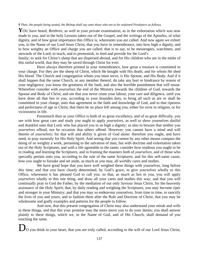#### *¶ Then, the people being seated, the Bishop shall say unto those who are to be ordained Presbyters as follows.*

YOU have heard, *Brethren*, as well in your private examination, as in the exhortation which was now made to you, and in the holy Lessons taken out of the Gospel, and the writings of the Apostles, of what dignity, and of how great importance this Office is, whereunto you are called. And now again we exhort you, in the Name of our Lord Jesus Christ, that you have in remembrance, into how high a dignity, and to how weighty an Office and charge you are called: that is to say, to be messengers, watchmen, and stewards of the Lord; to teach, and to premonish, to feed and provide for the Lord's

family; to seek for Christ's sheep that are dispersed abroad, and for His children who are in the midst of this sinful world, that they may be saved through Christ for ever.

 Have always therefore printed in your remembrance, how great a treasure is committed to your charge. For they are the sheep of Christ, which He bought with His death, and for whom He shed His blood. The Church and congregation whom you must serve, is His Spouse, and His Body. And if it shall happen that the same Church, or any member thereof, do take any hurt or hindrance by reason of your negligence, you know the greatness of the fault, and also the horrible punishment that will ensue. Wherefore consider with *yourselves* the end of the Ministry towards the children of God, towards the Spouse and Body of Christ; and see that you never cease your labour, your care and diligence, until you have done all that lies in you, according to your bounden duty, to bring all such as are or shall be committed to your charge, unto that agreement in the faith and knowledge of God, and to that ripeness and perfectness of age in Christ, that there be no place left among you, either for error in religion, or for viciousness in life.

 Forasmuch then as your Office is both of so great excellency, and of so great difficulty, you see with how great care and study you ought to apply *yourselves*, as well to show yourselves dutiful and thankful unto that Lord, who has placed you in so high a dignity; as also to beware that neither you *yourselves* offend, nor be occasion that others offend. However, you cannot have a mind and will thereto of *yourselves*; for that will and ability is given of God alone: therefore you ought, and have need, to pray earnestly for His Holy Spirit. And seeing that you cannot by any other means compass the doing of so weighty a work, pertaining to the salvation of man, but with doctrine and exhortation taken out of the Holy Scriptures, and with a life agreeable to the same; consider how studious you ought to be in reading and learning the Scriptures, and in framing the manners both of *yourselves*, and of those who specially pertain unto you, according to the rule of the same Scriptures; and for this self-same cause, how you ought to forsake and set aside, as much as you may, all worldly cares and studies.

 We have good hope that you have well weighed these things with yourselves, long before this time; and that you have clearly determined, by God's grace, to give *yourselves* wholly to this Office, whereunto it has pleased God to call you: so that, as much as lies in you, you will apply *yourselves* wholly to this one thing, and draw all your cares and studies this way; and that you will continually pray to God the Father, by the mediation of our only Saviour Jesus Christ, for the heavenly assistance of the Holy Spirit; that, by daily reading and weighing the Scriptures, you may become riper and stronger in your Ministry; and that you may so endeavour yourselves, from time to time, to sanctify the lives of you and yours, and to fashion them after the Rule and Doctrine of Christ, that you may be wholesome and godly examples and patterns for the people to follow.<br>And now, that this present congregation of Christ may also understand your *minds* and *wills* 

in these things, and that this your promise may the more move you to do your duties; you shall answer plainly to these things, which we, in the Name of God, and of His Church, shall demand of you touching the same.

 $\boldsymbol{J}_{\text{O}}$  you think in your heart, that you are truly called, according to the will of our Lord Jesus Christ,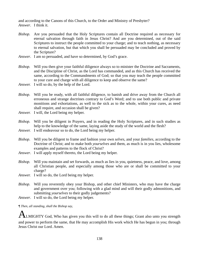and according to the Canons of this Church, to the Order and Ministry of Presbyter? *Answer*. I think it.

- *Bishop.* Are you persuaded that the Holy Scriptures contain all Doctrine required as necessary for eternal salvation through faith in Jesus Christ? And are you determined, out of the said Scriptures to instruct the people committed to your charge; and to teach nothing, as necessary to eternal salvation, but that which you shall be persuaded may be concluded and proved by the Scripture?
- *Answer*. I am so persuaded, and have so determined, by God's grace.
- *Bishop.* Will you then give your faithful diligence always so to minister the Doctrine and Sacraments, and the Discipline of Christ, as the Lord has commanded, and as this Church has received the same, according to the Commandments of God; so that you may teach the people committed to your cure and charge with all diligence to keep and observe the same?
- *Answer.* I will so do, by the help of the Lord.
- *Bishop.* Will you be ready, with all faithful diligence, to banish and drive away from the Church all erroneous and strange doctrines contrary to God's Word; and to use both public and private monitions and exhortations, as well to the sick as to the whole, within your cures, as need shall require, and occasion shall be given?
- *Answer.* I will, the Lord being my helper.

*Bishop.* Will you be diligent in Prayers, and in reading the Holy Scriptures, and in such studies as help to the knowledge of the same, laying aside the study of the world and the flesh?

- *Answer.* I will endeavour so to do, the Lord being my helper.
- *Bishop*. Will you be diligent to frame and fashion your own *selves*, and your *families,* according to the Doctrine of Christ; and to make both *yourselves* and them, as much is in you lies, wholesome examples and patterns to the flock of Christ?
- *Answer*. I will apply myself thereto, the Lord being my helper.
- *Bishop.* Will you maintain and set forwards, as much as lies in you, quietness, peace, and love, among all Christian people, and especially among those who are or shall be committed to your charge?
- *Answer.* I will so do, the Lord being my helper.
- *Bishop.* Will you reverently obey your Bishop, and other chief Ministers, who may have the charge and government over you; following with a glad mind and will their godly admonitions, and submitting *yourselves* to their godly judgements?
- *Answer*. I will so do, the Lord being my helper.

*¶ Then, all standing, shall the Bishop say,* 

 $A$ LMIGHTY God, Who has given you this will to do all these things; Grant also unto you strength and power to perform the same, that He may accomplish His work which He has begun in you; through Jesus Christ our Lord. Amen.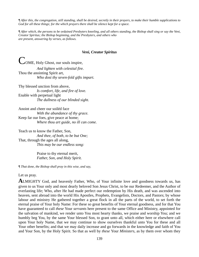*¶ After this, the congregation, still standing, shall be desired, secretly in their prayers, to make their humble supplications to God for all these things; for the which prayers there shall be silence kept for a space.* 

*¶ After which, the persons to be ordained Presbyters kneeling, and all others standing, the Bishop shall sing or say the Veni, Creator Spiritus; the Bishop beginning, and the Presbyters, and others who are present, answering by verses, as follows.*

#### *Veni, Creator Spiritus*

COME, Holy Ghost, our souls inspire,  *And lighten with celestial fire.*  Thou the anointing Spirit art,  *Who dost thy seven-fold gifts impart.* 

Thy blessed unction from above,  *Is comfort, life, and fire of love.*  Enable with perpetual light  *The dullness of our blinded sight.* 

Anoint and cheer our soiléd face  *With the abundance of thy grace.*  Keep far our foes, give peace at home;  *Where thou art guide, no ill can come.* 

Teach us to know the Father, Son, *And thee, of both, to be but One;* That, through the ages all along,  *This may be our endless song:* 

> Praise to thy eternal merit,  *Father, Son, and Holy Spirit.*

*¶ That done, the Bishop shall pray in this wise, and say,* 

#### Let us pray.

**A**LMIGHTY God, and heavenly Father, Who, of Your infinite love and goodness towards us, has given to us Your only and most dearly beloved Son Jesus Christ, to be our Redeemer, and the Author of everlasting life; Who, after He had made perfect our redemption by His death, and was ascended into heaven, sent abroad into the world His Apostles, Prophets, Evangelists, Doctors, and Pastors; by whose labour and ministry He gathered together a great flock in all the parts of the world, to set forth the eternal praise of Your holy Name: For these so great benefits of Your eternal goodness, and for that You have guaranteed to call *these* Your *servants* here present to the same Office and Ministry, appointed for the salvation of mankind, we render unto You most hearty thanks, we praise and worship You; and we humbly beg You, by the same Your blessed Son, to grant unto all, which either here or elsewhere call upon Your holy Name, that we may continue to show ourselves thankful unto You for these and all Your other benefits; and that we may daily increase and go forwards in the knowledge and faith of You and Your Son, by the Holy Spirit. So that as well by *these* Your *Ministers,* as by them over whom they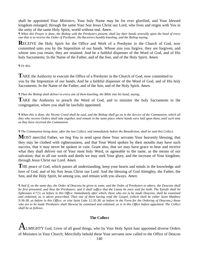shall be appointed Your *Ministers,* Your holy Name may be for ever glorified, and Your blessed kingdom enlarged; through the same Your Son Jesus Christ our Lord, who lives and reigns with You in the unity of the same Holy Spirit, world without end. *Amen.*

*¶ When this Prayer is done, the Bishop with the Presbyters present, shall lay their hands severally upon the head of every one that is to receive the Order of Presbyter; the Receivers humbly kneeling, and the Bishop saying,* 

**RECEIVE** the Holy Spirit for the Office and Work of a Presbyter in the Church of God, now committed unto you by the Imposition of our hands. Whose sins you forgive, they are forgiven; and whose sins you retain, they are retained. And be a faithful dispenser of the Word of God, and of His holy Sacraments; In the Name of the Father, and of the Son, and of the Holy Spirit. *Amen.*

*¶ Or this.* 

**T**AKE the Authority to execute the Office of a Presbyter in the Church of God, now committed to you by the Imposition of our hands. And be a faithful dispenser of the Word of God, and of His holy Sacraments; In the Name of the Father, and of the Son, and of the Holy Spirit. *Amen*.

*¶ Then the Bishop shall deliver to every one of them kneeling, the Bible into his hand, saying,* 

**T**AKE the Authority to preach the Word of God, and to minister the holy Sacraments in the congregation, where you shall be lawfully appointed.

*¶ When this is done, the Nicene Creed shall be said, and the Bishop shall go on in the Service of the Communion, which all they who receive Orders shall take together, and remain in the same place where hands were laid upon them, until such time as they have received the Communion.* 

#### *¶ The Communion being done, after the last Collect, and immediately before the Benediction, shall be said this Collect.*

**M**OST merciful Father, we beg You to send upon these Your servants Your heavenly blessing; that they may be clothed with righteousness, and that Your Word spoken by their mouths may have such success, that it may never be spoken in vain. Grant also, that we may have grace to hear and receive what they shall deliver out of Your most holy Word, or agreeable to the same, as the means of our salvation; that in all our words and deeds we may seek Your glory, and the increase of Your kingdom; through Jesus Christ our Lord. *Amen.* 

THE peace of God, which passes all understanding, keep your hearts and minds in the knowledge and love of God, and of his Son Jesus Christ our Lord: And the blessing of God Almighty, the Father, the Son, and the Holy Spirit, be among you, and remain with you always. *Amen*.

*¶ And if, on the same day, the Order of Deacons be given to some, and the Order of Presbyters to others; the Deacons shall be first presented, and then the Presbyters; and it shall suffice that the Litany be once said for both. The Epistle shall be Ephesians 4:713, as before in this Office. Immediately after which, those who are to be made Deacons, shall be examined and ordained, as is above prescribed. Then one of them having read the Gospel, (which shall be either Saint Matthew 9:36-38, as before in this Office; or else Saint Luke 12:35-38, as before in the Form for the Ordering of Deacons,) those who are to be made Presbyters shall likewise be examined and ordained, as is in this Office before appointed. The Collect shall be as follows.* 

#### **The Collect**

 ${\bf A}_{\rm LMIGHTY}$  God, Giver of all good things, who by Your Holy Spirit hast appointed diverse Orders of Ministers in Your Church; Mercifully behold these Your servants now called to the Office of Deacon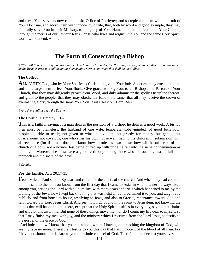and these Your servants now called to the Office of Presbyter; and so replenish them with the truth of Your Doctrine, and adorn them with innocency of life, that, both by word and good example, they may faithfully serve You in their Ministry, to the glory of Your Name, and the edification of Your Church; through the merits of our Saviour Jesus Christ, who lives and reigns with You and the same Holy Spirit, world without end. Amen.

# **The Form of Consecrating a Bishop**

*¶ When all things are duly prepared in the church, and set in order, the Presiding Bishop, or some other Bishop appointed by the Bishops present, shall begin the Communion Service, in which this shall be the Collect.* 

### **The Collect**

**A**LMIGHTY God, who by Your Son Jesus Christ did give to Your holy Apostles many excellent gifts, and did charge them to feed Your flock; Give grace, we beg You, to all Bishops, the Pastors of Your Church, that they may diligently preach Your Word, and duly administer the godly Discipline thereof; and grant to the people, that they may obediently follow the same; that all may receive the crown of everlasting glory; through the same Your Son Jesus Christ our Lord. *Amen*.

#### *¶ And then shall be read the Epistle.*

#### **The Epistle.** 1 Timothy 3:1-7

**T**his is a faithful saying: If a man desires the position of a bishop, he desires a good work. A bishop then must be blameless, the husband of one wife, temperate, sober-minded, of good behaviour, hospitable, able to teach; not given to wine, not violent, not greedy for money, but gentle, not quarrelsome, not covetous; one who rules his own house well, having his children in submission with all reverence (for if a man does not know how to rule his own house, how will he take care of the church of God?); not a novice, lest being puffed up with pride he fall into the same condemnation as the devil. Moreover he must have a good testimony among those who are outside, lest he fall into reproach and the snare of the devil.

#### . *¶ Or this.*

#### **For the Epistle.** Acts 20:17-35

**F**rom Miletus Paul sent to Ephesus and called for the elders of the church. And when they had come to him, he said to them: "You know, from the first day that I came to Asia, in what manner I always lived among you, serving the Lord with all humility, with many tears and trials which happened to me by the plotting of the Jews; how I kept back nothing that was helpful, but proclaimed it to you, and taught you publicly and from house to house, testifying to Jews, and also to Greeks, repentance toward God and faith toward our Lord Jesus Christ. And see, now I go bound in the spirit to Jerusalem, not knowing the things that will happen to me there, except that the Holy Spirit testifies in every city, saying that chains and tribulations await me. But none of these things move me; nor do I count my life dear to myself, so that I may finish my race with joy, and the ministry which I received from the Lord Jesus, to testify to the gospel of the grace of God.

"And indeed, now I know that you all, among whom I have gone preaching the kingdom of God, will see my face no more. Therefore I testify to you this day that I am innocent of the blood of all men. For I have not shunned to declare to you the whole counsel of God. Therefore take heed to yourselves and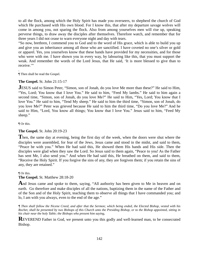to all the flock, among which the Holy Spirit has made you overseers, to shepherd the church of God which He purchased with His own blood. For I know this, that after my departure savage wolves will come in among you, not sparing the flock. Also from among yourselves men will rise up, speaking perverse things, to draw away the disciples after themselves. Therefore watch, and remember that for three years I did not cease to warn everyone night and day with tears.

"So now, brethren, I commend you to God and to the word of His grace, which is able to build you up and give you an inheritance among all those who are sanctified. I have coveted no one's silver or gold or apparel. Yes, you yourselves know that these hands have provided for my necessities, and for those who were with me. I have shown you in every way, by labouring like this, that you must support the weak. And remember the words of the Lord Jesus, that He said, 'It is more blessed to give than to receive."

. ¶ Then shall be read the Gospel.

#### **The Gospel.** St. John 21:15-17

**JESUS** said to Simon Peter, "Simon, son of Jonah, do you love Me more than these?" He said to Him, "Yes, Lord; You know that I love You." He said to him, "Feed My lambs." He said to him again a second time, "Simon, son of Jonah, do you love Me?" He said to Him, "Yes, Lord; You know that I love You." He said to him, "Tend My sheep." He said to him the third time, "Simon, son of Jonah, do you love Me?" Peter was grieved because He said to him the third time, "Do you love Me?" And he said to Him, "Lord, You know all things; You know that I love You." Jesus said to him, "Feed My sheep."

¶ Or this.

#### **The Gospel.** St. John 20:19-23

**T**hen, the same day at evening, being the first day of the week, when the doors were shut where the disciples were assembled, for fear of the Jews, Jesus came and stood in the midst, and said to them, "Peace be with you." When He had said this, He showed them His hands and His side. Then the disciples were glad when they saw the Lord. So Jesus said to them again, "Peace to you! As the Father has sent Me, I also send you." And when He had said this, He breathed on them, and said to them, "Receive the Holy Spirit. If you forgive the sins of any, they are forgiven them; if you retain the sins of any, they are retained."

¶ Or this.

**The Gospel.** St. Matthew 28:18-20

And Jesus came and spoke to them, saying, "All authority has been given to Me in heaven and on earth. Go therefore and make disciples of all the nations, baptizing them in the name of the Father and of the Son and of the Holy Spirit, teaching them to observe all things that I have commanded you; and lo, I am with you always, even to the end of the age."

*¶ Then shall follow the Nicene Creed, and after that the Sermon; which being ended, the Elected Bishop, vested with his Rochet, shall be presented by two Bishops of this Church unto the Presiding Bishop, or to the Bishop appointed, sitting in his chair near the holy Table; the Bishops who present him saying,* 

**REVEREND** Father in God, we present unto you this godly and well-learned man, to be consecrated Bishop.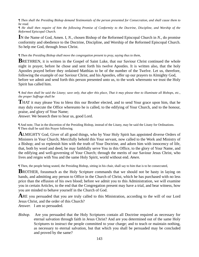*¶ Then shall the Presiding Bishop demand Testimonials of the person presented for Consecration, and shall cause them to be read.* 

*¶ He shall then require of him the following Promise of Conformity to the Doctrine, Discipline, and Worship of the Reformed Episcopal Church.* 

**I**N the Name of God, Amen. I, *N*., chosen Bishop of the Reformed Episcopal Church in *N*., do promise conformity and obedience to the Doctrine, Discipline, and Worship of the Reformed Episcopal Church. So help me God, through Jesus Christ.

#### *¶ Then the Presiding Bishop shall move the congregation present to pray, saying thus to them,*

**BRETHREN, it is written in the Gospel of Saint Luke, that our Saviour Christ continued the whole** night in prayer, before he chose and sent forth his twelve Apostles. It is written also, that the holy Apostles prayed before they ordained Matthias to be of the number of the Twelve. Let us, therefore, following the example of our Saviour Christ, and his Apostles, offer up our prayers to Almighty God, before we admit and send forth this person presented unto us, to the work whereunto we trust the Holy Spirit has called him.

*¶ And then shall be said the Litany; save only, that after this place, That it may please thee to illuminate all Bishops, etc., the proper Suffrage shall be* 

**THAT** it may please You to bless this our Brother elected, and to send Your grace upon him, that he may duly execute the Office whereunto he is called, to the edifying of Your Church, and to the honour, praise, and glory of Your Name;

*Answer.* We beseech thee to hear us, good Lord.

¶ And note, That in the discretion of the Presiding Bishop, instead of the Litany, may be said the Litany for Ordinations. ¶ Then shall be said this Prayer following.

**A**LMIGHTY God, Giver of all good things, who by Your Holy Spirit has appointed diverse Orders of Ministers in Your Church; Mercifully behold this Your servant, now called to the Work and Ministry of a Bishop; and so replenish him with the truth of Your Doctrine, and adorn him with innocency of life, that, both by word and deed, he may faithfully serve You in this Office, to the glory of Your Name, and the edifying and well-governing of Your Church; through the merits of our Saviour Jesus Christ, who lives and reigns with You and the same Holy Spirit, world without end. *Amen*.

¶ Then, the people being seated, the Presiding Bishop, sitting in his chair, shall say to him that is to be consecrated,

**B**ROTHER, forasmuch as the Holy Scripture commands that we should not be hasty in laying on hands, and admitting any person to Office in the Church of Christ, which he has purchased with no less price than the effusion of his own blood; before we admit you to this Administration, we will examine you in certain Articles, to the end that the Congregation present may have a trial, and bear witness, how you are minded to behave yourself in the Church of God.

ARE you persuaded that you are truly called to this Ministration, according to the will of our Lord Jesus Christ, and the order of this Church? *Answer.* I am so persuaded.

*Bishop.* Are you persuaded that the Holy Scriptures contain all Doctrine required as necessary for eternal salvation through faith in Jesus Christ? And are you determined out of the same Holy Scriptures to instruct the people committed to your charge; and to teach or maintain nothing, as necessary to eternal salvation, but that which you shall be persuaded may be concluded and proved by the same?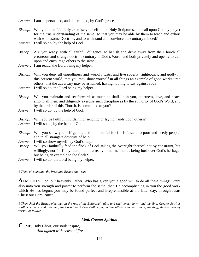*Answer.* I am so persuaded, and determined, by God's grace.

*Bishop.* Will you then faithfully exercise yourself in the Holy Scriptures, and call upon God by prayer for the true understanding of the same; so that you may be able by them to teach and exhort with wholesome Doctrine, and to withstand and convince the contrary minded?

*Answer.* I will so do, by the help of God.

*Bishop*. Are you ready, with all faithful diligence, to banish and drive away from the Church all erroneous and strange doctrine contrary to God's Word; and both privately and openly to call upon and encourage others to the same?

*Answer*. I am ready, the Lord being my helper.

*Bishop.* Will you deny all ungodliness and worldly lusts, and live soberly, righteously, and godly in this present world; that you may show yourself in all things an example of good works unto others, that the adversary may be ashamed, having nothing to say against you?

*Answer.* I will so do, the Lord being my helper.

*Bishop*. Will you maintain and set forward, as much as shall lie in you, quietness, love, and peace among all men; and diligently exercise such discipline as by the authority of God's Word, and by the order of this Church, is committed to you?

*Answer.* I will so do, by the help of God.

*Bishop.* Will you be faithful in ordaining, sending, or laying hands upon others?

*Answer.* I will so be, by the help of God.

*Bishop.* Will you show yourself gentle, and be merciful for Christ's sake to poor and needy people, and to all strangers destitute of help?

*Answer.* I will so show myself, by God's help.

*Bishop.* Will you faithfully feed the flock of God, taking the oversight thereof, not by constraint, but willingly; not for filthy lucre, but of a ready mind; neither as being lord over God's heritage, but being an example to the flock?

*Answer.* I will so do, the Lord being my helper.

*¶ Then, all standing, the Presiding Bishop shall say,* 

**A**LMIGHTY God, our heavenly Father, Who has given you a good will to do all these things; Grant also unto you strength and power to perform the same; that, He accomplishing in you the good work which He has begun, you may be found perfect and irreprehensible at the latter day; through Jesus Christ our Lord. *Amen*.

*¶ Then shall the Bishop-elect put on the rest of the Episcopal habit, and shall kneel down; and the Veni, Creator Spiritus shall be sung or said over him; the Presiding Bishop shall begin, and the others who are present, standing, shall answer by verses, as follows.* 

### *Veni, Creator Spiritus*

**C**OME, Holy Ghost, our souls inspire,  *And lighten with celestial fire.*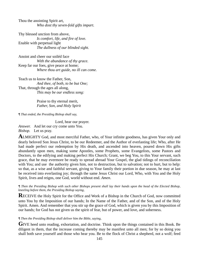Thou the anointing Spirit art,  *Who dost thy seven-fold gifts impart.* 

Thy blessed unction from above,  *Is comfort, life, and fire of love.*  Enable with perpetual light  *The dullness of our blinded sight.* 

Anoint and cheer our soiléd face  *With the abundance of thy grace.*  Keep far our foes, give peace at home;  *Where thou art guide, no ill can come.* 

Teach us to know the Father, Son, *And thee, of both, to be but One;*  That, through the ages all along,  *This may be our endless song:* 

> Praise to thy eternal merit,  *Father, Son, and Holy Spirit*

*¶ That ended, the Presiding Bishop shall say,* 

 Lord, hear our prayer. *Answer.* And let our cry come unto You. *Bishop.* Let us pray.

**A**LMIGHTY God, and most merciful Father, who, of Your infinite goodness, has given Your only and dearly beloved Son Jesus Christ, to be our Redeemer, and the Author of everlasting life; Who, after He had made perfect our redemption by His death, and ascended into heaven, poured down His gifts abundantly upon men, making some Apostles, some Prophets, some Evangelists, some Pastors and Doctors, to the edifying and making perfect His Church; Grant, we beg You, to this Your servant, such grace, that he may evermore be ready to spread abroad Your Gospel, the glad tidings of reconciliation with You; and use the authority given him, not to destruction, but to salvation; not to hurt, but to help: so that, as a wise and faithful servant, giving to Your family their portion in due season, he may at last be received into everlasting joy; through the same Jesus Christ our Lord, Who, with You and the Holy Spirit, lives and reigns, one God, world without end. *Amen*.

*¶ Then the Presiding Bishop with such other Bishops present shall lay their hands upon the head of the Elected Bishop, kneeling before them, the Presiding Bishop saying,* 

**R**ECEIVE the Holy Spirit for the Office and Work of a Bishop in the Church of God, now committed unto You by the Imposition of our hands; In the Name of the Father, and of the Son, and of the Holy Spirit. Amen. And remember that you stir up the grace of God, which is given you by this Imposition of our hands; for God has not given us the spirit of fear, but of power, and love, and soberness.

*¶ Then the Presiding Bishop shall deliver him the Bible, saying,* 

GIVE heed unto reading, exhortation, and doctrine. Think upon the things contained in this Book. Be diligent in them, that the increase coming thereby may be manifest unto all men; for by so doing you shall both save yourself and those who hear you. Be to the flock of Christ a shepherd, not a wolf; feed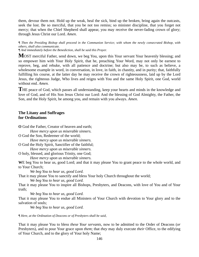them, devour them not. Hold up the weak, heal the sick, bind up the broken, bring again the outcasts, seek the lost. Be so merciful, that you be not too remiss; so minister discipline, that you forget not mercy; that when the Chief Shepherd shall appear, you may receive the never-fading crown of glory; through Jesus Christ our Lord. *Amen*.

*¶ Then the Presiding Bishop shall proceed in the Communion Service; with whom the newly consecrated Bishop, with others, shall also communicate.* 

*¶ And immediately before the Benediction, shall be said this Prayer.* 

**M**OST merciful Father, send down, we beg You, upon this Your servant Your heavenly blessing; and so empower him with Your Holy Spirit, that he, preaching Your Word, may not only be earnest to reprove, beg, and rebuke, with all patience and doctrine; but also may be, to such as believe, a wholesome example in word, in conversation, in love, in faith, in chastity, and in purity; that, faithfully fulfilling his course, at the latter day he may receive the crown of righteousness, laid up by the Lord Jesus, the righteous Judge, Who lives and reigns with You and the same Holy Spirit, one God, world without end. *Amen.* 

**T**HE peace of God, which passes all understanding, keep your hearts and minds in the knowledge and love of God, and of His Son Jesus Christ our Lord: And the blessing of God Almighty, the Father, the Son, and the Holy Spirit, be among you, and remain with you always. *Amen.* 

# **The Litany and Suffrages for Ordinations**

**O** God the Father, Creator of heaven and earth;  *Have mercy upon us miserable sinners.*  O God the Son, Redeemer of the world;  *Have mercy upon us miserable sinners.* 

O God the Holy Spirit, Sanctifier of the faithful;  *Have mercy upon us miserable sinners.* 

O holy, blessed, and glorious Trinity, one God;  *Have mercy upon us miserable sinners.* 

**W**E beg You to hear us, good Lord; and that it may please You to grant peace to the whole world, and to Your Church;

 *We beg You to hear us, good Lord.*  That it may please You to sanctify and bless Your holy Church throughout the world;  *We beg You to hear us, good Lord.* 

That it may please You to inspire all Bishops, Presbyters, and Deacons, with love of You and of Your truth;

 *We beg You to hear us, good Lord.* 

That it may please You to endue all Ministers of Your Church with devotion to Your glory and to the salvation of souls;

 *We beg You to hear us, good Lord.* 

*¶ Here, at the Ordination of Deacons or of Presbyters shall be said,* 

That it may please You to bless *these Your servants,* now to be admitted to the Order of Deacons (*or*  Presbyters), and to pour Your grace upon *them*; that *they* may duly execute *their* Office, to the edifying of Your Church, and to the glory of Your holy Name;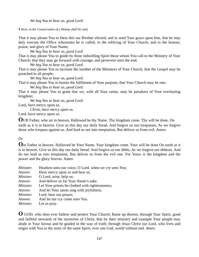*We beg You to hear us, good Lord.* 

*¶ Here, at the Consecration of a Bishop shall be said,* 

That it may please You to bless this our Brother elected, and to send Your grace upon him, that he may duly execute the Office whereunto he is called, to the edifying of Your Church, and to the honour, praise, and glory of Your Name;

 *We beg You to hear us, good Lord.*  That it may please You to guide by thine indwelling Spirit those whom You call to the Ministry of Your Church; that they may go forward with courage, and persevere unto the end;

 *We beg You to hear us, good Lord.* 

That it may please You to increase the number of the Ministers of Your Church, that the Gospel may be preached to all people;

 *We beg You to hear us, good Lord.* 

That it may please You to hasten the fulfilment of Your purpose, that Your Church may be one;

 *We beg You to hear us, good Lord.* 

That it may please You to grant that we, with all Your saints, may be partakers of Your everlasting kingdom;

 *We beg You to hear us, good Lord.* 

Lord, have mercy upon us.

 *Christ, have mercy upon us.* 

Lord, have mercy upon us.

**O**UR Father, who art in heaven, Hallowed be thy Name. Thy kingdom come. Thy will be done, On earth as it is in heaven. Give us this day our daily bread. And forgive us our trespasses, As we forgive those who trespass against us. And lead us not into temptation, But deliver us from evil. Amen.

# Or

**O**ur Father in heaven, Hallowed be Your Name. Your kingdom come. Your will be done On earth as it is in heaven. Give us this day our daily bread. And forgive us our debts, As we forgive our debtors. And do not lead us into temptation, But deliver us from the evil one. For Yours is the kingdom and the power and the glory forever. Amen

| Hearken unto our voice, O Lord, when we cry unto You; |
|-------------------------------------------------------|
| Have mercy upon us and hear us.                       |
| O Lord, arise, help us;                               |
| And deliver us for Your Name's sake.                  |
| Let Your priests be clothed with righteousness;       |
| And let Your saints sing with joyfulness.             |
| Lord, hear our prayer;                                |
| And let our cry come unto You.                        |
| Let us pray.                                          |
|                                                       |

**O** GOD, who does ever hallow and protect Your Church; Raise up therein, through Your Spirit, good and faithful stewards of the mysteries of Christ, that by their ministry and example Your people may abide in Your favour and be guided in the way of truth; through Jesus Christ our Lord, who lives and reigns with You in the unity of the same Spirit, ever one God, world without end. *Amen*.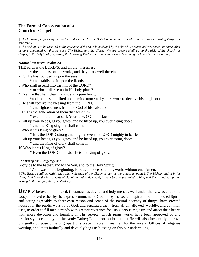# **The Form of Consecration of a Church or Chapel**

*¶ The following Office may be used with the Order for the Holy Communion, or at Morning Prayer or Evening Prayer, or separately.* 

*¶ The Bishop is to be received at the entrance of the church or chapel by the church-wardens and vestrymen, or some other persons appointed for that purpose. The Bishop and the Clergy who are present shall go up the aisle of the church, or chapel, to the holy Table, repeating the following Psalm alternately, the Bishop beginning and the Clergy responding*.

### *Domini est terra.* Psalm 24

THE earth is the LORD'S, and all that therein is;

\* the compass of the world, and they that dwell therein.

2 For He has founded it upon the seas,

\* and stablished it upon the floods.

3 Who shall ascend into the hill of the LORD?

\* or who shall rise up in His holy place?

4 Even he that hath clean hands, and a pure heart;

\*and that has not lifted up his mind unto vanity, nor sworn to deceive his neighbour.

5 He shall receive the blessing from the LORD,

\* and righteousness from the God of his salvation.

6 This is the generation of them that seek him;

\* even of them that seek Your face, O God of Jacob.

7 Lift up your heads, O you gates; and be lifted up, you everlasting doors;

\* and the King of glory shall come in.

8 Who is this King of glory?

\* It is the LORD strong and mighty, even the LORD mighty in battle.

9 Lift up your heads, O you gates; and be lifted up, you everlasting doors;

\* and the King of glory shall come in.

10 Who is this King of glory?

\* Even the LORD of hosts, He is the King of glory.

 *The Bishop and Clergy together.* 

Glory be to the Father, and to the Son, and to the Holy Spirit;

\*As it was in the beginning, is now, and ever shall be, world without end. Amen.

*¶ The Bishop shall go within the rails, with such of the Clergy as can be there accommodated. The Bishop, sitting in his chair, shall have the instruments of Donation and Endowment, if there be any, presented to him; and then standing up, and turning to the congregation, he shall say,* 

**DEARLY** beloved in the Lord; forasmuch as devout and holy men, as well under the Law as under the Gospel, moved either by the express command of God, or by the secret inspiration of the blessed Spirit, and acting agreeably to their own reason and sense of the natural decency of things, have erected houses for the public worship of God, and separated them from all unhallowed, worldly, and common uses, in order to fill men's minds with greater reverence for His glorious Majesty, and affect their hearts with more devotion and humility in His service; which pious works have been approved of and graciously accepted by our heavenly Father; Let us not doubt but that He will also favourably approve our godly purpose of setting apart this place in solemn manner, for the several Offices of religious worship, and let us faithfully and devoutly beg His blessing on this our undertaking.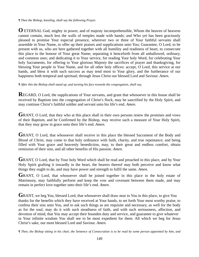*¶ Then the Bishop, kneeling, shall say the following Prayer.* 

**O** ETERNAL God, mighty in power, and of majesty incomprehensible, Whom the heaven of heavens cannot contain, much less the walls of temples made with hands; and Who yet has been graciously pleased to promise Your especial presence, wherever two or three of Your faithful servants shall assemble in Your Name, to offer up their praises and supplications unto You; Guarantee, O Lord, to be present with us, who are here gathered together with all humility and readiness of heart, to consecrate this place to the honour of Your great Name; separating it henceforth from all unhallowed, ordinary, and common uses; and dedicating it to Your service, for reading Your holy Word, for celebrating Your holy Sacraments, for offering to Your glorious Majesty the sacrifices of prayer and thanksgiving, for blessing Your people in Your Name, and for all other holy offices: accept, O Lord, this service at our hands, and bless it with such success as may tend most to Your glory, and the furtherance of our happiness both temporal and spiritual; through Jesus Christ our blessed Lord and Saviour. *Amen*.

*¶ After this the Bishop shall stand up, and turning his face towards the congregation, shall say,* 

**REGARD, O Lord, the supplications of Your servants, and grant that whosoever in this house shall be** received by Baptism into the congregation of Christ's flock, may be sanctified by the Holy Spirit, and may continue Christ's faithful soldier and servant unto his life's end. *Amen*.

GRANT, O Lord, that they who at this place shall in their own persons renew the promises and vows of their Baptism, and be Confirmed by the Bishop, may receive such a measure of Your Holy Spirit, that they may grow in grace unto their life's end. *Amen*.

GRANT, O Lord, that whosoever shall receive in this place the blessed Sacrament of the Body and Blood of Christ, may come to that holy ordinance with faith, charity, and true repentance; and being filled with Your grace and heavenly benediction, may, to their great and endless comfort, obtain remission of their sins, and all other benefits of His passion. *Amen*.

GRANT, O Lord, that by Your holy Word which shall be read and preached in this place, and by Your Holy Spirit grafting it inwardly in the heart, the hearers thereof may both perceive and know what things they ought to do, and may have power and strength to fulfil the same. *Amen*.

GRANT, O Lord, that whosoever shall be joined together in this place in the holy estate of Matrimony, may faithfully perform and keep the vow and covenant between them made, and may remain in perfect love together unto their life's end. *Amen*.

GRANT, we beg You, blessed Lord, that whosoever shall draw near to You in this place, to give You thanks for the benefits which they have received at Your hands, to set forth Your most worthy praise, to confess their sins unto You, and to ask such things as are requisite and necessary, as well for the body as for the soul, may do it with such steadiness of faith, and with such seriousness, affection, and devotion of mind, that You may accept their bounden duty and service, and guarantee to give whatever in Your infinite wisdom You shall see to be most expedient for them. All which we beg for Jesus Christ's sake, our most blessed Lord and Saviour. *Amen*.

*¶ Then, the Bishop sitting in his chair, the Sentence of Consecration is to be read by some person appointed by him, and*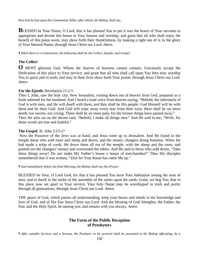*then laid by him upon the Communion Table; after which, the Bishop shall say*,

**BLESSED** be Your Name, O Lord, that it has pleased You to put it into the hearts of Your servants to appropriate and devote this house to Your honour and worship; and grant that all who shall enjoy the benefit of this pious work, may show forth their thankfulness, by making a right use of it, to the glory of Your blessed Name; through Jesus Christ our Lord. *Amen*.

*¶ When there is a Communion, the following shall be the Collect, Epistle, and Gospel.* 

# **The Collect**

**O** MOST glorious God, Whom the heaven of heavens cannot contain; Graciously accept the Dedication of this place to Your service; and grant that all who shall call upon You here may worship You in spirit and in truth, and may in their lives show forth Your praise; through Jesus Christ our Lord. *Amen*.

### **For the Epistle.** Revelation 21:2-5

Then I, John, saw the holy city, New Jerusalem, coming down out of heaven from God, prepared as a bride adorned for her husband. And I heard a loud voice from heaven saying, "Behold, the tabernacle of God is with men, and He will dwell with them, and they shall be His people. God Himself will be with them and be their God. And God will wipe away every tear from their eyes; there shall be no more death, nor sorrow, nor crying. There shall be no more pain, for the former things have passed away." Then He who sat on the throne said, "Behold, I make all things new." And He said to me, "Write, for these words are true and faithful."

# **The Gospel.** St. John 2:13-17

 Now the Passover of the Jews was at hand, and Jesus went up to Jerusalem. And He found in the temple those who sold oxen and sheep and doves, and the money changers doing business. When He had made a whip of cords, He drove them all out of the temple, with the sheep and the oxen, and poured out the changers' money and overturned the tables. And He said to those who sold doves, "Take these things away! Do not make My Father's house a house of merchandise!" Then His disciples remembered that it was written, "Zeal for Your house has eaten Me up."

#### *¶ And immediately before the final Blessing, the Bishop shall say this Prayer.*

BLESSED be Your, O Lord God, for that it has pleased You have Your habitation among the sons of men, and to dwell in the midst of the assembly of the saints upon the earth; Grant, we beg You, that in this place now set apart to Your service, Your holy Name may be worshipped in truth and purity through all generations; through Jesus Christ our Lord. *Amen*.

THE peace of God, which passes all understanding, keep your hearts and minds in the knowledge and love of God, and of His Son Jesus Christ our Lord: And the blessing of God Almighty, the Father, the Son, and the Holy Spirit, be among you, and remain with you always. *Amen*.

# **The Form of the Public Reception of Presbyters**

*¶ After suitable Services and a Sermon, the Presbyter to be received shall be presented to the Bishop officiating, by a*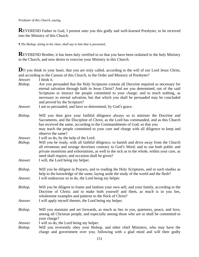#### *Presbyter of this Church, saying,*

**R**EVEREND Father in God, I present unto you this godly and well-learned Presbyter, to be received into the Ministry of this Church.

*¶ The Bishop, sitting in his chair, shall say to him that is presented,* 

**REVEREND** Brother, it has been duly certified to us that you have been ordained to the holy Ministry in the Church, and now desire to exercise your Ministry in this Church.

**D**O you think in your heart, that you are truly called, according to the will of our Lord Jesus Christ, and according to the Canons of this Church, to the Order and Ministry of Presbyter?

*Answer.* I think it. *Bishop.* Are you persuaded that the Holy Scriptures contain all Doctrine required as necessary for eternal salvation through faith in Jesus Christ? And are you determined, out of the said Scriptures to instruct the people committed to your charge; and to teach nothing, as necessary to eternal salvation, but that which you shall be persuaded may be concluded and proved by the Scripture? *Answer.* I am so persuaded, and have so determined, by God's grace. *Bishop.* Will you then give your faithful diligence always so to minister the Doctrine and Sacraments, and the Discipline of Christ, as the Lord has commanded, and as this Church has received the same, according to the Commandments of God; so that you may teach the people committed to your cure and charge with all diligence to keep and observe the same? *Answer.* I will so do, by the help of the Lord. *Bishop.* Will you be ready, with all faithful diligence, to banish and drive away from the Church all erroneous and strange doctrines contrary to God's Word; and to use both public and private monitions and exhortations, as well to the sick as to the whole, within your cure, as need shall require, and occasion shall be given? *Answer.* I will, the Lord being my helper. *Bishop.* Will you be diligent in Prayers, and in reading the Holy Scriptures, and in such studies as help to the knowledge of the same, laying aside the study of the world and the flesh? *Answer.* I will endeavour so to do, the Lord being my helper. *Bishop.* Will you be diligent to frame and fashion your own self, and your family, according to the Doctrine of Christ; and to make both yourself and them, as much is in you lies, wholesome examples and patterns to the flock of Christ? *Answer.* I will apply myself thereto, the Lord being my helper. *Bishop.* Will you maintain and set forwards, as much as lies in you, quietness, peace, and love, among all Christian people, and especially among those who are or shall be committed to your charge? *Answer.* I will so do, the Lord being my helper. *Bishop.* Will you reverently obey your Bishop, and other chief Ministers, who may have the charge and government over you; following with a glad mind and will their godly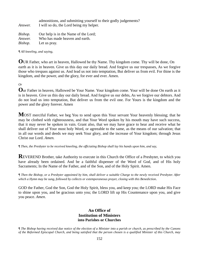| <i>Answer.</i> | admonitions, and submitting yourself to their godly judgements?<br>I will so do, the Lord being my helper. |
|----------------|------------------------------------------------------------------------------------------------------------|
| Bishop.        | Our help is in the Name of the Lord;                                                                       |
| Answer.        | Who has made heaven and earth.                                                                             |
| Bishop.        | Let us pray.                                                                                               |

*¶ All kneeling, and saying,* 

**O**UR Father, who art in heaven, Hallowed be thy Name. Thy kingdom come. Thy will be done, On earth as it is in heaven. Give us this day our daily bread. And forgive us our trespasses, As we forgive those who trespass against us. And lead us not into temptation, But deliver us from evil. For thine is the kingdom, and the power, and the glory, for ever and ever. Amen.

*Or* 

**O**ur Father in heaven, Hallowed be Your Name. Your kingdom come. Your will be done On earth as it is in heaven. Give us this day our daily bread. And forgive us our debts, As we forgive our debtors. And do not lead us into temptation, But deliver us from the evil one. For Yours is the kingdom and the power and the glory forever. Amen

**M**OST merciful Father, we beg You to send upon this Your servant Your heavenly blessing; that he may be clothed with righteousness, and that Your Word spoken by his mouth may have such success, that it may never be spoken in vain. Grant also, that we may have grace to hear and receive what he shall deliver out of Your most holy Word, or agreeable to the same, as the means of our salvation; that in all our words and deeds we may seek Your glory, and the increase of Your kingdom; through Jesus Christ our Lord. *Amen.* 

*¶ Then, the Presbyter to be received kneeling, the officiating Bishop shall lay his hands upon him, and say,* 

**REVEREND** Brother, take Authority to execute in this Church the Office of a Presbyter, to which you have already been ordained. And be a faithful dispenser of the Word of God, and of His holy Sacraments; In the Name of the Father, and of the Son, and of the Holy Spirit. Amen.

*¶ Then the Bishop, or a Presbyter appointed by him, shall deliver a suitable Charge to the newly received Presbyter. After which a Hymn may be sung, followed by collects or extemporaneous prayer, closing with this Benediction*.

GOD the Father, God the Son, God the Holy Spirit, bless you, and keep you; the LORD make His Face to shine upon you, and be gracious unto you; the LORD lift up His Countenance upon you, and give you peace. *Amen*.

# **An Office of Institution of Ministers into Parishes or Churches**

*¶ The Bishop having received due notice of the election of a Minister into a parish or church, as prescribed by the Canons of the Reformed Episcopal Church, and being satisfied that the person chosen is a qualified Minister of this Church, may*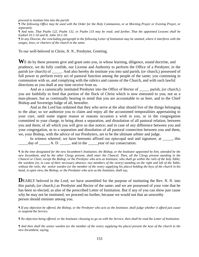*proceed to institute him into the parish.* 

*¶ The following Office may be used with the Order for the Holy Communion, or at Morning Prayer or Evening Prayer, or separately.* 

*¶ And note, That Psalm 122, Psalm 132, or Psalm 133 may be read; and further, That the appointed Lessons shall be Ezekiel 33:1-10 and St. John 10:1-18.* 

*¶ In any Diocese, the concluding paragraph in the following Letter of Institution may be omitted, where it interferes with the usages, laws, or charters of the church in the same.* 

To our well-beloved in Christ, *N. N.*, Presbyter, Greeting.

WE do by these presents give and grant unto you, in whose learning, diligence, sound doctrine, and prudence, we do fully confide, our License and Authority to perform the Office of a Presbyter, in the parish (*or* church) of *\_\_\_\_\_.* And also hereby do institute you into said parish, (*or* church,) possessed of full power to perform every act of pastoral function among the people of the same; you continuing in communion with us, and complying with the rubrics and canons of the Church, and with such lawful directions as you shall at any time receive from us.

 And as a canonically instituted Presbyter into the Office of Rector of \_\_\_\_\_ parish, (*or* church,) you are faithfully to feed that portion of the flock of Christ which is now entrusted to you; not as a man-pleaser, but as continually bearing in mind that you are accountable to us here, and to the Chief Bishop and Sovereign Judge of all, hereafter.

 And as the Lord has ordained that they who serve at the altar should live of the things belonging to the altar; so we authorize you to claim and enjoy all the accustomed temporalities appertaining to your cure, until some urgent reason or reasons occasion a wish in you, or in the congregation committed to your charge, to bring about a separation, and dissolution of all pastoral relation, between you and them; of all which you will give us due notice; and in case of any difference between you and your congregation, as to a separation and dissolution of all pastoral connection between you and them, we, your Bishop, with the advice of our Presbyters, are to be the ultimate arbiter and judge.

In witness whereof, we have hereunto affixed our episcopal seal and signature, at  $\qquad \qquad$ , this day of  $\Box$ , A. D.  $\Box$ , and in the vear of our consecration.

*¶ At the time designated for the new Incumbent's Institution, the Bishop, or the Institutor appointed by him, attended by the new Incumbent, and by the other Clergy present, shall enter the Chancel. Then, all the Clergy present standing in the Chancel or Choir, except the Bishop, or the Presbyter who acts as Institutor, who shall go within the rails of the holy Table; the wardens (or, in case of their necessary absence, two members of the vestry) standing on the right and left of the Table, without the rails; the senior warden (or the member of the vestry supplying his place) holding the keys of the church in his hand, in open view, the Bishop, or the Presbyter who acts as the Institutor, shall say,* 

**DEARLY** beloved in the Lord, we have assembled for the purpose of instituting the Rev. *N. N.* into this parish, (*or* church,) as Presbyter and Rector of the same; and we are possessed of your vote that he has been so elected; as also of the prescribed Letter of Institution. But if any of you can show just cause why he may not be instituted, we proceed no further, because we would not that an unworthy person should minister among you.

*¶ If any objection be offered, the Bishop, or the Presbyter who acts as the Institutor, shall judge whether it afford just cause to suspend the Service.* 

*¶ No objection being offered, or the Institutor choosing to go on with the Service, then shall be read the Letter of Institution.* 

*¶ And then shall the senior warden (or the member of the vestry supplying his place) present the keys of the church to the new Incumbent, saying,*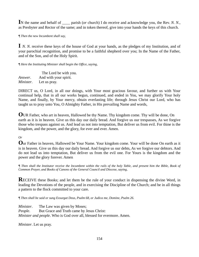**I**N the name and behalf of \_\_\_\_ parish (*or* church) I do receive and acknowledge you, the Rev. *N. N.*, as Presbyter and Rector of the same; and in token thereof, give into your hands the keys of this church.

*¶ Then the new Incumbent shall say,* 

**I** *N. N.* receive these keys of the house of God at your hands, as the pledges of my Institution, and of your parochial recognition, and promise to be a faithful shepherd over you; In the Name of the Father, and of the Son, and of the Holy Spirit.

*¶ Here the Instituting Minister shall begin the Office, saying,* 

 The Lord be with you. *Answer*. And with your spirit. *Minister*. Let us pray.

DIRECT us, O Lord, in all our doings, with Your most gracious favour, and further us with Your continual help, that in all our works begun, continued, and ended in You, we may glorify Your holy Name, and finally, by Your mercy, obtain everlasting life; through Jesus Christ our Lord, who has taught us to pray unto You, O Almighty Father, in His prevailing Name and words,

**O**UR Father, who art in heaven, Hallowed be thy Name. Thy kingdom come. Thy will be done, On earth as it is in heaven. Give us this day our daily bread. And forgive us our trespasses, As we forgive those who trespass against us. And lead us not into temptation, But deliver us from evil. For thine is the kingdom, and the power, and the glory, for ever and ever. Amen.

# *Or*

**O**ur Father in heaven, Hallowed be Your Name. Your kingdom come. Your will be done On earth as it is in heaven. Give us this day our daily bread. And forgive us our debts, As we forgive our debtors. And do not lead us into temptation, But deliver us from the evil one. For Yours is the kingdom and the power and the glory forever. Amen

*¶ Then shall the Institutor receive the Incumbent within the rails of the holy Table, and present him the Bible, Book of Common Prayer, and Books of Canons of the General Council and Diocese, saying,* 

**RECEIVE** these Books; and let them be the rule of your conduct in dispensing the divine Word, in leading the Devotions of the people, and in exercising the Discipline of the Church; and be in all things a pattern to the flock committed to your care.

*¶ Then shall be said or sung Exsurgat Deus, Psalm 68, or Judica me, Domine, Psalm 26.* 

*Minister.* The Law was given by Moses; *People*. But Grace and Truth came by Jesus Christ: *Minister and people*. Who is God over all, blessed for evermore. Amen.

*Minister*. Let us pray.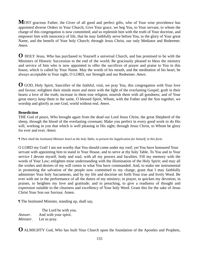**M**OST gracious Father, the Giver of all good and perfect gifts, who of Your wise providence has appointed diverse Orders in Your Church; Give Your grace, we beg You, to Your servant, to whom the charge of this congregation is now committed; and so replenish him with the truth of Your doctrine, and empower him with innocency of life, that he may faithfully serve before You, to the glory of Your great Name, and the benefit of Your holy Church; through Jesus Christ, our only Mediator and Redeemer. *Amen.* 

**O** HOLY Jesus, Who has purchased to Yourself a universal Church, and has promised to be with the Ministers of Historic Succession to the end of the world; Be graciously pleased to bless the ministry and service of him who is now appointed to offer the sacrifices of prayer and praise to You in this house, which is called by Your Name. May the words of his mouth, and the meditation of his heart, be always acceptable in Your sight, O LORD, our Strength and our Redeemer. *Amen*.

**O** GOD, Holy Spirit, Sanctifier of the faithful, visit, we pray You, this congregation with Your love and favour; enlighten their minds more and more with the light of the everlasting Gospel; graft in their hearts a love of the truth; increase in them true religion; nourish them with all goodness; and of Your great mercy keep them in the same, O blessed Spirit, Whom, with the Father and the Son together, we worship and glorify as one God, world without end. *Amen*.

# **Benediction**

THE God of peace, Who brought again from the dead our Lord Jesus Christ, the great Shepherd of the sheep, through the blood of the everlasting covenant; Make you perfect in every good work to do His will, working in you that which is well pleasing in His sight; through Jesus Christ, to Whom be glory for ever and ever. *Amen.* 

*¶ Then shall the Instituted Minister kneel at the holy Table, to present his Supplication for himself, in this form.* 

O LORD my God! I am not worthy that You should come under my roof; yet You have honoured Your servant with appointing him to stand in Your House, and to serve at thy holy Table. To You and to Your service I devote myself, body and soul, with all my powers and faculties. Fill my memory with the words of Your Law; enlighten mine understanding with the illumination of the Holy Spirit; and may all the wishes and desires of my will centre in what You have commanded. And, to make me instrumental in promoting the salvation of the people now committed to my charge, grant that I may faithfully administer Your holy Sacraments, and by my life and doctrine set forth Your true and lively Word. Be ever with me in the performance of all the duties of my ministry; in prayer, to quicken my devotion; in praises, to heighten my love and gratitude; and in preaching, to give a readiness of thought and expression suitable to the clearness and excellency of Your holy Word. Grant this for the sake of Jesus Christ Your Son our Saviour. Amen.

¶ The Instituted Minister, standing up, shall say,

 The Lord be with you. *Answer*. And with your spirit. *Minister*. Let us pray.

**O** ALMIGHTY God, Who has built Your Church upon the foundation of the Apostles and Prophets,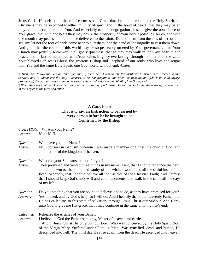Jesus Christ Himself being the chief corner-stone; Grant that, by the operation of the Holy Spirit, all Christians may be so joined together in unity of spirit, and in the bond of peace, that they may be an holy temple acceptable unto You. And especially to this congregation present, give the abundance of Your grace; that with one heart they may desire the prosperity of Your holy Apostolic Church, and with one mouth may profess the faith once delivered to the saints. Defend them from the sins of heresy and schism; let not the foot of pride come near to hurt them, nor the hand of the ungodly to cast them down. And grant that the course of this world may be so peaceably ordered by Your governance, that Your Church may joyfully serve You in all godly quietness; that so they may walk in the ways of truth and peace, and at last be numbered with Your saints in glory everlasting; through the merits of the same Your blessed Son Jesus Christ, the gracious Bishop and Shepherd of our souls, who lives and reigns with You and the same Holy Spirit, one God, world without end. *Amen*.

*¶ Then shall follow the Sermon, and after that, if there be a Communion, the Instituted Minister shall proceed to that Service, and to administer the holy Eucharist to his congregation; and after the Benediction, (which he shall always pronounce,) the wardens, vestry, and others shall salute and welcome him, bidding him God-speed. ¶ When the Bishop of the Diocese is present at the Institution of a Minister, he shall make to him the address, as prescribed* 

*in this Office in the form of a letter.* 

### **A Catechism That is to say, an Instruction to be learned by every person before he be brought to be Confirmed by the Bishop**

- *QUESTION*. What is your Name?
- *Answer*. *N. or N. N.*
- *Question*. Who gave you this Name?
- *Answer*. My Sponsors in Baptism; wherein I was made a member of Christ, the child of God, and an inheritor of the kingdom of heaven.
- *Question*. What did your Sponsors then do for you?
- *Answer*. They promised and vowed three things in my name: First, that I should renounce the devil and all his works, the pomp and vanity of this wicked world, and all the sinful lusts of the flesh; Secondly, that I should believe all the Articles of the Christian Faith; And Thirdly, that I should keep God's holy will and commandments, and walk in the same all the days of my life.
- *Question*. Do you not think that you are bound to believe, and to do, as they have promised for you? *Answer*. Yes, indeed; and by God's help, so I will do. And I heartily thank our heavenly Father, that He has called me to this state of salvation, through Jesus Christ our Saviour. And I pray unto God to give me His grace, that I may continue in the same unto my life's end.
- *Catechist*. Rehearse the Articles of your Belief.
- *Answer*. I believe in God the Father Almighty, Maker of heaven and earth: And in Jesus Christ His only Son our Lord, Who was conceived by the Holy Spirit, Born of the Virgin Mary, Suffered under Pontius Pilate, Was crucified, dead, and buried, He descended into hell; The third day He rose again from the dead, He ascended into heaven,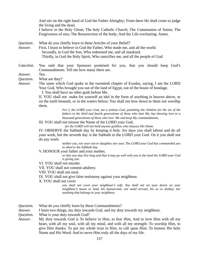And sits on the right hand of God the Father Almighty; From there He shall come to judge the living and the dead. I believe in the Holy Ghost; The holy Catholic Church; The Communion of Saints; The Forgiveness of sins; The Resurrection of the body; And the Life everlasting. Amen.

*Question*. What do you chiefly learn in these Articles of your Belief?

*Answer*. First, I learn to believe in God the Father, Who made me, and all the world. Secondly, in God the Son, Who redeemed me, and all mankind. Thirdly, in God the Holy Spirit, Who sanctifies me, and all the people of God.

*Catechist*. You said that your Sponsors promised for you, that you should keep God's Commandments. Tell me how many there are.

*Answer*. Ten.

*Question*. What are they?

*Answer*. The same which God spoke in the twentieth chapter of Exodus, saying, I am the LORD Your God, Who brought you out of the land of Egypt, out of the house of bondage.

I. You shall have no other gods before Me.

II. YOU shall not make for yourself an idol in the form of anything in heaven above, or on the earth beneath, or in the waters below; You shall not bow down to them nor worship them.

> *For I, the LORD your God, am a jealous God, punishing the children for the sin of the fathers to the third and fourth generations of those who hate Me, but showing love to a thousand generations of those who love Me and keep My commandments.*

III. YOU shall not misuse the Name of the LORD your God,

 *for the LORD will not hold anyone guiltless who misuses His Name.* 

 IV. OBSERVE the Sabbath day by keeping it holy. Six days you shall labour and do all your work, but the seventh day is the Sabbath to the LORD your God. On it you shall not do any work:

> *neither you, nor your son or daughter, nor your. The LORD your God has commanded you to observe the Sabbath day.*

V. HONOUR your father and your mother,

 *so that you may live long and that it may go well with you in the land the LORD your God is giving you.* 

VI. YOU shall not murder.

VII. YOU shall not commit adultery.

VIII. YOU shall not steal.

IX. YOU shall not give false testimony against your neighbour.

X. YOU shall not covet

 *you shall not covet your neighbour's wife. You shall not set your desire on your neighbour's house or land, his manservant, nor maid servant, his ox or donkey, nor anything that belongs to your neighbour.* 

*Question*. What do you chiefly learn by these Commandments?

*Answer*. I learn two things; my duty towards God, and my duty towards my neighbour.

*Question*. What is your duty towards God?

*Answer*. My duty towards God is To believe in Him, to fear Him, And to love Him with all my heart, with all my soul, with all my mind, and with all my strength: To worship Him, to give Him thanks: To put my whole trust in Him, to call upon Him: To honour His holy Name and His Word: And to serve Him truly all the days of my life.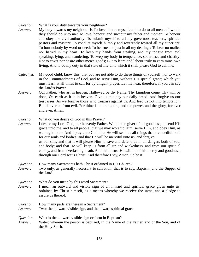*Question*. What is your duty towards your neighbour?

- *Answer*. My duty towards my neighbour is To love him as myself, and to do to all men as I would they should do unto me: To love, honour, and succour my father and mother: To honour and obey the civil authority: To submit myself to all my governors, teachers, spiritual pastors and masters: To conduct myself humbly and reverently toward all my superiors: To hurt nobody by word or deed: To be true and just in all my dealings: To bear no malice nor hatred in my heart: To keep my hands from stealing, and my tongue from evil speaking, lying, and slandering: To keep my body in temperance, soberness, and chastity: Not to covet nor desire other men's goods; But to learn and labour truly to earn mine own living, And to do my duty in that state of life unto which it shall please God to call me.
- *Catechist*. My good child, know this; that you are not able to do these things of yourself, nor to walk in the Commandments of God, and to serve Him, without His special grace; which you must learn at all times to call for by diligent prayer. Let me hear, therefore, if you can say the Lord's Prayer.
- *Answer*. Our Father, who art in heaven, Hallowed be thy Name. Thy kingdom come. Thy will be done, On earth as it is in heaven. Give us this day our daily bread. And forgive us our trespasses, As we forgive those who trespass against us. And lead us not into temptation, But deliver us from evil. For thine is the kingdom, and the power, and the glory, for ever and ever. Amen.

*Question*. What do you desire of God in this Prayer?

*Answer*. I desire my Lord God, our heavenly Father, Who is the giver of all goodness, to send His grace unto me, and to all people; that we may worship Him, serve Him, and obey Him, as we ought to do. And I pray unto God, that He will send us all things that are needful both for our souls and bodies; and that He will be merciful unto us, and forgive us our sins; and that it will please Him to save and defend us in all dangers both of soul and body; and that He will keep us from all sin and wickedness, and from our spiritual enemy, and from everlasting death. And this I trust He will do of his mercy and goodness, through our Lord Jesus Christ. And therefore I say, Amen, So be it.

### *Question*. How many Sacraments hath Christ ordained in His Church? *Answer*. Two only, as generally necessary to salvation; that is to say, Baptism, and the Supper of the Lord.

- *Question*. What do you mean by this word Sacrament?
- *Answer*. I mean an outward and visible sign of an inward and spiritual grace given unto us; ordained by Christ himself, as a means whereby we receive the same, and a pledge to assure us thereof.
- *Question*. How many parts are there in a Sacrament?
- *Answer*. Two; the outward visible sign, and the inward spiritual grace.
- *Question*. What is the outward visible sign or form in Baptism?
- *Answer*. Water; wherein the person is baptized, In the Name of the Father, and of the Son, and of the Holy Spirit.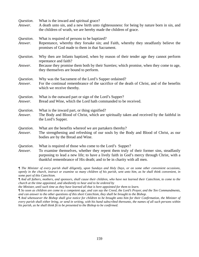| Question.<br>Answer. | What is the inward and spiritual grace?<br>A death unto sin, and a new birth unto righteousness: for being by nature born in sin, and<br>the children of wrath, we are hereby made the children of grace.                                                                                                                  |
|----------------------|----------------------------------------------------------------------------------------------------------------------------------------------------------------------------------------------------------------------------------------------------------------------------------------------------------------------------|
| Question.<br>Answer. | What is required of persons to be baptized?<br>Repentance, whereby they forsake sin; and Faith, whereby they steadfastly believe the<br>promises of God made to them in that Sacrament.                                                                                                                                    |
| Question.            | Why then are Infants baptized, when by reason of their tender age they cannot perform<br>repentance and faith?                                                                                                                                                                                                             |
| Answer.              | Because they promise them both by their Sureties; which promise, when they come to age,<br>they themselves are bound to perform.                                                                                                                                                                                           |
| Question.<br>Answer. | Why was the Sacrament of the Lord's Supper ordained?<br>For the continual remembrance of the sacrifice of the death of Christ, and of the benefits<br>which we receive thereby.                                                                                                                                            |
| Question.<br>Answer. | What is the outward part or sign of the Lord's Supper?<br>Bread and Wine, which the Lord hath commanded to be received.                                                                                                                                                                                                    |
| Question.<br>Answer. | What is the inward part, or thing signified?<br>The Body and Blood of Christ, which are spiritually taken and received by the faithful in<br>the Lord's Supper.                                                                                                                                                            |
| Question.<br>Answer. | What are the benefits whereof we are partakers thereby?<br>The strengthening and refreshing of our souls by the Body and Blood of Christ, as our<br>bodies are by the Bread and Wine.                                                                                                                                      |
| Question.<br>Answer. | What is required of those who come to the Lord's Supper?<br>To examine themselves, whether they repent them truly of their former sins, steadfastly<br>purposing to lead a new life; to have a lively faith in God's mercy through Christ, with a<br>thankful remembrance of His death; and to be in charity with all men. |

*¶ The Minister of every parish shall diligently, upon Sundays and Holy Days, or on some other convenient occasions, openly in the church, instruct or examine so many children of his parish, sent unto him, as he shall think convenient, in some part of this Catechism.* 

*¶ And all fathers, mothers, and sponsors, shall cause their children, who have not learned their Catechism, to come to the church at the time appointed, and obediently to hear and to be ordered by* 

*the Minister, until such time as they have learned all that is here appointed for them to learn.* 

*¶ So soon as children are come to a competent age, and can say the Creed, the Lord's Prayer, and the Ten Commandments, and can answer to the other questions of this short Catechism, they shall be brought to the Bishop.* 

*¶ And whensoever the Bishop shall give notice for children to be brought unto him for their Confirmation, the Minister of every parish shall either bring, or send in writing, with his hand subscribed thereunto, the names of all such persons within his parish, as he shall think fit to be presented to the Bishop to be confirmed.*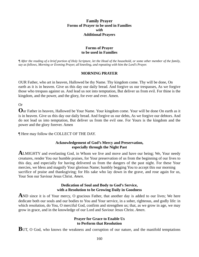### **Family Prayer Forms of Prayer to be used in Families**  *with*  **Additional Prayers**

# **Forms of Prayer to be used in Families**

*¶ After the reading of a brief portion of Holy Scripture, let the Head of the household, or some other member of the family, say as follows, Morning or Evening Prayer, all kneeling, and repeating with him the Lord's Prayer.* 

### **MORNING PRAYER**

OUR Father, who art in heaven, Hallowed be thy Name. Thy kingdom come. Thy will be done, On earth as it is in heaven. Give us this day our daily bread. And forgive us our trespasses, As we forgive those who trespass against us. And lead us not into temptation, But deliver us from evil. For thine is the kingdom, and the power, and the glory, for ever and ever. Amen.

Or

**O**ur Father in heaven, Hallowed be Your Name. Your kingdom come. Your will be done On earth as it is in heaven. Give us this day our daily bread. And forgive us our debts, As we forgive our debtors. And do not lead us into temptation, But deliver us from the evil one. For Yours is the kingdom and the power and the glory forever. Amen

¶ Here may follow the COLLECT OF THE DAY.

### **Acknowledgement of God's Mercy and Preservation, especially through the Night Past**

**A**LMIGHTY and everlasting God, in Whom we live and move and have our being; We, Your needy creatures, render You our humble praises, for Your preservation of us from the beginning of our lives to this day, and especially for having delivered us from the dangers of the past night. For these Your mercies, we bless and magnify Your glorious Name; humbly begging You to accept this our morning sacrifice of praise and thanksgiving; for His sake who lay down in the grave, and rose again for us, Your Son our Saviour Jesus Christ. *Amen*.

### **Dedication of Soul and Body to God's Service, with a Resolution to be Growing Daily in Goodness**

AND since it is of Your mercy, O gracious Father, that another day is added to our lives; We here dedicate both our souls and our bodies to You and Your service, in a sober, righteous, and godly life: in which resolution, do You, O merciful God, confirm and strengthen us; that, as we grow in age, we may grow in grace, and in the knowledge of our Lord and Saviour Jesus Christ. *Amen*.

### **Prayer for Grace to Enable Us to Perform that Resolution**

**BUT, O God, who knows the weakness and corruption of our nature, and the manifold temptations**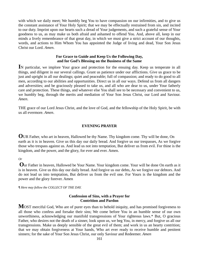with which we daily meet; We humbly beg You to have compassion on our infirmities, and to give us the constant assistance of Your Holy Spirit; that we may be effectually restrained from sin, and incited to our duty. Imprint upon our hearts such a dread of Your judgements, and such a grateful sense of Your goodness to us, as may make us both afraid and ashamed to offend You. And, above all, keep in our minds a lively remembrance of that great day, in which we must give a strict account of our thoughts, words, and actions to Him Whom You has appointed the Judge of living and dead, Your Son Jesus Christ our Lord. *Amen*.

### **For Grace to Guide and Keep Us the Following Day, and for God's Blessing on the Business of the Same**

**I**N particular, we implore Your grace and protection for the ensuing day. Keep us temperate in all things, and diligent in our several callings. Grant us patience under our afflictions. Give us grace to be just and upright in all our dealings; quiet and peaceable; full of compassion; and ready to do good to all men, according to our abilities and opportunities. Direct us in all our ways. Defend us from all dangers and adversities; and be graciously pleased to take us, and all who are dear to us, under Your fatherly care and protection. These things, and whatever else You shall see to be necessary and convenient to us, we humbly beg, through the merits and mediation of Your Son Jesus Christ, our Lord and Saviour. *Amen*.

THE grace of our Lord Jesus Christ, and the love of God, and the fellowship of the Holy Spirit, be with us all evermore. *Amen*.

#### **EVENING PRAYER**

**O**UR Father, who art in heaven, Hallowed be thy Name. Thy kingdom come. Thy will be done, On earth as it is in heaven. Give us this day our daily bread. And forgive us our trespasses, As we forgive those who trespass against us. And lead us not into temptation, But deliver us from evil. For thine is the kingdom, and the power, and the glory, for ever and ever. Amen.

### *Or*

**O**ur Father in heaven, Hallowed be Your Name. Your kingdom come. Your will be done On earth as it is in heaven. Give us this day our daily bread. And forgive us our debts, As we forgive our debtors. And do not lead us into temptation, But deliver us from the evil one. For Yours is the kingdom and the power and the glory forever. Amen

*¶ Here may follow the COLLECT OF THE DAY.* 

### **Confession of Sins, with a Prayer for Contrition and Pardon**

**MOST** merciful God, Who are of purer eyes than to behold iniquity, and has promised forgiveness to all those who confess and forsake their sins; We come before You in an humble sense of our own unworthiness, acknowledging our manifold transgressions of Your righteous laws.\* But, O gracious Father, who desires not the death of a sinner, look upon us, we beg You, in mercy, and forgive us all our transgressions. Make us deeply sensible of the great evil of them; and work in us an hearty contrition; that we may obtain forgiveness at Your hands, Who art ever ready to receive humble and penitent sinners; for the sake of Your Son Jesus Christ, our only Saviour and Redeemer. *Amen*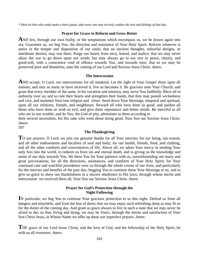*\* Here let him who reads make a short pause, that every one may secretly confess the sins and failings of that day.* 

#### **Prayer for Grace to Reform and Grow Better**

**A**ND lest, through our own frailty, or the temptations which encompass us, we be drawn again into sin; Guarantee us, we beg You, the direction and assistance of Your Holy Spirit. Reform whatever is amiss in the temper and disposition of our souls; that no unclean thoughts, unlawful designs, or inordinate desires, may rest there. Purge our hearts from envy, hatred, and malice; that we may never allow the sun to go down upon our wrath; but may always go to our rest in peace, charity, and good-will, with a conscience void of offence towards You, and towards men; that so we may be preserved pure and blameless, unto the coming of our Lord and Saviour Jesus Christ. *Amen*.

#### **The Intercession**

AND accept, O Lord, our intercessions for all mankind. Let the light of Your Gospel shine upon all nations; and may as many as have received it, live as becomes it. Be gracious unto Your Church; and grant that every member of the same, in his vocation and ministry, may serve You faithfully. Bless all in authority over us; and so rule their hearts and strengthen their hands, that they may punish wickedness and vice, and maintain Your true religion and virtue. Send down Your blessings, temporal and spiritual, upon all our relations, friends, and neighbours. Reward all who have done us good, and pardon all those who have done or wish us evil, and give them repentance and better minds. Be merciful to all who are in any trouble; and do You, the God of pity, administer to them according to

their several necessities; for His sake who went about doing good, Your Son our Saviour Jesus Christ. *Amen*.

597

.

#### **The Thanksgiving**

TO our prayers, O Lord, we join our genuine thanks for all Your mercies; for our being, our reason, and all other endowments and faculties of soul and body; for our health, friends, food, and clothing, and all the other comforts and conveniences of life. Above all, we adore Your mercy in sending Your only Son into the world, to redeem us from sin and eternal death, and in giving us the knowledge and sense of our duty towards You. We bless You for Your patience with us, notwithstanding our many and great provocations; for all the directions, assistances, and comforts of Your Holy Spirit; for Your continual care and watchful providence over us through the whole course of our lives; and particularly for the mercies and benefits of the past day; begging You to continue these Your blessings to us, and to give us grace to show our thankfulness in a sincere obedience to His laws; through whose merits and intercession we received them all, Your Son our Saviour Jesus Christ. *Amen*.

### **Prayer for God's Protection through the Night Following**

**I**N particular, we beg You to continue Your gracious protection to us this night. Defend us from all dangers and mischiefs, and from the fear of them; that we may enjoy such refreshing sleep as may fit us for the duties of the coming day. And grant us grace always to live in such a state that we may never be afraid to die; so that, living and dying, we may be Yours, through the merits and satisfaction of Your Son Christ Jesus, in Whose Name we offer up these our imperfect prayers. *Amen*.

**T**HE grace of our Lord Jesus Christ, and the love of God, and the fellowship of the Holy Spirit, be with us all evermore. *Amen*.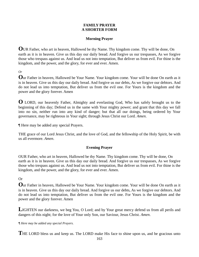### **FAMILY PRAYER A SHORTER FORM**

# **Morning Prayer**

**O**UR Father, who art in heaven, Hallowed be thy Name. Thy kingdom come. Thy will be done, On earth as it is in heaven. Give us this day our daily bread. And forgive us our trespasses, As we forgive those who trespass against us. And lead us not into temptation, But deliver us from evil. For thine is the kingdom, and the power, and the glory, for ever and ever. Amen.

*Or* 

**O**ur Father in heaven, Hallowed be Your Name. Your kingdom come. Your will be done On earth as it is in heaven. Give us this day our daily bread. And forgive us our debts, As we forgive our debtors. And do not lead us into temptation, But deliver us from the evil one. For Yours is the kingdom and the power and the glory forever. Amen

**O** LORD, our heavenly Father, Almighty and everlasting God, Who has safely brought us to the beginning of this day; Defend us in the same with Your mighty power; and grant that this day we fall into no sin, neither run into any kind of danger; but that all our doings, being ordered by Your governance, may be righteous in Your sight; through Jesus Christ our Lord. *Amen*.

¶ Here may be added any special Prayers.

THE grace of our Lord Jesus Christ, and the love of God, and the fellowship of the Holy Spirit, be with us all evermore. *Amen*.

# **Evening Prayer**

OUR Father, who art in heaven, Hallowed be thy Name. Thy kingdom come. Thy will be done, On earth as it is in heaven. Give us this day our daily bread. And forgive us our trespasses, As we forgive those who trespass against us. And lead us not into temptation, But deliver us from evil. For thine is the kingdom, and the power, and the glory, for ever and ever. Amen.

Or

**O**ur Father in heaven, Hallowed be Your Name. Your kingdom come. Your will be done On earth as it is in heaven. Give us this day our daily bread. And forgive us our debts, As we forgive our debtors. And do not lead us into temptation, But deliver us from the evil one. For Yours is the kingdom and the power and the glory forever. Amen

**L**IGHTEN our darkness, we beg You, O Lord; and by Your great mercy defend us from all perils and dangers of this night; for the love of Your only Son, our Saviour, Jesus Christ. *Amen*.

*¶ Here may be added any special Prayers.* 

**T**HE LORD bless us and keep us. The LORD make His face to shine upon us, and be gracious unto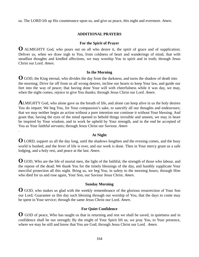us. The LORD lift up His countenance upon us, and give us peace, this night and evermore. *Amen*.

# **ADDITIONAL PRAYERS**

## **For the Spirit of Prayer**

**O** ALMIGHTY God, who pours out on all who desire it, the spirit of grace and of supplication; Deliver us, when we draw nigh to You, from coldness of heart and wanderings of mind, that with steadfast thoughts and kindled affections, we may worship You in spirit and in truth; through Jesus Christ our Lord. *Amen*.

### **In the Morning**

**O** GOD, the King eternal, who divides the day from the darkness, and turns the shadow of death into the morning; Drive far off from us all wrong desires, incline our hearts to keep Your law, and guide our feet into the way of peace; that having done Your will with cheerfulness while it was day, we may, when the night comes, rejoice to give You thanks; through Jesus Christ our Lord. *Amen*.

**A**LMIGHTY God, who alone gave us the breath of life, and alone can keep alive in us the holy desires You do impart; We beg You, for Your compassion's sake, to sanctify all our thoughts and endeavours; that we may neither begin an action without a pure intention nor continue it without Your blessing. And grant that, having the eyes of the mind opened to behold things invisible and unseen, we may in heart be inspired by Your wisdom, and in work be upheld by Your strength, and in the end be accepted of You as Your faithful servants; through Jesus Christ our Saviour. *Amen* 

# **At Night**

.

**O** LORD, support us all the day long, until the shadows lengthen and the evening comes, and the busy world is hushed, and the fever of life is over, and our work is done. Then in Your mercy grant us a safe lodging, and a holy rest, and peace at the last. *Amen*.

**O** GOD, Who are the life of mortal men, the light of the faithful, the strength of those who labour, and the repose of the dead; We thank You for the timely blessings of the day, and humbly supplicate Your merciful protection all this night. Bring us, we beg You, in safety to the morning hours; through Him who died for us and rose again, Your Son, our Saviour Jesus Christ. *Amen*.

# **Sunday Morning**

**O** GOD, who makes us glad with the weekly remembrance of the glorious resurrection of Your Son our Lord; Guarantee us this day such blessing through our worship of You, that the days to come may be spent in Your service; through the same Jesus Christ our Lord. *Amen*.

# **For Quiet Confidence**

**O** GOD of peace, Who has taught us that in returning and rest we shall be saved, in quietness and in confidence shall be our strength; By the might of Your Spirit lift us, we pray You, to Your presence, where we may be still and know that You are God; through Jesus Christ our Lord. *Amen*.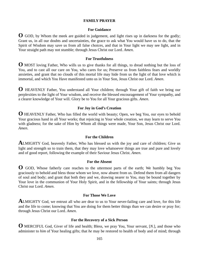### **FAMILY PRAYER**

#### **For Guidance**

**O** GOD, by Whom the meek are guided in judgement, and light rises up in darkness for the godly; Grant us, in all our doubts and uncertainties, the grace to ask what You would have us to do, that the Spirit of Wisdom may save us from all false choices, and that in Your light we may see light, and in Your straight path may not stumble; through Jesus Christ our Lord. *Amen*.

### **For Trustfulness**

**O** MOST loving Father, Who wills us to give thanks for all things, to dread nothing but the loss of You, and to cast all our care on You, who cares for us; Preserve us from faithless fears and worldly anxieties, and grant that no clouds of this mortal life may hide from us the light of that love which is immortal, and which You Have manifested unto us in Your Son, Jesus Christ our Lord. *Amen*.

**O** HEAVENLY Father, You understand all Your children; through Your gift of faith we bring our perplexities to the light of Your wisdom, and receive the blessed encouragement of Your sympathy, and a clearer knowledge of Your will. Glory be to You for all Your gracious gifts. *Amen*.

#### **For Joy in God's Creation**

**O** HEAVENLY Father, Who has filled the world with beauty; Open, we beg You, our eyes to behold Your gracious hand in all Your works; that rejoicing in Your whole creation, we may learn to serve You with gladness; for the sake of Him by Whom all things were made, Your Son, Jesus Christ our Lord. *Amen*.

### **For the Children**

**A**LMIGHTY God, heavenly Father, Who has blessed us with the joy and care of children; Give us light and strength so to train them, that they may love whatsoever things are true and pure and lovely and of good report, following the example of their Saviour Jesus Christ. *Amen*.

#### **For the Absent**

**O** GOD, Whose fatherly care reaches to the uttermost parts of the earth; We humbly beg You graciously to behold and bless those whom we love, now absent from us. Defend them from all dangers of soul and body; and grant that both they and we, drawing nearer to You, may be bound together by Your love in the communion of Your Holy Spirit, and in the fellowship of Your saints; through Jesus Christ our Lord. *Amen*.

#### **For Those We Love**

**A**LMIGHTY God, we entrust all who are dear to us to Your never-failing care and love, for this life and the life to come; knowing that You are doing for them better things than we can desire or pray for; through Jesus Christ our Lord. *Amen*.

### **For the Recovery of a Sick Person**

**O** MERCIFUL God, Giver of life and health; Bless, we pray You, Your servant, [*N.*], and those who administer to *him* of Your healing gifts; that *he* may be restored to health of body and of mind; through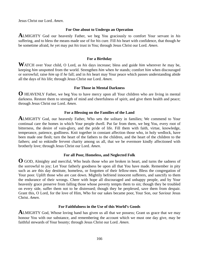Jesus Christ our Lord. *Amen*.

## **For One about to Undergo an Operation**

**A**LMIGHTY God our heavenly Father, we beg You graciously to comfort Your servant in *his*  suffering, and to bless the means made use of for *his* cure. Fill *his* heart with confidence, that though *he*  be sometime afraid, *he* yet may put *his* trust in You; through Jesus Christ our Lord. *Amen*.

# **For a Birthday**

**W**ATCH over Your child, O Lord, as *his* days increase; bless and guide *him* wherever *he* may be, keeping *him* unspotted from the world. Strengthen *him* when *he* stands; comfort *him* when discouraged or sorrowful; raise *him* up if *he* fall; and in *his* heart may Your peace which passes understanding abide all the days of *his* life; through Jesus Christ our Lord. *Amen*.

# **For Those in Mental Darkness**

**O** HEAVENLY Father, we beg You to have mercy upon all Your children who are living in mental darkness. Restore them to strength of mind and cheerfulness of spirit, and give them health and peace; through Jesus Christ our Lord. *Amen*.

# **For a Blessing on the Families of the Land**

**A**LMIGHTY God, our heavenly Father, Who sets the solitary in families; We commend to Your continual care the homes in which Your people dwell. Put far from them, we beg You, every root of bitterness, the desire of vain-glory, and the pride of life. Fill them with faith, virtue, knowledge, temperance, patience, godliness. Knit together in constant affection those who, in holy wedlock, have been made one flesh; turn the heart of the fathers to the children, and the heart of the children to the fathers; and so enkindle fervent charity among us all, that we be evermore kindly affectioned with brotherly love; through Jesus Christ our Lord. *Amen*.

# **For all Poor, Homeless, and Neglected Folk**

**O** GOD, Almighty and merciful, Who heals those who are broken in heart, and turns the sadness of the sorrowful to joy; Let Your fatherly goodness be upon all that You have made. Remember in pity such as are this day destitute, homeless, or forgotten of their fellow-men. Bless the congregation of Your poor. Uplift those who are cast down. Mightily befriend innocent sufferers, and sanctify to them the endurance of their wrongs. Cheer with hope all discouraged and unhappy people, and by Your heavenly grace preserve from falling those whose poverty tempts them to sin; though they be troubled on every side, suffer them not to be distressed; though they be perplexed, save them from despair. Grant this, O Lord, for the love of Him, Who for our sakes became poor, Your Son, our Saviour Jesus Christ. *Amen*.

# **For Faithfulness in the Use of this World's Goods**

**ALMIGHTY** God, Whose loving hand has given us all that we possess; Grant us grace that we may honour You with our substance, and remembering the account which we must one day give, may be faithful stewards of Your bounty; through Jesus Christ our Lord. *Amen*.